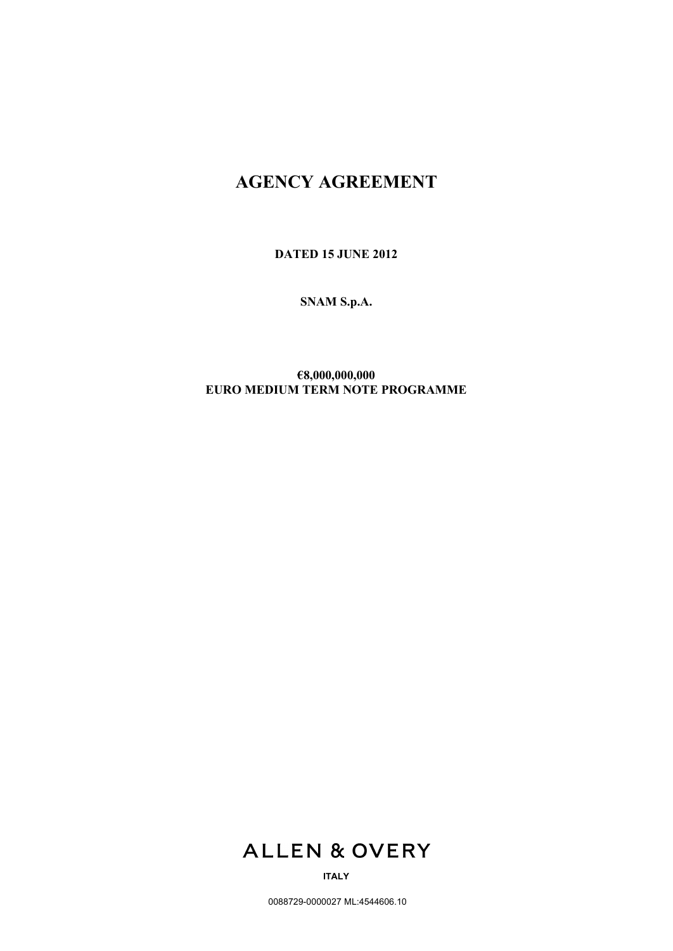# **AGENCY AGREEMENT**

**DATED 15 JUNE 2012**

**SNAM S.p.A.**

**€8,000,000,000 EURO MEDIUM TERM NOTE PROGRAMME**



**ITALY**

0088729-0000027 ML:4544606.10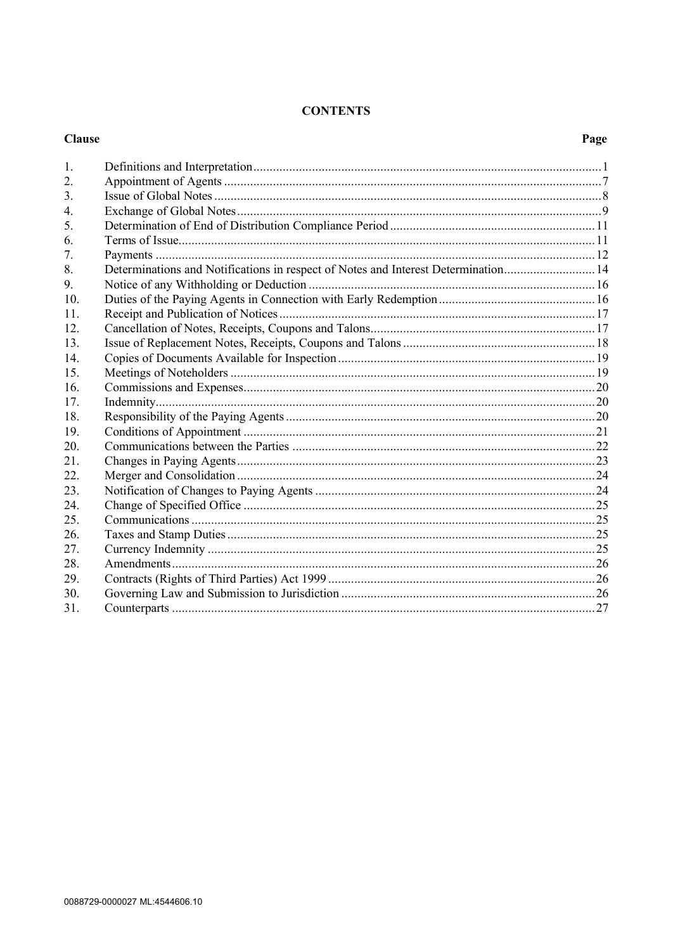## **CONTENTS**

|                  | <b>Clause</b>                                                                      |  |  |
|------------------|------------------------------------------------------------------------------------|--|--|
| 1.               |                                                                                    |  |  |
| 2.               |                                                                                    |  |  |
| $\overline{3}$ . |                                                                                    |  |  |
| $\overline{4}$ . |                                                                                    |  |  |
| 5.               |                                                                                    |  |  |
| 6.               |                                                                                    |  |  |
| 7.               |                                                                                    |  |  |
| 8.               | Determinations and Notifications in respect of Notes and Interest Determination 14 |  |  |
| 9.               |                                                                                    |  |  |
| 10.              |                                                                                    |  |  |
| 11.              |                                                                                    |  |  |
| 12.              |                                                                                    |  |  |
| 13.              |                                                                                    |  |  |
| 14.              |                                                                                    |  |  |
| 15.              |                                                                                    |  |  |
| 16.              |                                                                                    |  |  |
| 17.              |                                                                                    |  |  |
| 18.              |                                                                                    |  |  |
| 19.              |                                                                                    |  |  |
| 20.              |                                                                                    |  |  |
| 21.              |                                                                                    |  |  |
| 22.              |                                                                                    |  |  |
| 23.              |                                                                                    |  |  |
| 24.              |                                                                                    |  |  |
| 25.              |                                                                                    |  |  |
| 26.              |                                                                                    |  |  |
| 27.              |                                                                                    |  |  |
| 28.              |                                                                                    |  |  |
| 29.              |                                                                                    |  |  |
| 30.              |                                                                                    |  |  |
| 31.              |                                                                                    |  |  |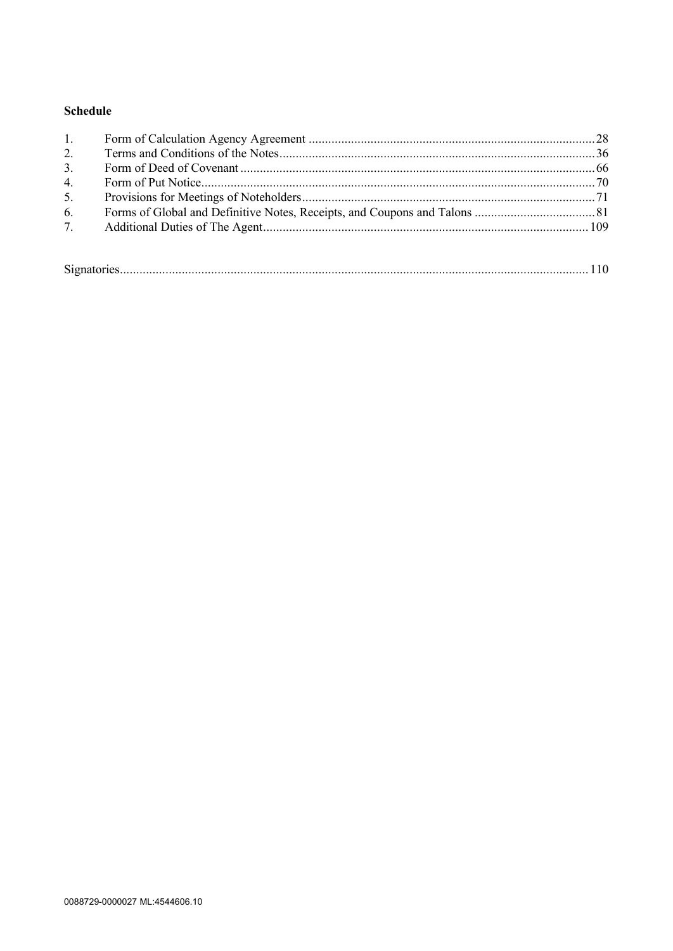## **Schedule**

| 1.             |  |
|----------------|--|
| 2.             |  |
| 3 <sub>1</sub> |  |
| 4.             |  |
| 5.             |  |
| 6.             |  |
| 7.             |  |
|                |  |
|                |  |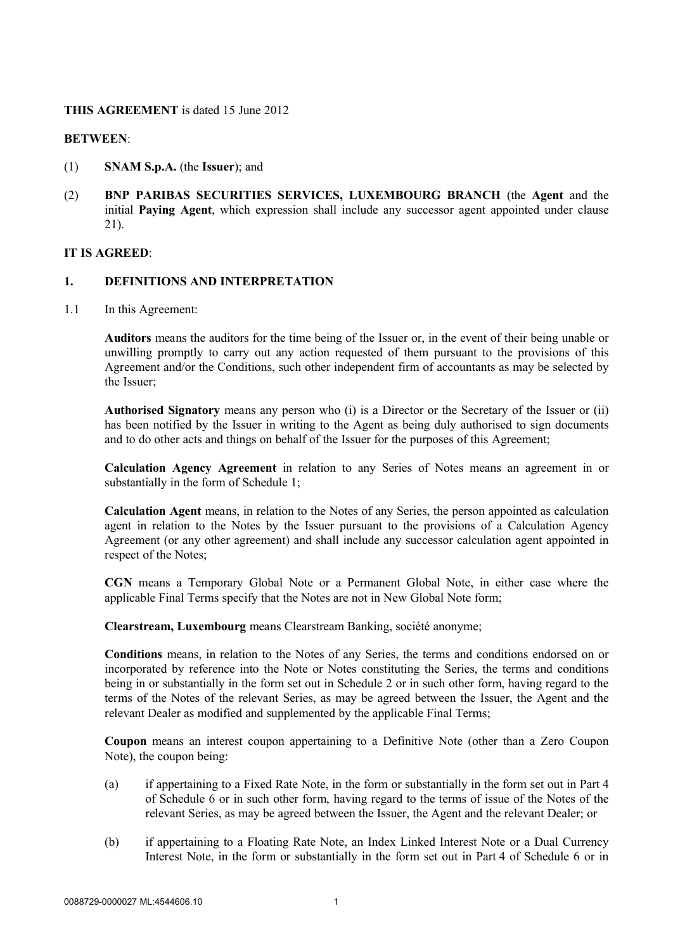## **THIS AGREEMENT** is dated 15 June 2012

## **BETWEEN**:

- (1) **SNAM S.p.A.** (the **Issuer**); and
- (2) **BNP PARIBAS SECURITIES SERVICES, LUXEMBOURG BRANCH** (the **Agent** and the initial **Paying Agent**, which expression shall include any successor agent appointed under clause 21).

## **IT IS AGREED**:

#### **1. DEFINITIONS AND INTERPRETATION**

1.1 In this Agreement:

**Auditors** means the auditors for the time being of the Issuer or, in the event of their being unable or unwilling promptly to carry out any action requested of them pursuant to the provisions of this Agreement and/or the Conditions, such other independent firm of accountants as may be selected by the Issuer;

**Authorised Signatory** means any person who (i) is a Director or the Secretary of the Issuer or (ii) has been notified by the Issuer in writing to the Agent as being duly authorised to sign documents and to do other acts and things on behalf of the Issuer for the purposes of this Agreement;

**Calculation Agency Agreement** in relation to any Series of Notes means an agreement in or substantially in the form of Schedule 1;

**Calculation Agent** means, in relation to the Notes of any Series, the person appointed as calculation agent in relation to the Notes by the Issuer pursuant to the provisions of a Calculation Agency Agreement (or any other agreement) and shall include any successor calculation agent appointed in respect of the Notes;

**CGN** means a Temporary Global Note or a Permanent Global Note, in either case where the applicable Final Terms specify that the Notes are not in New Global Note form;

**Clearstream, Luxembourg** means Clearstream Banking, société anonyme;

**Conditions** means, in relation to the Notes of any Series, the terms and conditions endorsed on or incorporated by reference into the Note or Notes constituting the Series, the terms and conditions being in or substantially in the form set out in Schedule 2 or in such other form, having regard to the terms of the Notes of the relevant Series, as may be agreed between the Issuer, the Agent and the relevant Dealer as modified and supplemented by the applicable Final Terms;

**Coupon** means an interest coupon appertaining to a Definitive Note (other than a Zero Coupon Note), the coupon being:

- (a) if appertaining to a Fixed Rate Note, in the form or substantially in the form set out in Part 4 of Schedule 6 or in such other form, having regard to the terms of issue of the Notes of the relevant Series, as may be agreed between the Issuer, the Agent and the relevant Dealer; or
- (b) if appertaining to a Floating Rate Note, an Index Linked Interest Note or a Dual Currency Interest Note, in the form or substantially in the form set out in Part 4 of Schedule 6 or in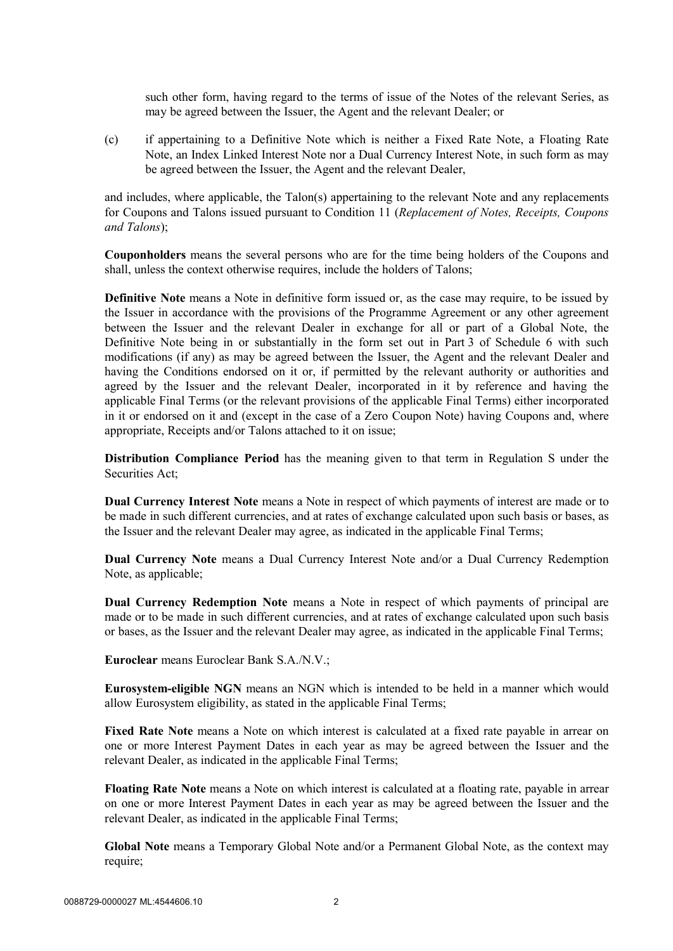such other form, having regard to the terms of issue of the Notes of the relevant Series, as may be agreed between the Issuer, the Agent and the relevant Dealer; or

(c) if appertaining to a Definitive Note which is neither a Fixed Rate Note, a Floating Rate Note, an Index Linked Interest Note nor a Dual Currency Interest Note, in such form as may be agreed between the Issuer, the Agent and the relevant Dealer,

and includes, where applicable, the Talon(s) appertaining to the relevant Note and any replacements for Coupons and Talons issued pursuant to Condition 11 (*Replacement of Notes, Receipts, Coupons and Talons*);

**Couponholders** means the several persons who are for the time being holders of the Coupons and shall, unless the context otherwise requires, include the holders of Talons;

**Definitive Note** means a Note in definitive form issued or, as the case may require, to be issued by the Issuer in accordance with the provisions of the Programme Agreement or any other agreement between the Issuer and the relevant Dealer in exchange for all or part of a Global Note, the Definitive Note being in or substantially in the form set out in Part 3 of Schedule 6 with such modifications (if any) as may be agreed between the Issuer, the Agent and the relevant Dealer and having the Conditions endorsed on it or, if permitted by the relevant authority or authorities and agreed by the Issuer and the relevant Dealer, incorporated in it by reference and having the applicable Final Terms (or the relevant provisions of the applicable Final Terms) either incorporated in it or endorsed on it and (except in the case of a Zero Coupon Note) having Coupons and, where appropriate, Receipts and/or Talons attached to it on issue;

**Distribution Compliance Period** has the meaning given to that term in Regulation S under the Securities Act;

**Dual Currency Interest Note** means a Note in respect of which payments of interest are made or to be made in such different currencies, and at rates of exchange calculated upon such basis or bases, as the Issuer and the relevant Dealer may agree, as indicated in the applicable Final Terms;

**Dual Currency Note** means a Dual Currency Interest Note and/or a Dual Currency Redemption Note, as applicable;

**Dual Currency Redemption Note** means a Note in respect of which payments of principal are made or to be made in such different currencies, and at rates of exchange calculated upon such basis or bases, as the Issuer and the relevant Dealer may agree, as indicated in the applicable Final Terms;

**Euroclear** means Euroclear Bank S.A./N.V.;

**Eurosystem-eligible NGN** means an NGN which is intended to be held in a manner which would allow Eurosystem eligibility, as stated in the applicable Final Terms;

**Fixed Rate Note** means a Note on which interest is calculated at a fixed rate payable in arrear on one or more Interest Payment Dates in each year as may be agreed between the Issuer and the relevant Dealer, as indicated in the applicable Final Terms;

**Floating Rate Note** means a Note on which interest is calculated at a floating rate, payable in arrear on one or more Interest Payment Dates in each year as may be agreed between the Issuer and the relevant Dealer, as indicated in the applicable Final Terms;

**Global Note** means a Temporary Global Note and/or a Permanent Global Note, as the context may require;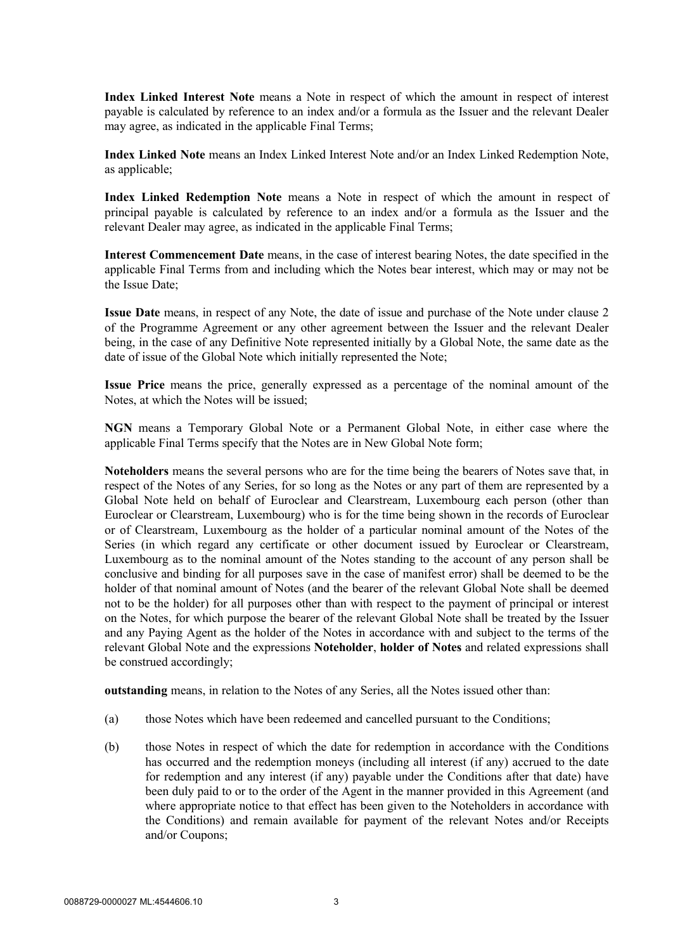**Index Linked Interest Note** means a Note in respect of which the amount in respect of interest payable is calculated by reference to an index and/or a formula as the Issuer and the relevant Dealer may agree, as indicated in the applicable Final Terms;

**Index Linked Note** means an Index Linked Interest Note and/or an Index Linked Redemption Note, as applicable;

**Index Linked Redemption Note** means a Note in respect of which the amount in respect of principal payable is calculated by reference to an index and/or a formula as the Issuer and the relevant Dealer may agree, as indicated in the applicable Final Terms;

**Interest Commencement Date** means, in the case of interest bearing Notes, the date specified in the applicable Final Terms from and including which the Notes bear interest, which may or may not be the Issue Date;

**Issue Date** means, in respect of any Note, the date of issue and purchase of the Note under clause 2 of the Programme Agreement or any other agreement between the Issuer and the relevant Dealer being, in the case of any Definitive Note represented initially by a Global Note, the same date as the date of issue of the Global Note which initially represented the Note;

**Issue Price** means the price, generally expressed as a percentage of the nominal amount of the Notes, at which the Notes will be issued;

**NGN** means a Temporary Global Note or a Permanent Global Note, in either case where the applicable Final Terms specify that the Notes are in New Global Note form;

**Noteholders** means the several persons who are for the time being the bearers of Notes save that, in respect of the Notes of any Series, for so long as the Notes or any part of them are represented by a Global Note held on behalf of Euroclear and Clearstream, Luxembourg each person (other than Euroclear or Clearstream, Luxembourg) who is for the time being shown in the records of Euroclear or of Clearstream, Luxembourg as the holder of a particular nominal amount of the Notes of the Series (in which regard any certificate or other document issued by Euroclear or Clearstream, Luxembourg as to the nominal amount of the Notes standing to the account of any person shall be conclusive and binding for all purposes save in the case of manifest error) shall be deemed to be the holder of that nominal amount of Notes (and the bearer of the relevant Global Note shall be deemed not to be the holder) for all purposes other than with respect to the payment of principal or interest on the Notes, for which purpose the bearer of the relevant Global Note shall be treated by the Issuer and any Paying Agent as the holder of the Notes in accordance with and subject to the terms of the relevant Global Note and the expressions **Noteholder**, **holder of Notes** and related expressions shall be construed accordingly;

**outstanding** means, in relation to the Notes of any Series, all the Notes issued other than:

- (a) those Notes which have been redeemed and cancelled pursuant to the Conditions;
- (b) those Notes in respect of which the date for redemption in accordance with the Conditions has occurred and the redemption moneys (including all interest (if any) accrued to the date for redemption and any interest (if any) payable under the Conditions after that date) have been duly paid to or to the order of the Agent in the manner provided in this Agreement (and where appropriate notice to that effect has been given to the Noteholders in accordance with the Conditions) and remain available for payment of the relevant Notes and/or Receipts and/or Coupons;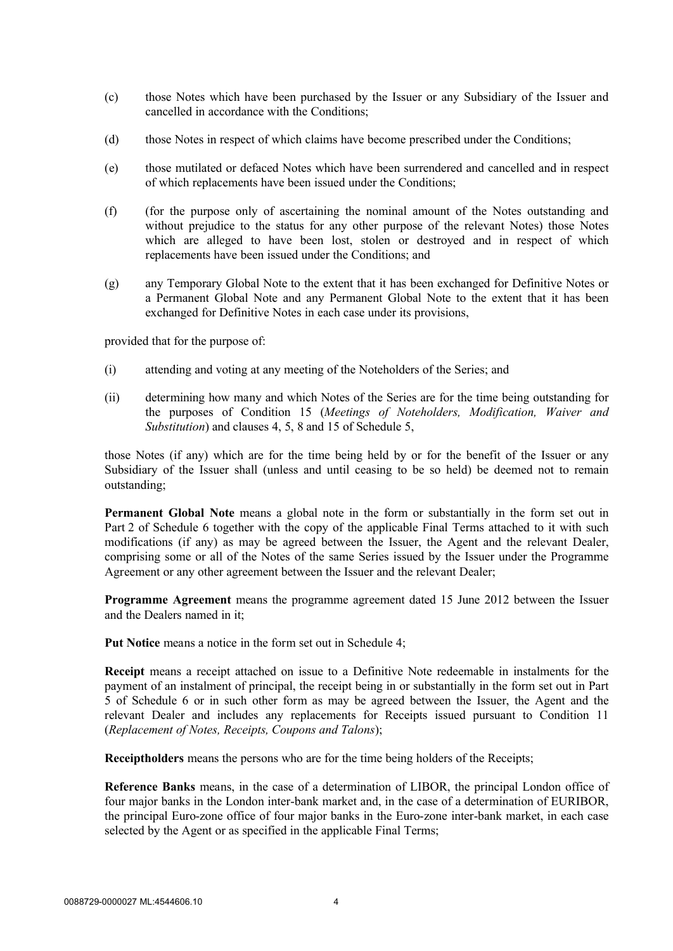- (c) those Notes which have been purchased by the Issuer or any Subsidiary of the Issuer and cancelled in accordance with the Conditions;
- (d) those Notes in respect of which claims have become prescribed under the Conditions;
- (e) those mutilated or defaced Notes which have been surrendered and cancelled and in respect of which replacements have been issued under the Conditions;
- (f) (for the purpose only of ascertaining the nominal amount of the Notes outstanding and without prejudice to the status for any other purpose of the relevant Notes) those Notes which are alleged to have been lost, stolen or destroyed and in respect of which replacements have been issued under the Conditions; and
- (g) any Temporary Global Note to the extent that it has been exchanged for Definitive Notes or a Permanent Global Note and any Permanent Global Note to the extent that it has been exchanged for Definitive Notes in each case under its provisions,

provided that for the purpose of:

- (i) attending and voting at any meeting of the Noteholders of the Series; and
- (ii) determining how many and which Notes of the Series are for the time being outstanding for the purposes of Condition 15 (*Meetings of Noteholders, Modification, Waiver and Substitution*) and clauses 4, 5, 8 and 15 of Schedule 5,

those Notes (if any) which are for the time being held by or for the benefit of the Issuer or any Subsidiary of the Issuer shall (unless and until ceasing to be so held) be deemed not to remain outstanding;

**Permanent Global Note** means a global note in the form or substantially in the form set out in Part 2 of Schedule 6 together with the copy of the applicable Final Terms attached to it with such modifications (if any) as may be agreed between the Issuer, the Agent and the relevant Dealer, comprising some or all of the Notes of the same Series issued by the Issuer under the Programme Agreement or any other agreement between the Issuer and the relevant Dealer;

**Programme Agreement** means the programme agreement dated 15 June 2012 between the Issuer and the Dealers named in it;

**Put Notice** means a notice in the form set out in Schedule 4;

**Receipt** means a receipt attached on issue to a Definitive Note redeemable in instalments for the payment of an instalment of principal, the receipt being in or substantially in the form set out in Part 5 of Schedule 6 or in such other form as may be agreed between the Issuer, the Agent and the relevant Dealer and includes any replacements for Receipts issued pursuant to Condition 11 (*Replacement of Notes, Receipts, Coupons and Talons*);

**Receiptholders** means the persons who are for the time being holders of the Receipts;

**Reference Banks** means, in the case of a determination of LIBOR, the principal London office of four major banks in the London inter-bank market and, in the case of a determination of EURIBOR, the principal Euro-zone office of four major banks in the Euro-zone inter-bank market, in each case selected by the Agent or as specified in the applicable Final Terms;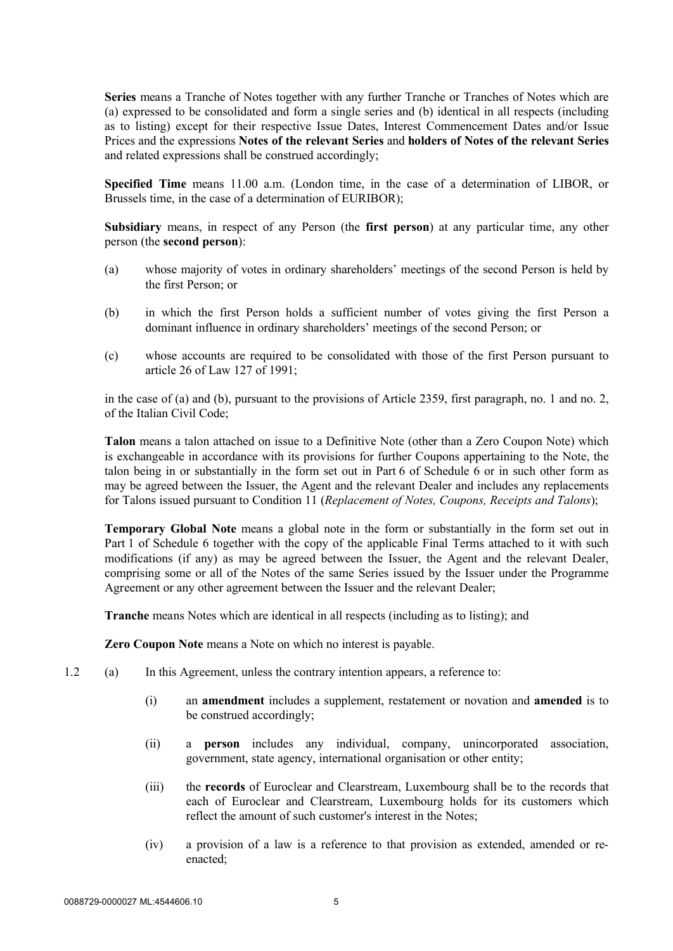**Series** means a Tranche of Notes together with any further Tranche or Tranches of Notes which are (a) expressed to be consolidated and form a single series and (b) identical in all respects (including as to listing) except for their respective Issue Dates, Interest Commencement Dates and/or Issue Prices and the expressions **Notes of the relevant Series** and **holders of Notes of the relevant Series** and related expressions shall be construed accordingly;

**Specified Time** means 11.00 a.m. (London time, in the case of a determination of LIBOR, or Brussels time, in the case of a determination of EURIBOR);

**Subsidiary** means, in respect of any Person (the **first person**) at any particular time, any other person (the **second person**):

- (a) whose majority of votes in ordinary shareholders' meetings of the second Person is held by the first Person; or
- (b) in which the first Person holds a sufficient number of votes giving the first Person a dominant influence in ordinary shareholders' meetings of the second Person; or
- (c) whose accounts are required to be consolidated with those of the first Person pursuant to article 26 of Law 127 of 1991;

in the case of (a) and (b), pursuant to the provisions of Article 2359, first paragraph, no. 1 and no. 2, of the Italian Civil Code;

**Talon** means a talon attached on issue to a Definitive Note (other than a Zero Coupon Note) which is exchangeable in accordance with its provisions for further Coupons appertaining to the Note, the talon being in or substantially in the form set out in Part 6 of Schedule 6 or in such other form as may be agreed between the Issuer, the Agent and the relevant Dealer and includes any replacements for Talons issued pursuant to Condition 11 (*Replacement of Notes, Coupons, Receipts and Talons*);

**Temporary Global Note** means a global note in the form or substantially in the form set out in Part 1 of Schedule 6 together with the copy of the applicable Final Terms attached to it with such modifications (if any) as may be agreed between the Issuer, the Agent and the relevant Dealer, comprising some or all of the Notes of the same Series issued by the Issuer under the Programme Agreement or any other agreement between the Issuer and the relevant Dealer;

**Tranche** means Notes which are identical in all respects (including as to listing); and

**Zero Coupon Note** means a Note on which no interest is payable.

- 1.2 (a) In this Agreement, unless the contrary intention appears, a reference to:
	- (i) an **amendment** includes a supplement, restatement or novation and **amended** is to be construed accordingly;
	- (ii) a **person** includes any individual, company, unincorporated association, government, state agency, international organisation or other entity;
	- (iii) the **records** of Euroclear and Clearstream, Luxembourg shall be to the records that each of Euroclear and Clearstream, Luxembourg holds for its customers which reflect the amount of such customer's interest in the Notes;
	- (iv) a provision of a law is a reference to that provision as extended, amended or reenacted;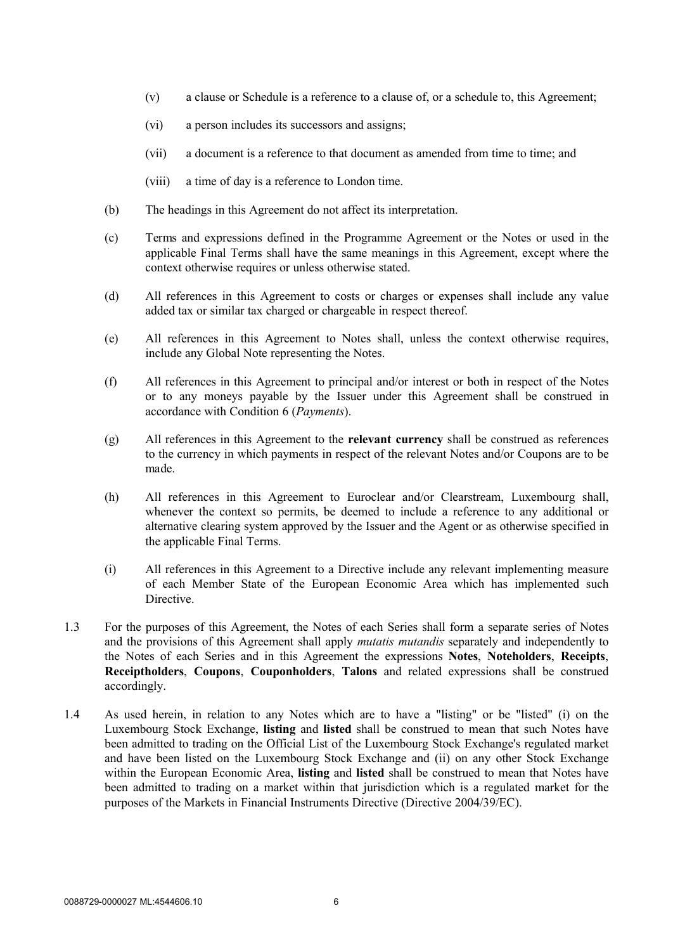- (v) a clause or Schedule is a reference to a clause of, or a schedule to, this Agreement;
- (vi) a person includes its successors and assigns;
- (vii) a document is a reference to that document as amended from time to time; and
- (viii) a time of day is a reference to London time.
- (b) The headings in this Agreement do not affect its interpretation.
- (c) Terms and expressions defined in the Programme Agreement or the Notes or used in the applicable Final Terms shall have the same meanings in this Agreement, except where the context otherwise requires or unless otherwise stated.
- (d) All references in this Agreement to costs or charges or expenses shall include any value added tax or similar tax charged or chargeable in respect thereof.
- (e) All references in this Agreement to Notes shall, unless the context otherwise requires, include any Global Note representing the Notes.
- (f) All references in this Agreement to principal and/or interest or both in respect of the Notes or to any moneys payable by the Issuer under this Agreement shall be construed in accordance with Condition 6 (*Payments*).
- (g) All references in this Agreement to the **relevant currency** shall be construed as references to the currency in which payments in respect of the relevant Notes and/or Coupons are to be made.
- (h) All references in this Agreement to Euroclear and/or Clearstream, Luxembourg shall, whenever the context so permits, be deemed to include a reference to any additional or alternative clearing system approved by the Issuer and the Agent or as otherwise specified in the applicable Final Terms.
- (i) All references in this Agreement to a Directive include any relevant implementing measure of each Member State of the European Economic Area which has implemented such Directive.
- 1.3 For the purposes of this Agreement, the Notes of each Series shall form a separate series of Notes and the provisions of this Agreement shall apply *mutatis mutandis* separately and independently to the Notes of each Series and in this Agreement the expressions **Notes**, **Noteholders**, **Receipts**, **Receiptholders**, **Coupons**, **Couponholders**, **Talons** and related expressions shall be construed accordingly.
- 1.4 As used herein, in relation to any Notes which are to have a "listing" or be "listed" (i) on the Luxembourg Stock Exchange, **listing** and **listed** shall be construed to mean that such Notes have been admitted to trading on the Official List of the Luxembourg Stock Exchange's regulated market and have been listed on the Luxembourg Stock Exchange and (ii) on any other Stock Exchange within the European Economic Area, **listing** and **listed** shall be construed to mean that Notes have been admitted to trading on a market within that jurisdiction which is a regulated market for the purposes of the Markets in Financial Instruments Directive (Directive 2004/39/EC).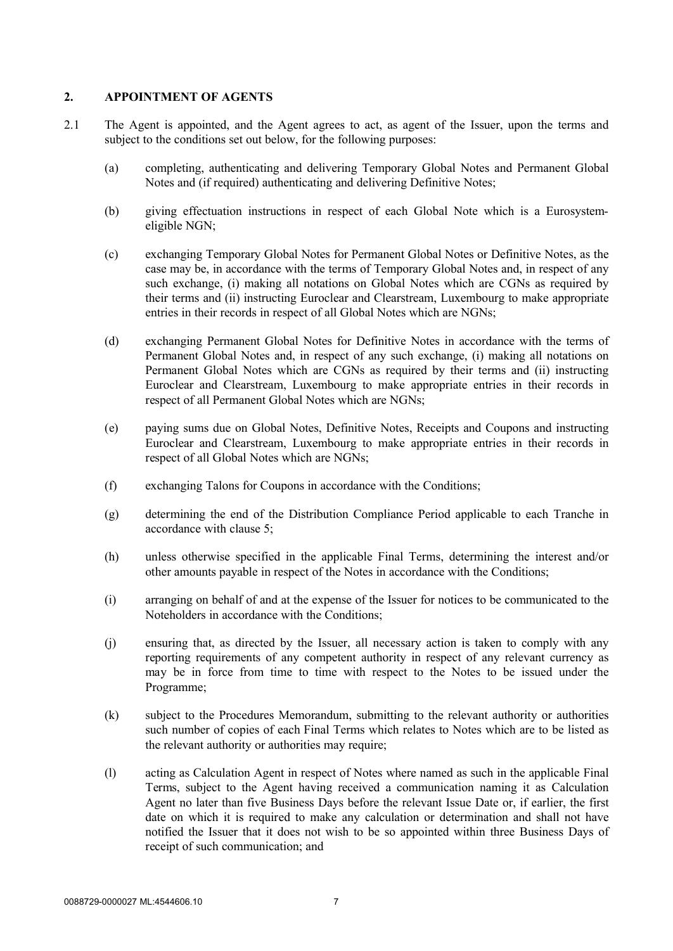## **2. APPOINTMENT OF AGENTS**

- 2.1 The Agent is appointed, and the Agent agrees to act, as agent of the Issuer, upon the terms and subject to the conditions set out below, for the following purposes:
	- (a) completing, authenticating and delivering Temporary Global Notes and Permanent Global Notes and (if required) authenticating and delivering Definitive Notes;
	- (b) giving effectuation instructions in respect of each Global Note which is a Eurosystemeligible NGN;
	- (c) exchanging Temporary Global Notes for Permanent Global Notes or Definitive Notes, as the case may be, in accordance with the terms of Temporary Global Notes and, in respect of any such exchange, (i) making all notations on Global Notes which are CGNs as required by their terms and (ii) instructing Euroclear and Clearstream, Luxembourg to make appropriate entries in their records in respect of all Global Notes which are NGNs;
	- (d) exchanging Permanent Global Notes for Definitive Notes in accordance with the terms of Permanent Global Notes and, in respect of any such exchange, (i) making all notations on Permanent Global Notes which are CGNs as required by their terms and (ii) instructing Euroclear and Clearstream, Luxembourg to make appropriate entries in their records in respect of all Permanent Global Notes which are NGNs;
	- (e) paying sums due on Global Notes, Definitive Notes, Receipts and Coupons and instructing Euroclear and Clearstream, Luxembourg to make appropriate entries in their records in respect of all Global Notes which are NGNs;
	- (f) exchanging Talons for Coupons in accordance with the Conditions;
	- (g) determining the end of the Distribution Compliance Period applicable to each Tranche in accordance with clause 5;
	- (h) unless otherwise specified in the applicable Final Terms, determining the interest and/or other amounts payable in respect of the Notes in accordance with the Conditions;
	- (i) arranging on behalf of and at the expense of the Issuer for notices to be communicated to the Noteholders in accordance with the Conditions;
	- (j) ensuring that, as directed by the Issuer, all necessary action is taken to comply with any reporting requirements of any competent authority in respect of any relevant currency as may be in force from time to time with respect to the Notes to be issued under the Programme;
	- (k) subject to the Procedures Memorandum, submitting to the relevant authority or authorities such number of copies of each Final Terms which relates to Notes which are to be listed as the relevant authority or authorities may require;
	- (l) acting as Calculation Agent in respect of Notes where named as such in the applicable Final Terms, subject to the Agent having received a communication naming it as Calculation Agent no later than five Business Days before the relevant Issue Date or, if earlier, the first date on which it is required to make any calculation or determination and shall not have notified the Issuer that it does not wish to be so appointed within three Business Days of receipt of such communication; and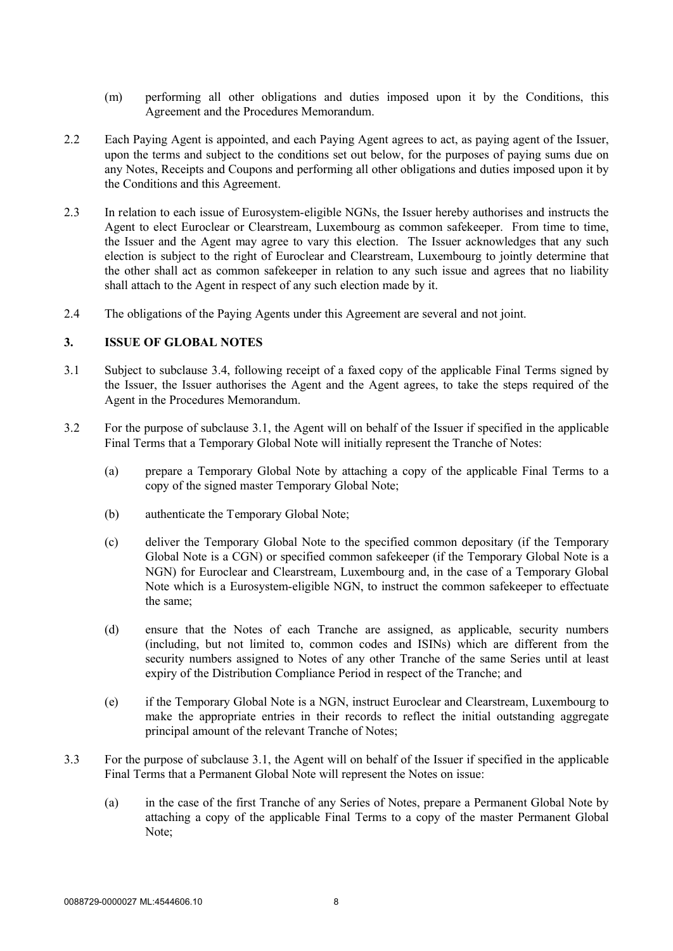- (m) performing all other obligations and duties imposed upon it by the Conditions, this Agreement and the Procedures Memorandum.
- 2.2 Each Paying Agent is appointed, and each Paying Agent agrees to act, as paying agent of the Issuer, upon the terms and subject to the conditions set out below, for the purposes of paying sums due on any Notes, Receipts and Coupons and performing all other obligations and duties imposed upon it by the Conditions and this Agreement.
- 2.3 In relation to each issue of Eurosystem-eligible NGNs, the Issuer hereby authorises and instructs the Agent to elect Euroclear or Clearstream, Luxembourg as common safekeeper. From time to time, the Issuer and the Agent may agree to vary this election. The Issuer acknowledges that any such election is subject to the right of Euroclear and Clearstream, Luxembourg to jointly determine that the other shall act as common safekeeper in relation to any such issue and agrees that no liability shall attach to the Agent in respect of any such election made by it.
- 2.4 The obligations of the Paying Agents under this Agreement are several and not joint.

#### **3. ISSUE OF GLOBAL NOTES**

- 3.1 Subject to subclause 3.4, following receipt of a faxed copy of the applicable Final Terms signed by the Issuer, the Issuer authorises the Agent and the Agent agrees, to take the steps required of the Agent in the Procedures Memorandum.
- 3.2 For the purpose of subclause 3.1, the Agent will on behalf of the Issuer if specified in the applicable Final Terms that a Temporary Global Note will initially represent the Tranche of Notes:
	- (a) prepare a Temporary Global Note by attaching a copy of the applicable Final Terms to a copy of the signed master Temporary Global Note;
	- (b) authenticate the Temporary Global Note;
	- (c) deliver the Temporary Global Note to the specified common depositary (if the Temporary Global Note is a CGN) or specified common safekeeper (if the Temporary Global Note is a NGN) for Euroclear and Clearstream, Luxembourg and, in the case of a Temporary Global Note which is a Eurosystem-eligible NGN, to instruct the common safekeeper to effectuate the same;
	- (d) ensure that the Notes of each Tranche are assigned, as applicable, security numbers (including, but not limited to, common codes and ISINs) which are different from the security numbers assigned to Notes of any other Tranche of the same Series until at least expiry of the Distribution Compliance Period in respect of the Tranche; and
	- (e) if the Temporary Global Note is a NGN, instruct Euroclear and Clearstream, Luxembourg to make the appropriate entries in their records to reflect the initial outstanding aggregate principal amount of the relevant Tranche of Notes;
- 3.3 For the purpose of subclause 3.1, the Agent will on behalf of the Issuer if specified in the applicable Final Terms that a Permanent Global Note will represent the Notes on issue:
	- (a) in the case of the first Tranche of any Series of Notes, prepare a Permanent Global Note by attaching a copy of the applicable Final Terms to a copy of the master Permanent Global Note;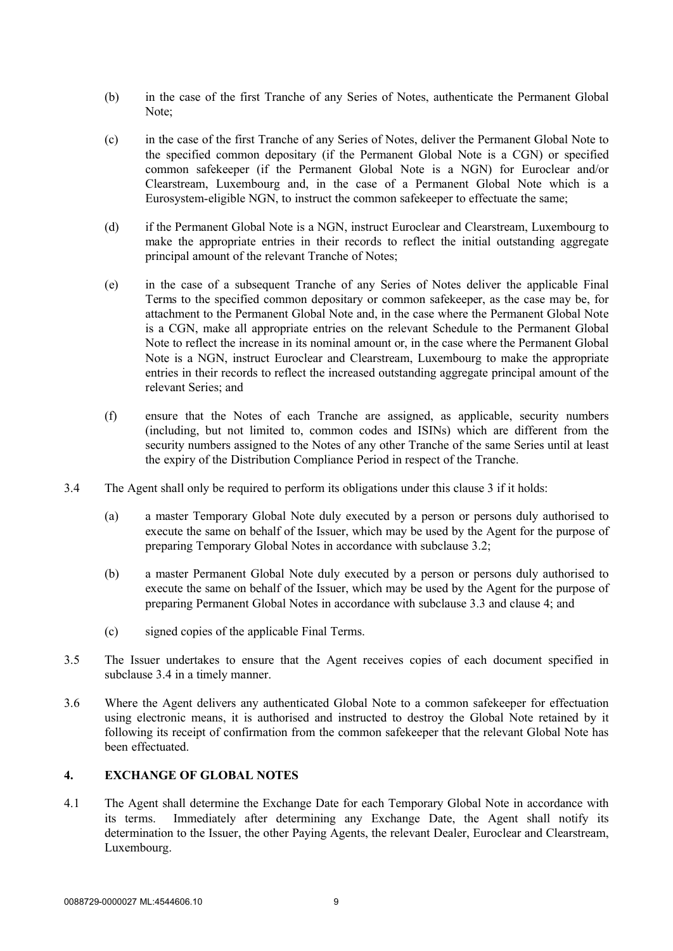- (b) in the case of the first Tranche of any Series of Notes, authenticate the Permanent Global Note<sup>-</sup>
- (c) in the case of the first Tranche of any Series of Notes, deliver the Permanent Global Note to the specified common depositary (if the Permanent Global Note is a CGN) or specified common safekeeper (if the Permanent Global Note is a NGN) for Euroclear and/or Clearstream, Luxembourg and, in the case of a Permanent Global Note which is a Eurosystem-eligible NGN, to instruct the common safekeeper to effectuate the same;
- (d) if the Permanent Global Note is a NGN, instruct Euroclear and Clearstream, Luxembourg to make the appropriate entries in their records to reflect the initial outstanding aggregate principal amount of the relevant Tranche of Notes;
- (e) in the case of a subsequent Tranche of any Series of Notes deliver the applicable Final Terms to the specified common depositary or common safekeeper, as the case may be, for attachment to the Permanent Global Note and, in the case where the Permanent Global Note is a CGN, make all appropriate entries on the relevant Schedule to the Permanent Global Note to reflect the increase in its nominal amount or, in the case where the Permanent Global Note is a NGN, instruct Euroclear and Clearstream, Luxembourg to make the appropriate entries in their records to reflect the increased outstanding aggregate principal amount of the relevant Series; and
- (f) ensure that the Notes of each Tranche are assigned, as applicable, security numbers (including, but not limited to, common codes and ISINs) which are different from the security numbers assigned to the Notes of any other Tranche of the same Series until at least the expiry of the Distribution Compliance Period in respect of the Tranche.
- 3.4 The Agent shall only be required to perform its obligations under this clause 3 if it holds:
	- (a) a master Temporary Global Note duly executed by a person or persons duly authorised to execute the same on behalf of the Issuer, which may be used by the Agent for the purpose of preparing Temporary Global Notes in accordance with subclause 3.2;
	- (b) a master Permanent Global Note duly executed by a person or persons duly authorised to execute the same on behalf of the Issuer, which may be used by the Agent for the purpose of preparing Permanent Global Notes in accordance with subclause 3.3 and clause 4; and
	- (c) signed copies of the applicable Final Terms.
- 3.5 The Issuer undertakes to ensure that the Agent receives copies of each document specified in subclause 3.4 in a timely manner.
- 3.6 Where the Agent delivers any authenticated Global Note to a common safekeeper for effectuation using electronic means, it is authorised and instructed to destroy the Global Note retained by it following its receipt of confirmation from the common safekeeper that the relevant Global Note has been effectuated.

## **4. EXCHANGE OF GLOBAL NOTES**

4.1 The Agent shall determine the Exchange Date for each Temporary Global Note in accordance with its terms. Immediately after determining any Exchange Date, the Agent shall notify its determination to the Issuer, the other Paying Agents, the relevant Dealer, Euroclear and Clearstream, Luxembourg.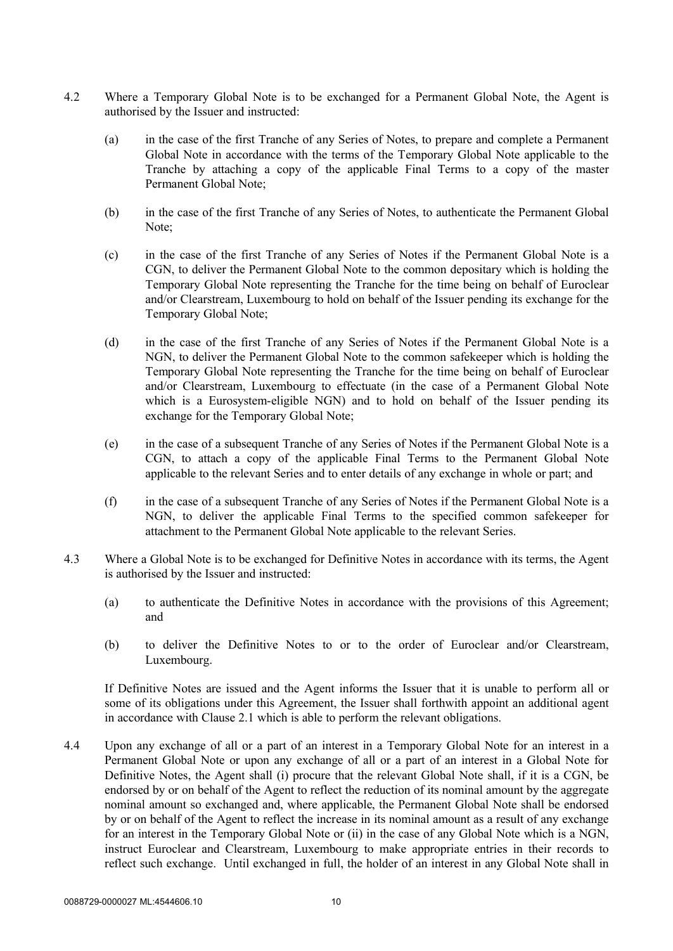- 4.2 Where a Temporary Global Note is to be exchanged for a Permanent Global Note, the Agent is authorised by the Issuer and instructed:
	- (a) in the case of the first Tranche of any Series of Notes, to prepare and complete a Permanent Global Note in accordance with the terms of the Temporary Global Note applicable to the Tranche by attaching a copy of the applicable Final Terms to a copy of the master Permanent Global Note;
	- (b) in the case of the first Tranche of any Series of Notes, to authenticate the Permanent Global Note;
	- (c) in the case of the first Tranche of any Series of Notes if the Permanent Global Note is a CGN, to deliver the Permanent Global Note to the common depositary which is holding the Temporary Global Note representing the Tranche for the time being on behalf of Euroclear and/or Clearstream, Luxembourg to hold on behalf of the Issuer pending its exchange for the Temporary Global Note;
	- (d) in the case of the first Tranche of any Series of Notes if the Permanent Global Note is a NGN, to deliver the Permanent Global Note to the common safekeeper which is holding the Temporary Global Note representing the Tranche for the time being on behalf of Euroclear and/or Clearstream, Luxembourg to effectuate (in the case of a Permanent Global Note which is a Eurosystem-eligible NGN) and to hold on behalf of the Issuer pending its exchange for the Temporary Global Note;
	- (e) in the case of a subsequent Tranche of any Series of Notes if the Permanent Global Note is a CGN, to attach a copy of the applicable Final Terms to the Permanent Global Note applicable to the relevant Series and to enter details of any exchange in whole or part; and
	- (f) in the case of a subsequent Tranche of any Series of Notes if the Permanent Global Note is a NGN, to deliver the applicable Final Terms to the specified common safekeeper for attachment to the Permanent Global Note applicable to the relevant Series.
- 4.3 Where a Global Note is to be exchanged for Definitive Notes in accordance with its terms, the Agent is authorised by the Issuer and instructed:
	- (a) to authenticate the Definitive Notes in accordance with the provisions of this Agreement; and
	- (b) to deliver the Definitive Notes to or to the order of Euroclear and/or Clearstream, Luxembourg.

If Definitive Notes are issued and the Agent informs the Issuer that it is unable to perform all or some of its obligations under this Agreement, the Issuer shall forthwith appoint an additional agent in accordance with Clause 2.1 which is able to perform the relevant obligations.

4.4 Upon any exchange of all or a part of an interest in a Temporary Global Note for an interest in a Permanent Global Note or upon any exchange of all or a part of an interest in a Global Note for Definitive Notes, the Agent shall (i) procure that the relevant Global Note shall, if it is a CGN, be endorsed by or on behalf of the Agent to reflect the reduction of its nominal amount by the aggregate nominal amount so exchanged and, where applicable, the Permanent Global Note shall be endorsed by or on behalf of the Agent to reflect the increase in its nominal amount as a result of any exchange for an interest in the Temporary Global Note or (ii) in the case of any Global Note which is a NGN, instruct Euroclear and Clearstream, Luxembourg to make appropriate entries in their records to reflect such exchange. Until exchanged in full, the holder of an interest in any Global Note shall in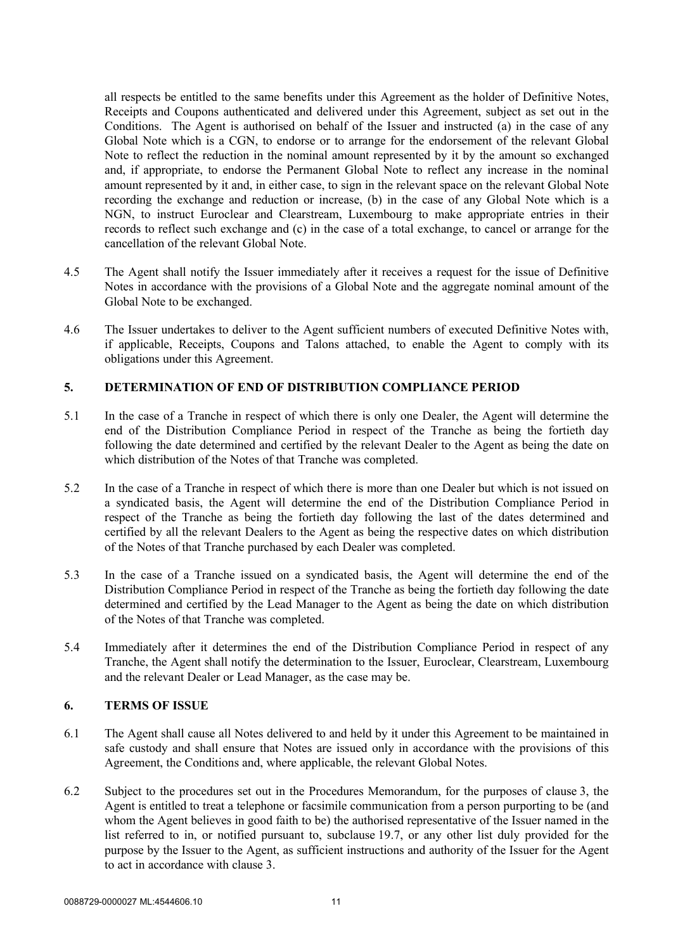all respects be entitled to the same benefits under this Agreement as the holder of Definitive Notes, Receipts and Coupons authenticated and delivered under this Agreement, subject as set out in the Conditions. The Agent is authorised on behalf of the Issuer and instructed (a) in the case of any Global Note which is a CGN, to endorse or to arrange for the endorsement of the relevant Global Note to reflect the reduction in the nominal amount represented by it by the amount so exchanged and, if appropriate, to endorse the Permanent Global Note to reflect any increase in the nominal amount represented by it and, in either case, to sign in the relevant space on the relevant Global Note recording the exchange and reduction or increase, (b) in the case of any Global Note which is a NGN, to instruct Euroclear and Clearstream, Luxembourg to make appropriate entries in their records to reflect such exchange and (c) in the case of a total exchange, to cancel or arrange for the cancellation of the relevant Global Note.

- 4.5 The Agent shall notify the Issuer immediately after it receives a request for the issue of Definitive Notes in accordance with the provisions of a Global Note and the aggregate nominal amount of the Global Note to be exchanged.
- 4.6 The Issuer undertakes to deliver to the Agent sufficient numbers of executed Definitive Notes with, if applicable, Receipts, Coupons and Talons attached, to enable the Agent to comply with its obligations under this Agreement.

## **5. DETERMINATION OF END OF DISTRIBUTION COMPLIANCE PERIOD**

- 5.1 In the case of a Tranche in respect of which there is only one Dealer, the Agent will determine the end of the Distribution Compliance Period in respect of the Tranche as being the fortieth day following the date determined and certified by the relevant Dealer to the Agent as being the date on which distribution of the Notes of that Tranche was completed.
- 5.2 In the case of a Tranche in respect of which there is more than one Dealer but which is not issued on a syndicated basis, the Agent will determine the end of the Distribution Compliance Period in respect of the Tranche as being the fortieth day following the last of the dates determined and certified by all the relevant Dealers to the Agent as being the respective dates on which distribution of the Notes of that Tranche purchased by each Dealer was completed.
- 5.3 In the case of a Tranche issued on a syndicated basis, the Agent will determine the end of the Distribution Compliance Period in respect of the Tranche as being the fortieth day following the date determined and certified by the Lead Manager to the Agent as being the date on which distribution of the Notes of that Tranche was completed.
- 5.4 Immediately after it determines the end of the Distribution Compliance Period in respect of any Tranche, the Agent shall notify the determination to the Issuer, Euroclear, Clearstream, Luxembourg and the relevant Dealer or Lead Manager, as the case may be.

#### **6. TERMS OF ISSUE**

- 6.1 The Agent shall cause all Notes delivered to and held by it under this Agreement to be maintained in safe custody and shall ensure that Notes are issued only in accordance with the provisions of this Agreement, the Conditions and, where applicable, the relevant Global Notes.
- 6.2 Subject to the procedures set out in the Procedures Memorandum, for the purposes of clause 3, the Agent is entitled to treat a telephone or facsimile communication from a person purporting to be (and whom the Agent believes in good faith to be) the authorised representative of the Issuer named in the list referred to in, or notified pursuant to, subclause 19.7, or any other list duly provided for the purpose by the Issuer to the Agent, as sufficient instructions and authority of the Issuer for the Agent to act in accordance with clause 3.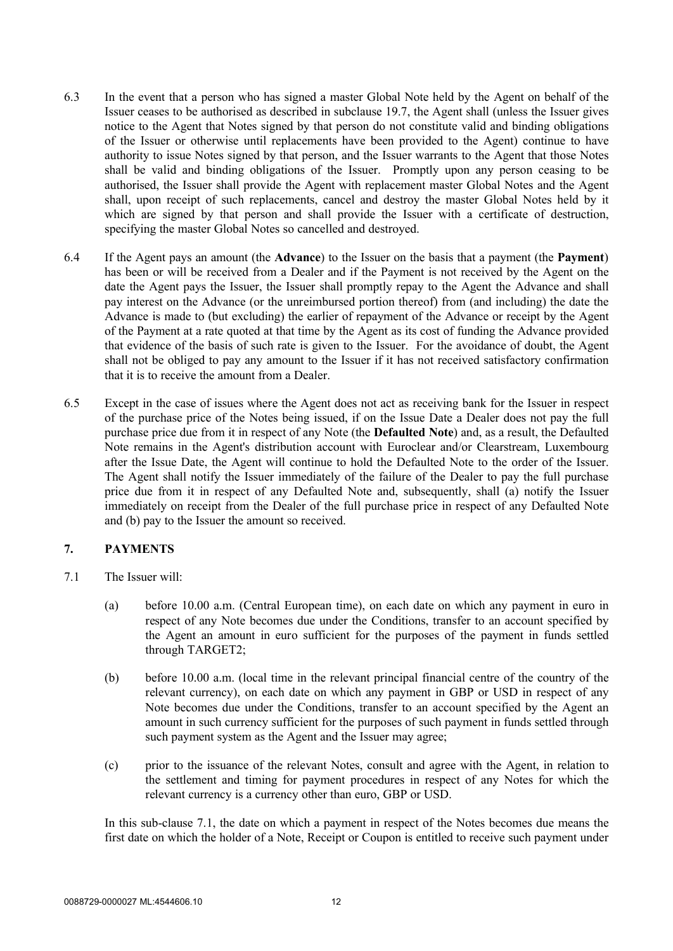- 6.3 In the event that a person who has signed a master Global Note held by the Agent on behalf of the Issuer ceases to be authorised as described in subclause 19.7, the Agent shall (unless the Issuer gives notice to the Agent that Notes signed by that person do not constitute valid and binding obligations of the Issuer or otherwise until replacements have been provided to the Agent) continue to have authority to issue Notes signed by that person, and the Issuer warrants to the Agent that those Notes shall be valid and binding obligations of the Issuer. Promptly upon any person ceasing to be authorised, the Issuer shall provide the Agent with replacement master Global Notes and the Agent shall, upon receipt of such replacements, cancel and destroy the master Global Notes held by it which are signed by that person and shall provide the Issuer with a certificate of destruction, specifying the master Global Notes so cancelled and destroyed.
- 6.4 If the Agent pays an amount (the **Advance**) to the Issuer on the basis that a payment (the **Payment**) has been or will be received from a Dealer and if the Payment is not received by the Agent on the date the Agent pays the Issuer, the Issuer shall promptly repay to the Agent the Advance and shall pay interest on the Advance (or the unreimbursed portion thereof) from (and including) the date the Advance is made to (but excluding) the earlier of repayment of the Advance or receipt by the Agent of the Payment at a rate quoted at that time by the Agent as its cost of funding the Advance provided that evidence of the basis of such rate is given to the Issuer. For the avoidance of doubt, the Agent shall not be obliged to pay any amount to the Issuer if it has not received satisfactory confirmation that it is to receive the amount from a Dealer.
- 6.5 Except in the case of issues where the Agent does not act as receiving bank for the Issuer in respect of the purchase price of the Notes being issued, if on the Issue Date a Dealer does not pay the full purchase price due from it in respect of any Note (the **Defaulted Note**) and, as a result, the Defaulted Note remains in the Agent's distribution account with Euroclear and/or Clearstream, Luxembourg after the Issue Date, the Agent will continue to hold the Defaulted Note to the order of the Issuer. The Agent shall notify the Issuer immediately of the failure of the Dealer to pay the full purchase price due from it in respect of any Defaulted Note and, subsequently, shall (a) notify the Issuer immediately on receipt from the Dealer of the full purchase price in respect of any Defaulted Note and (b) pay to the Issuer the amount so received.

## **7. PAYMENTS**

- 7.1 The Issuer will:
	- (a) before 10.00 a.m. (Central European time), on each date on which any payment in euro in respect of any Note becomes due under the Conditions, transfer to an account specified by the Agent an amount in euro sufficient for the purposes of the payment in funds settled through TARGET2;
	- (b) before 10.00 a.m. (local time in the relevant principal financial centre of the country of the relevant currency), on each date on which any payment in GBP or USD in respect of any Note becomes due under the Conditions, transfer to an account specified by the Agent an amount in such currency sufficient for the purposes of such payment in funds settled through such payment system as the Agent and the Issuer may agree;
	- (c) prior to the issuance of the relevant Notes, consult and agree with the Agent, in relation to the settlement and timing for payment procedures in respect of any Notes for which the relevant currency is a currency other than euro, GBP or USD.

In this sub-clause 7.1, the date on which a payment in respect of the Notes becomes due means the first date on which the holder of a Note, Receipt or Coupon is entitled to receive such payment under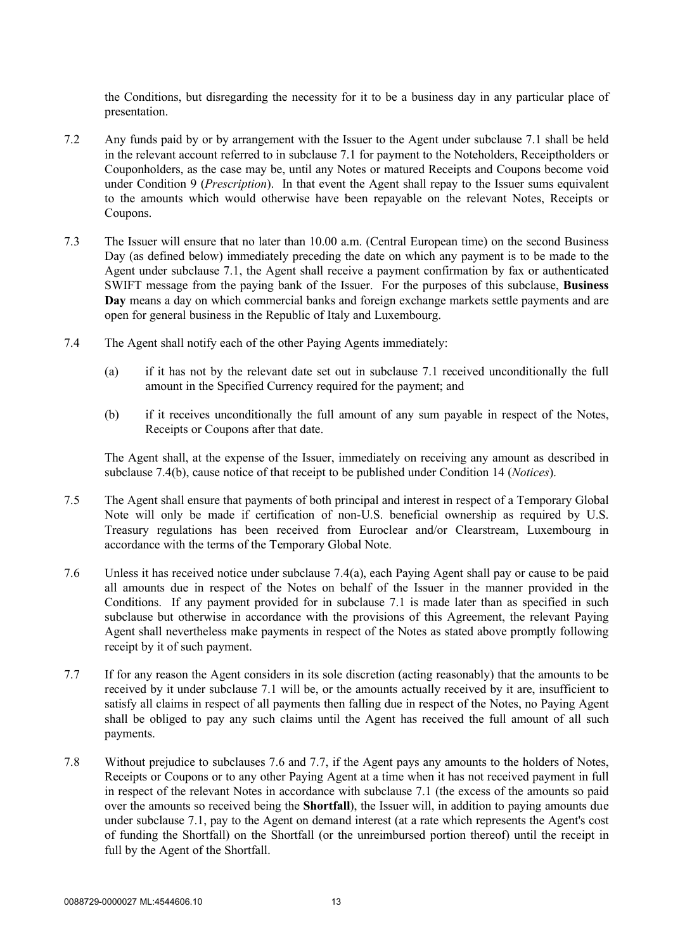the Conditions, but disregarding the necessity for it to be a business day in any particular place of presentation.

- 7.2 Any funds paid by or by arrangement with the Issuer to the Agent under subclause 7.1 shall be held in the relevant account referred to in subclause 7.1 for payment to the Noteholders, Receiptholders or Couponholders, as the case may be, until any Notes or matured Receipts and Coupons become void under Condition 9 (*Prescription*). In that event the Agent shall repay to the Issuer sums equivalent to the amounts which would otherwise have been repayable on the relevant Notes, Receipts or Coupons.
- 7.3 The Issuer will ensure that no later than 10.00 a.m. (Central European time) on the second Business Day (as defined below) immediately preceding the date on which any payment is to be made to the Agent under subclause 7.1, the Agent shall receive a payment confirmation by fax or authenticated SWIFT message from the paying bank of the Issuer. For the purposes of this subclause, **Business Day** means a day on which commercial banks and foreign exchange markets settle payments and are open for general business in the Republic of Italy and Luxembourg.
- 7.4 The Agent shall notify each of the other Paying Agents immediately:
	- (a) if it has not by the relevant date set out in subclause 7.1 received unconditionally the full amount in the Specified Currency required for the payment; and
	- (b) if it receives unconditionally the full amount of any sum payable in respect of the Notes, Receipts or Coupons after that date.

The Agent shall, at the expense of the Issuer, immediately on receiving any amount as described in subclause 7.4(b), cause notice of that receipt to be published under Condition 14 (*Notices*).

- 7.5 The Agent shall ensure that payments of both principal and interest in respect of a Temporary Global Note will only be made if certification of non-U.S. beneficial ownership as required by U.S. Treasury regulations has been received from Euroclear and/or Clearstream, Luxembourg in accordance with the terms of the Temporary Global Note.
- 7.6 Unless it has received notice under subclause 7.4(a), each Paying Agent shall pay or cause to be paid all amounts due in respect of the Notes on behalf of the Issuer in the manner provided in the Conditions. If any payment provided for in subclause 7.1 is made later than as specified in such subclause but otherwise in accordance with the provisions of this Agreement, the relevant Paying Agent shall nevertheless make payments in respect of the Notes as stated above promptly following receipt by it of such payment.
- 7.7 If for any reason the Agent considers in its sole discretion (acting reasonably) that the amounts to be received by it under subclause 7.1 will be, or the amounts actually received by it are, insufficient to satisfy all claims in respect of all payments then falling due in respect of the Notes, no Paying Agent shall be obliged to pay any such claims until the Agent has received the full amount of all such payments.
- 7.8 Without prejudice to subclauses 7.6 and 7.7, if the Agent pays any amounts to the holders of Notes, Receipts or Coupons or to any other Paying Agent at a time when it has not received payment in full in respect of the relevant Notes in accordance with subclause 7.1 (the excess of the amounts so paid over the amounts so received being the **Shortfall**), the Issuer will, in addition to paying amounts due under subclause 7.1, pay to the Agent on demand interest (at a rate which represents the Agent's cost of funding the Shortfall) on the Shortfall (or the unreimbursed portion thereof) until the receipt in full by the Agent of the Shortfall.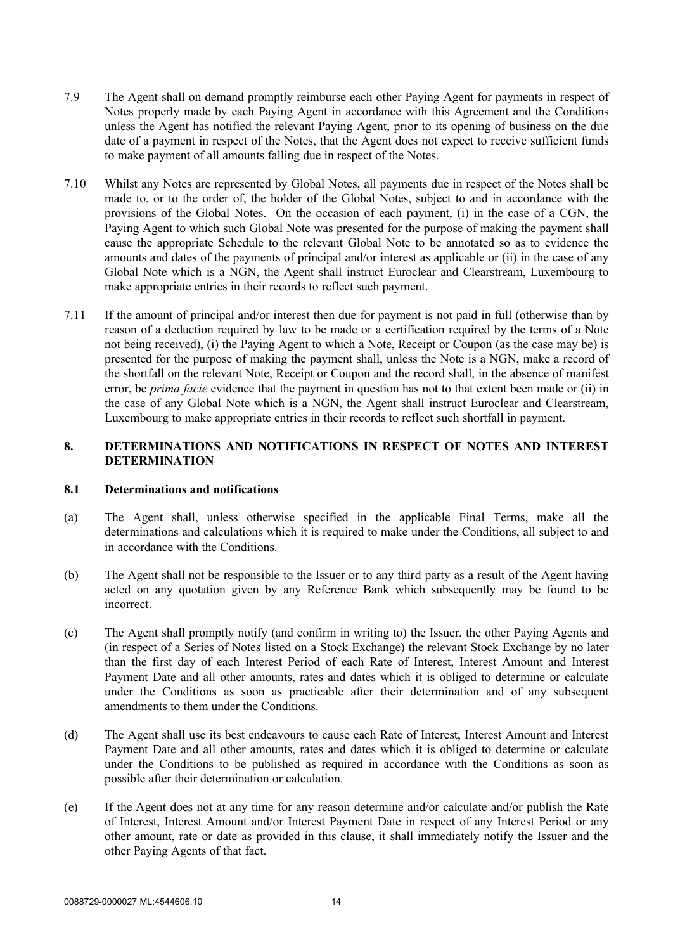- 7.9 The Agent shall on demand promptly reimburse each other Paying Agent for payments in respect of Notes properly made by each Paying Agent in accordance with this Agreement and the Conditions unless the Agent has notified the relevant Paying Agent, prior to its opening of business on the due date of a payment in respect of the Notes, that the Agent does not expect to receive sufficient funds to make payment of all amounts falling due in respect of the Notes.
- 7.10 Whilst any Notes are represented by Global Notes, all payments due in respect of the Notes shall be made to, or to the order of, the holder of the Global Notes, subject to and in accordance with the provisions of the Global Notes. On the occasion of each payment, (i) in the case of a CGN, the Paying Agent to which such Global Note was presented for the purpose of making the payment shall cause the appropriate Schedule to the relevant Global Note to be annotated so as to evidence the amounts and dates of the payments of principal and/or interest as applicable or (ii) in the case of any Global Note which is a NGN, the Agent shall instruct Euroclear and Clearstream, Luxembourg to make appropriate entries in their records to reflect such payment.
- 7.11 If the amount of principal and/or interest then due for payment is not paid in full (otherwise than by reason of a deduction required by law to be made or a certification required by the terms of a Note not being received), (i) the Paying Agent to which a Note, Receipt or Coupon (as the case may be) is presented for the purpose of making the payment shall, unless the Note is a NGN, make a record of the shortfall on the relevant Note, Receipt or Coupon and the record shall, in the absence of manifest error, be *prima facie* evidence that the payment in question has not to that extent been made or (ii) in the case of any Global Note which is a NGN, the Agent shall instruct Euroclear and Clearstream, Luxembourg to make appropriate entries in their records to reflect such shortfall in payment.

## **8. DETERMINATIONS AND NOTIFICATIONS IN RESPECT OF NOTES AND INTEREST DETERMINATION**

#### **8.1 Determinations and notifications**

- (a) The Agent shall, unless otherwise specified in the applicable Final Terms, make all the determinations and calculations which it is required to make under the Conditions, all subject to and in accordance with the Conditions.
- (b) The Agent shall not be responsible to the Issuer or to any third party as a result of the Agent having acted on any quotation given by any Reference Bank which subsequently may be found to be incorrect.
- (c) The Agent shall promptly notify (and confirm in writing to) the Issuer, the other Paying Agents and (in respect of a Series of Notes listed on a Stock Exchange) the relevant Stock Exchange by no later than the first day of each Interest Period of each Rate of Interest, Interest Amount and Interest Payment Date and all other amounts, rates and dates which it is obliged to determine or calculate under the Conditions as soon as practicable after their determination and of any subsequent amendments to them under the Conditions.
- (d) The Agent shall use its best endeavours to cause each Rate of Interest, Interest Amount and Interest Payment Date and all other amounts, rates and dates which it is obliged to determine or calculate under the Conditions to be published as required in accordance with the Conditions as soon as possible after their determination or calculation.
- (e) If the Agent does not at any time for any reason determine and/or calculate and/or publish the Rate of Interest, Interest Amount and/or Interest Payment Date in respect of any Interest Period or any other amount, rate or date as provided in this clause, it shall immediately notify the Issuer and the other Paying Agents of that fact.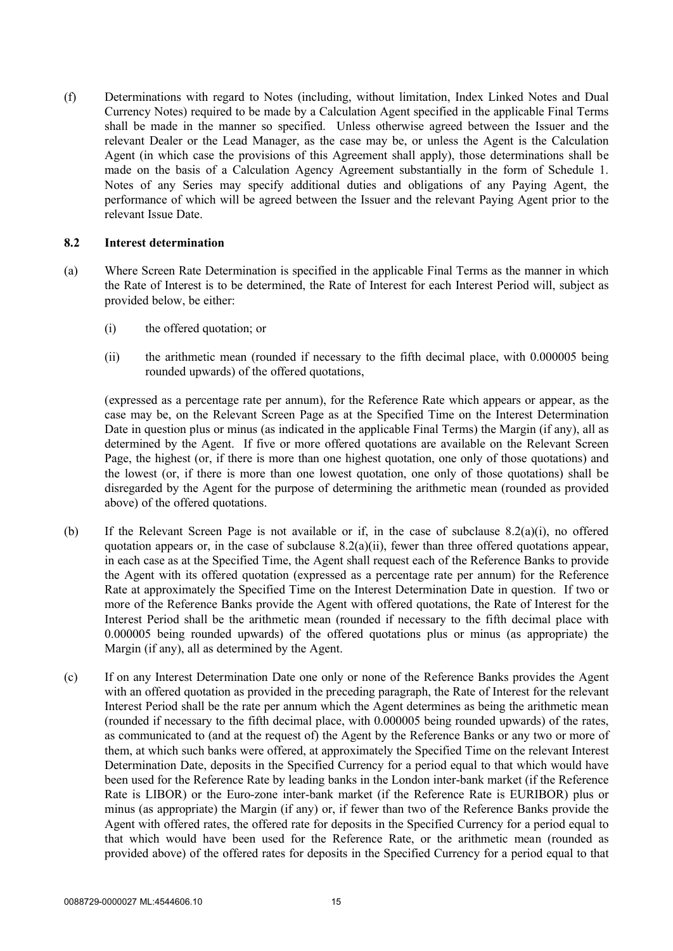(f) Determinations with regard to Notes (including, without limitation, Index Linked Notes and Dual Currency Notes) required to be made by a Calculation Agent specified in the applicable Final Terms shall be made in the manner so specified. Unless otherwise agreed between the Issuer and the relevant Dealer or the Lead Manager, as the case may be, or unless the Agent is the Calculation Agent (in which case the provisions of this Agreement shall apply), those determinations shall be made on the basis of a Calculation Agency Agreement substantially in the form of Schedule 1. Notes of any Series may specify additional duties and obligations of any Paying Agent, the performance of which will be agreed between the Issuer and the relevant Paying Agent prior to the relevant Issue Date.

#### **8.2 Interest determination**

- (a) Where Screen Rate Determination is specified in the applicable Final Terms as the manner in which the Rate of Interest is to be determined, the Rate of Interest for each Interest Period will, subject as provided below, be either:
	- (i) the offered quotation; or
	- (ii) the arithmetic mean (rounded if necessary to the fifth decimal place, with 0.000005 being rounded upwards) of the offered quotations,

(expressed as a percentage rate per annum), for the Reference Rate which appears or appear, as the case may be, on the Relevant Screen Page as at the Specified Time on the Interest Determination Date in question plus or minus (as indicated in the applicable Final Terms) the Margin (if any), all as determined by the Agent. If five or more offered quotations are available on the Relevant Screen Page, the highest (or, if there is more than one highest quotation, one only of those quotations) and the lowest (or, if there is more than one lowest quotation, one only of those quotations) shall be disregarded by the Agent for the purpose of determining the arithmetic mean (rounded as provided above) of the offered quotations.

- (b) If the Relevant Screen Page is not available or if, in the case of subclause 8.2(a)(i), no offered quotation appears or, in the case of subclause 8.2(a)(ii), fewer than three offered quotations appear, in each case as at the Specified Time, the Agent shall request each of the Reference Banks to provide the Agent with its offered quotation (expressed as a percentage rate per annum) for the Reference Rate at approximately the Specified Time on the Interest Determination Date in question. If two or more of the Reference Banks provide the Agent with offered quotations, the Rate of Interest for the Interest Period shall be the arithmetic mean (rounded if necessary to the fifth decimal place with 0.000005 being rounded upwards) of the offered quotations plus or minus (as appropriate) the Margin (if any), all as determined by the Agent.
- (c) If on any Interest Determination Date one only or none of the Reference Banks provides the Agent with an offered quotation as provided in the preceding paragraph, the Rate of Interest for the relevant Interest Period shall be the rate per annum which the Agent determines as being the arithmetic mean (rounded if necessary to the fifth decimal place, with 0.000005 being rounded upwards) of the rates, as communicated to (and at the request of) the Agent by the Reference Banks or any two or more of them, at which such banks were offered, at approximately the Specified Time on the relevant Interest Determination Date, deposits in the Specified Currency for a period equal to that which would have been used for the Reference Rate by leading banks in the London inter-bank market (if the Reference Rate is LIBOR) or the Euro-zone inter-bank market (if the Reference Rate is EURIBOR) plus or minus (as appropriate) the Margin (if any) or, if fewer than two of the Reference Banks provide the Agent with offered rates, the offered rate for deposits in the Specified Currency for a period equal to that which would have been used for the Reference Rate, or the arithmetic mean (rounded as provided above) of the offered rates for deposits in the Specified Currency for a period equal to that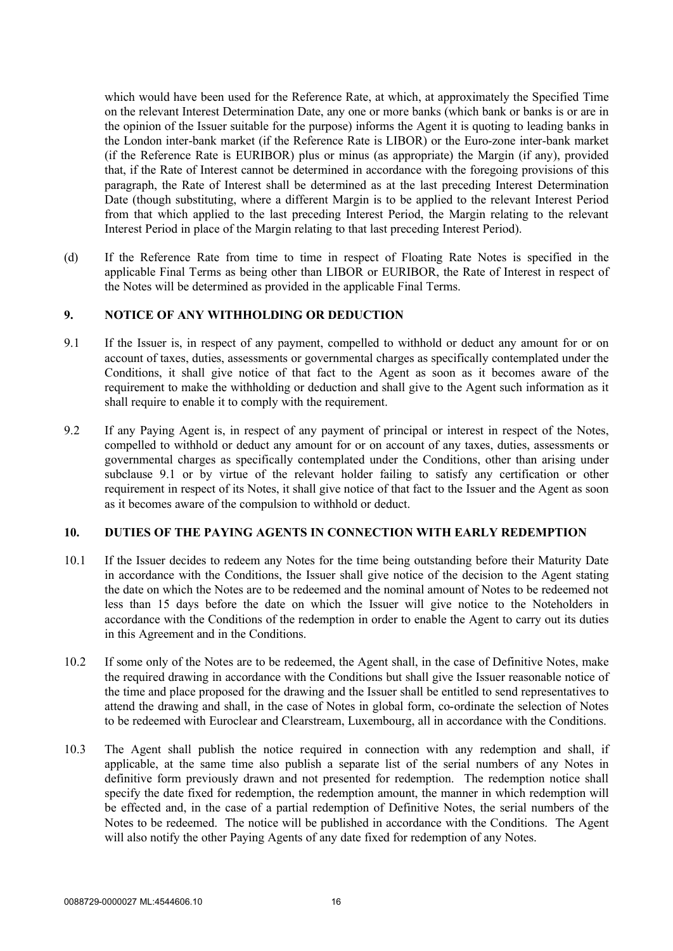which would have been used for the Reference Rate, at which, at approximately the Specified Time on the relevant Interest Determination Date, any one or more banks (which bank or banks is or are in the opinion of the Issuer suitable for the purpose) informs the Agent it is quoting to leading banks in the London inter-bank market (if the Reference Rate is LIBOR) or the Euro-zone inter-bank market (if the Reference Rate is EURIBOR) plus or minus (as appropriate) the Margin (if any), provided that, if the Rate of Interest cannot be determined in accordance with the foregoing provisions of this paragraph, the Rate of Interest shall be determined as at the last preceding Interest Determination Date (though substituting, where a different Margin is to be applied to the relevant Interest Period from that which applied to the last preceding Interest Period, the Margin relating to the relevant Interest Period in place of the Margin relating to that last preceding Interest Period).

(d) If the Reference Rate from time to time in respect of Floating Rate Notes is specified in the applicable Final Terms as being other than LIBOR or EURIBOR, the Rate of Interest in respect of the Notes will be determined as provided in the applicable Final Terms.

## **9. NOTICE OF ANY WITHHOLDING OR DEDUCTION**

- 9.1 If the Issuer is, in respect of any payment, compelled to withhold or deduct any amount for or on account of taxes, duties, assessments or governmental charges as specifically contemplated under the Conditions, it shall give notice of that fact to the Agent as soon as it becomes aware of the requirement to make the withholding or deduction and shall give to the Agent such information as it shall require to enable it to comply with the requirement.
- 9.2 If any Paying Agent is, in respect of any payment of principal or interest in respect of the Notes, compelled to withhold or deduct any amount for or on account of any taxes, duties, assessments or governmental charges as specifically contemplated under the Conditions, other than arising under subclause 9.1 or by virtue of the relevant holder failing to satisfy any certification or other requirement in respect of its Notes, it shall give notice of that fact to the Issuer and the Agent as soon as it becomes aware of the compulsion to withhold or deduct.

#### **10. DUTIES OF THE PAYING AGENTS IN CONNECTION WITH EARLY REDEMPTION**

- 10.1 If the Issuer decides to redeem any Notes for the time being outstanding before their Maturity Date in accordance with the Conditions, the Issuer shall give notice of the decision to the Agent stating the date on which the Notes are to be redeemed and the nominal amount of Notes to be redeemed not less than 15 days before the date on which the Issuer will give notice to the Noteholders in accordance with the Conditions of the redemption in order to enable the Agent to carry out its duties in this Agreement and in the Conditions.
- 10.2 If some only of the Notes are to be redeemed, the Agent shall, in the case of Definitive Notes, make the required drawing in accordance with the Conditions but shall give the Issuer reasonable notice of the time and place proposed for the drawing and the Issuer shall be entitled to send representatives to attend the drawing and shall, in the case of Notes in global form, co-ordinate the selection of Notes to be redeemed with Euroclear and Clearstream, Luxembourg, all in accordance with the Conditions.
- 10.3 The Agent shall publish the notice required in connection with any redemption and shall, if applicable, at the same time also publish a separate list of the serial numbers of any Notes in definitive form previously drawn and not presented for redemption. The redemption notice shall specify the date fixed for redemption, the redemption amount, the manner in which redemption will be effected and, in the case of a partial redemption of Definitive Notes, the serial numbers of the Notes to be redeemed. The notice will be published in accordance with the Conditions. The Agent will also notify the other Paying Agents of any date fixed for redemption of any Notes.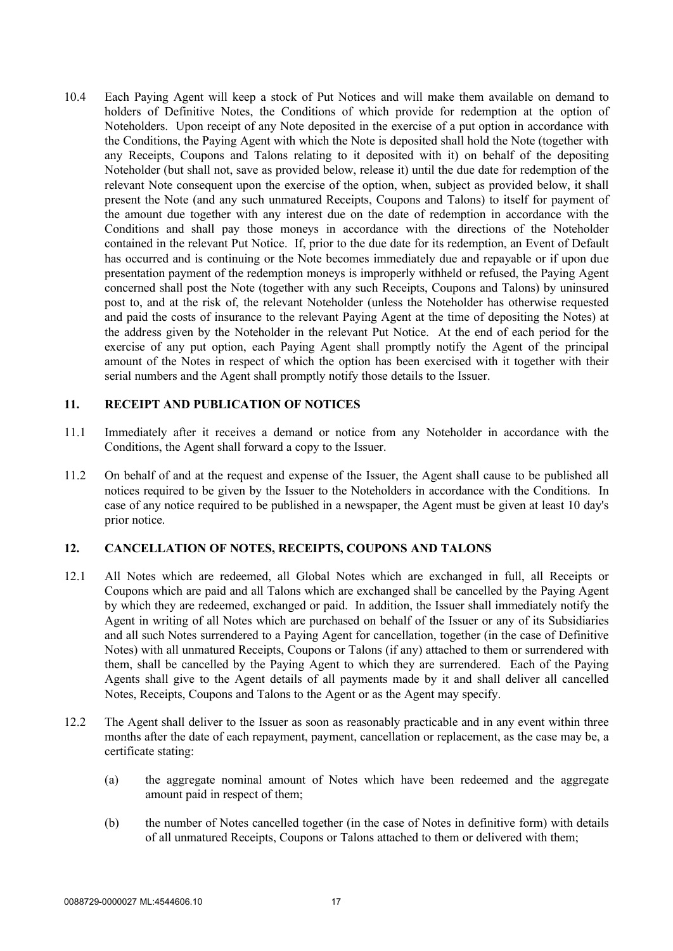10.4 Each Paying Agent will keep a stock of Put Notices and will make them available on demand to holders of Definitive Notes, the Conditions of which provide for redemption at the option of Noteholders. Upon receipt of any Note deposited in the exercise of a put option in accordance with the Conditions, the Paying Agent with which the Note is deposited shall hold the Note (together with any Receipts, Coupons and Talons relating to it deposited with it) on behalf of the depositing Noteholder (but shall not, save as provided below, release it) until the due date for redemption of the relevant Note consequent upon the exercise of the option, when, subject as provided below, it shall present the Note (and any such unmatured Receipts, Coupons and Talons) to itself for payment of the amount due together with any interest due on the date of redemption in accordance with the Conditions and shall pay those moneys in accordance with the directions of the Noteholder contained in the relevant Put Notice. If, prior to the due date for its redemption, an Event of Default has occurred and is continuing or the Note becomes immediately due and repayable or if upon due presentation payment of the redemption moneys is improperly withheld or refused, the Paying Agent concerned shall post the Note (together with any such Receipts, Coupons and Talons) by uninsured post to, and at the risk of, the relevant Noteholder (unless the Noteholder has otherwise requested and paid the costs of insurance to the relevant Paying Agent at the time of depositing the Notes) at the address given by the Noteholder in the relevant Put Notice. At the end of each period for the exercise of any put option, each Paying Agent shall promptly notify the Agent of the principal amount of the Notes in respect of which the option has been exercised with it together with their serial numbers and the Agent shall promptly notify those details to the Issuer.

## **11. RECEIPT AND PUBLICATION OF NOTICES**

- 11.1 Immediately after it receives a demand or notice from any Noteholder in accordance with the Conditions, the Agent shall forward a copy to the Issuer.
- 11.2 On behalf of and at the request and expense of the Issuer, the Agent shall cause to be published all notices required to be given by the Issuer to the Noteholders in accordance with the Conditions. In case of any notice required to be published in a newspaper, the Agent must be given at least 10 day's prior notice.

## **12. CANCELLATION OF NOTES, RECEIPTS, COUPONS AND TALONS**

- 12.1 All Notes which are redeemed, all Global Notes which are exchanged in full, all Receipts or Coupons which are paid and all Talons which are exchanged shall be cancelled by the Paying Agent by which they are redeemed, exchanged or paid. In addition, the Issuer shall immediately notify the Agent in writing of all Notes which are purchased on behalf of the Issuer or any of its Subsidiaries and all such Notes surrendered to a Paying Agent for cancellation, together (in the case of Definitive Notes) with all unmatured Receipts, Coupons or Talons (if any) attached to them or surrendered with them, shall be cancelled by the Paying Agent to which they are surrendered. Each of the Paying Agents shall give to the Agent details of all payments made by it and shall deliver all cancelled Notes, Receipts, Coupons and Talons to the Agent or as the Agent may specify.
- 12.2 The Agent shall deliver to the Issuer as soon as reasonably practicable and in any event within three months after the date of each repayment, payment, cancellation or replacement, as the case may be, a certificate stating:
	- (a) the aggregate nominal amount of Notes which have been redeemed and the aggregate amount paid in respect of them;
	- (b) the number of Notes cancelled together (in the case of Notes in definitive form) with details of all unmatured Receipts, Coupons or Talons attached to them or delivered with them;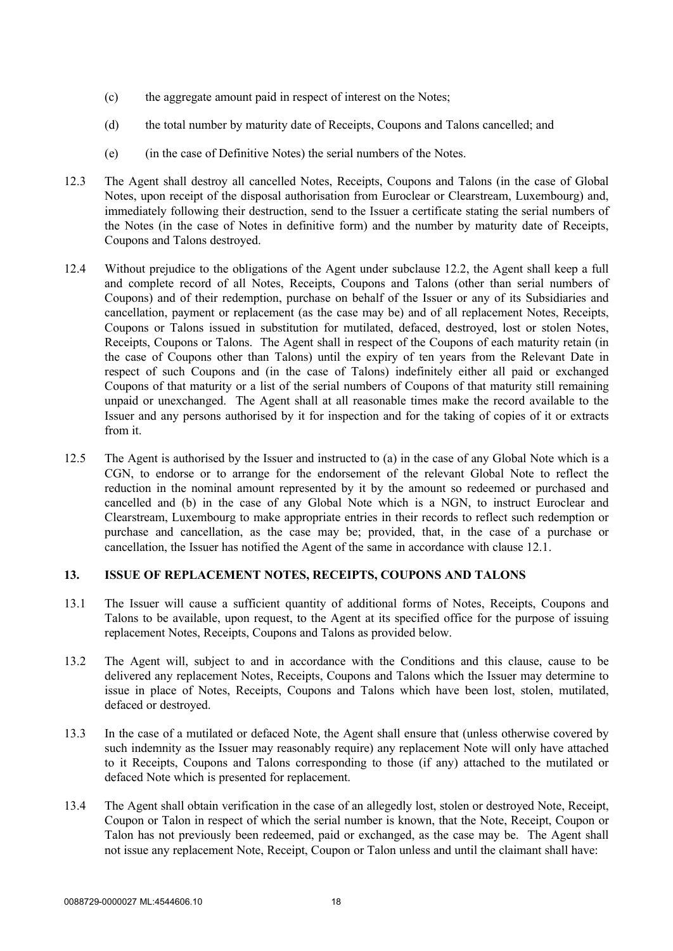- (c) the aggregate amount paid in respect of interest on the Notes;
- (d) the total number by maturity date of Receipts, Coupons and Talons cancelled; and
- (e) (in the case of Definitive Notes) the serial numbers of the Notes.
- 12.3 The Agent shall destroy all cancelled Notes, Receipts, Coupons and Talons (in the case of Global Notes, upon receipt of the disposal authorisation from Euroclear or Clearstream, Luxembourg) and, immediately following their destruction, send to the Issuer a certificate stating the serial numbers of the Notes (in the case of Notes in definitive form) and the number by maturity date of Receipts, Coupons and Talons destroyed.
- 12.4 Without prejudice to the obligations of the Agent under subclause 12.2, the Agent shall keep a full and complete record of all Notes, Receipts, Coupons and Talons (other than serial numbers of Coupons) and of their redemption, purchase on behalf of the Issuer or any of its Subsidiaries and cancellation, payment or replacement (as the case may be) and of all replacement Notes, Receipts, Coupons or Talons issued in substitution for mutilated, defaced, destroyed, lost or stolen Notes, Receipts, Coupons or Talons. The Agent shall in respect of the Coupons of each maturity retain (in the case of Coupons other than Talons) until the expiry of ten years from the Relevant Date in respect of such Coupons and (in the case of Talons) indefinitely either all paid or exchanged Coupons of that maturity or a list of the serial numbers of Coupons of that maturity still remaining unpaid or unexchanged. The Agent shall at all reasonable times make the record available to the Issuer and any persons authorised by it for inspection and for the taking of copies of it or extracts from it.
- 12.5 The Agent is authorised by the Issuer and instructed to (a) in the case of any Global Note which is a CGN, to endorse or to arrange for the endorsement of the relevant Global Note to reflect the reduction in the nominal amount represented by it by the amount so redeemed or purchased and cancelled and (b) in the case of any Global Note which is a NGN, to instruct Euroclear and Clearstream, Luxembourg to make appropriate entries in their records to reflect such redemption or purchase and cancellation, as the case may be; provided, that, in the case of a purchase or cancellation, the Issuer has notified the Agent of the same in accordance with clause 12.1.

#### **13. ISSUE OF REPLACEMENT NOTES, RECEIPTS, COUPONS AND TALONS**

- 13.1 The Issuer will cause a sufficient quantity of additional forms of Notes, Receipts, Coupons and Talons to be available, upon request, to the Agent at its specified office for the purpose of issuing replacement Notes, Receipts, Coupons and Talons as provided below.
- 13.2 The Agent will, subject to and in accordance with the Conditions and this clause, cause to be delivered any replacement Notes, Receipts, Coupons and Talons which the Issuer may determine to issue in place of Notes, Receipts, Coupons and Talons which have been lost, stolen, mutilated, defaced or destroyed.
- 13.3 In the case of a mutilated or defaced Note, the Agent shall ensure that (unless otherwise covered by such indemnity as the Issuer may reasonably require) any replacement Note will only have attached to it Receipts, Coupons and Talons corresponding to those (if any) attached to the mutilated or defaced Note which is presented for replacement.
- 13.4 The Agent shall obtain verification in the case of an allegedly lost, stolen or destroyed Note, Receipt, Coupon or Talon in respect of which the serial number is known, that the Note, Receipt, Coupon or Talon has not previously been redeemed, paid or exchanged, as the case may be. The Agent shall not issue any replacement Note, Receipt, Coupon or Talon unless and until the claimant shall have: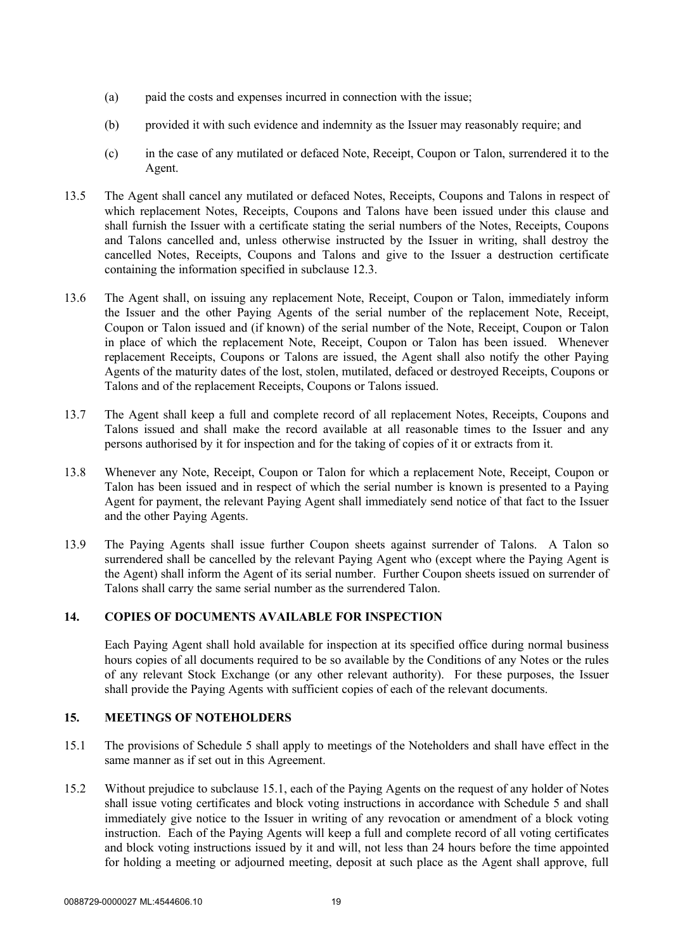- (a) paid the costs and expenses incurred in connection with the issue;
- (b) provided it with such evidence and indemnity as the Issuer may reasonably require; and
- (c) in the case of any mutilated or defaced Note, Receipt, Coupon or Talon, surrendered it to the Agent.
- 13.5 The Agent shall cancel any mutilated or defaced Notes, Receipts, Coupons and Talons in respect of which replacement Notes, Receipts, Coupons and Talons have been issued under this clause and shall furnish the Issuer with a certificate stating the serial numbers of the Notes, Receipts, Coupons and Talons cancelled and, unless otherwise instructed by the Issuer in writing, shall destroy the cancelled Notes, Receipts, Coupons and Talons and give to the Issuer a destruction certificate containing the information specified in subclause 12.3.
- 13.6 The Agent shall, on issuing any replacement Note, Receipt, Coupon or Talon, immediately inform the Issuer and the other Paying Agents of the serial number of the replacement Note, Receipt, Coupon or Talon issued and (if known) of the serial number of the Note, Receipt, Coupon or Talon in place of which the replacement Note, Receipt, Coupon or Talon has been issued. Whenever replacement Receipts, Coupons or Talons are issued, the Agent shall also notify the other Paying Agents of the maturity dates of the lost, stolen, mutilated, defaced or destroyed Receipts, Coupons or Talons and of the replacement Receipts, Coupons or Talons issued.
- 13.7 The Agent shall keep a full and complete record of all replacement Notes, Receipts, Coupons and Talons issued and shall make the record available at all reasonable times to the Issuer and any persons authorised by it for inspection and for the taking of copies of it or extracts from it.
- 13.8 Whenever any Note, Receipt, Coupon or Talon for which a replacement Note, Receipt, Coupon or Talon has been issued and in respect of which the serial number is known is presented to a Paying Agent for payment, the relevant Paying Agent shall immediately send notice of that fact to the Issuer and the other Paying Agents.
- 13.9 The Paying Agents shall issue further Coupon sheets against surrender of Talons. A Talon so surrendered shall be cancelled by the relevant Paying Agent who (except where the Paying Agent is the Agent) shall inform the Agent of its serial number. Further Coupon sheets issued on surrender of Talons shall carry the same serial number as the surrendered Talon.

## **14. COPIES OF DOCUMENTS AVAILABLE FOR INSPECTION**

Each Paying Agent shall hold available for inspection at its specified office during normal business hours copies of all documents required to be so available by the Conditions of any Notes or the rules of any relevant Stock Exchange (or any other relevant authority). For these purposes, the Issuer shall provide the Paying Agents with sufficient copies of each of the relevant documents.

#### **15. MEETINGS OF NOTEHOLDERS**

- 15.1 The provisions of Schedule 5 shall apply to meetings of the Noteholders and shall have effect in the same manner as if set out in this Agreement.
- 15.2 Without prejudice to subclause 15.1, each of the Paying Agents on the request of any holder of Notes shall issue voting certificates and block voting instructions in accordance with Schedule 5 and shall immediately give notice to the Issuer in writing of any revocation or amendment of a block voting instruction. Each of the Paying Agents will keep a full and complete record of all voting certificates and block voting instructions issued by it and will, not less than 24 hours before the time appointed for holding a meeting or adjourned meeting, deposit at such place as the Agent shall approve, full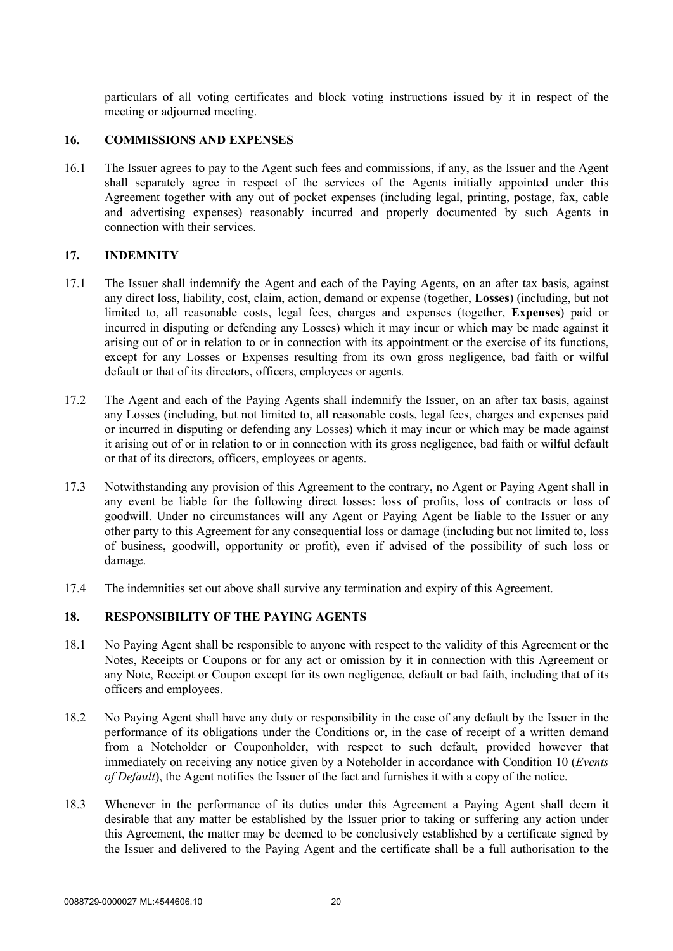particulars of all voting certificates and block voting instructions issued by it in respect of the meeting or adjourned meeting.

#### **16. COMMISSIONS AND EXPENSES**

16.1 The Issuer agrees to pay to the Agent such fees and commissions, if any, as the Issuer and the Agent shall separately agree in respect of the services of the Agents initially appointed under this Agreement together with any out of pocket expenses (including legal, printing, postage, fax, cable and advertising expenses) reasonably incurred and properly documented by such Agents in connection with their services.

#### **17. INDEMNITY**

- 17.1 The Issuer shall indemnify the Agent and each of the Paying Agents, on an after tax basis, against any direct loss, liability, cost, claim, action, demand or expense (together, **Losses**) (including, but not limited to, all reasonable costs, legal fees, charges and expenses (together, **Expenses**) paid or incurred in disputing or defending any Losses) which it may incur or which may be made against it arising out of or in relation to or in connection with its appointment or the exercise of its functions, except for any Losses or Expenses resulting from its own gross negligence, bad faith or wilful default or that of its directors, officers, employees or agents.
- 17.2 The Agent and each of the Paying Agents shall indemnify the Issuer, on an after tax basis, against any Losses (including, but not limited to, all reasonable costs, legal fees, charges and expenses paid or incurred in disputing or defending any Losses) which it may incur or which may be made against it arising out of or in relation to or in connection with its gross negligence, bad faith or wilful default or that of its directors, officers, employees or agents.
- 17.3 Notwithstanding any provision of this Agreement to the contrary, no Agent or Paying Agent shall in any event be liable for the following direct losses: loss of profits, loss of contracts or loss of goodwill. Under no circumstances will any Agent or Paying Agent be liable to the Issuer or any other party to this Agreement for any consequential loss or damage (including but not limited to, loss of business, goodwill, opportunity or profit), even if advised of the possibility of such loss or damage.
- 17.4 The indemnities set out above shall survive any termination and expiry of this Agreement.

## **18. RESPONSIBILITY OF THE PAYING AGENTS**

- 18.1 No Paying Agent shall be responsible to anyone with respect to the validity of this Agreement or the Notes, Receipts or Coupons or for any act or omission by it in connection with this Agreement or any Note, Receipt or Coupon except for its own negligence, default or bad faith, including that of its officers and employees.
- 18.2 No Paying Agent shall have any duty or responsibility in the case of any default by the Issuer in the performance of its obligations under the Conditions or, in the case of receipt of a written demand from a Noteholder or Couponholder, with respect to such default, provided however that immediately on receiving any notice given by a Noteholder in accordance with Condition 10 (*Events of Default*), the Agent notifies the Issuer of the fact and furnishes it with a copy of the notice.
- 18.3 Whenever in the performance of its duties under this Agreement a Paying Agent shall deem it desirable that any matter be established by the Issuer prior to taking or suffering any action under this Agreement, the matter may be deemed to be conclusively established by a certificate signed by the Issuer and delivered to the Paying Agent and the certificate shall be a full authorisation to the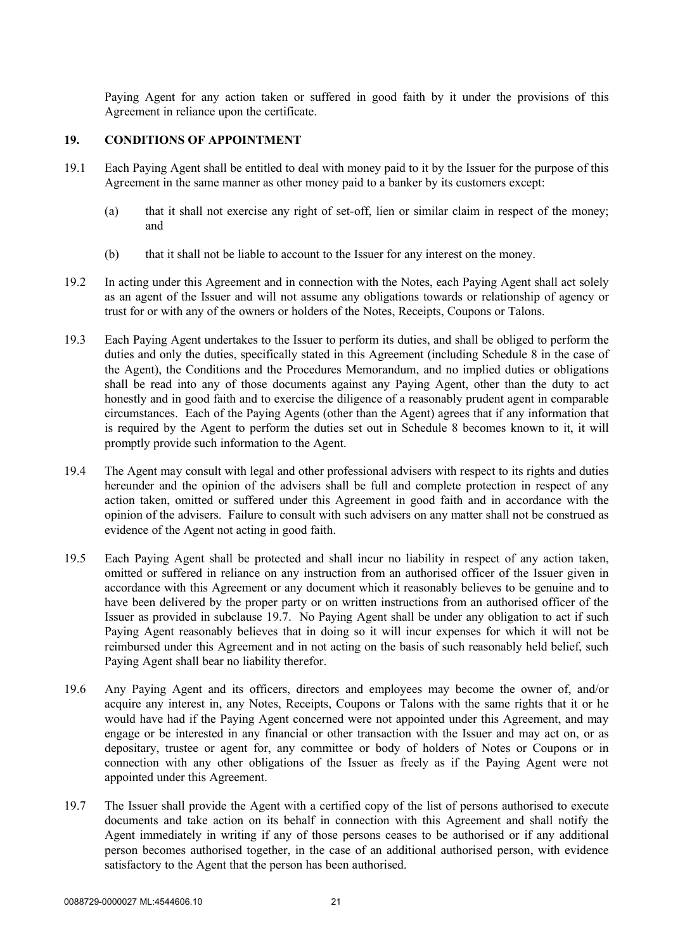Paying Agent for any action taken or suffered in good faith by it under the provisions of this Agreement in reliance upon the certificate.

#### **19. CONDITIONS OF APPOINTMENT**

- 19.1 Each Paying Agent shall be entitled to deal with money paid to it by the Issuer for the purpose of this Agreement in the same manner as other money paid to a banker by its customers except:
	- (a) that it shall not exercise any right of set-off, lien or similar claim in respect of the money; and
	- (b) that it shall not be liable to account to the Issuer for any interest on the money.
- 19.2 In acting under this Agreement and in connection with the Notes, each Paying Agent shall act solely as an agent of the Issuer and will not assume any obligations towards or relationship of agency or trust for or with any of the owners or holders of the Notes, Receipts, Coupons or Talons.
- 19.3 Each Paying Agent undertakes to the Issuer to perform its duties, and shall be obliged to perform the duties and only the duties, specifically stated in this Agreement (including Schedule 8 in the case of the Agent), the Conditions and the Procedures Memorandum, and no implied duties or obligations shall be read into any of those documents against any Paying Agent, other than the duty to act honestly and in good faith and to exercise the diligence of a reasonably prudent agent in comparable circumstances. Each of the Paying Agents (other than the Agent) agrees that if any information that is required by the Agent to perform the duties set out in Schedule 8 becomes known to it, it will promptly provide such information to the Agent.
- 19.4 The Agent may consult with legal and other professional advisers with respect to its rights and duties hereunder and the opinion of the advisers shall be full and complete protection in respect of any action taken, omitted or suffered under this Agreement in good faith and in accordance with the opinion of the advisers. Failure to consult with such advisers on any matter shall not be construed as evidence of the Agent not acting in good faith.
- 19.5 Each Paying Agent shall be protected and shall incur no liability in respect of any action taken, omitted or suffered in reliance on any instruction from an authorised officer of the Issuer given in accordance with this Agreement or any document which it reasonably believes to be genuine and to have been delivered by the proper party or on written instructions from an authorised officer of the Issuer as provided in subclause 19.7. No Paying Agent shall be under any obligation to act if such Paying Agent reasonably believes that in doing so it will incur expenses for which it will not be reimbursed under this Agreement and in not acting on the basis of such reasonably held belief, such Paying Agent shall bear no liability therefor.
- 19.6 Any Paying Agent and its officers, directors and employees may become the owner of, and/or acquire any interest in, any Notes, Receipts, Coupons or Talons with the same rights that it or he would have had if the Paying Agent concerned were not appointed under this Agreement, and may engage or be interested in any financial or other transaction with the Issuer and may act on, or as depositary, trustee or agent for, any committee or body of holders of Notes or Coupons or in connection with any other obligations of the Issuer as freely as if the Paying Agent were not appointed under this Agreement.
- 19.7 The Issuer shall provide the Agent with a certified copy of the list of persons authorised to execute documents and take action on its behalf in connection with this Agreement and shall notify the Agent immediately in writing if any of those persons ceases to be authorised or if any additional person becomes authorised together, in the case of an additional authorised person, with evidence satisfactory to the Agent that the person has been authorised.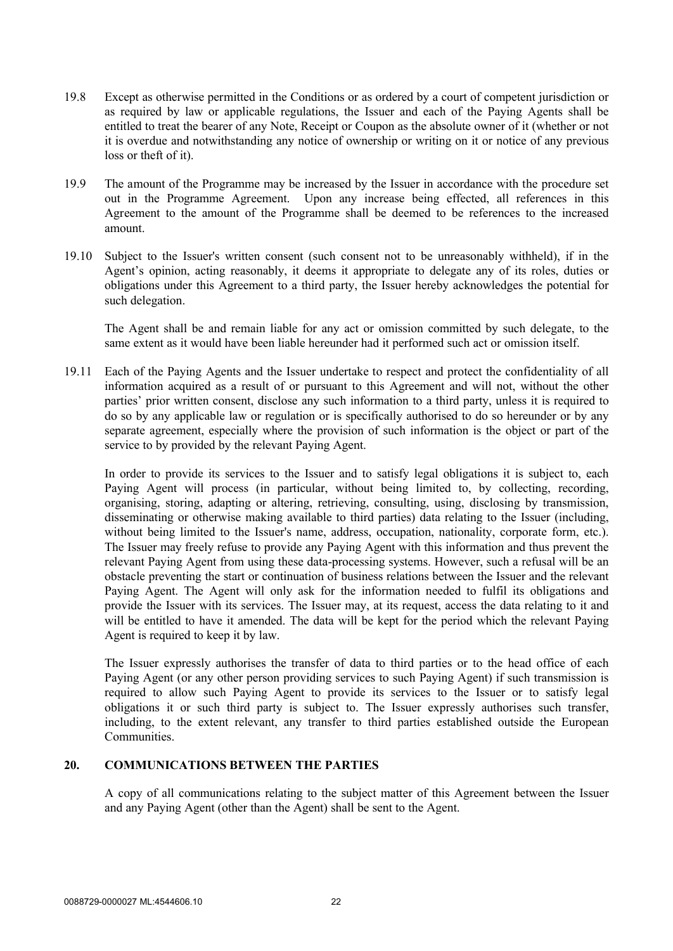- 19.8 Except as otherwise permitted in the Conditions or as ordered by a court of competent jurisdiction or as required by law or applicable regulations, the Issuer and each of the Paying Agents shall be entitled to treat the bearer of any Note, Receipt or Coupon as the absolute owner of it (whether or not it is overdue and notwithstanding any notice of ownership or writing on it or notice of any previous loss or theft of it).
- 19.9 The amount of the Programme may be increased by the Issuer in accordance with the procedure set out in the Programme Agreement. Upon any increase being effected, all references in this Agreement to the amount of the Programme shall be deemed to be references to the increased amount.
- 19.10 Subject to the Issuer's written consent (such consent not to be unreasonably withheld), if in the Agent's opinion, acting reasonably, it deems it appropriate to delegate any of its roles, duties or obligations under this Agreement to a third party, the Issuer hereby acknowledges the potential for such delegation.

The Agent shall be and remain liable for any act or omission committed by such delegate, to the same extent as it would have been liable hereunder had it performed such act or omission itself.

19.11 Each of the Paying Agents and the Issuer undertake to respect and protect the confidentiality of all information acquired as a result of or pursuant to this Agreement and will not, without the other parties' prior written consent, disclose any such information to a third party, unless it is required to do so by any applicable law or regulation or is specifically authorised to do so hereunder or by any separate agreement, especially where the provision of such information is the object or part of the service to by provided by the relevant Paying Agent.

In order to provide its services to the Issuer and to satisfy legal obligations it is subject to, each Paying Agent will process (in particular, without being limited to, by collecting, recording, organising, storing, adapting or altering, retrieving, consulting, using, disclosing by transmission, disseminating or otherwise making available to third parties) data relating to the Issuer (including, without being limited to the Issuer's name, address, occupation, nationality, corporate form, etc.). The Issuer may freely refuse to provide any Paying Agent with this information and thus prevent the relevant Paying Agent from using these data-processing systems. However, such a refusal will be an obstacle preventing the start or continuation of business relations between the Issuer and the relevant Paying Agent. The Agent will only ask for the information needed to fulfil its obligations and provide the Issuer with its services. The Issuer may, at its request, access the data relating to it and will be entitled to have it amended. The data will be kept for the period which the relevant Paying Agent is required to keep it by law.

The Issuer expressly authorises the transfer of data to third parties or to the head office of each Paying Agent (or any other person providing services to such Paying Agent) if such transmission is required to allow such Paying Agent to provide its services to the Issuer or to satisfy legal obligations it or such third party is subject to. The Issuer expressly authorises such transfer, including, to the extent relevant, any transfer to third parties established outside the European Communities.

## **20. COMMUNICATIONS BETWEEN THE PARTIES**

A copy of all communications relating to the subject matter of this Agreement between the Issuer and any Paying Agent (other than the Agent) shall be sent to the Agent.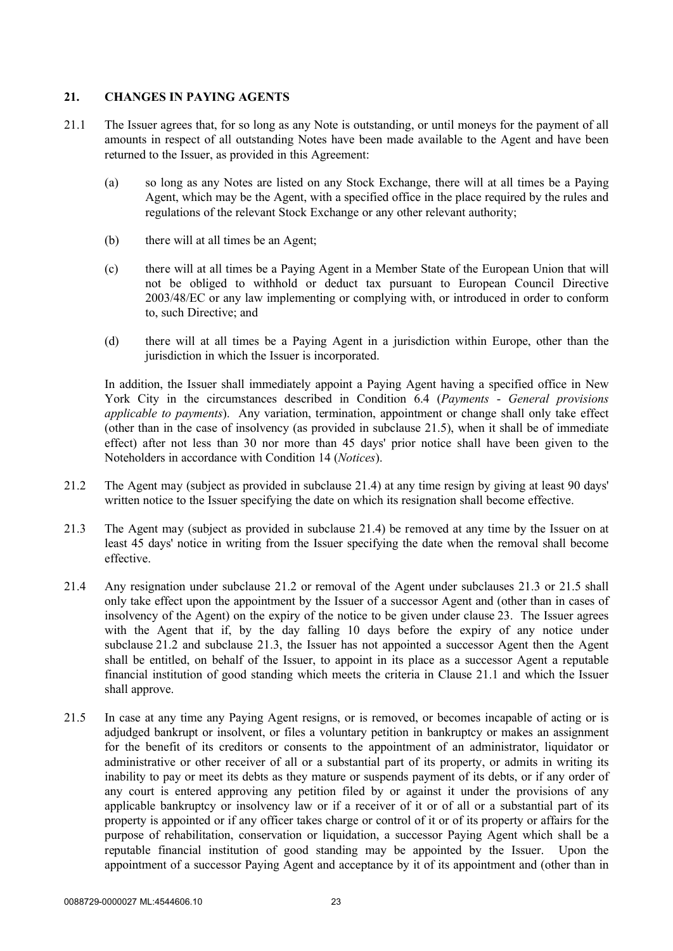## **21. CHANGES IN PAYING AGENTS**

- 21.1 The Issuer agrees that, for so long as any Note is outstanding, or until moneys for the payment of all amounts in respect of all outstanding Notes have been made available to the Agent and have been returned to the Issuer, as provided in this Agreement:
	- (a) so long as any Notes are listed on any Stock Exchange, there will at all times be a Paying Agent, which may be the Agent, with a specified office in the place required by the rules and regulations of the relevant Stock Exchange or any other relevant authority;
	- (b) there will at all times be an Agent;
	- (c) there will at all times be a Paying Agent in a Member State of the European Union that will not be obliged to withhold or deduct tax pursuant to European Council Directive 2003/48/EC or any law implementing or complying with, or introduced in order to conform to, such Directive; and
	- (d) there will at all times be a Paying Agent in a jurisdiction within Europe, other than the jurisdiction in which the Issuer is incorporated.

In addition, the Issuer shall immediately appoint a Paying Agent having a specified office in New York City in the circumstances described in Condition 6.4 (*Payments* - *General provisions applicable to payments*). Any variation, termination, appointment or change shall only take effect (other than in the case of insolvency (as provided in subclause 21.5), when it shall be of immediate effect) after not less than 30 nor more than 45 days' prior notice shall have been given to the Noteholders in accordance with Condition 14 (*Notices*).

- 21.2 The Agent may (subject as provided in subclause 21.4) at any time resign by giving at least 90 days' written notice to the Issuer specifying the date on which its resignation shall become effective.
- 21.3 The Agent may (subject as provided in subclause 21.4) be removed at any time by the Issuer on at least 45 days' notice in writing from the Issuer specifying the date when the removal shall become effective.
- 21.4 Any resignation under subclause 21.2 or removal of the Agent under subclauses 21.3 or 21.5 shall only take effect upon the appointment by the Issuer of a successor Agent and (other than in cases of insolvency of the Agent) on the expiry of the notice to be given under clause 23. The Issuer agrees with the Agent that if, by the day falling 10 days before the expiry of any notice under subclause 21.2 and subclause 21.3, the Issuer has not appointed a successor Agent then the Agent shall be entitled, on behalf of the Issuer, to appoint in its place as a successor Agent a reputable financial institution of good standing which meets the criteria in Clause 21.1 and which the Issuer shall approve.
- 21.5 In case at any time any Paying Agent resigns, or is removed, or becomes incapable of acting or is adjudged bankrupt or insolvent, or files a voluntary petition in bankruptcy or makes an assignment for the benefit of its creditors or consents to the appointment of an administrator, liquidator or administrative or other receiver of all or a substantial part of its property, or admits in writing its inability to pay or meet its debts as they mature or suspends payment of its debts, or if any order of any court is entered approving any petition filed by or against it under the provisions of any applicable bankruptcy or insolvency law or if a receiver of it or of all or a substantial part of its property is appointed or if any officer takes charge or control of it or of its property or affairs for the purpose of rehabilitation, conservation or liquidation, a successor Paying Agent which shall be a reputable financial institution of good standing may be appointed by the Issuer. Upon the appointment of a successor Paying Agent and acceptance by it of its appointment and (other than in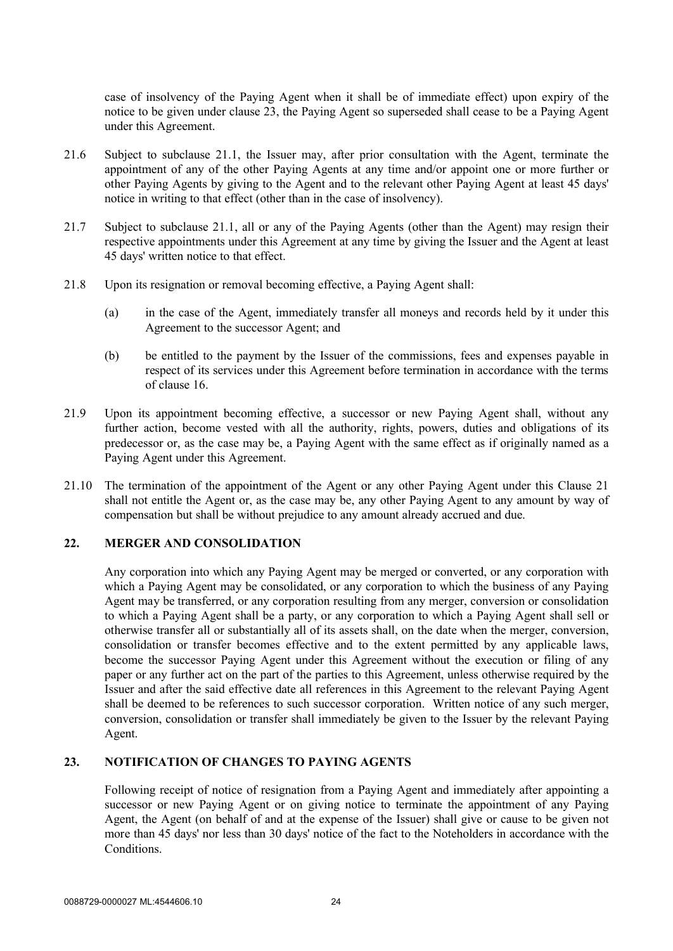case of insolvency of the Paying Agent when it shall be of immediate effect) upon expiry of the notice to be given under clause 23, the Paying Agent so superseded shall cease to be a Paying Agent under this Agreement.

- 21.6 Subject to subclause 21.1, the Issuer may, after prior consultation with the Agent, terminate the appointment of any of the other Paying Agents at any time and/or appoint one or more further or other Paying Agents by giving to the Agent and to the relevant other Paying Agent at least 45 days' notice in writing to that effect (other than in the case of insolvency).
- 21.7 Subject to subclause 21.1, all or any of the Paying Agents (other than the Agent) may resign their respective appointments under this Agreement at any time by giving the Issuer and the Agent at least 45 days' written notice to that effect.
- 21.8 Upon its resignation or removal becoming effective, a Paying Agent shall:
	- (a) in the case of the Agent, immediately transfer all moneys and records held by it under this Agreement to the successor Agent; and
	- (b) be entitled to the payment by the Issuer of the commissions, fees and expenses payable in respect of its services under this Agreement before termination in accordance with the terms of clause 16.
- 21.9 Upon its appointment becoming effective, a successor or new Paying Agent shall, without any further action, become vested with all the authority, rights, powers, duties and obligations of its predecessor or, as the case may be, a Paying Agent with the same effect as if originally named as a Paying Agent under this Agreement.
- 21.10 The termination of the appointment of the Agent or any other Paying Agent under this Clause 21 shall not entitle the Agent or, as the case may be, any other Paying Agent to any amount by way of compensation but shall be without prejudice to any amount already accrued and due.

## **22. MERGER AND CONSOLIDATION**

Any corporation into which any Paying Agent may be merged or converted, or any corporation with which a Paying Agent may be consolidated, or any corporation to which the business of any Paying Agent may be transferred, or any corporation resulting from any merger, conversion or consolidation to which a Paying Agent shall be a party, or any corporation to which a Paying Agent shall sell or otherwise transfer all or substantially all of its assets shall, on the date when the merger, conversion, consolidation or transfer becomes effective and to the extent permitted by any applicable laws, become the successor Paying Agent under this Agreement without the execution or filing of any paper or any further act on the part of the parties to this Agreement, unless otherwise required by the Issuer and after the said effective date all references in this Agreement to the relevant Paying Agent shall be deemed to be references to such successor corporation. Written notice of any such merger, conversion, consolidation or transfer shall immediately be given to the Issuer by the relevant Paying Agent.

## **23. NOTIFICATION OF CHANGES TO PAYING AGENTS**

Following receipt of notice of resignation from a Paying Agent and immediately after appointing a successor or new Paying Agent or on giving notice to terminate the appointment of any Paying Agent, the Agent (on behalf of and at the expense of the Issuer) shall give or cause to be given not more than 45 days' nor less than 30 days' notice of the fact to the Noteholders in accordance with the Conditions.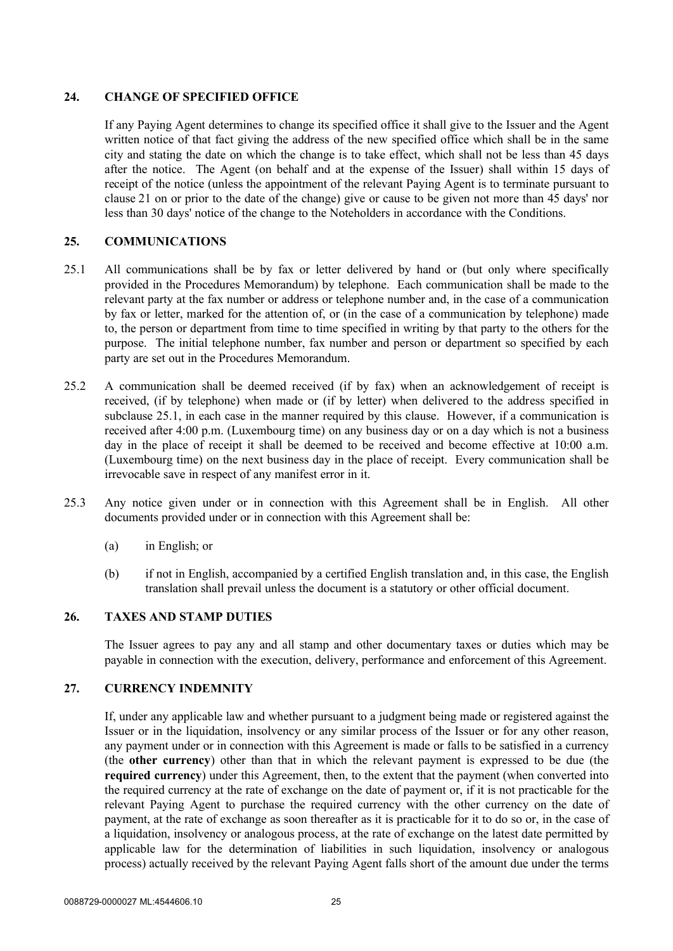## **24. CHANGE OF SPECIFIED OFFICE**

If any Paying Agent determines to change its specified office it shall give to the Issuer and the Agent written notice of that fact giving the address of the new specified office which shall be in the same city and stating the date on which the change is to take effect, which shall not be less than 45 days after the notice. The Agent (on behalf and at the expense of the Issuer) shall within 15 days of receipt of the notice (unless the appointment of the relevant Paying Agent is to terminate pursuant to clause 21 on or prior to the date of the change) give or cause to be given not more than 45 days' nor less than 30 days' notice of the change to the Noteholders in accordance with the Conditions.

## **25. COMMUNICATIONS**

- 25.1 All communications shall be by fax or letter delivered by hand or (but only where specifically provided in the Procedures Memorandum) by telephone. Each communication shall be made to the relevant party at the fax number or address or telephone number and, in the case of a communication by fax or letter, marked for the attention of, or (in the case of a communication by telephone) made to, the person or department from time to time specified in writing by that party to the others for the purpose. The initial telephone number, fax number and person or department so specified by each party are set out in the Procedures Memorandum.
- 25.2 A communication shall be deemed received (if by fax) when an acknowledgement of receipt is received, (if by telephone) when made or (if by letter) when delivered to the address specified in subclause 25.1, in each case in the manner required by this clause. However, if a communication is received after 4:00 p.m. (Luxembourg time) on any business day or on a day which is not a business day in the place of receipt it shall be deemed to be received and become effective at 10:00 a.m. (Luxembourg time) on the next business day in the place of receipt. Every communication shall be irrevocable save in respect of any manifest error in it.
- 25.3 Any notice given under or in connection with this Agreement shall be in English. All other documents provided under or in connection with this Agreement shall be:
	- (a) in English; or
	- (b) if not in English, accompanied by a certified English translation and, in this case, the English translation shall prevail unless the document is a statutory or other official document.

## **26. TAXES AND STAMP DUTIES**

The Issuer agrees to pay any and all stamp and other documentary taxes or duties which may be payable in connection with the execution, delivery, performance and enforcement of this Agreement.

#### **27. CURRENCY INDEMNITY**

If, under any applicable law and whether pursuant to a judgment being made or registered against the Issuer or in the liquidation, insolvency or any similar process of the Issuer or for any other reason, any payment under or in connection with this Agreement is made or falls to be satisfied in a currency (the **other currency**) other than that in which the relevant payment is expressed to be due (the **required currency**) under this Agreement, then, to the extent that the payment (when converted into the required currency at the rate of exchange on the date of payment or, if it is not practicable for the relevant Paying Agent to purchase the required currency with the other currency on the date of payment, at the rate of exchange as soon thereafter as it is practicable for it to do so or, in the case of a liquidation, insolvency or analogous process, at the rate of exchange on the latest date permitted by applicable law for the determination of liabilities in such liquidation, insolvency or analogous process) actually received by the relevant Paying Agent falls short of the amount due under the terms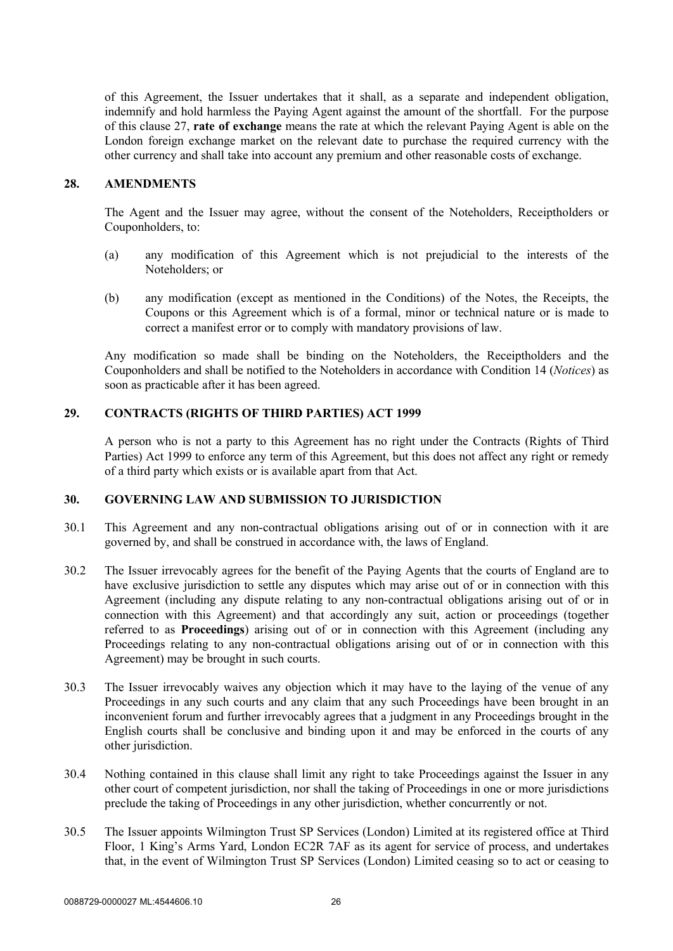of this Agreement, the Issuer undertakes that it shall, as a separate and independent obligation, indemnify and hold harmless the Paying Agent against the amount of the shortfall. For the purpose of this clause 27, **rate of exchange** means the rate at which the relevant Paying Agent is able on the London foreign exchange market on the relevant date to purchase the required currency with the other currency and shall take into account any premium and other reasonable costs of exchange.

#### **28. AMENDMENTS**

The Agent and the Issuer may agree, without the consent of the Noteholders, Receiptholders or Couponholders, to:

- (a) any modification of this Agreement which is not prejudicial to the interests of the Noteholders; or
- (b) any modification (except as mentioned in the Conditions) of the Notes, the Receipts, the Coupons or this Agreement which is of a formal, minor or technical nature or is made to correct a manifest error or to comply with mandatory provisions of law.

Any modification so made shall be binding on the Noteholders, the Receiptholders and the Couponholders and shall be notified to the Noteholders in accordance with Condition 14 (*Notices*) as soon as practicable after it has been agreed.

#### **29. CONTRACTS (RIGHTS OF THIRD PARTIES) ACT 1999**

A person who is not a party to this Agreement has no right under the Contracts (Rights of Third Parties) Act 1999 to enforce any term of this Agreement, but this does not affect any right or remedy of a third party which exists or is available apart from that Act.

#### **30. GOVERNING LAW AND SUBMISSION TO JURISDICTION**

- 30.1 This Agreement and any non-contractual obligations arising out of or in connection with it are governed by, and shall be construed in accordance with, the laws of England.
- 30.2 The Issuer irrevocably agrees for the benefit of the Paying Agents that the courts of England are to have exclusive jurisdiction to settle any disputes which may arise out of or in connection with this Agreement (including any dispute relating to any non-contractual obligations arising out of or in connection with this Agreement) and that accordingly any suit, action or proceedings (together referred to as **Proceedings**) arising out of or in connection with this Agreement (including any Proceedings relating to any non-contractual obligations arising out of or in connection with this Agreement) may be brought in such courts.
- 30.3 The Issuer irrevocably waives any objection which it may have to the laying of the venue of any Proceedings in any such courts and any claim that any such Proceedings have been brought in an inconvenient forum and further irrevocably agrees that a judgment in any Proceedings brought in the English courts shall be conclusive and binding upon it and may be enforced in the courts of any other jurisdiction.
- 30.4 Nothing contained in this clause shall limit any right to take Proceedings against the Issuer in any other court of competent jurisdiction, nor shall the taking of Proceedings in one or more jurisdictions preclude the taking of Proceedings in any other jurisdiction, whether concurrently or not.
- 30.5 The Issuer appoints Wilmington Trust SP Services (London) Limited at its registered office at Third Floor, 1 King's Arms Yard, London EC2R 7AF as its agent for service of process, and undertakes that, in the event of Wilmington Trust SP Services (London) Limited ceasing so to act or ceasing to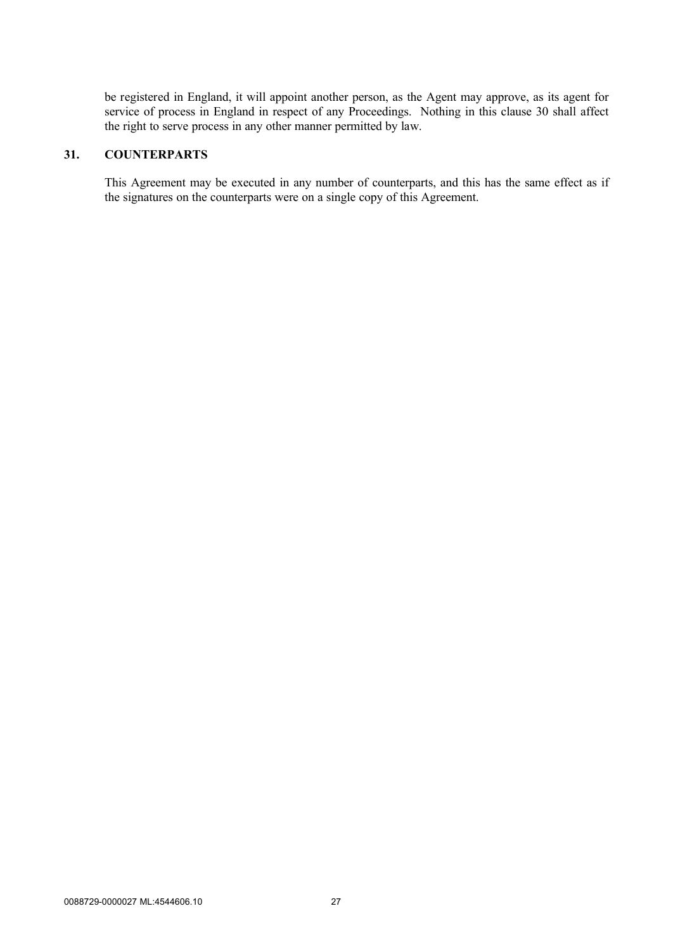be registered in England, it will appoint another person, as the Agent may approve, as its agent for service of process in England in respect of any Proceedings. Nothing in this clause 30 shall affect the right to serve process in any other manner permitted by law.

## **31. COUNTERPARTS**

This Agreement may be executed in any number of counterparts, and this has the same effect as if the signatures on the counterparts were on a single copy of this Agreement.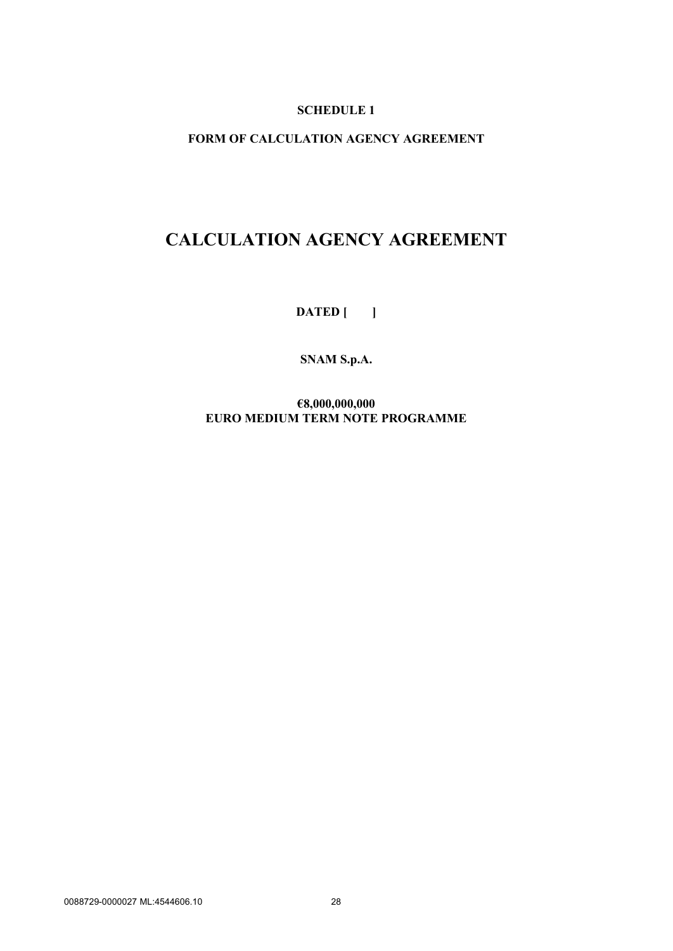## **SCHEDULE 1**

## **FORM OF CALCULATION AGENCY AGREEMENT**

## **CALCULATION AGENCY AGREEMENT**

**DATED [ ]**

**SNAM S.p.A.**

**€8,000,000,000 EURO MEDIUM TERM NOTE PROGRAMME**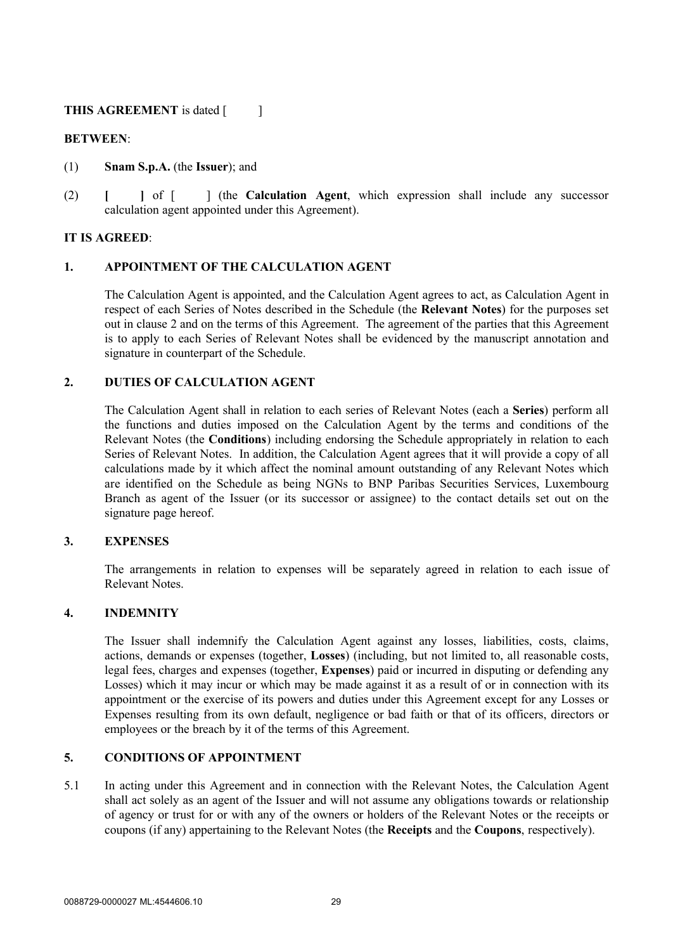## **THIS AGREEMENT** is dated [ ]

## **BETWEEN**:

- (1) **Snam S.p.A.** (the **Issuer**); and
- (2) **[ ]** of [ ] (the **Calculation Agent**, which expression shall include any successor calculation agent appointed under this Agreement).

## **IT IS AGREED**:

## **1. APPOINTMENT OF THE CALCULATION AGENT**

The Calculation Agent is appointed, and the Calculation Agent agrees to act, as Calculation Agent in respect of each Series of Notes described in the Schedule (the **Relevant Notes**) for the purposes set out in clause 2 and on the terms of this Agreement. The agreement of the parties that this Agreement is to apply to each Series of Relevant Notes shall be evidenced by the manuscript annotation and signature in counterpart of the Schedule.

## **2. DUTIES OF CALCULATION AGENT**

The Calculation Agent shall in relation to each series of Relevant Notes (each a **Series**) perform all the functions and duties imposed on the Calculation Agent by the terms and conditions of the Relevant Notes (the **Conditions**) including endorsing the Schedule appropriately in relation to each Series of Relevant Notes. In addition, the Calculation Agent agrees that it will provide a copy of all calculations made by it which affect the nominal amount outstanding of any Relevant Notes which are identified on the Schedule as being NGNs to BNP Paribas Securities Services, Luxembourg Branch as agent of the Issuer (or its successor or assignee) to the contact details set out on the signature page hereof.

#### **3. EXPENSES**

The arrangements in relation to expenses will be separately agreed in relation to each issue of Relevant Notes.

#### **4. INDEMNITY**

The Issuer shall indemnify the Calculation Agent against any losses, liabilities, costs, claims, actions, demands or expenses (together, **Losses**) (including, but not limited to, all reasonable costs, legal fees, charges and expenses (together, **Expenses**) paid or incurred in disputing or defending any Losses) which it may incur or which may be made against it as a result of or in connection with its appointment or the exercise of its powers and duties under this Agreement except for any Losses or Expenses resulting from its own default, negligence or bad faith or that of its officers, directors or employees or the breach by it of the terms of this Agreement.

## **5. CONDITIONS OF APPOINTMENT**

5.1 In acting under this Agreement and in connection with the Relevant Notes, the Calculation Agent shall act solely as an agent of the Issuer and will not assume any obligations towards or relationship of agency or trust for or with any of the owners or holders of the Relevant Notes or the receipts or coupons (if any) appertaining to the Relevant Notes (the **Receipts** and the **Coupons**, respectively).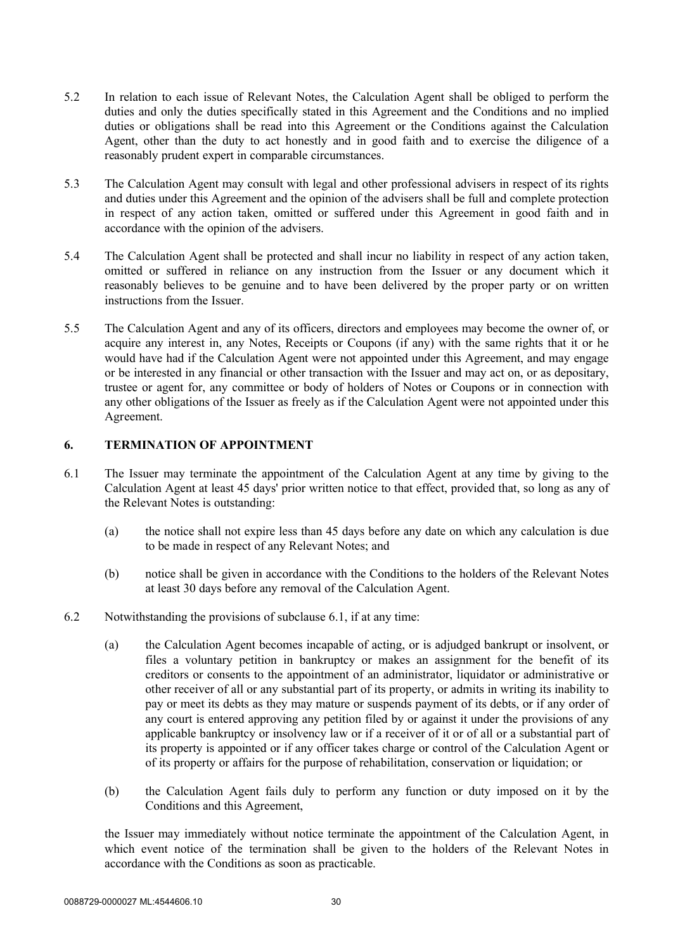- 5.2 In relation to each issue of Relevant Notes, the Calculation Agent shall be obliged to perform the duties and only the duties specifically stated in this Agreement and the Conditions and no implied duties or obligations shall be read into this Agreement or the Conditions against the Calculation Agent, other than the duty to act honestly and in good faith and to exercise the diligence of a reasonably prudent expert in comparable circumstances.
- 5.3 The Calculation Agent may consult with legal and other professional advisers in respect of its rights and duties under this Agreement and the opinion of the advisers shall be full and complete protection in respect of any action taken, omitted or suffered under this Agreement in good faith and in accordance with the opinion of the advisers.
- 5.4 The Calculation Agent shall be protected and shall incur no liability in respect of any action taken, omitted or suffered in reliance on any instruction from the Issuer or any document which it reasonably believes to be genuine and to have been delivered by the proper party or on written instructions from the Issuer.
- 5.5 The Calculation Agent and any of its officers, directors and employees may become the owner of, or acquire any interest in, any Notes, Receipts or Coupons (if any) with the same rights that it or he would have had if the Calculation Agent were not appointed under this Agreement, and may engage or be interested in any financial or other transaction with the Issuer and may act on, or as depositary, trustee or agent for, any committee or body of holders of Notes or Coupons or in connection with any other obligations of the Issuer as freely as if the Calculation Agent were not appointed under this Agreement.

## **6. TERMINATION OF APPOINTMENT**

- 6.1 The Issuer may terminate the appointment of the Calculation Agent at any time by giving to the Calculation Agent at least 45 days' prior written notice to that effect, provided that, so long as any of the Relevant Notes is outstanding:
	- (a) the notice shall not expire less than 45 days before any date on which any calculation is due to be made in respect of any Relevant Notes; and
	- (b) notice shall be given in accordance with the Conditions to the holders of the Relevant Notes at least 30 days before any removal of the Calculation Agent.
- 6.2 Notwithstanding the provisions of subclause 6.1, if at any time:
	- (a) the Calculation Agent becomes incapable of acting, or is adjudged bankrupt or insolvent, or files a voluntary petition in bankruptcy or makes an assignment for the benefit of its creditors or consents to the appointment of an administrator, liquidator or administrative or other receiver of all or any substantial part of its property, or admits in writing its inability to pay or meet its debts as they may mature or suspends payment of its debts, or if any order of any court is entered approving any petition filed by or against it under the provisions of any applicable bankruptcy or insolvency law or if a receiver of it or of all or a substantial part of its property is appointed or if any officer takes charge or control of the Calculation Agent or of its property or affairs for the purpose of rehabilitation, conservation or liquidation; or
	- (b) the Calculation Agent fails duly to perform any function or duty imposed on it by the Conditions and this Agreement,

the Issuer may immediately without notice terminate the appointment of the Calculation Agent, in which event notice of the termination shall be given to the holders of the Relevant Notes in accordance with the Conditions as soon as practicable.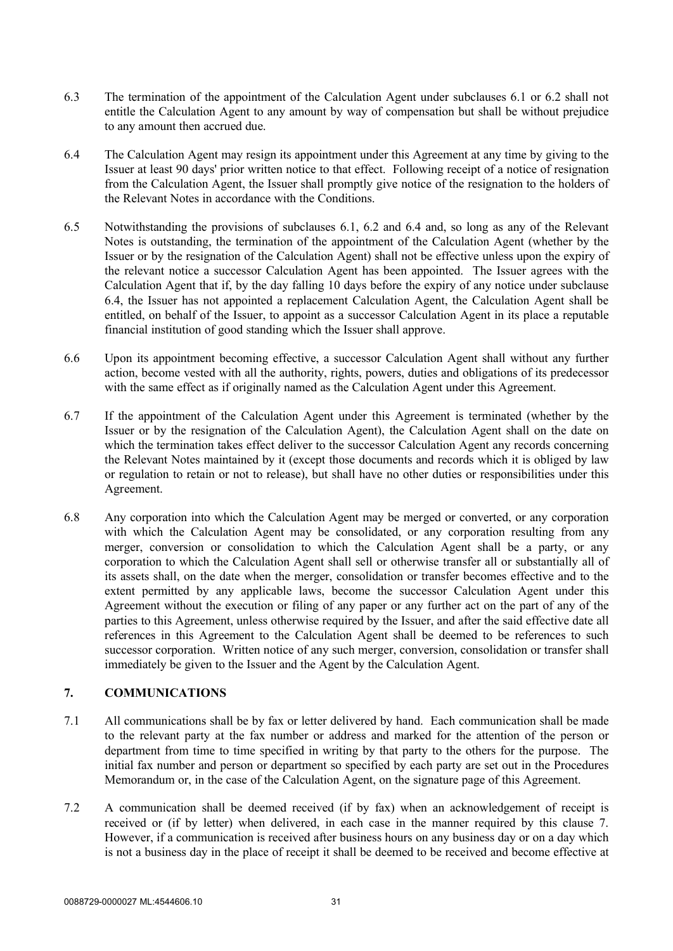- 6.3 The termination of the appointment of the Calculation Agent under subclauses 6.1 or 6.2 shall not entitle the Calculation Agent to any amount by way of compensation but shall be without prejudice to any amount then accrued due.
- 6.4 The Calculation Agent may resign its appointment under this Agreement at any time by giving to the Issuer at least 90 days' prior written notice to that effect. Following receipt of a notice of resignation from the Calculation Agent, the Issuer shall promptly give notice of the resignation to the holders of the Relevant Notes in accordance with the Conditions.
- 6.5 Notwithstanding the provisions of subclauses 6.1, 6.2 and 6.4 and, so long as any of the Relevant Notes is outstanding, the termination of the appointment of the Calculation Agent (whether by the Issuer or by the resignation of the Calculation Agent) shall not be effective unless upon the expiry of the relevant notice a successor Calculation Agent has been appointed. The Issuer agrees with the Calculation Agent that if, by the day falling 10 days before the expiry of any notice under subclause 6.4, the Issuer has not appointed a replacement Calculation Agent, the Calculation Agent shall be entitled, on behalf of the Issuer, to appoint as a successor Calculation Agent in its place a reputable financial institution of good standing which the Issuer shall approve.
- 6.6 Upon its appointment becoming effective, a successor Calculation Agent shall without any further action, become vested with all the authority, rights, powers, duties and obligations of its predecessor with the same effect as if originally named as the Calculation Agent under this Agreement.
- 6.7 If the appointment of the Calculation Agent under this Agreement is terminated (whether by the Issuer or by the resignation of the Calculation Agent), the Calculation Agent shall on the date on which the termination takes effect deliver to the successor Calculation Agent any records concerning the Relevant Notes maintained by it (except those documents and records which it is obliged by law or regulation to retain or not to release), but shall have no other duties or responsibilities under this Agreement.
- 6.8 Any corporation into which the Calculation Agent may be merged or converted, or any corporation with which the Calculation Agent may be consolidated, or any corporation resulting from any merger, conversion or consolidation to which the Calculation Agent shall be a party, or any corporation to which the Calculation Agent shall sell or otherwise transfer all or substantially all of its assets shall, on the date when the merger, consolidation or transfer becomes effective and to the extent permitted by any applicable laws, become the successor Calculation Agent under this Agreement without the execution or filing of any paper or any further act on the part of any of the parties to this Agreement, unless otherwise required by the Issuer, and after the said effective date all references in this Agreement to the Calculation Agent shall be deemed to be references to such successor corporation. Written notice of any such merger, conversion, consolidation or transfer shall immediately be given to the Issuer and the Agent by the Calculation Agent.

## **7. COMMUNICATIONS**

- 7.1 All communications shall be by fax or letter delivered by hand. Each communication shall be made to the relevant party at the fax number or address and marked for the attention of the person or department from time to time specified in writing by that party to the others for the purpose. The initial fax number and person or department so specified by each party are set out in the Procedures Memorandum or, in the case of the Calculation Agent, on the signature page of this Agreement.
- 7.2 A communication shall be deemed received (if by fax) when an acknowledgement of receipt is received or (if by letter) when delivered, in each case in the manner required by this clause 7. However, if a communication is received after business hours on any business day or on a day which is not a business day in the place of receipt it shall be deemed to be received and become effective at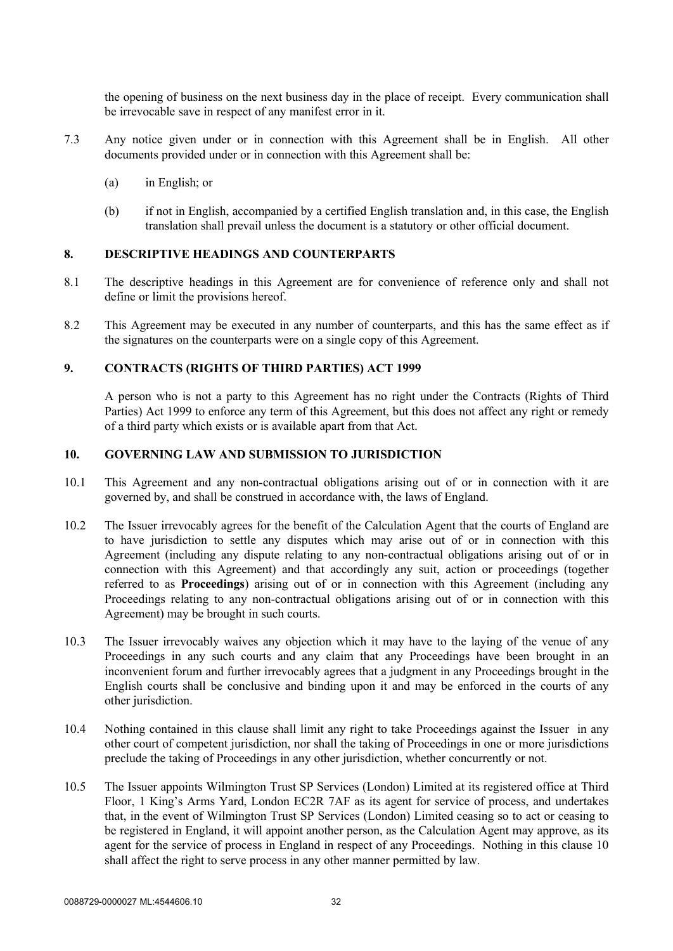the opening of business on the next business day in the place of receipt. Every communication shall be irrevocable save in respect of any manifest error in it.

- 7.3 Any notice given under or in connection with this Agreement shall be in English. All other documents provided under or in connection with this Agreement shall be:
	- (a) in English; or
	- (b) if not in English, accompanied by a certified English translation and, in this case, the English translation shall prevail unless the document is a statutory or other official document.

## **8. DESCRIPTIVE HEADINGS AND COUNTERPARTS**

- 8.1 The descriptive headings in this Agreement are for convenience of reference only and shall not define or limit the provisions hereof.
- 8.2 This Agreement may be executed in any number of counterparts, and this has the same effect as if the signatures on the counterparts were on a single copy of this Agreement.

#### **9. CONTRACTS (RIGHTS OF THIRD PARTIES) ACT 1999**

A person who is not a party to this Agreement has no right under the Contracts (Rights of Third Parties) Act 1999 to enforce any term of this Agreement, but this does not affect any right or remedy of a third party which exists or is available apart from that Act.

#### **10. GOVERNING LAW AND SUBMISSION TO JURISDICTION**

- 10.1 This Agreement and any non-contractual obligations arising out of or in connection with it are governed by, and shall be construed in accordance with, the laws of England.
- 10.2 The Issuer irrevocably agrees for the benefit of the Calculation Agent that the courts of England are to have jurisdiction to settle any disputes which may arise out of or in connection with this Agreement (including any dispute relating to any non-contractual obligations arising out of or in connection with this Agreement) and that accordingly any suit, action or proceedings (together referred to as **Proceedings**) arising out of or in connection with this Agreement (including any Proceedings relating to any non-contractual obligations arising out of or in connection with this Agreement) may be brought in such courts.
- 10.3 The Issuer irrevocably waives any objection which it may have to the laying of the venue of any Proceedings in any such courts and any claim that any Proceedings have been brought in an inconvenient forum and further irrevocably agrees that a judgment in any Proceedings brought in the English courts shall be conclusive and binding upon it and may be enforced in the courts of any other jurisdiction.
- 10.4 Nothing contained in this clause shall limit any right to take Proceedings against the Issuer in any other court of competent jurisdiction, nor shall the taking of Proceedings in one or more jurisdictions preclude the taking of Proceedings in any other jurisdiction, whether concurrently or not.
- 10.5 The Issuer appoints Wilmington Trust SP Services (London) Limited at its registered office at Third Floor, 1 King's Arms Yard, London EC2R 7AF as its agent for service of process, and undertakes that, in the event of Wilmington Trust SP Services (London) Limited ceasing so to act or ceasing to be registered in England, it will appoint another person, as the Calculation Agent may approve, as its agent for the service of process in England in respect of any Proceedings. Nothing in this clause 10 shall affect the right to serve process in any other manner permitted by law.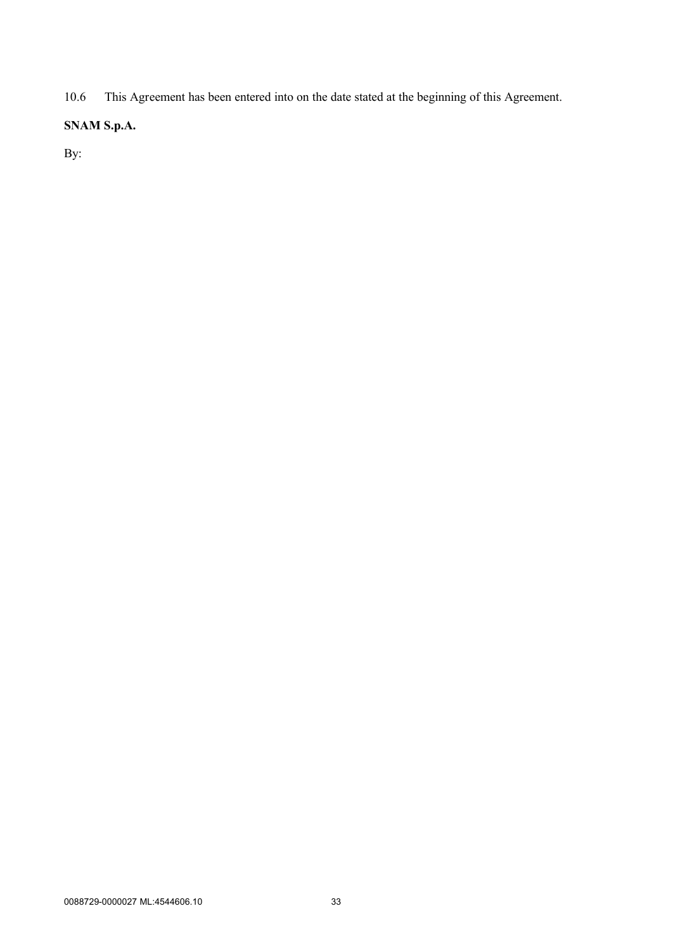10.6 This Agreement has been entered into on the date stated at the beginning of this Agreement.

## **SNAM S.p.A.**

By: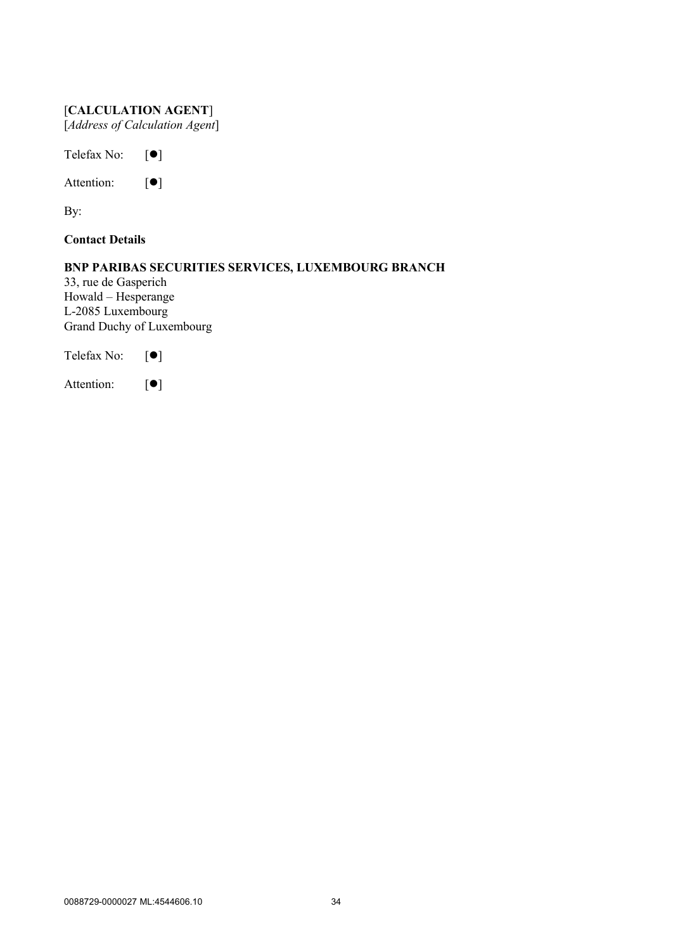# [**CALCULATION AGENT**] [*Address of Calculation Agent*]

Telefax No:  $[\bullet]$ 

Attention:  $\lceil \bullet \rceil$ 

By:

**Contact Details**

# **BNP PARIBAS SECURITIES SERVICES, LUXEMBOURG BRANCH**

33, rue de Gasperich Howald – Hesperange L-2085 Luxembourg Grand Duchy of Luxembourg

Telefax No:  $[\bullet]$ 

Attention:  $\lceil \bullet \rceil$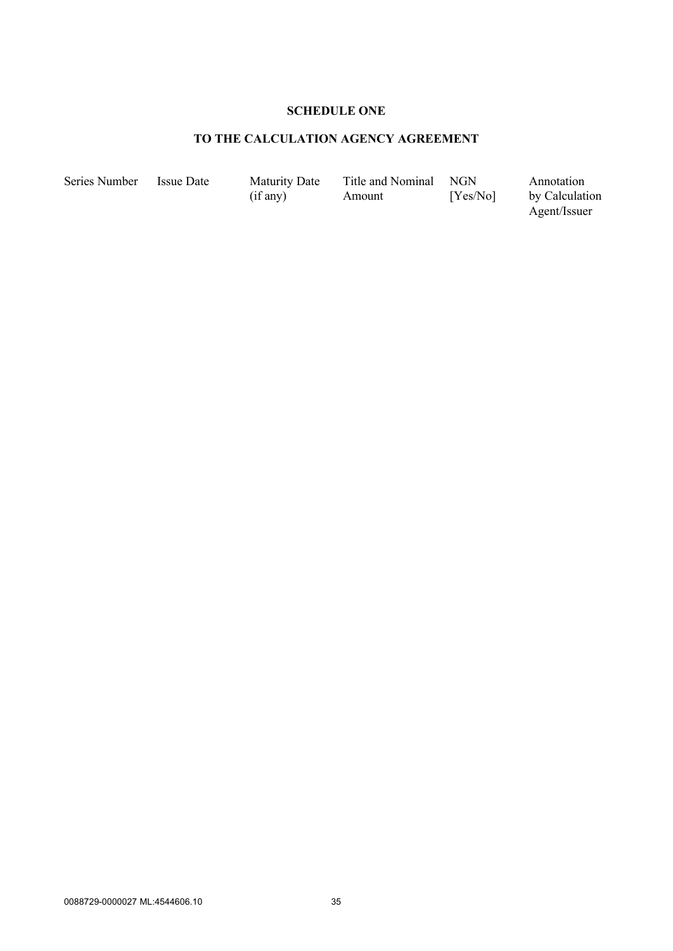# **SCHEDULE ONE**

# **TO THE CALCULATION AGENCY AGREEMENT**

Series Number Issue Date Maturity Date

(if any)

Title and Nominal Amount NGN [Yes/No]

Annotation by Calculation Agent/Issuer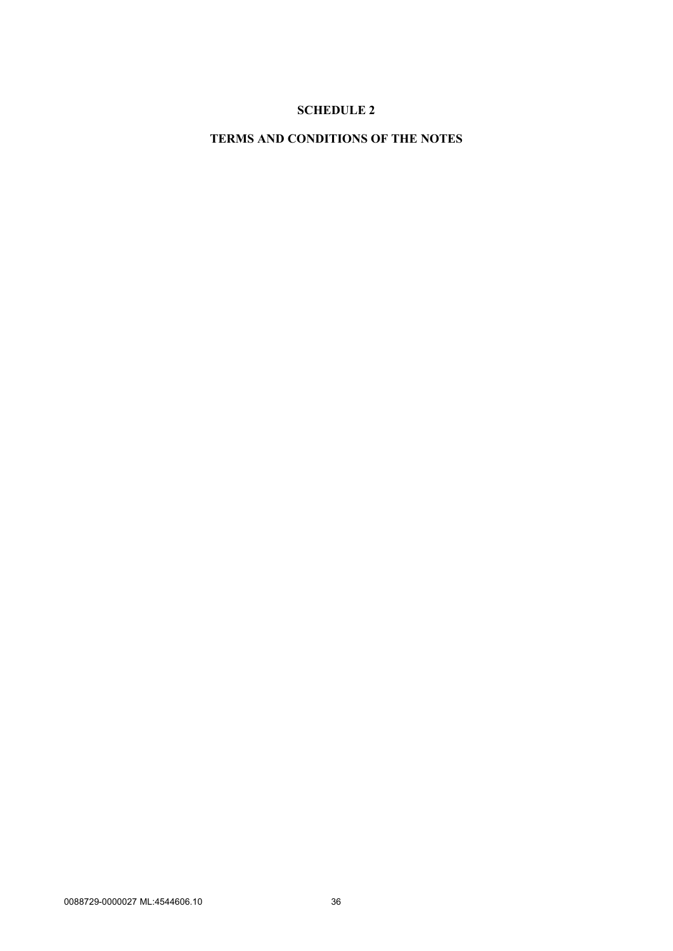# **SCHEDULE 2**

# **TERMS AND CONDITIONS OF THE NOTES**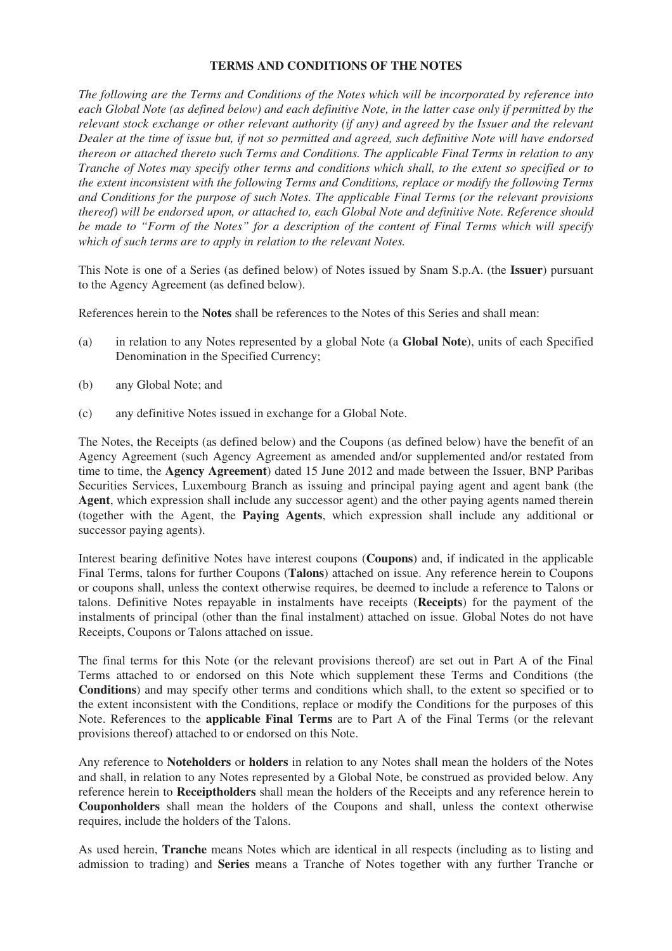#### **TERMS AND CONDITIONS OF THE NOTES**

*The following are the Terms and Conditions of the Notes which will be incorporated by reference into each Global Note (as defined below) and each definitive Note, in the latter case only if permitted by the relevant stock exchange or other relevant authority (if any) and agreed by the Issuer and the relevant Dealer at the time of issue but, if not so permitted and agreed, such definitive Note will have endorsed thereon or attached thereto such Terms and Conditions. The applicable Final Terms in relation to any Tranche of Notes may specify other terms and conditions which shall, to the extent so specified or to the extent inconsistent with the following Terms and Conditions, replace or modify the following Terms and Conditions for the purpose of such Notes. The applicable Final Terms (or the relevant provisions thereof) will be endorsed upon, or attached to, each Global Note and definitive Note. Reference should be made to "Form of the Notes" for a description of the content of Final Terms which will specify which of such terms are to apply in relation to the relevant Notes.*

This Note is one of a Series (as defined below) of Notes issued by Snam S.p.A. (the **Issuer**) pursuant to the Agency Agreement (as defined below).

References herein to the **Notes** shall be references to the Notes of this Series and shall mean:

- (a) in relation to any Notes represented by a global Note (a **Global Note**), units of each Specified Denomination in the Specified Currency;
- (b) any Global Note; and
- (c) any definitive Notes issued in exchange for a Global Note.

The Notes, the Receipts (as defined below) and the Coupons (as defined below) have the benefit of an Agency Agreement (such Agency Agreement as amended and/or supplemented and/or restated from time to time, the **Agency Agreement**) dated 15 June 2012 and made between the Issuer, BNP Paribas Securities Services, Luxembourg Branch as issuing and principal paying agent and agent bank (the **Agent**, which expression shall include any successor agent) and the other paying agents named therein (together with the Agent, the **Paying Agents**, which expression shall include any additional or successor paying agents).

Interest bearing definitive Notes have interest coupons (**Coupons**) and, if indicated in the applicable Final Terms, talons for further Coupons (**Talons**) attached on issue. Any reference herein to Coupons or coupons shall, unless the context otherwise requires, be deemed to include a reference to Talons or talons. Definitive Notes repayable in instalments have receipts (**Receipts**) for the payment of the instalments of principal (other than the final instalment) attached on issue. Global Notes do not have Receipts, Coupons or Talons attached on issue.

The final terms for this Note (or the relevant provisions thereof) are set out in Part A of the Final Terms attached to or endorsed on this Note which supplement these Terms and Conditions (the **Conditions**) and may specify other terms and conditions which shall, to the extent so specified or to the extent inconsistent with the Conditions, replace or modify the Conditions for the purposes of this Note. References to the **applicable Final Terms** are to Part A of the Final Terms (or the relevant provisions thereof) attached to or endorsed on this Note.

Any reference to **Noteholders** or **holders** in relation to any Notes shall mean the holders of the Notes and shall, in relation to any Notes represented by a Global Note, be construed as provided below. Any reference herein to **Receiptholders** shall mean the holders of the Receipts and any reference herein to **Couponholders** shall mean the holders of the Coupons and shall, unless the context otherwise requires, include the holders of the Talons.

As used herein, **Tranche** means Notes which are identical in all respects (including as to listing and admission to trading) and **Series** means a Tranche of Notes together with any further Tranche or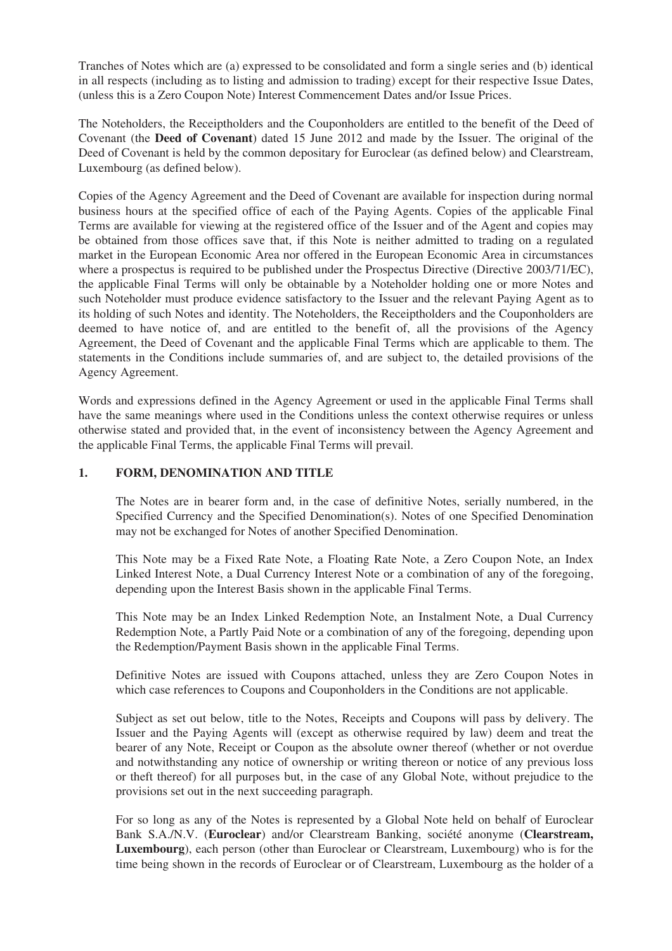Tranches of Notes which are (a) expressed to be consolidated and form a single series and (b) identical in all respects (including as to listing and admission to trading) except for their respective Issue Dates, (unless this is a Zero Coupon Note) Interest Commencement Dates and/or Issue Prices.

The Noteholders, the Receiptholders and the Couponholders are entitled to the benefit of the Deed of Covenant (the **Deed of Covenant**) dated 15 June 2012 and made by the Issuer. The original of the Deed of Covenant is held by the common depositary for Euroclear (as defined below) and Clearstream, Luxembourg (as defined below).

Copies of the Agency Agreement and the Deed of Covenant are available for inspection during normal business hours at the specified office of each of the Paying Agents. Copies of the applicable Final Terms are available for viewing at the registered office of the Issuer and of the Agent and copies may be obtained from those offices save that, if this Note is neither admitted to trading on a regulated market in the European Economic Area nor offered in the European Economic Area in circumstances where a prospectus is required to be published under the Prospectus Directive (Directive 2003/71/EC), the applicable Final Terms will only be obtainable by a Noteholder holding one or more Notes and such Noteholder must produce evidence satisfactory to the Issuer and the relevant Paying Agent as to its holding of such Notes and identity. The Noteholders, the Receiptholders and the Couponholders are deemed to have notice of, and are entitled to the benefit of, all the provisions of the Agency Agreement, the Deed of Covenant and the applicable Final Terms which are applicable to them. The statements in the Conditions include summaries of, and are subject to, the detailed provisions of the Agency Agreement.

Words and expressions defined in the Agency Agreement or used in the applicable Final Terms shall have the same meanings where used in the Conditions unless the context otherwise requires or unless otherwise stated and provided that, in the event of inconsistency between the Agency Agreement and the applicable Final Terms, the applicable Final Terms will prevail.

# **1. FORM, DENOMINATION AND TITLE**

The Notes are in bearer form and, in the case of definitive Notes, serially numbered, in the Specified Currency and the Specified Denomination(s). Notes of one Specified Denomination may not be exchanged for Notes of another Specified Denomination.

This Note may be a Fixed Rate Note, a Floating Rate Note, a Zero Coupon Note, an Index Linked Interest Note, a Dual Currency Interest Note or a combination of any of the foregoing, depending upon the Interest Basis shown in the applicable Final Terms.

This Note may be an Index Linked Redemption Note, an Instalment Note, a Dual Currency Redemption Note, a Partly Paid Note or a combination of any of the foregoing, depending upon the Redemption/Payment Basis shown in the applicable Final Terms.

Definitive Notes are issued with Coupons attached, unless they are Zero Coupon Notes in which case references to Coupons and Couponholders in the Conditions are not applicable.

Subject as set out below, title to the Notes, Receipts and Coupons will pass by delivery. The Issuer and the Paying Agents will (except as otherwise required by law) deem and treat the bearer of any Note, Receipt or Coupon as the absolute owner thereof (whether or not overdue and notwithstanding any notice of ownership or writing thereon or notice of any previous loss or theft thereof) for all purposes but, in the case of any Global Note, without prejudice to the provisions set out in the next succeeding paragraph.

For so long as any of the Notes is represented by a Global Note held on behalf of Euroclear Bank S.A./N.V. (**Euroclear**) and/or Clearstream Banking, société anonyme (**Clearstream, Luxembourg**), each person (other than Euroclear or Clearstream, Luxembourg) who is for the time being shown in the records of Euroclear or of Clearstream, Luxembourg as the holder of a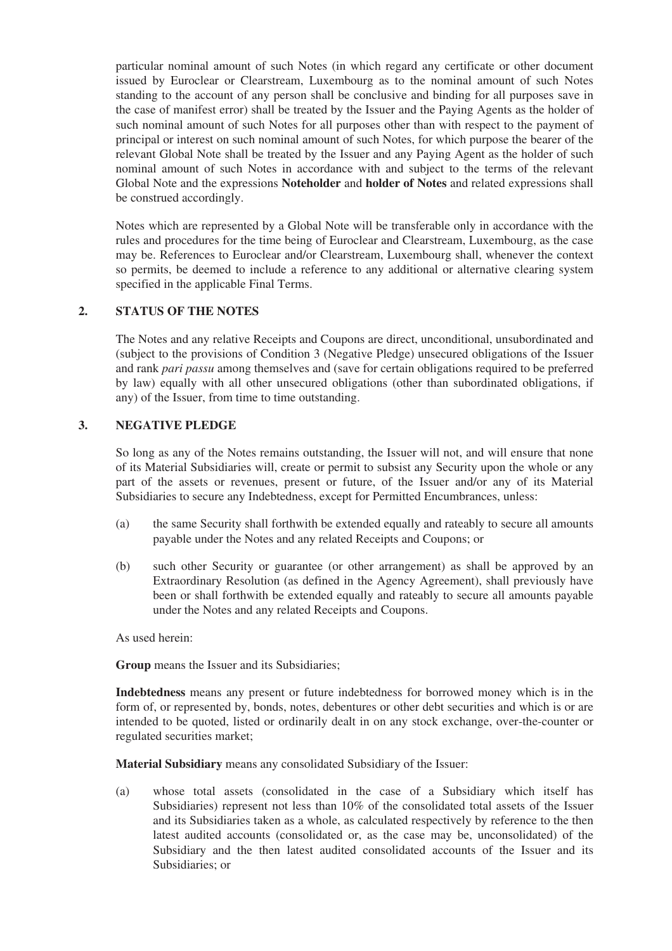particular nominal amount of such Notes (in which regard any certificate or other document issued by Euroclear or Clearstream, Luxembourg as to the nominal amount of such Notes standing to the account of any person shall be conclusive and binding for all purposes save in the case of manifest error) shall be treated by the Issuer and the Paying Agents as the holder of such nominal amount of such Notes for all purposes other than with respect to the payment of principal or interest on such nominal amount of such Notes, for which purpose the bearer of the relevant Global Note shall be treated by the Issuer and any Paying Agent as the holder of such nominal amount of such Notes in accordance with and subject to the terms of the relevant Global Note and the expressions **Noteholder** and **holder of Notes** and related expressions shall be construed accordingly.

Notes which are represented by a Global Note will be transferable only in accordance with the rules and procedures for the time being of Euroclear and Clearstream, Luxembourg, as the case may be. References to Euroclear and/or Clearstream, Luxembourg shall, whenever the context so permits, be deemed to include a reference to any additional or alternative clearing system specified in the applicable Final Terms.

# **2. STATUS OF THE NOTES**

The Notes and any relative Receipts and Coupons are direct, unconditional, unsubordinated and (subject to the provisions of Condition 3 (Negative Pledge) unsecured obligations of the Issuer and rank *pari passu* among themselves and (save for certain obligations required to be preferred by law) equally with all other unsecured obligations (other than subordinated obligations, if any) of the Issuer, from time to time outstanding.

# **3. NEGATIVE PLEDGE**

So long as any of the Notes remains outstanding, the Issuer will not, and will ensure that none of its Material Subsidiaries will, create or permit to subsist any Security upon the whole or any part of the assets or revenues, present or future, of the Issuer and/or any of its Material Subsidiaries to secure any Indebtedness, except for Permitted Encumbrances, unless:

- (a) the same Security shall forthwith be extended equally and rateably to secure all amounts payable under the Notes and any related Receipts and Coupons; or
- (b) such other Security or guarantee (or other arrangement) as shall be approved by an Extraordinary Resolution (as defined in the Agency Agreement), shall previously have been or shall forthwith be extended equally and rateably to secure all amounts payable under the Notes and any related Receipts and Coupons.

As used herein:

**Group** means the Issuer and its Subsidiaries;

**Indebtedness** means any present or future indebtedness for borrowed money which is in the form of, or represented by, bonds, notes, debentures or other debt securities and which is or are intended to be quoted, listed or ordinarily dealt in on any stock exchange, over-the-counter or regulated securities market;

**Material Subsidiary** means any consolidated Subsidiary of the Issuer:

(a) whose total assets (consolidated in the case of a Subsidiary which itself has Subsidiaries) represent not less than 10% of the consolidated total assets of the Issuer and its Subsidiaries taken as a whole, as calculated respectively by reference to the then latest audited accounts (consolidated or, as the case may be, unconsolidated) of the Subsidiary and the then latest audited consolidated accounts of the Issuer and its Subsidiaries; or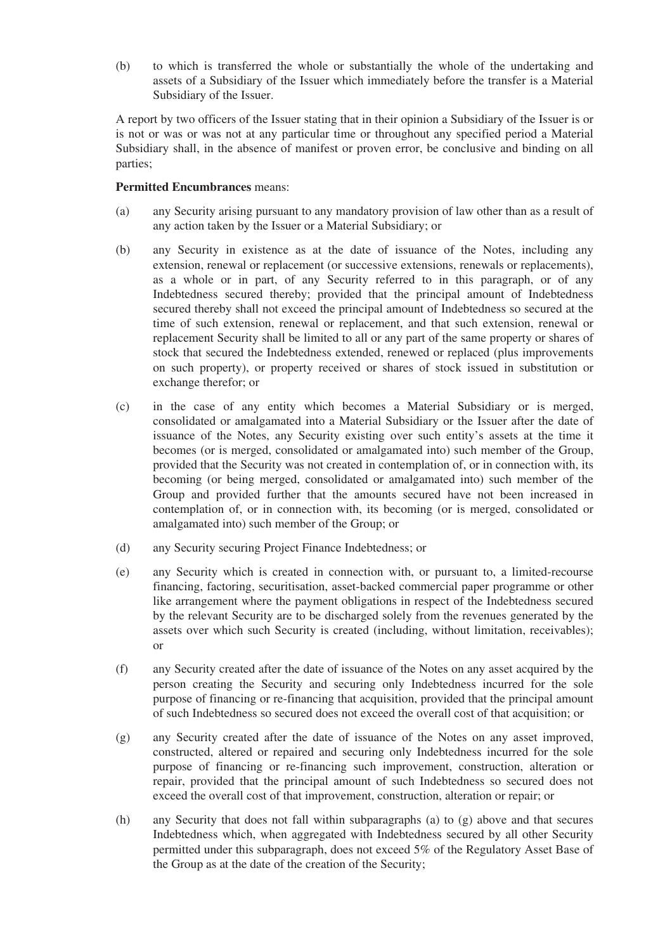(b) to which is transferred the whole or substantially the whole of the undertaking and assets of a Subsidiary of the Issuer which immediately before the transfer is a Material Subsidiary of the Issuer.

A report by two officers of the Issuer stating that in their opinion a Subsidiary of the Issuer is or is not or was or was not at any particular time or throughout any specified period a Material Subsidiary shall, in the absence of manifest or proven error, be conclusive and binding on all parties;

## **Permitted Encumbrances** means:

- (a) any Security arising pursuant to any mandatory provision of law other than as a result of any action taken by the Issuer or a Material Subsidiary; or
- (b) any Security in existence as at the date of issuance of the Notes, including any extension, renewal or replacement (or successive extensions, renewals or replacements), as a whole or in part, of any Security referred to in this paragraph, or of any Indebtedness secured thereby; provided that the principal amount of Indebtedness secured thereby shall not exceed the principal amount of Indebtedness so secured at the time of such extension, renewal or replacement, and that such extension, renewal or replacement Security shall be limited to all or any part of the same property or shares of stock that secured the Indebtedness extended, renewed or replaced (plus improvements on such property), or property received or shares of stock issued in substitution or exchange therefor; or
- (c) in the case of any entity which becomes a Material Subsidiary or is merged, consolidated or amalgamated into a Material Subsidiary or the Issuer after the date of issuance of the Notes, any Security existing over such entity's assets at the time it becomes (or is merged, consolidated or amalgamated into) such member of the Group, provided that the Security was not created in contemplation of, or in connection with, its becoming (or being merged, consolidated or amalgamated into) such member of the Group and provided further that the amounts secured have not been increased in contemplation of, or in connection with, its becoming (or is merged, consolidated or amalgamated into) such member of the Group; or
- (d) any Security securing Project Finance Indebtedness; or
- (e) any Security which is created in connection with, or pursuant to, a limited-recourse financing, factoring, securitisation, asset-backed commercial paper programme or other like arrangement where the payment obligations in respect of the Indebtedness secured by the relevant Security are to be discharged solely from the revenues generated by the assets over which such Security is created (including, without limitation, receivables); or
- (f) any Security created after the date of issuance of the Notes on any asset acquired by the person creating the Security and securing only Indebtedness incurred for the sole purpose of financing or re-financing that acquisition, provided that the principal amount of such Indebtedness so secured does not exceed the overall cost of that acquisition; or
- (g) any Security created after the date of issuance of the Notes on any asset improved, constructed, altered or repaired and securing only Indebtedness incurred for the sole purpose of financing or re-financing such improvement, construction, alteration or repair, provided that the principal amount of such Indebtedness so secured does not exceed the overall cost of that improvement, construction, alteration or repair; or
- (h) any Security that does not fall within subparagraphs (a) to (g) above and that secures Indebtedness which, when aggregated with Indebtedness secured by all other Security permitted under this subparagraph, does not exceed 5% of the Regulatory Asset Base of the Group as at the date of the creation of the Security;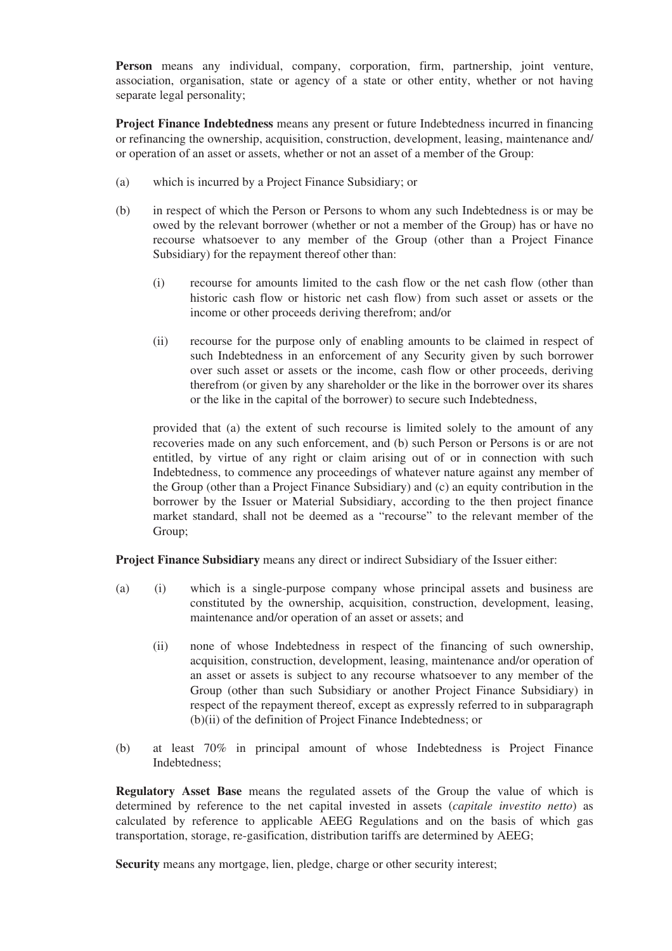**Person** means any individual, company, corporation, firm, partnership, joint venture, association, organisation, state or agency of a state or other entity, whether or not having separate legal personality;

**Project Finance Indebtedness** means any present or future Indebtedness incurred in financing or refinancing the ownership, acquisition, construction, development, leasing, maintenance and/ or operation of an asset or assets, whether or not an asset of a member of the Group:

- (a) which is incurred by a Project Finance Subsidiary; or
- (b) in respect of which the Person or Persons to whom any such Indebtedness is or may be owed by the relevant borrower (whether or not a member of the Group) has or have no recourse whatsoever to any member of the Group (other than a Project Finance Subsidiary) for the repayment thereof other than:
	- (i) recourse for amounts limited to the cash flow or the net cash flow (other than historic cash flow or historic net cash flow) from such asset or assets or the income or other proceeds deriving therefrom; and/or
	- (ii) recourse for the purpose only of enabling amounts to be claimed in respect of such Indebtedness in an enforcement of any Security given by such borrower over such asset or assets or the income, cash flow or other proceeds, deriving therefrom (or given by any shareholder or the like in the borrower over its shares or the like in the capital of the borrower) to secure such Indebtedness,

provided that (a) the extent of such recourse is limited solely to the amount of any recoveries made on any such enforcement, and (b) such Person or Persons is or are not entitled, by virtue of any right or claim arising out of or in connection with such Indebtedness, to commence any proceedings of whatever nature against any member of the Group (other than a Project Finance Subsidiary) and (c) an equity contribution in the borrower by the Issuer or Material Subsidiary, according to the then project finance market standard, shall not be deemed as a "recourse" to the relevant member of the Group;

**Project Finance Subsidiary** means any direct or indirect Subsidiary of the Issuer either:

- (a) (i) which is a single-purpose company whose principal assets and business are constituted by the ownership, acquisition, construction, development, leasing, maintenance and/or operation of an asset or assets; and
	- (ii) none of whose Indebtedness in respect of the financing of such ownership, acquisition, construction, development, leasing, maintenance and/or operation of an asset or assets is subject to any recourse whatsoever to any member of the Group (other than such Subsidiary or another Project Finance Subsidiary) in respect of the repayment thereof, except as expressly referred to in subparagraph (b)(ii) of the definition of Project Finance Indebtedness; or
- (b) at least 70% in principal amount of whose Indebtedness is Project Finance Indebtedness;

**Regulatory Asset Base** means the regulated assets of the Group the value of which is determined by reference to the net capital invested in assets (*capitale investito netto*) as calculated by reference to applicable AEEG Regulations and on the basis of which gas transportation, storage, re-gasification, distribution tariffs are determined by AEEG;

**Security** means any mortgage, lien, pledge, charge or other security interest;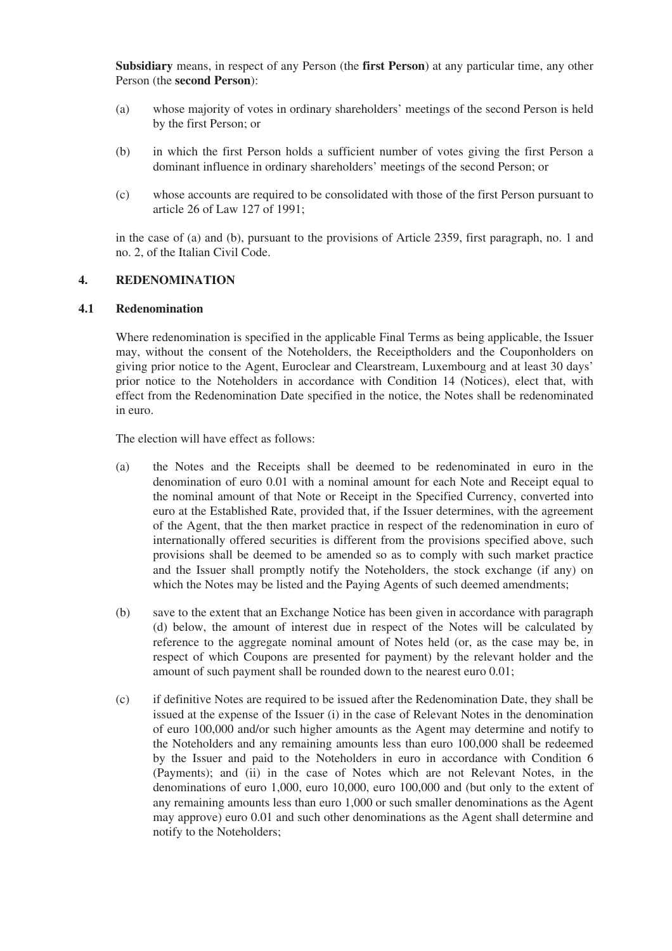**Subsidiary** means, in respect of any Person (the **first Person**) at any particular time, any other Person (the **second Person**):

- (a) whose majority of votes in ordinary shareholders' meetings of the second Person is held by the first Person; or
- (b) in which the first Person holds a sufficient number of votes giving the first Person a dominant influence in ordinary shareholders' meetings of the second Person; or
- (c) whose accounts are required to be consolidated with those of the first Person pursuant to article 26 of Law 127 of 1991;

in the case of (a) and (b), pursuant to the provisions of Article 2359, first paragraph, no. 1 and no. 2, of the Italian Civil Code.

#### **4. REDENOMINATION**

#### **4.1 Redenomination**

Where redenomination is specified in the applicable Final Terms as being applicable, the Issuer may, without the consent of the Noteholders, the Receiptholders and the Couponholders on giving prior notice to the Agent, Euroclear and Clearstream, Luxembourg and at least 30 days' prior notice to the Noteholders in accordance with Condition 14 (Notices), elect that, with effect from the Redenomination Date specified in the notice, the Notes shall be redenominated in euro.

The election will have effect as follows:

- (a) the Notes and the Receipts shall be deemed to be redenominated in euro in the denomination of euro 0.01 with a nominal amount for each Note and Receipt equal to the nominal amount of that Note or Receipt in the Specified Currency, converted into euro at the Established Rate, provided that, if the Issuer determines, with the agreement of the Agent, that the then market practice in respect of the redenomination in euro of internationally offered securities is different from the provisions specified above, such provisions shall be deemed to be amended so as to comply with such market practice and the Issuer shall promptly notify the Noteholders, the stock exchange (if any) on which the Notes may be listed and the Paying Agents of such deemed amendments;
- (b) save to the extent that an Exchange Notice has been given in accordance with paragraph (d) below, the amount of interest due in respect of the Notes will be calculated by reference to the aggregate nominal amount of Notes held (or, as the case may be, in respect of which Coupons are presented for payment) by the relevant holder and the amount of such payment shall be rounded down to the nearest euro 0.01;
- (c) if definitive Notes are required to be issued after the Redenomination Date, they shall be issued at the expense of the Issuer (i) in the case of Relevant Notes in the denomination of euro 100,000 and/or such higher amounts as the Agent may determine and notify to the Noteholders and any remaining amounts less than euro 100,000 shall be redeemed by the Issuer and paid to the Noteholders in euro in accordance with Condition 6 (Payments); and (ii) in the case of Notes which are not Relevant Notes, in the denominations of euro 1,000, euro 10,000, euro 100,000 and (but only to the extent of any remaining amounts less than euro 1,000 or such smaller denominations as the Agent may approve) euro 0.01 and such other denominations as the Agent shall determine and notify to the Noteholders;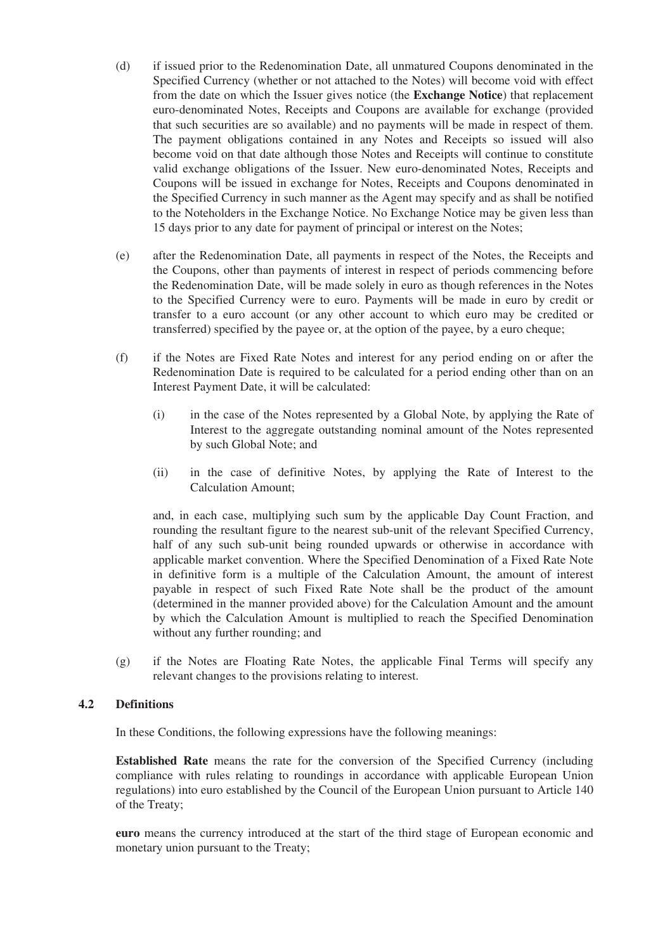- (d) if issued prior to the Redenomination Date, all unmatured Coupons denominated in the Specified Currency (whether or not attached to the Notes) will become void with effect from the date on which the Issuer gives notice (the **Exchange Notice**) that replacement euro-denominated Notes, Receipts and Coupons are available for exchange (provided that such securities are so available) and no payments will be made in respect of them. The payment obligations contained in any Notes and Receipts so issued will also become void on that date although those Notes and Receipts will continue to constitute valid exchange obligations of the Issuer. New euro-denominated Notes, Receipts and Coupons will be issued in exchange for Notes, Receipts and Coupons denominated in the Specified Currency in such manner as the Agent may specify and as shall be notified to the Noteholders in the Exchange Notice. No Exchange Notice may be given less than 15 days prior to any date for payment of principal or interest on the Notes;
- (e) after the Redenomination Date, all payments in respect of the Notes, the Receipts and the Coupons, other than payments of interest in respect of periods commencing before the Redenomination Date, will be made solely in euro as though references in the Notes to the Specified Currency were to euro. Payments will be made in euro by credit or transfer to a euro account (or any other account to which euro may be credited or transferred) specified by the payee or, at the option of the payee, by a euro cheque;
- (f) if the Notes are Fixed Rate Notes and interest for any period ending on or after the Redenomination Date is required to be calculated for a period ending other than on an Interest Payment Date, it will be calculated:
	- (i) in the case of the Notes represented by a Global Note, by applying the Rate of Interest to the aggregate outstanding nominal amount of the Notes represented by such Global Note; and
	- (ii) in the case of definitive Notes, by applying the Rate of Interest to the Calculation Amount;

and, in each case, multiplying such sum by the applicable Day Count Fraction, and rounding the resultant figure to the nearest sub-unit of the relevant Specified Currency, half of any such sub-unit being rounded upwards or otherwise in accordance with applicable market convention. Where the Specified Denomination of a Fixed Rate Note in definitive form is a multiple of the Calculation Amount, the amount of interest payable in respect of such Fixed Rate Note shall be the product of the amount (determined in the manner provided above) for the Calculation Amount and the amount by which the Calculation Amount is multiplied to reach the Specified Denomination without any further rounding; and

(g) if the Notes are Floating Rate Notes, the applicable Final Terms will specify any relevant changes to the provisions relating to interest.

#### **4.2 Definitions**

In these Conditions, the following expressions have the following meanings:

**Established Rate** means the rate for the conversion of the Specified Currency (including compliance with rules relating to roundings in accordance with applicable European Union regulations) into euro established by the Council of the European Union pursuant to Article 140 of the Treaty;

**euro** means the currency introduced at the start of the third stage of European economic and monetary union pursuant to the Treaty;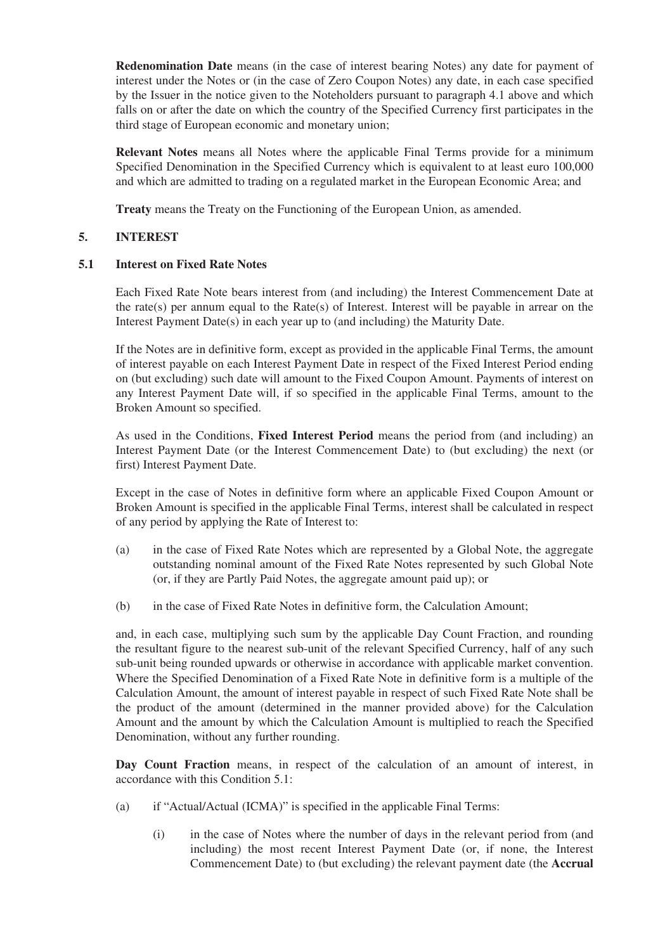**Redenomination Date** means (in the case of interest bearing Notes) any date for payment of interest under the Notes or (in the case of Zero Coupon Notes) any date, in each case specified by the Issuer in the notice given to the Noteholders pursuant to paragraph 4.1 above and which falls on or after the date on which the country of the Specified Currency first participates in the third stage of European economic and monetary union;

**Relevant Notes** means all Notes where the applicable Final Terms provide for a minimum Specified Denomination in the Specified Currency which is equivalent to at least euro 100,000 and which are admitted to trading on a regulated market in the European Economic Area; and

**Treaty** means the Treaty on the Functioning of the European Union, as amended.

# **5. INTEREST**

#### **5.1 Interest on Fixed Rate Notes**

Each Fixed Rate Note bears interest from (and including) the Interest Commencement Date at the rate(s) per annum equal to the Rate(s) of Interest. Interest will be payable in arrear on the Interest Payment Date(s) in each year up to (and including) the Maturity Date.

If the Notes are in definitive form, except as provided in the applicable Final Terms, the amount of interest payable on each Interest Payment Date in respect of the Fixed Interest Period ending on (but excluding) such date will amount to the Fixed Coupon Amount. Payments of interest on any Interest Payment Date will, if so specified in the applicable Final Terms, amount to the Broken Amount so specified.

As used in the Conditions, **Fixed Interest Period** means the period from (and including) an Interest Payment Date (or the Interest Commencement Date) to (but excluding) the next (or first) Interest Payment Date.

Except in the case of Notes in definitive form where an applicable Fixed Coupon Amount or Broken Amount is specified in the applicable Final Terms, interest shall be calculated in respect of any period by applying the Rate of Interest to:

- (a) in the case of Fixed Rate Notes which are represented by a Global Note, the aggregate outstanding nominal amount of the Fixed Rate Notes represented by such Global Note (or, if they are Partly Paid Notes, the aggregate amount paid up); or
- (b) in the case of Fixed Rate Notes in definitive form, the Calculation Amount;

and, in each case, multiplying such sum by the applicable Day Count Fraction, and rounding the resultant figure to the nearest sub-unit of the relevant Specified Currency, half of any such sub-unit being rounded upwards or otherwise in accordance with applicable market convention. Where the Specified Denomination of a Fixed Rate Note in definitive form is a multiple of the Calculation Amount, the amount of interest payable in respect of such Fixed Rate Note shall be the product of the amount (determined in the manner provided above) for the Calculation Amount and the amount by which the Calculation Amount is multiplied to reach the Specified Denomination, without any further rounding.

**Day Count Fraction** means, in respect of the calculation of an amount of interest, in accordance with this Condition 5.1:

- (a) if "Actual/Actual (ICMA)" is specified in the applicable Final Terms:
	- (i) in the case of Notes where the number of days in the relevant period from (and including) the most recent Interest Payment Date (or, if none, the Interest Commencement Date) to (but excluding) the relevant payment date (the **Accrual**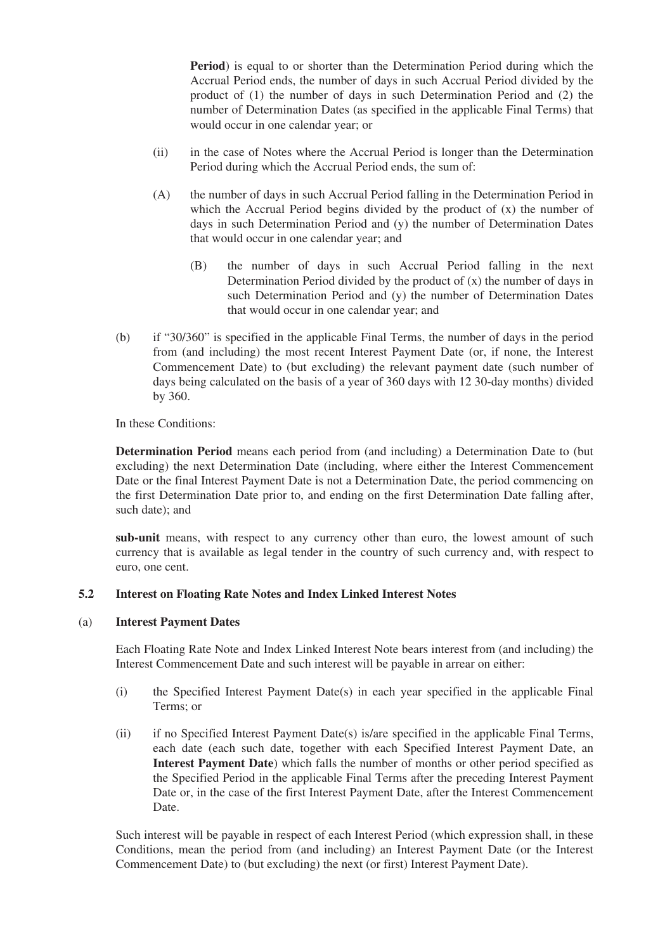**Period**) is equal to or shorter than the Determination Period during which the Accrual Period ends, the number of days in such Accrual Period divided by the product of (1) the number of days in such Determination Period and (2) the number of Determination Dates (as specified in the applicable Final Terms) that would occur in one calendar year; or

- (ii) in the case of Notes where the Accrual Period is longer than the Determination Period during which the Accrual Period ends, the sum of:
- (A) the number of days in such Accrual Period falling in the Determination Period in which the Accrual Period begins divided by the product of (x) the number of days in such Determination Period and (y) the number of Determination Dates that would occur in one calendar year; and
	- (B) the number of days in such Accrual Period falling in the next Determination Period divided by the product of (x) the number of days in such Determination Period and (y) the number of Determination Dates that would occur in one calendar year; and
- (b) if "30/360" is specified in the applicable Final Terms, the number of days in the period from (and including) the most recent Interest Payment Date (or, if none, the Interest Commencement Date) to (but excluding) the relevant payment date (such number of days being calculated on the basis of a year of 360 days with 12 30-day months) divided by 360.

In these Conditions:

**Determination Period** means each period from (and including) a Determination Date to (but excluding) the next Determination Date (including, where either the Interest Commencement Date or the final Interest Payment Date is not a Determination Date, the period commencing on the first Determination Date prior to, and ending on the first Determination Date falling after, such date); and

**sub-unit** means, with respect to any currency other than euro, the lowest amount of such currency that is available as legal tender in the country of such currency and, with respect to euro, one cent.

## **5.2 Interest on Floating Rate Notes and Index Linked Interest Notes**

#### (a) **Interest Payment Dates**

Each Floating Rate Note and Index Linked Interest Note bears interest from (and including) the Interest Commencement Date and such interest will be payable in arrear on either:

- (i) the Specified Interest Payment Date(s) in each year specified in the applicable Final Terms; or
- (ii) if no Specified Interest Payment Date(s) is/are specified in the applicable Final Terms, each date (each such date, together with each Specified Interest Payment Date, an **Interest Payment Date**) which falls the number of months or other period specified as the Specified Period in the applicable Final Terms after the preceding Interest Payment Date or, in the case of the first Interest Payment Date, after the Interest Commencement Date.

Such interest will be payable in respect of each Interest Period (which expression shall, in these Conditions, mean the period from (and including) an Interest Payment Date (or the Interest Commencement Date) to (but excluding) the next (or first) Interest Payment Date).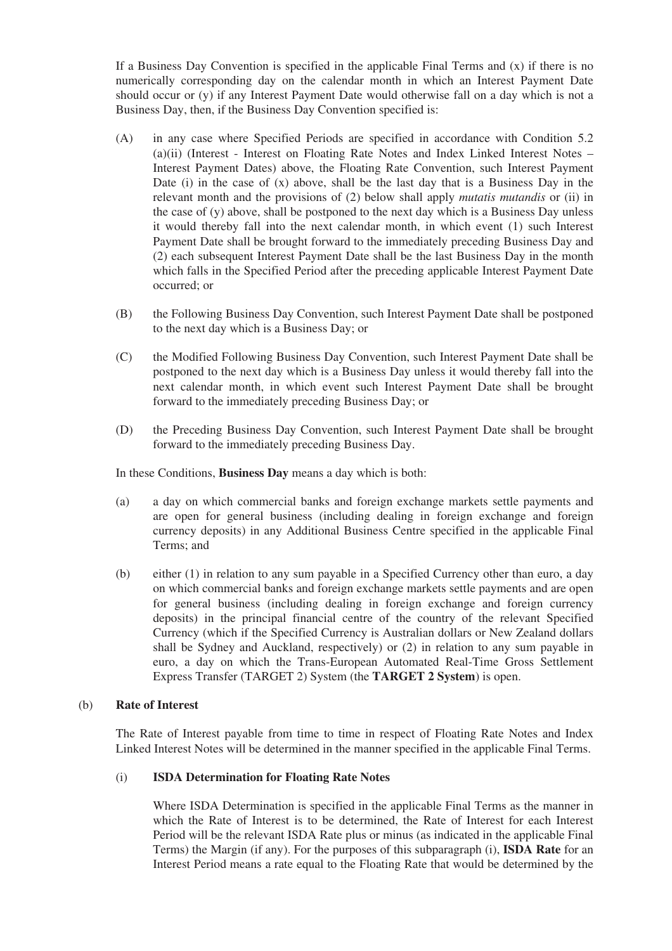If a Business Day Convention is specified in the applicable Final Terms and  $(x)$  if there is no numerically corresponding day on the calendar month in which an Interest Payment Date should occur or (y) if any Interest Payment Date would otherwise fall on a day which is not a Business Day, then, if the Business Day Convention specified is:

- (A) in any case where Specified Periods are specified in accordance with Condition 5.2 (a)(ii) (Interest - Interest on Floating Rate Notes and Index Linked Interest Notes – Interest Payment Dates) above, the Floating Rate Convention, such Interest Payment Date (i) in the case of (x) above, shall be the last day that is a Business Day in the relevant month and the provisions of (2) below shall apply *mutatis mutandis* or (ii) in the case of  $(y)$  above, shall be postponed to the next day which is a Business Day unless it would thereby fall into the next calendar month, in which event (1) such Interest Payment Date shall be brought forward to the immediately preceding Business Day and (2) each subsequent Interest Payment Date shall be the last Business Day in the month which falls in the Specified Period after the preceding applicable Interest Payment Date occurred; or
- (B) the Following Business Day Convention, such Interest Payment Date shall be postponed to the next day which is a Business Day; or
- (C) the Modified Following Business Day Convention, such Interest Payment Date shall be postponed to the next day which is a Business Day unless it would thereby fall into the next calendar month, in which event such Interest Payment Date shall be brought forward to the immediately preceding Business Day; or
- (D) the Preceding Business Day Convention, such Interest Payment Date shall be brought forward to the immediately preceding Business Day.

In these Conditions, **Business Day** means a day which is both:

- (a) a day on which commercial banks and foreign exchange markets settle payments and are open for general business (including dealing in foreign exchange and foreign currency deposits) in any Additional Business Centre specified in the applicable Final Terms; and
- (b) either (1) in relation to any sum payable in a Specified Currency other than euro, a day on which commercial banks and foreign exchange markets settle payments and are open for general business (including dealing in foreign exchange and foreign currency deposits) in the principal financial centre of the country of the relevant Specified Currency (which if the Specified Currency is Australian dollars or New Zealand dollars shall be Sydney and Auckland, respectively) or (2) in relation to any sum payable in euro, a day on which the Trans-European Automated Real-Time Gross Settlement Express Transfer (TARGET 2) System (the **TARGET 2 System**) is open.

#### (b) **Rate of Interest**

The Rate of Interest payable from time to time in respect of Floating Rate Notes and Index Linked Interest Notes will be determined in the manner specified in the applicable Final Terms.

## (i) **ISDA Determination for Floating Rate Notes**

Where ISDA Determination is specified in the applicable Final Terms as the manner in which the Rate of Interest is to be determined, the Rate of Interest for each Interest Period will be the relevant ISDA Rate plus or minus (as indicated in the applicable Final Terms) the Margin (if any). For the purposes of this subparagraph (i), **ISDA Rate** for an Interest Period means a rate equal to the Floating Rate that would be determined by the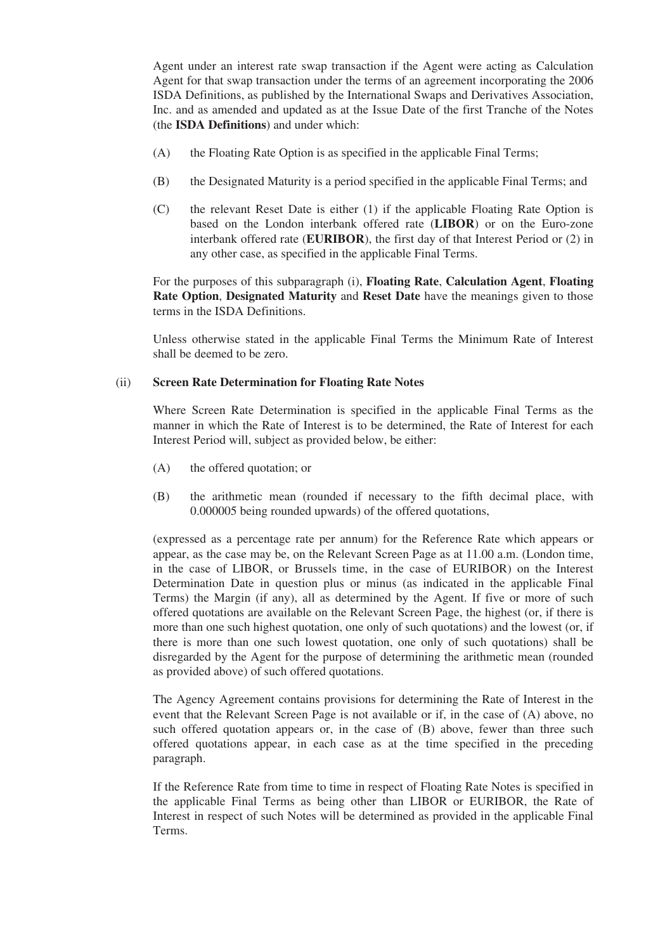Agent under an interest rate swap transaction if the Agent were acting as Calculation Agent for that swap transaction under the terms of an agreement incorporating the 2006 ISDA Definitions, as published by the International Swaps and Derivatives Association, Inc. and as amended and updated as at the Issue Date of the first Tranche of the Notes (the **ISDA Definitions**) and under which:

- (A) the Floating Rate Option is as specified in the applicable Final Terms;
- (B) the Designated Maturity is a period specified in the applicable Final Terms; and
- (C) the relevant Reset Date is either (1) if the applicable Floating Rate Option is based on the London interbank offered rate (**LIBOR**) or on the Euro-zone interbank offered rate (**EURIBOR**), the first day of that Interest Period or (2) in any other case, as specified in the applicable Final Terms.

For the purposes of this subparagraph (i), **Floating Rate**, **Calculation Agent**, **Floating Rate Option**, **Designated Maturity** and **Reset Date** have the meanings given to those terms in the ISDA Definitions.

Unless otherwise stated in the applicable Final Terms the Minimum Rate of Interest shall be deemed to be zero.

#### (ii) **Screen Rate Determination for Floating Rate Notes**

Where Screen Rate Determination is specified in the applicable Final Terms as the manner in which the Rate of Interest is to be determined, the Rate of Interest for each Interest Period will, subject as provided below, be either:

- (A) the offered quotation; or
- (B) the arithmetic mean (rounded if necessary to the fifth decimal place, with 0.000005 being rounded upwards) of the offered quotations,

(expressed as a percentage rate per annum) for the Reference Rate which appears or appear, as the case may be, on the Relevant Screen Page as at 11.00 a.m. (London time, in the case of LIBOR, or Brussels time, in the case of EURIBOR) on the Interest Determination Date in question plus or minus (as indicated in the applicable Final Terms) the Margin (if any), all as determined by the Agent. If five or more of such offered quotations are available on the Relevant Screen Page, the highest (or, if there is more than one such highest quotation, one only of such quotations) and the lowest (or, if there is more than one such lowest quotation, one only of such quotations) shall be disregarded by the Agent for the purpose of determining the arithmetic mean (rounded as provided above) of such offered quotations.

The Agency Agreement contains provisions for determining the Rate of Interest in the event that the Relevant Screen Page is not available or if, in the case of (A) above, no such offered quotation appears or, in the case of (B) above, fewer than three such offered quotations appear, in each case as at the time specified in the preceding paragraph.

If the Reference Rate from time to time in respect of Floating Rate Notes is specified in the applicable Final Terms as being other than LIBOR or EURIBOR, the Rate of Interest in respect of such Notes will be determined as provided in the applicable Final Terms.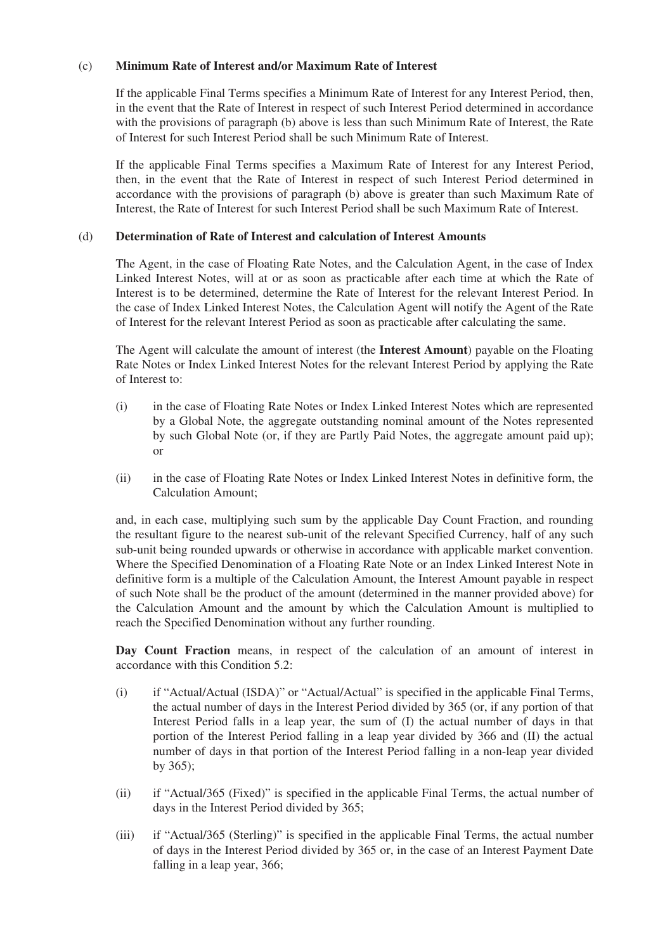## (c) **Minimum Rate of Interest and/or Maximum Rate of Interest**

If the applicable Final Terms specifies a Minimum Rate of Interest for any Interest Period, then, in the event that the Rate of Interest in respect of such Interest Period determined in accordance with the provisions of paragraph (b) above is less than such Minimum Rate of Interest, the Rate of Interest for such Interest Period shall be such Minimum Rate of Interest.

If the applicable Final Terms specifies a Maximum Rate of Interest for any Interest Period, then, in the event that the Rate of Interest in respect of such Interest Period determined in accordance with the provisions of paragraph (b) above is greater than such Maximum Rate of Interest, the Rate of Interest for such Interest Period shall be such Maximum Rate of Interest.

# (d) **Determination of Rate of Interest and calculation of Interest Amounts**

The Agent, in the case of Floating Rate Notes, and the Calculation Agent, in the case of Index Linked Interest Notes, will at or as soon as practicable after each time at which the Rate of Interest is to be determined, determine the Rate of Interest for the relevant Interest Period. In the case of Index Linked Interest Notes, the Calculation Agent will notify the Agent of the Rate of Interest for the relevant Interest Period as soon as practicable after calculating the same.

The Agent will calculate the amount of interest (the **Interest Amount**) payable on the Floating Rate Notes or Index Linked Interest Notes for the relevant Interest Period by applying the Rate of Interest to:

- (i) in the case of Floating Rate Notes or Index Linked Interest Notes which are represented by a Global Note, the aggregate outstanding nominal amount of the Notes represented by such Global Note (or, if they are Partly Paid Notes, the aggregate amount paid up); or
- (ii) in the case of Floating Rate Notes or Index Linked Interest Notes in definitive form, the Calculation Amount;

and, in each case, multiplying such sum by the applicable Day Count Fraction, and rounding the resultant figure to the nearest sub-unit of the relevant Specified Currency, half of any such sub-unit being rounded upwards or otherwise in accordance with applicable market convention. Where the Specified Denomination of a Floating Rate Note or an Index Linked Interest Note in definitive form is a multiple of the Calculation Amount, the Interest Amount payable in respect of such Note shall be the product of the amount (determined in the manner provided above) for the Calculation Amount and the amount by which the Calculation Amount is multiplied to reach the Specified Denomination without any further rounding.

**Day Count Fraction** means, in respect of the calculation of an amount of interest in accordance with this Condition 5.2:

- (i) if "Actual/Actual (ISDA)" or "Actual/Actual" is specified in the applicable Final Terms, the actual number of days in the Interest Period divided by 365 (or, if any portion of that Interest Period falls in a leap year, the sum of (I) the actual number of days in that portion of the Interest Period falling in a leap year divided by 366 and (II) the actual number of days in that portion of the Interest Period falling in a non-leap year divided by 365);
- (ii) if "Actual/365 (Fixed)" is specified in the applicable Final Terms, the actual number of days in the Interest Period divided by 365;
- (iii) if "Actual/365 (Sterling)" is specified in the applicable Final Terms, the actual number of days in the Interest Period divided by 365 or, in the case of an Interest Payment Date falling in a leap year, 366;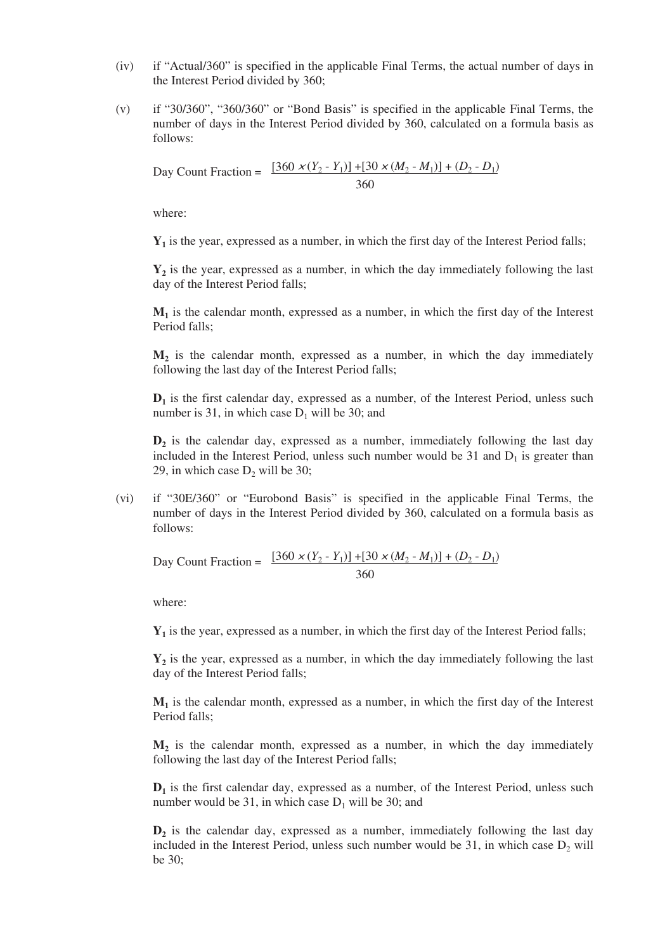- (iv) if "Actual/360" is specified in the applicable Final Terms, the actual number of days in the Interest Period divided by 360;
- (v) if "30/360", "360/360" or "Bond Basis" is specified in the applicable Final Terms, the number of days in the Interest Period divided by 360, calculated on a formula basis as follows:

Day Count Fraction =  $\frac{[360 \times (Y_2 - Y_1)] + [30 \times (M_2 - M_1)] + (D_2 - D_1)}{[360 \times (M_2 - M_1)] + (D_2 - D_1)}$ 360

where:

**Y1** is the year, expressed as a number, in which the first day of the Interest Period falls;

**Y2** is the year, expressed as a number, in which the day immediately following the last day of the Interest Period falls;

**M1** is the calendar month, expressed as a number, in which the first day of the Interest Period falls;

**M2** is the calendar month, expressed as a number, in which the day immediately following the last day of the Interest Period falls;

 $D_1$  is the first calendar day, expressed as a number, of the Interest Period, unless such number is 31, in which case  $D_1$  will be 30; and

**D2** is the calendar day, expressed as a number, immediately following the last day included in the Interest Period, unless such number would be 31 and  $D_1$  is greater than 29, in which case  $D_2$  will be 30;

(vi) if "30E/360" or "Eurobond Basis" is specified in the applicable Final Terms, the number of days in the Interest Period divided by 360, calculated on a formula basis as follows:

Day Count Fraction =  $\frac{[360 \times (Y_2 - Y_1)] + [30 \times (M_2 - M_1)] + (D_2 - D_1)}{[360 \times (M_2 - M_1)] + (D_2 - D_1)}$ 360

where:

**Y1** is the year, expressed as a number, in which the first day of the Interest Period falls;

**Y2** is the year, expressed as a number, in which the day immediately following the last day of the Interest Period falls;

 $M_1$  is the calendar month, expressed as a number, in which the first day of the Interest Period falls;

**M2** is the calendar month, expressed as a number, in which the day immediately following the last day of the Interest Period falls;

**D1** is the first calendar day, expressed as a number, of the Interest Period, unless such number would be 31, in which case  $D_1$  will be 30; and

**D2** is the calendar day, expressed as a number, immediately following the last day included in the Interest Period, unless such number would be 31, in which case  $D_2$  will be 30;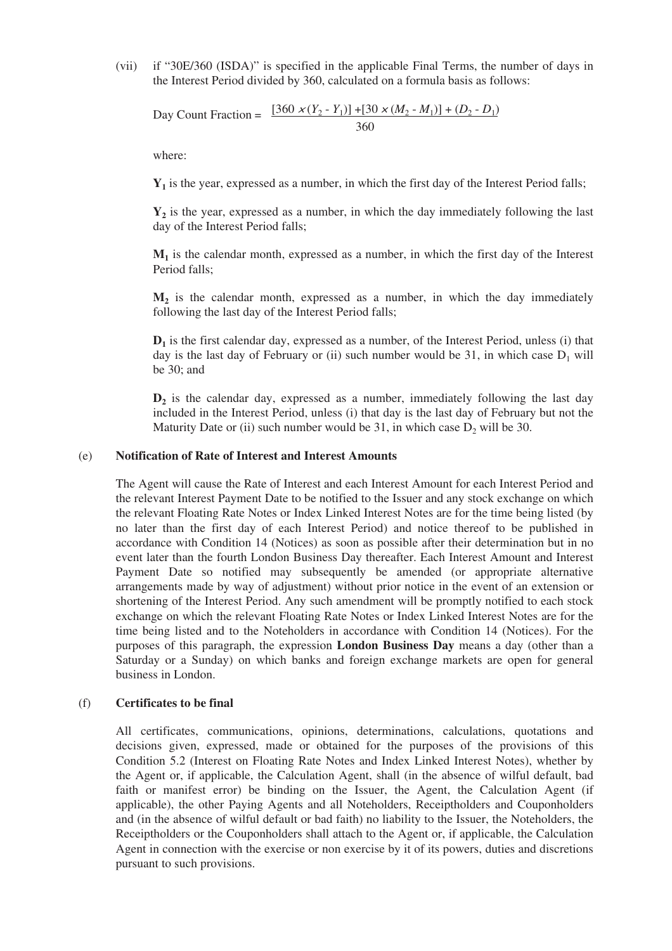(vii) if "30E/360 (ISDA)" is specified in the applicable Final Terms, the number of days in the Interest Period divided by 360, calculated on a formula basis as follows:

Day Count Fraction =  $\frac{[360 \times (Y_2 - Y_1)] + [30 \times (M_2 - M_1)] + (D_2 - D_1)}{[360 \times (Y_2 - Y_1)] + [36 \times (M_2 - M_1)]}$ 360

where:

**Y1** is the year, expressed as a number, in which the first day of the Interest Period falls;

**Y2** is the year, expressed as a number, in which the day immediately following the last day of the Interest Period falls;

 $M_1$  is the calendar month, expressed as a number, in which the first day of the Interest Period falls;

**M2** is the calendar month, expressed as a number, in which the day immediately following the last day of the Interest Period falls;

**D1** is the first calendar day, expressed as a number, of the Interest Period, unless (i) that day is the last day of February or (ii) such number would be 31, in which case  $D_1$  will be 30; and

 $D_2$  is the calendar day, expressed as a number, immediately following the last day included in the Interest Period, unless (i) that day is the last day of February but not the Maturity Date or (ii) such number would be 31, in which case  $D_2$  will be 30.

#### (e) **Notification of Rate of Interest and Interest Amounts**

The Agent will cause the Rate of Interest and each Interest Amount for each Interest Period and the relevant Interest Payment Date to be notified to the Issuer and any stock exchange on which the relevant Floating Rate Notes or Index Linked Interest Notes are for the time being listed (by no later than the first day of each Interest Period) and notice thereof to be published in accordance with Condition 14 (Notices) as soon as possible after their determination but in no event later than the fourth London Business Day thereafter. Each Interest Amount and Interest Payment Date so notified may subsequently be amended (or appropriate alternative arrangements made by way of adjustment) without prior notice in the event of an extension or shortening of the Interest Period. Any such amendment will be promptly notified to each stock exchange on which the relevant Floating Rate Notes or Index Linked Interest Notes are for the time being listed and to the Noteholders in accordance with Condition 14 (Notices). For the purposes of this paragraph, the expression **London Business Day** means a day (other than a Saturday or a Sunday) on which banks and foreign exchange markets are open for general business in London.

#### (f) **Certificates to be final**

All certificates, communications, opinions, determinations, calculations, quotations and decisions given, expressed, made or obtained for the purposes of the provisions of this Condition 5.2 (Interest on Floating Rate Notes and Index Linked Interest Notes), whether by the Agent or, if applicable, the Calculation Agent, shall (in the absence of wilful default, bad faith or manifest error) be binding on the Issuer, the Agent, the Calculation Agent (if applicable), the other Paying Agents and all Noteholders, Receiptholders and Couponholders and (in the absence of wilful default or bad faith) no liability to the Issuer, the Noteholders, the Receiptholders or the Couponholders shall attach to the Agent or, if applicable, the Calculation Agent in connection with the exercise or non exercise by it of its powers, duties and discretions pursuant to such provisions.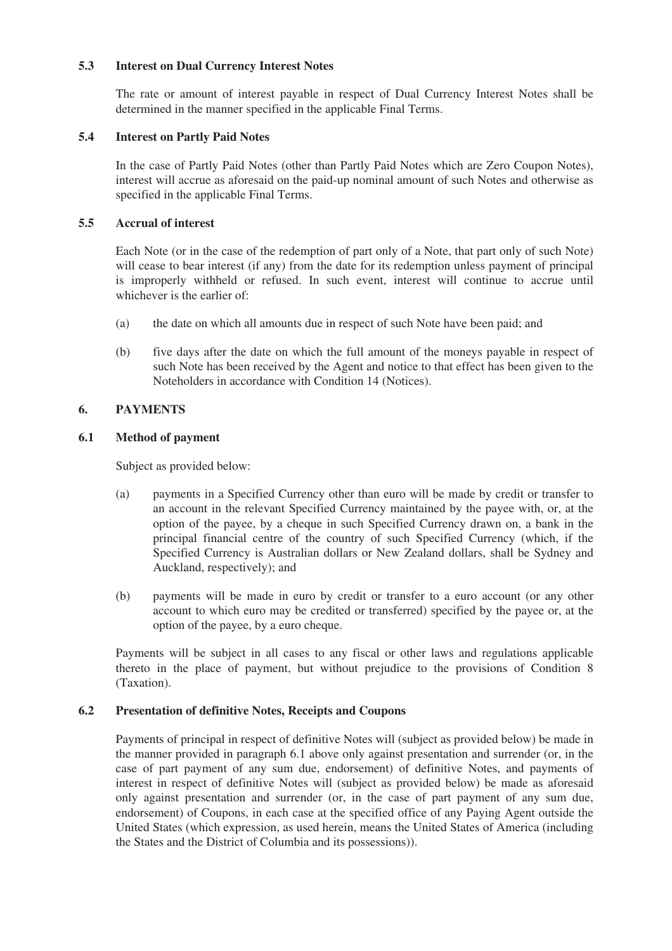# **5.3 Interest on Dual Currency Interest Notes**

The rate or amount of interest payable in respect of Dual Currency Interest Notes shall be determined in the manner specified in the applicable Final Terms.

## **5.4 Interest on Partly Paid Notes**

In the case of Partly Paid Notes (other than Partly Paid Notes which are Zero Coupon Notes), interest will accrue as aforesaid on the paid-up nominal amount of such Notes and otherwise as specified in the applicable Final Terms.

## **5.5 Accrual of interest**

Each Note (or in the case of the redemption of part only of a Note, that part only of such Note) will cease to bear interest (if any) from the date for its redemption unless payment of principal is improperly withheld or refused. In such event, interest will continue to accrue until whichever is the earlier of:

- (a) the date on which all amounts due in respect of such Note have been paid; and
- (b) five days after the date on which the full amount of the moneys payable in respect of such Note has been received by the Agent and notice to that effect has been given to the Noteholders in accordance with Condition 14 (Notices).

# **6. PAYMENTS**

# **6.1 Method of payment**

Subject as provided below:

- (a) payments in a Specified Currency other than euro will be made by credit or transfer to an account in the relevant Specified Currency maintained by the payee with, or, at the option of the payee, by a cheque in such Specified Currency drawn on, a bank in the principal financial centre of the country of such Specified Currency (which, if the Specified Currency is Australian dollars or New Zealand dollars, shall be Sydney and Auckland, respectively); and
- (b) payments will be made in euro by credit or transfer to a euro account (or any other account to which euro may be credited or transferred) specified by the payee or, at the option of the payee, by a euro cheque.

Payments will be subject in all cases to any fiscal or other laws and regulations applicable thereto in the place of payment, but without prejudice to the provisions of Condition 8 (Taxation).

#### **6.2 Presentation of definitive Notes, Receipts and Coupons**

Payments of principal in respect of definitive Notes will (subject as provided below) be made in the manner provided in paragraph 6.1 above only against presentation and surrender (or, in the case of part payment of any sum due, endorsement) of definitive Notes, and payments of interest in respect of definitive Notes will (subject as provided below) be made as aforesaid only against presentation and surrender (or, in the case of part payment of any sum due, endorsement) of Coupons, in each case at the specified office of any Paying Agent outside the United States (which expression, as used herein, means the United States of America (including the States and the District of Columbia and its possessions)).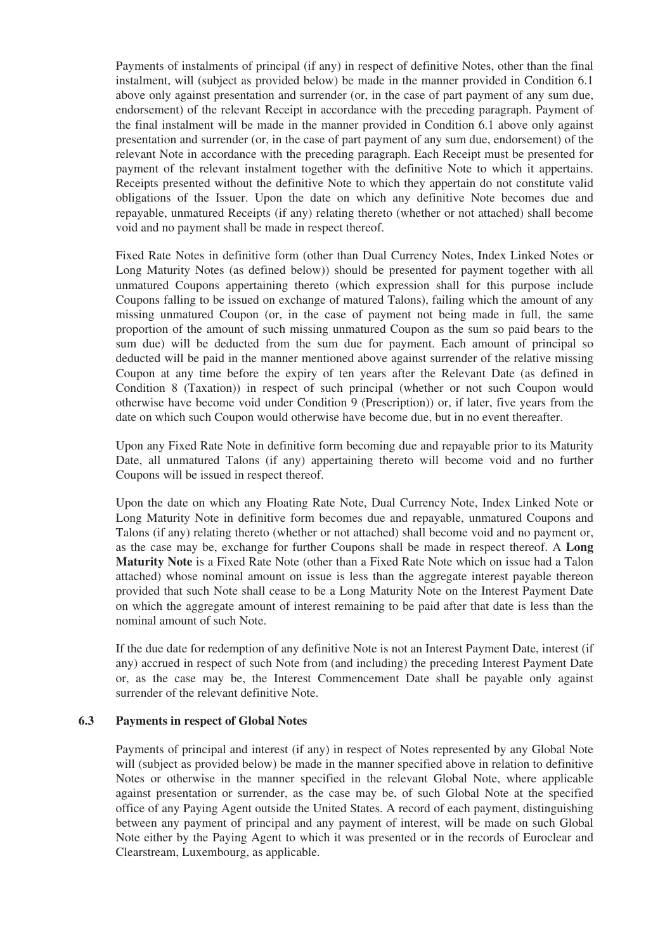Payments of instalments of principal (if any) in respect of definitive Notes, other than the final instalment, will (subject as provided below) be made in the manner provided in Condition 6.1 above only against presentation and surrender (or, in the case of part payment of any sum due, endorsement) of the relevant Receipt in accordance with the preceding paragraph. Payment of the final instalment will be made in the manner provided in Condition 6.1 above only against presentation and surrender (or, in the case of part payment of any sum due, endorsement) of the relevant Note in accordance with the preceding paragraph. Each Receipt must be presented for payment of the relevant instalment together with the definitive Note to which it appertains. Receipts presented without the definitive Note to which they appertain do not constitute valid obligations of the Issuer. Upon the date on which any definitive Note becomes due and repayable, unmatured Receipts (if any) relating thereto (whether or not attached) shall become void and no payment shall be made in respect thereof.

Fixed Rate Notes in definitive form (other than Dual Currency Notes, Index Linked Notes or Long Maturity Notes (as defined below)) should be presented for payment together with all unmatured Coupons appertaining thereto (which expression shall for this purpose include Coupons falling to be issued on exchange of matured Talons), failing which the amount of any missing unmatured Coupon (or, in the case of payment not being made in full, the same proportion of the amount of such missing unmatured Coupon as the sum so paid bears to the sum due) will be deducted from the sum due for payment. Each amount of principal so deducted will be paid in the manner mentioned above against surrender of the relative missing Coupon at any time before the expiry of ten years after the Relevant Date (as defined in Condition 8 (Taxation)) in respect of such principal (whether or not such Coupon would otherwise have become void under Condition 9 (Prescription)) or, if later, five years from the date on which such Coupon would otherwise have become due, but in no event thereafter.

Upon any Fixed Rate Note in definitive form becoming due and repayable prior to its Maturity Date, all unmatured Talons (if any) appertaining thereto will become void and no further Coupons will be issued in respect thereof.

Upon the date on which any Floating Rate Note, Dual Currency Note, Index Linked Note or Long Maturity Note in definitive form becomes due and repayable, unmatured Coupons and Talons (if any) relating thereto (whether or not attached) shall become void and no payment or, as the case may be, exchange for further Coupons shall be made in respect thereof. A **Long Maturity Note** is a Fixed Rate Note (other than a Fixed Rate Note which on issue had a Talon attached) whose nominal amount on issue is less than the aggregate interest payable thereon provided that such Note shall cease to be a Long Maturity Note on the Interest Payment Date on which the aggregate amount of interest remaining to be paid after that date is less than the nominal amount of such Note.

If the due date for redemption of any definitive Note is not an Interest Payment Date, interest (if any) accrued in respect of such Note from (and including) the preceding Interest Payment Date or, as the case may be, the Interest Commencement Date shall be payable only against surrender of the relevant definitive Note.

#### **6.3 Payments in respect of Global Notes**

Payments of principal and interest (if any) in respect of Notes represented by any Global Note will (subject as provided below) be made in the manner specified above in relation to definitive Notes or otherwise in the manner specified in the relevant Global Note, where applicable against presentation or surrender, as the case may be, of such Global Note at the specified office of any Paying Agent outside the United States. A record of each payment, distinguishing between any payment of principal and any payment of interest, will be made on such Global Note either by the Paying Agent to which it was presented or in the records of Euroclear and Clearstream, Luxembourg, as applicable.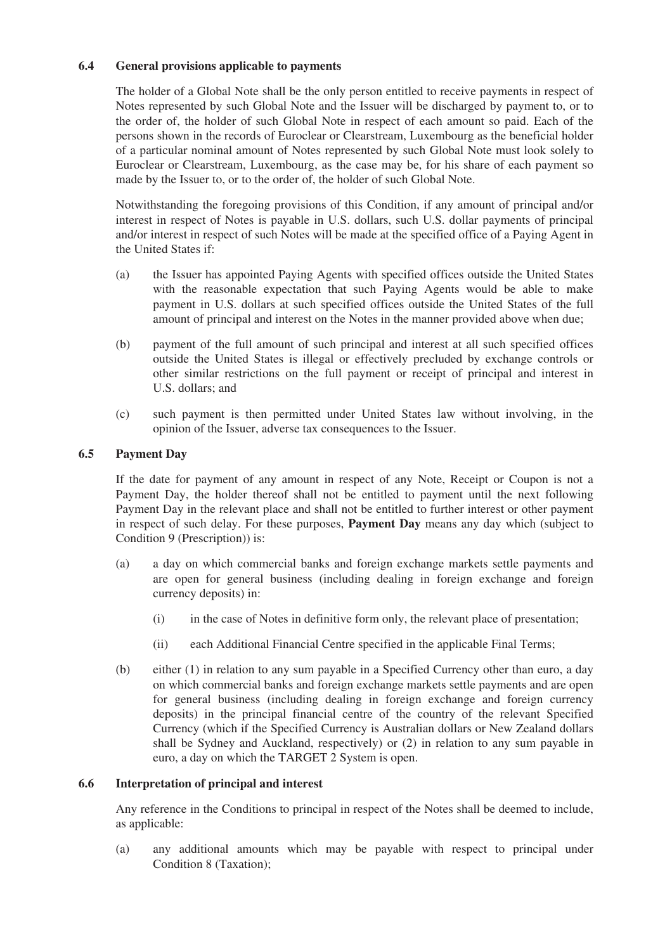# **6.4 General provisions applicable to payments**

The holder of a Global Note shall be the only person entitled to receive payments in respect of Notes represented by such Global Note and the Issuer will be discharged by payment to, or to the order of, the holder of such Global Note in respect of each amount so paid. Each of the persons shown in the records of Euroclear or Clearstream, Luxembourg as the beneficial holder of a particular nominal amount of Notes represented by such Global Note must look solely to Euroclear or Clearstream, Luxembourg, as the case may be, for his share of each payment so made by the Issuer to, or to the order of, the holder of such Global Note.

Notwithstanding the foregoing provisions of this Condition, if any amount of principal and/or interest in respect of Notes is payable in U.S. dollars, such U.S. dollar payments of principal and/or interest in respect of such Notes will be made at the specified office of a Paying Agent in the United States if:

- (a) the Issuer has appointed Paying Agents with specified offices outside the United States with the reasonable expectation that such Paying Agents would be able to make payment in U.S. dollars at such specified offices outside the United States of the full amount of principal and interest on the Notes in the manner provided above when due;
- (b) payment of the full amount of such principal and interest at all such specified offices outside the United States is illegal or effectively precluded by exchange controls or other similar restrictions on the full payment or receipt of principal and interest in U.S. dollars; and
- (c) such payment is then permitted under United States law without involving, in the opinion of the Issuer, adverse tax consequences to the Issuer.

# **6.5 Payment Day**

If the date for payment of any amount in respect of any Note, Receipt or Coupon is not a Payment Day, the holder thereof shall not be entitled to payment until the next following Payment Day in the relevant place and shall not be entitled to further interest or other payment in respect of such delay. For these purposes, **Payment Day** means any day which (subject to Condition 9 (Prescription)) is:

- (a) a day on which commercial banks and foreign exchange markets settle payments and are open for general business (including dealing in foreign exchange and foreign currency deposits) in:
	- (i) in the case of Notes in definitive form only, the relevant place of presentation;
	- (ii) each Additional Financial Centre specified in the applicable Final Terms;
- (b) either (1) in relation to any sum payable in a Specified Currency other than euro, a day on which commercial banks and foreign exchange markets settle payments and are open for general business (including dealing in foreign exchange and foreign currency deposits) in the principal financial centre of the country of the relevant Specified Currency (which if the Specified Currency is Australian dollars or New Zealand dollars shall be Sydney and Auckland, respectively) or (2) in relation to any sum payable in euro, a day on which the TARGET 2 System is open.

## **6.6 Interpretation of principal and interest**

Any reference in the Conditions to principal in respect of the Notes shall be deemed to include, as applicable:

(a) any additional amounts which may be payable with respect to principal under Condition 8 (Taxation);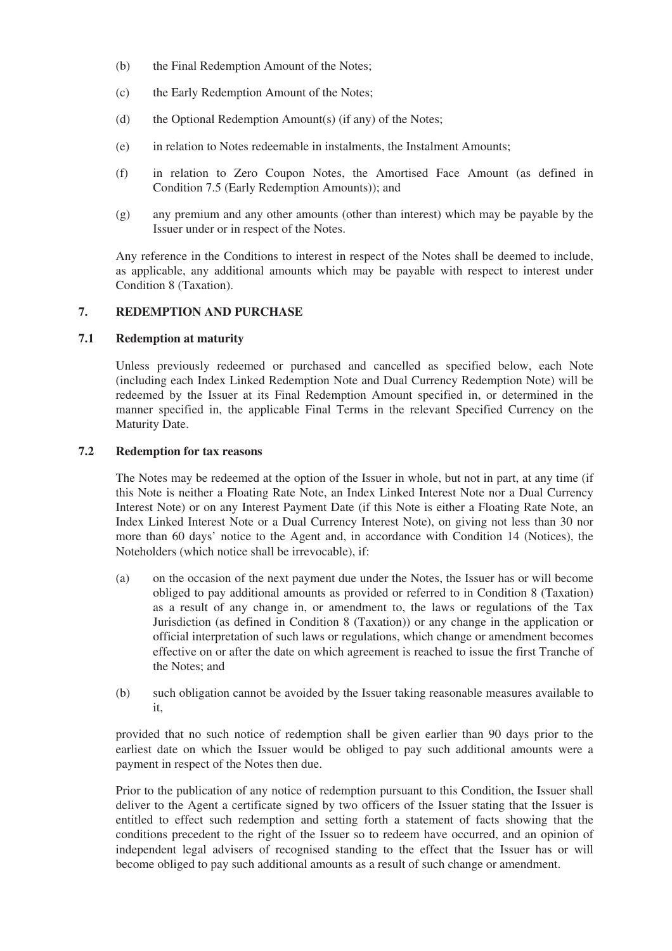- (b) the Final Redemption Amount of the Notes;
- (c) the Early Redemption Amount of the Notes;
- (d) the Optional Redemption Amount(s) (if any) of the Notes;
- (e) in relation to Notes redeemable in instalments, the Instalment Amounts;
- (f) in relation to Zero Coupon Notes, the Amortised Face Amount (as defined in Condition 7.5 (Early Redemption Amounts)); and
- (g) any premium and any other amounts (other than interest) which may be payable by the Issuer under or in respect of the Notes.

Any reference in the Conditions to interest in respect of the Notes shall be deemed to include, as applicable, any additional amounts which may be payable with respect to interest under Condition 8 (Taxation).

# **7. REDEMPTION AND PURCHASE**

#### **7.1 Redemption at maturity**

Unless previously redeemed or purchased and cancelled as specified below, each Note (including each Index Linked Redemption Note and Dual Currency Redemption Note) will be redeemed by the Issuer at its Final Redemption Amount specified in, or determined in the manner specified in, the applicable Final Terms in the relevant Specified Currency on the Maturity Date.

#### **7.2 Redemption for tax reasons**

The Notes may be redeemed at the option of the Issuer in whole, but not in part, at any time (if this Note is neither a Floating Rate Note, an Index Linked Interest Note nor a Dual Currency Interest Note) or on any Interest Payment Date (if this Note is either a Floating Rate Note, an Index Linked Interest Note or a Dual Currency Interest Note), on giving not less than 30 nor more than 60 days' notice to the Agent and, in accordance with Condition 14 (Notices), the Noteholders (which notice shall be irrevocable), if:

- (a) on the occasion of the next payment due under the Notes, the Issuer has or will become obliged to pay additional amounts as provided or referred to in Condition 8 (Taxation) as a result of any change in, or amendment to, the laws or regulations of the Tax Jurisdiction (as defined in Condition 8 (Taxation)) or any change in the application or official interpretation of such laws or regulations, which change or amendment becomes effective on or after the date on which agreement is reached to issue the first Tranche of the Notes; and
- (b) such obligation cannot be avoided by the Issuer taking reasonable measures available to it,

provided that no such notice of redemption shall be given earlier than 90 days prior to the earliest date on which the Issuer would be obliged to pay such additional amounts were a payment in respect of the Notes then due.

Prior to the publication of any notice of redemption pursuant to this Condition, the Issuer shall deliver to the Agent a certificate signed by two officers of the Issuer stating that the Issuer is entitled to effect such redemption and setting forth a statement of facts showing that the conditions precedent to the right of the Issuer so to redeem have occurred, and an opinion of independent legal advisers of recognised standing to the effect that the Issuer has or will become obliged to pay such additional amounts as a result of such change or amendment.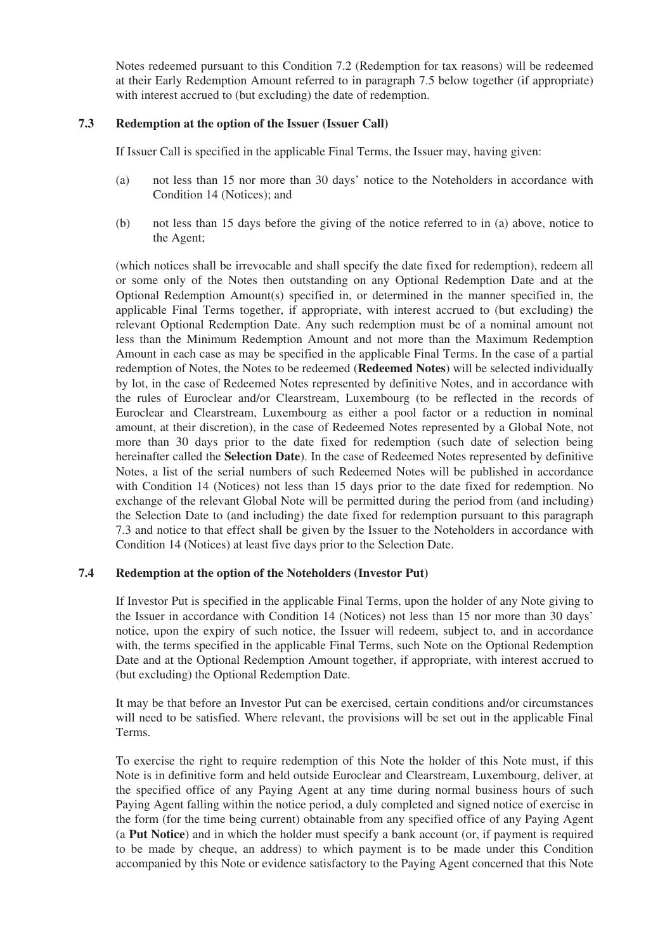Notes redeemed pursuant to this Condition 7.2 (Redemption for tax reasons) will be redeemed at their Early Redemption Amount referred to in paragraph 7.5 below together (if appropriate) with interest accrued to (but excluding) the date of redemption.

## **7.3 Redemption at the option of the Issuer (Issuer Call)**

If Issuer Call is specified in the applicable Final Terms, the Issuer may, having given:

- (a) not less than 15 nor more than 30 days' notice to the Noteholders in accordance with Condition 14 (Notices); and
- (b) not less than 15 days before the giving of the notice referred to in (a) above, notice to the Agent;

(which notices shall be irrevocable and shall specify the date fixed for redemption), redeem all or some only of the Notes then outstanding on any Optional Redemption Date and at the Optional Redemption Amount(s) specified in, or determined in the manner specified in, the applicable Final Terms together, if appropriate, with interest accrued to (but excluding) the relevant Optional Redemption Date. Any such redemption must be of a nominal amount not less than the Minimum Redemption Amount and not more than the Maximum Redemption Amount in each case as may be specified in the applicable Final Terms. In the case of a partial redemption of Notes, the Notes to be redeemed (**Redeemed Notes**) will be selected individually by lot, in the case of Redeemed Notes represented by definitive Notes, and in accordance with the rules of Euroclear and/or Clearstream, Luxembourg (to be reflected in the records of Euroclear and Clearstream, Luxembourg as either a pool factor or a reduction in nominal amount, at their discretion), in the case of Redeemed Notes represented by a Global Note, not more than 30 days prior to the date fixed for redemption (such date of selection being hereinafter called the **Selection Date**). In the case of Redeemed Notes represented by definitive Notes, a list of the serial numbers of such Redeemed Notes will be published in accordance with Condition 14 (Notices) not less than 15 days prior to the date fixed for redemption. No exchange of the relevant Global Note will be permitted during the period from (and including) the Selection Date to (and including) the date fixed for redemption pursuant to this paragraph 7.3 and notice to that effect shall be given by the Issuer to the Noteholders in accordance with Condition 14 (Notices) at least five days prior to the Selection Date.

#### **7.4 Redemption at the option of the Noteholders (Investor Put)**

If Investor Put is specified in the applicable Final Terms, upon the holder of any Note giving to the Issuer in accordance with Condition 14 (Notices) not less than 15 nor more than 30 days' notice, upon the expiry of such notice, the Issuer will redeem, subject to, and in accordance with, the terms specified in the applicable Final Terms, such Note on the Optional Redemption Date and at the Optional Redemption Amount together, if appropriate, with interest accrued to (but excluding) the Optional Redemption Date.

It may be that before an Investor Put can be exercised, certain conditions and/or circumstances will need to be satisfied. Where relevant, the provisions will be set out in the applicable Final Terms.

To exercise the right to require redemption of this Note the holder of this Note must, if this Note is in definitive form and held outside Euroclear and Clearstream, Luxembourg, deliver, at the specified office of any Paying Agent at any time during normal business hours of such Paying Agent falling within the notice period, a duly completed and signed notice of exercise in the form (for the time being current) obtainable from any specified office of any Paying Agent (a **Put Notice**) and in which the holder must specify a bank account (or, if payment is required to be made by cheque, an address) to which payment is to be made under this Condition accompanied by this Note or evidence satisfactory to the Paying Agent concerned that this Note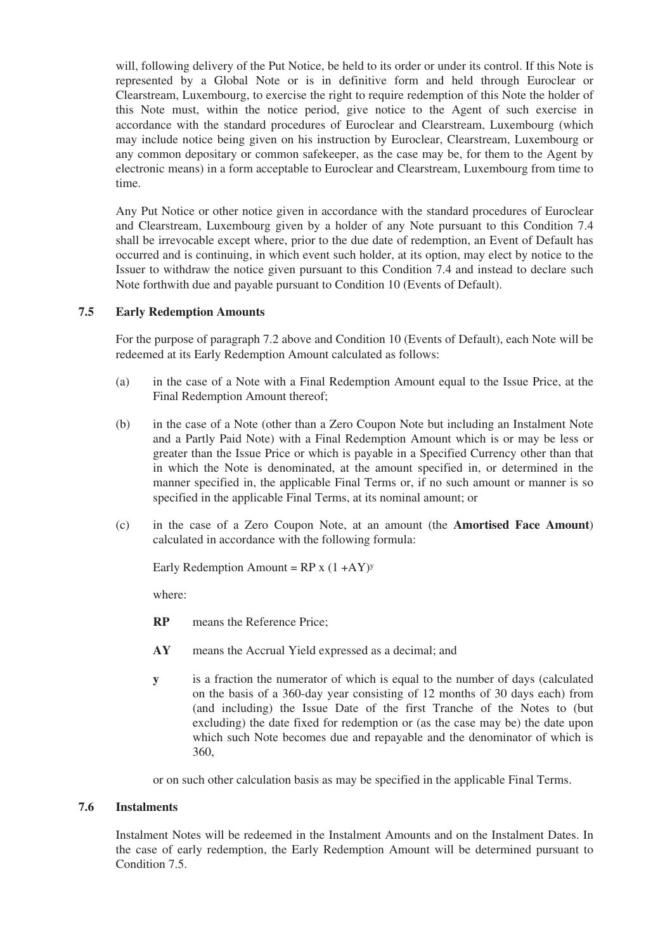will, following delivery of the Put Notice, be held to its order or under its control. If this Note is represented by a Global Note or is in definitive form and held through Euroclear or Clearstream, Luxembourg, to exercise the right to require redemption of this Note the holder of this Note must, within the notice period, give notice to the Agent of such exercise in accordance with the standard procedures of Euroclear and Clearstream, Luxembourg (which may include notice being given on his instruction by Euroclear, Clearstream, Luxembourg or any common depositary or common safekeeper, as the case may be, for them to the Agent by electronic means) in a form acceptable to Euroclear and Clearstream, Luxembourg from time to time.

Any Put Notice or other notice given in accordance with the standard procedures of Euroclear and Clearstream, Luxembourg given by a holder of any Note pursuant to this Condition 7.4 shall be irrevocable except where, prior to the due date of redemption, an Event of Default has occurred and is continuing, in which event such holder, at its option, may elect by notice to the Issuer to withdraw the notice given pursuant to this Condition 7.4 and instead to declare such Note forthwith due and payable pursuant to Condition 10 (Events of Default).

# **7.5 Early Redemption Amounts**

For the purpose of paragraph 7.2 above and Condition 10 (Events of Default), each Note will be redeemed at its Early Redemption Amount calculated as follows:

- (a) in the case of a Note with a Final Redemption Amount equal to the Issue Price, at the Final Redemption Amount thereof;
- (b) in the case of a Note (other than a Zero Coupon Note but including an Instalment Note and a Partly Paid Note) with a Final Redemption Amount which is or may be less or greater than the Issue Price or which is payable in a Specified Currency other than that in which the Note is denominated, at the amount specified in, or determined in the manner specified in, the applicable Final Terms or, if no such amount or manner is so specified in the applicable Final Terms, at its nominal amount; or
- (c) in the case of a Zero Coupon Note, at an amount (the **Amortised Face Amount**) calculated in accordance with the following formula:

Early Redemption Amount =  $RP x (1 + AY)y$ 

where:

- **RP** means the Reference Price;
- **AY** means the Accrual Yield expressed as a decimal; and
- **y** is a fraction the numerator of which is equal to the number of days (calculated on the basis of a 360-day year consisting of 12 months of 30 days each) from (and including) the Issue Date of the first Tranche of the Notes to (but excluding) the date fixed for redemption or (as the case may be) the date upon which such Note becomes due and repayable and the denominator of which is 360,

or on such other calculation basis as may be specified in the applicable Final Terms.

#### **7.6 Instalments**

Instalment Notes will be redeemed in the Instalment Amounts and on the Instalment Dates. In the case of early redemption, the Early Redemption Amount will be determined pursuant to Condition 7.5.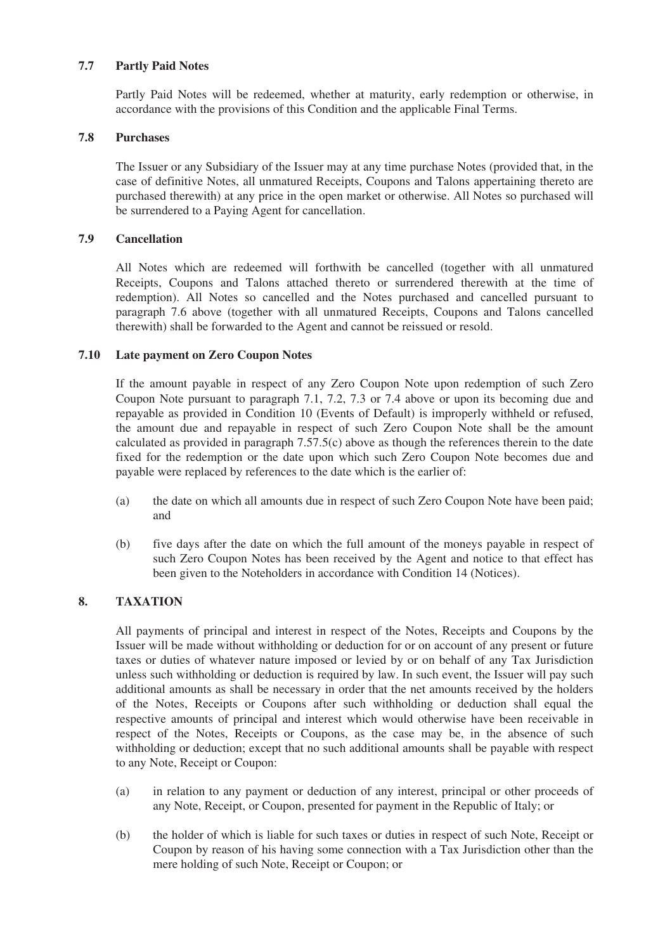# **7.7 Partly Paid Notes**

Partly Paid Notes will be redeemed, whether at maturity, early redemption or otherwise, in accordance with the provisions of this Condition and the applicable Final Terms.

## **7.8 Purchases**

The Issuer or any Subsidiary of the Issuer may at any time purchase Notes (provided that, in the case of definitive Notes, all unmatured Receipts, Coupons and Talons appertaining thereto are purchased therewith) at any price in the open market or otherwise. All Notes so purchased will be surrendered to a Paying Agent for cancellation.

# **7.9 Cancellation**

All Notes which are redeemed will forthwith be cancelled (together with all unmatured Receipts, Coupons and Talons attached thereto or surrendered therewith at the time of redemption). All Notes so cancelled and the Notes purchased and cancelled pursuant to paragraph 7.6 above (together with all unmatured Receipts, Coupons and Talons cancelled therewith) shall be forwarded to the Agent and cannot be reissued or resold.

# **7.10 Late payment on Zero Coupon Notes**

If the amount payable in respect of any Zero Coupon Note upon redemption of such Zero Coupon Note pursuant to paragraph 7.1, 7.2, 7.3 or 7.4 above or upon its becoming due and repayable as provided in Condition 10 (Events of Default) is improperly withheld or refused, the amount due and repayable in respect of such Zero Coupon Note shall be the amount calculated as provided in paragraph 7.57.5(c) above as though the references therein to the date fixed for the redemption or the date upon which such Zero Coupon Note becomes due and payable were replaced by references to the date which is the earlier of:

- (a) the date on which all amounts due in respect of such Zero Coupon Note have been paid; and
- (b) five days after the date on which the full amount of the moneys payable in respect of such Zero Coupon Notes has been received by the Agent and notice to that effect has been given to the Noteholders in accordance with Condition 14 (Notices).

# **8. TAXATION**

All payments of principal and interest in respect of the Notes, Receipts and Coupons by the Issuer will be made without withholding or deduction for or on account of any present or future taxes or duties of whatever nature imposed or levied by or on behalf of any Tax Jurisdiction unless such withholding or deduction is required by law. In such event, the Issuer will pay such additional amounts as shall be necessary in order that the net amounts received by the holders of the Notes, Receipts or Coupons after such withholding or deduction shall equal the respective amounts of principal and interest which would otherwise have been receivable in respect of the Notes, Receipts or Coupons, as the case may be, in the absence of such withholding or deduction; except that no such additional amounts shall be payable with respect to any Note, Receipt or Coupon:

- (a) in relation to any payment or deduction of any interest, principal or other proceeds of any Note, Receipt, or Coupon, presented for payment in the Republic of Italy; or
- (b) the holder of which is liable for such taxes or duties in respect of such Note, Receipt or Coupon by reason of his having some connection with a Tax Jurisdiction other than the mere holding of such Note, Receipt or Coupon; or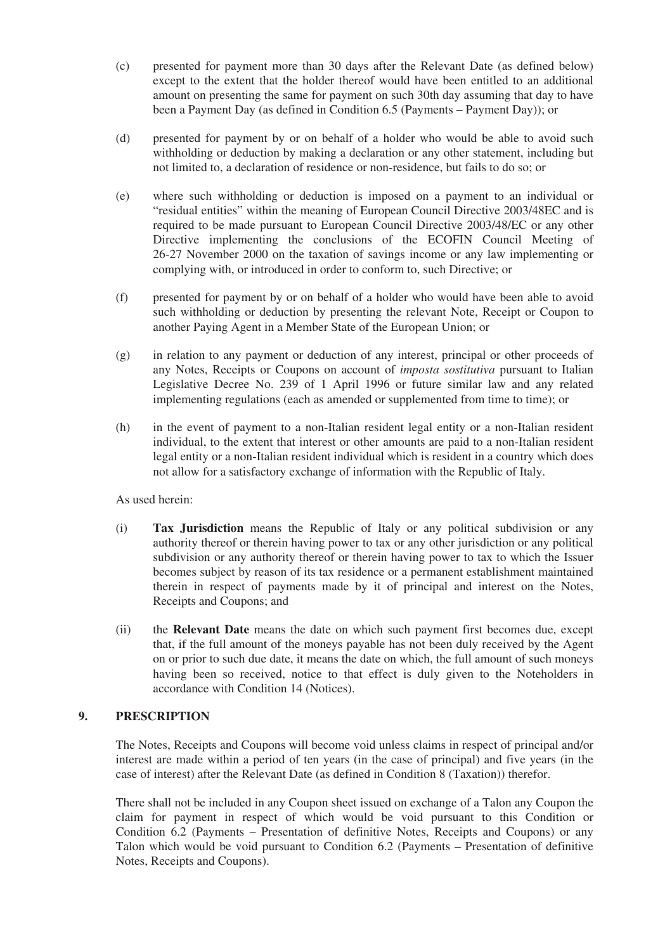- (c) presented for payment more than 30 days after the Relevant Date (as defined below) except to the extent that the holder thereof would have been entitled to an additional amount on presenting the same for payment on such 30th day assuming that day to have been a Payment Day (as defined in Condition 6.5 (Payments – Payment Day)); or
- (d) presented for payment by or on behalf of a holder who would be able to avoid such withholding or deduction by making a declaration or any other statement, including but not limited to, a declaration of residence or non-residence, but fails to do so; or
- (e) where such withholding or deduction is imposed on a payment to an individual or "residual entities" within the meaning of European Council Directive 2003/48EC and is required to be made pursuant to European Council Directive 2003/48/EC or any other Directive implementing the conclusions of the ECOFIN Council Meeting of 26-27 November 2000 on the taxation of savings income or any law implementing or complying with, or introduced in order to conform to, such Directive; or
- (f) presented for payment by or on behalf of a holder who would have been able to avoid such withholding or deduction by presenting the relevant Note, Receipt or Coupon to another Paying Agent in a Member State of the European Union; or
- (g) in relation to any payment or deduction of any interest, principal or other proceeds of any Notes, Receipts or Coupons on account of *imposta sostitutiva* pursuant to Italian Legislative Decree No. 239 of 1 April 1996 or future similar law and any related implementing regulations (each as amended or supplemented from time to time); or
- (h) in the event of payment to a non-Italian resident legal entity or a non-Italian resident individual, to the extent that interest or other amounts are paid to a non-Italian resident legal entity or a non-Italian resident individual which is resident in a country which does not allow for a satisfactory exchange of information with the Republic of Italy.

As used herein:

- (i) **Tax Jurisdiction** means the Republic of Italy or any political subdivision or any authority thereof or therein having power to tax or any other jurisdiction or any political subdivision or any authority thereof or therein having power to tax to which the Issuer becomes subject by reason of its tax residence or a permanent establishment maintained therein in respect of payments made by it of principal and interest on the Notes, Receipts and Coupons; and
- (ii) the **Relevant Date** means the date on which such payment first becomes due, except that, if the full amount of the moneys payable has not been duly received by the Agent on or prior to such due date, it means the date on which, the full amount of such moneys having been so received, notice to that effect is duly given to the Noteholders in accordance with Condition 14 (Notices).

# **9. PRESCRIPTION**

The Notes, Receipts and Coupons will become void unless claims in respect of principal and/or interest are made within a period of ten years (in the case of principal) and five years (in the case of interest) after the Relevant Date (as defined in Condition 8 (Taxation)) therefor.

There shall not be included in any Coupon sheet issued on exchange of a Talon any Coupon the claim for payment in respect of which would be void pursuant to this Condition or Condition 6.2 (Payments – Presentation of definitive Notes, Receipts and Coupons) or any Talon which would be void pursuant to Condition 6.2 (Payments – Presentation of definitive Notes, Receipts and Coupons).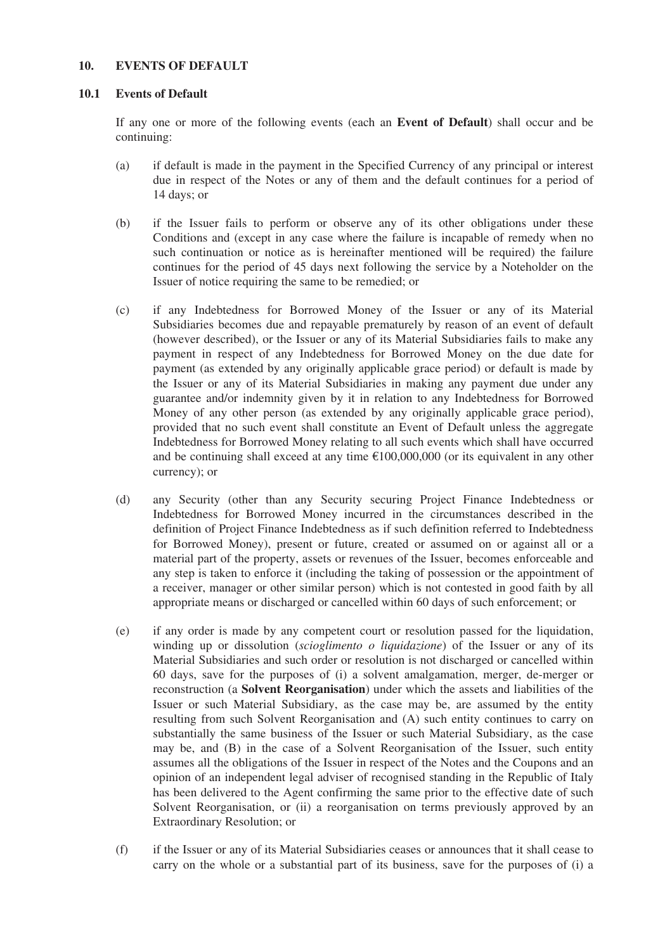## **10. EVENTS OF DEFAULT**

#### **10.1 Events of Default**

If any one or more of the following events (each an **Event of Default**) shall occur and be continuing:

- (a) if default is made in the payment in the Specified Currency of any principal or interest due in respect of the Notes or any of them and the default continues for a period of 14 days; or
- (b) if the Issuer fails to perform or observe any of its other obligations under these Conditions and (except in any case where the failure is incapable of remedy when no such continuation or notice as is hereinafter mentioned will be required) the failure continues for the period of 45 days next following the service by a Noteholder on the Issuer of notice requiring the same to be remedied; or
- (c) if any Indebtedness for Borrowed Money of the Issuer or any of its Material Subsidiaries becomes due and repayable prematurely by reason of an event of default (however described), or the Issuer or any of its Material Subsidiaries fails to make any payment in respect of any Indebtedness for Borrowed Money on the due date for payment (as extended by any originally applicable grace period) or default is made by the Issuer or any of its Material Subsidiaries in making any payment due under any guarantee and/or indemnity given by it in relation to any Indebtedness for Borrowed Money of any other person (as extended by any originally applicable grace period), provided that no such event shall constitute an Event of Default unless the aggregate Indebtedness for Borrowed Money relating to all such events which shall have occurred and be continuing shall exceed at any time  $\epsilon$ 100,000,000 (or its equivalent in any other currency); or
- (d) any Security (other than any Security securing Project Finance Indebtedness or Indebtedness for Borrowed Money incurred in the circumstances described in the definition of Project Finance Indebtedness as if such definition referred to Indebtedness for Borrowed Money), present or future, created or assumed on or against all or a material part of the property, assets or revenues of the Issuer, becomes enforceable and any step is taken to enforce it (including the taking of possession or the appointment of a receiver, manager or other similar person) which is not contested in good faith by all appropriate means or discharged or cancelled within 60 days of such enforcement; or
- (e) if any order is made by any competent court or resolution passed for the liquidation, winding up or dissolution (*scioglimento o liquidazione*) of the Issuer or any of its Material Subsidiaries and such order or resolution is not discharged or cancelled within 60 days, save for the purposes of (i) a solvent amalgamation, merger, de-merger or reconstruction (a **Solvent Reorganisation**) under which the assets and liabilities of the Issuer or such Material Subsidiary, as the case may be, are assumed by the entity resulting from such Solvent Reorganisation and (A) such entity continues to carry on substantially the same business of the Issuer or such Material Subsidiary, as the case may be, and (B) in the case of a Solvent Reorganisation of the Issuer, such entity assumes all the obligations of the Issuer in respect of the Notes and the Coupons and an opinion of an independent legal adviser of recognised standing in the Republic of Italy has been delivered to the Agent confirming the same prior to the effective date of such Solvent Reorganisation, or (ii) a reorganisation on terms previously approved by an Extraordinary Resolution; or
- (f) if the Issuer or any of its Material Subsidiaries ceases or announces that it shall cease to carry on the whole or a substantial part of its business, save for the purposes of (i) a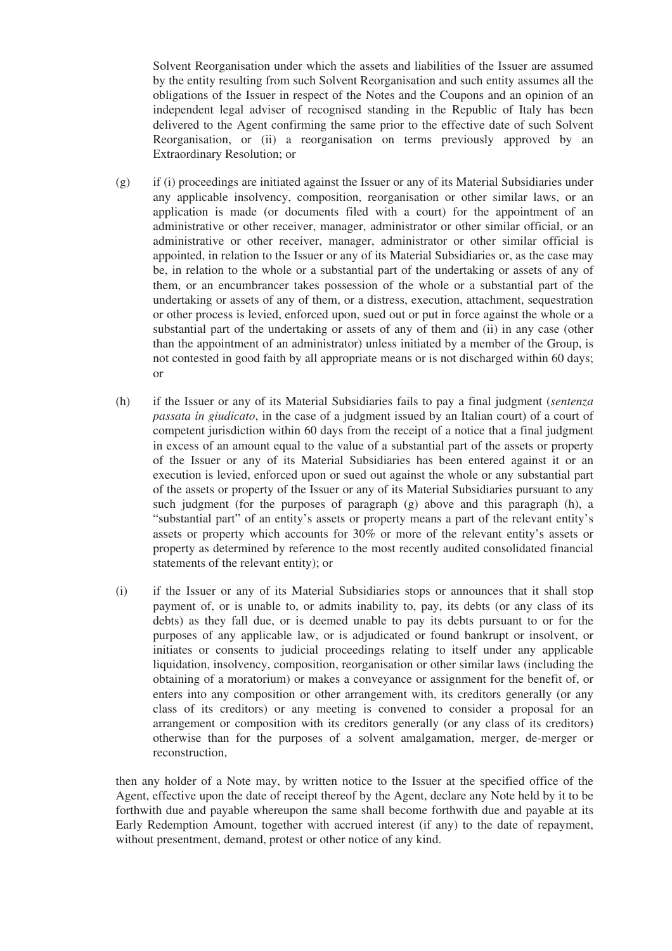Solvent Reorganisation under which the assets and liabilities of the Issuer are assumed by the entity resulting from such Solvent Reorganisation and such entity assumes all the obligations of the Issuer in respect of the Notes and the Coupons and an opinion of an independent legal adviser of recognised standing in the Republic of Italy has been delivered to the Agent confirming the same prior to the effective date of such Solvent Reorganisation, or (ii) a reorganisation on terms previously approved by an Extraordinary Resolution; or

- (g) if (i) proceedings are initiated against the Issuer or any of its Material Subsidiaries under any applicable insolvency, composition, reorganisation or other similar laws, or an application is made (or documents filed with a court) for the appointment of an administrative or other receiver, manager, administrator or other similar official, or an administrative or other receiver, manager, administrator or other similar official is appointed, in relation to the Issuer or any of its Material Subsidiaries or, as the case may be, in relation to the whole or a substantial part of the undertaking or assets of any of them, or an encumbrancer takes possession of the whole or a substantial part of the undertaking or assets of any of them, or a distress, execution, attachment, sequestration or other process is levied, enforced upon, sued out or put in force against the whole or a substantial part of the undertaking or assets of any of them and (ii) in any case (other than the appointment of an administrator) unless initiated by a member of the Group, is not contested in good faith by all appropriate means or is not discharged within 60 days; or
- (h) if the Issuer or any of its Material Subsidiaries fails to pay a final judgment (*sentenza passata in giudicato*, in the case of a judgment issued by an Italian court) of a court of competent jurisdiction within 60 days from the receipt of a notice that a final judgment in excess of an amount equal to the value of a substantial part of the assets or property of the Issuer or any of its Material Subsidiaries has been entered against it or an execution is levied, enforced upon or sued out against the whole or any substantial part of the assets or property of the Issuer or any of its Material Subsidiaries pursuant to any such judgment (for the purposes of paragraph  $(g)$  above and this paragraph  $(h)$ , a "substantial part" of an entity's assets or property means a part of the relevant entity's assets or property which accounts for 30% or more of the relevant entity's assets or property as determined by reference to the most recently audited consolidated financial statements of the relevant entity); or
- (i) if the Issuer or any of its Material Subsidiaries stops or announces that it shall stop payment of, or is unable to, or admits inability to, pay, its debts (or any class of its debts) as they fall due, or is deemed unable to pay its debts pursuant to or for the purposes of any applicable law, or is adjudicated or found bankrupt or insolvent, or initiates or consents to judicial proceedings relating to itself under any applicable liquidation, insolvency, composition, reorganisation or other similar laws (including the obtaining of a moratorium) or makes a conveyance or assignment for the benefit of, or enters into any composition or other arrangement with, its creditors generally (or any class of its creditors) or any meeting is convened to consider a proposal for an arrangement or composition with its creditors generally (or any class of its creditors) otherwise than for the purposes of a solvent amalgamation, merger, de-merger or reconstruction,

then any holder of a Note may, by written notice to the Issuer at the specified office of the Agent, effective upon the date of receipt thereof by the Agent, declare any Note held by it to be forthwith due and payable whereupon the same shall become forthwith due and payable at its Early Redemption Amount, together with accrued interest (if any) to the date of repayment, without presentment, demand, protest or other notice of any kind.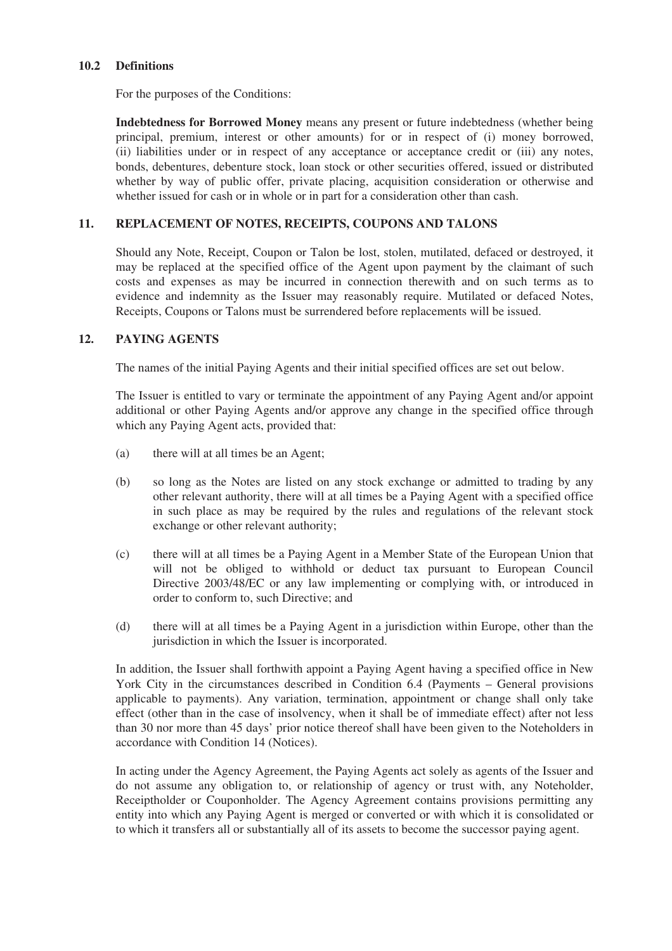#### **10.2 Definitions**

For the purposes of the Conditions:

**Indebtedness for Borrowed Money** means any present or future indebtedness (whether being principal, premium, interest or other amounts) for or in respect of (i) money borrowed, (ii) liabilities under or in respect of any acceptance or acceptance credit or (iii) any notes, bonds, debentures, debenture stock, loan stock or other securities offered, issued or distributed whether by way of public offer, private placing, acquisition consideration or otherwise and whether issued for cash or in whole or in part for a consideration other than cash.

## **11. REPLACEMENT OF NOTES, RECEIPTS, COUPONS AND TALONS**

Should any Note, Receipt, Coupon or Talon be lost, stolen, mutilated, defaced or destroyed, it may be replaced at the specified office of the Agent upon payment by the claimant of such costs and expenses as may be incurred in connection therewith and on such terms as to evidence and indemnity as the Issuer may reasonably require. Mutilated or defaced Notes, Receipts, Coupons or Talons must be surrendered before replacements will be issued.

# **12. PAYING AGENTS**

The names of the initial Paying Agents and their initial specified offices are set out below.

The Issuer is entitled to vary or terminate the appointment of any Paying Agent and/or appoint additional or other Paying Agents and/or approve any change in the specified office through which any Paying Agent acts, provided that:

- (a) there will at all times be an Agent;
- (b) so long as the Notes are listed on any stock exchange or admitted to trading by any other relevant authority, there will at all times be a Paying Agent with a specified office in such place as may be required by the rules and regulations of the relevant stock exchange or other relevant authority;
- (c) there will at all times be a Paying Agent in a Member State of the European Union that will not be obliged to withhold or deduct tax pursuant to European Council Directive 2003/48/EC or any law implementing or complying with, or introduced in order to conform to, such Directive; and
- (d) there will at all times be a Paying Agent in a jurisdiction within Europe, other than the jurisdiction in which the Issuer is incorporated.

In addition, the Issuer shall forthwith appoint a Paying Agent having a specified office in New York City in the circumstances described in Condition 6.4 (Payments – General provisions applicable to payments). Any variation, termination, appointment or change shall only take effect (other than in the case of insolvency, when it shall be of immediate effect) after not less than 30 nor more than 45 days' prior notice thereof shall have been given to the Noteholders in accordance with Condition 14 (Notices).

In acting under the Agency Agreement, the Paying Agents act solely as agents of the Issuer and do not assume any obligation to, or relationship of agency or trust with, any Noteholder, Receiptholder or Couponholder. The Agency Agreement contains provisions permitting any entity into which any Paying Agent is merged or converted or with which it is consolidated or to which it transfers all or substantially all of its assets to become the successor paying agent.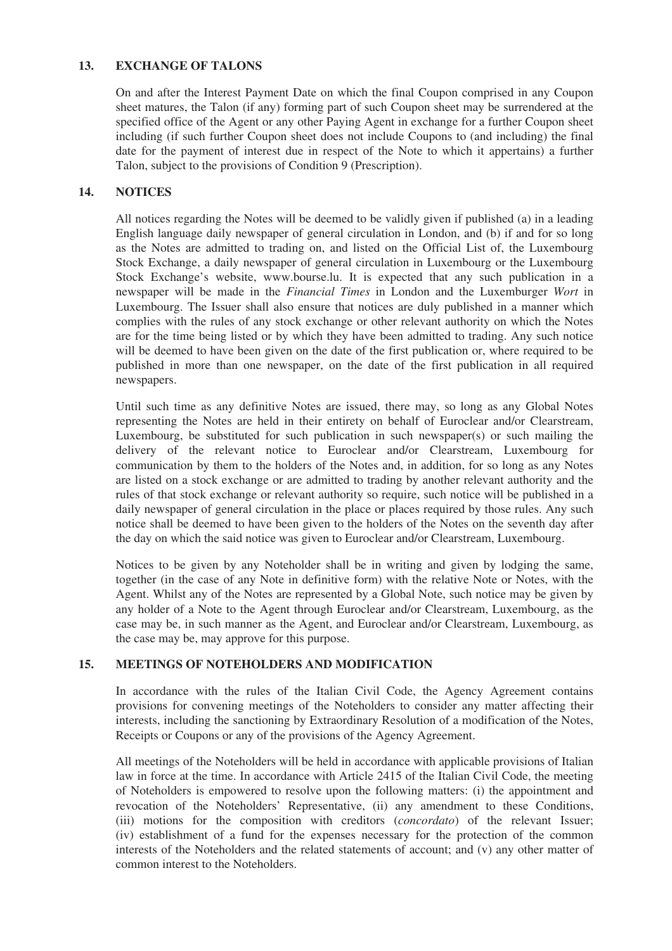# **13. EXCHANGE OF TALONS**

On and after the Interest Payment Date on which the final Coupon comprised in any Coupon sheet matures, the Talon (if any) forming part of such Coupon sheet may be surrendered at the specified office of the Agent or any other Paying Agent in exchange for a further Coupon sheet including (if such further Coupon sheet does not include Coupons to (and including) the final date for the payment of interest due in respect of the Note to which it appertains) a further Talon, subject to the provisions of Condition 9 (Prescription).

# **14. NOTICES**

All notices regarding the Notes will be deemed to be validly given if published (a) in a leading English language daily newspaper of general circulation in London, and (b) if and for so long as the Notes are admitted to trading on, and listed on the Official List of, the Luxembourg Stock Exchange, a daily newspaper of general circulation in Luxembourg or the Luxembourg Stock Exchange's website, www.bourse.lu. It is expected that any such publication in a newspaper will be made in the *Financial Times* in London and the Luxemburger *Wort* in Luxembourg. The Issuer shall also ensure that notices are duly published in a manner which complies with the rules of any stock exchange or other relevant authority on which the Notes are for the time being listed or by which they have been admitted to trading. Any such notice will be deemed to have been given on the date of the first publication or, where required to be published in more than one newspaper, on the date of the first publication in all required newspapers.

Until such time as any definitive Notes are issued, there may, so long as any Global Notes representing the Notes are held in their entirety on behalf of Euroclear and/or Clearstream, Luxembourg, be substituted for such publication in such newspaper(s) or such mailing the delivery of the relevant notice to Euroclear and/or Clearstream, Luxembourg for communication by them to the holders of the Notes and, in addition, for so long as any Notes are listed on a stock exchange or are admitted to trading by another relevant authority and the rules of that stock exchange or relevant authority so require, such notice will be published in a daily newspaper of general circulation in the place or places required by those rules. Any such notice shall be deemed to have been given to the holders of the Notes on the seventh day after the day on which the said notice was given to Euroclear and/or Clearstream, Luxembourg.

Notices to be given by any Noteholder shall be in writing and given by lodging the same, together (in the case of any Note in definitive form) with the relative Note or Notes, with the Agent. Whilst any of the Notes are represented by a Global Note, such notice may be given by any holder of a Note to the Agent through Euroclear and/or Clearstream, Luxembourg, as the case may be, in such manner as the Agent, and Euroclear and/or Clearstream, Luxembourg, as the case may be, may approve for this purpose.

# **15. MEETINGS OF NOTEHOLDERS AND MODIFICATION**

In accordance with the rules of the Italian Civil Code, the Agency Agreement contains provisions for convening meetings of the Noteholders to consider any matter affecting their interests, including the sanctioning by Extraordinary Resolution of a modification of the Notes, Receipts or Coupons or any of the provisions of the Agency Agreement.

All meetings of the Noteholders will be held in accordance with applicable provisions of Italian law in force at the time. In accordance with Article 2415 of the Italian Civil Code, the meeting of Noteholders is empowered to resolve upon the following matters: (i) the appointment and revocation of the Noteholders' Representative, (ii) any amendment to these Conditions, (iii) motions for the composition with creditors (*concordato*) of the relevant Issuer; (iv) establishment of a fund for the expenses necessary for the protection of the common interests of the Noteholders and the related statements of account; and (v) any other matter of common interest to the Noteholders.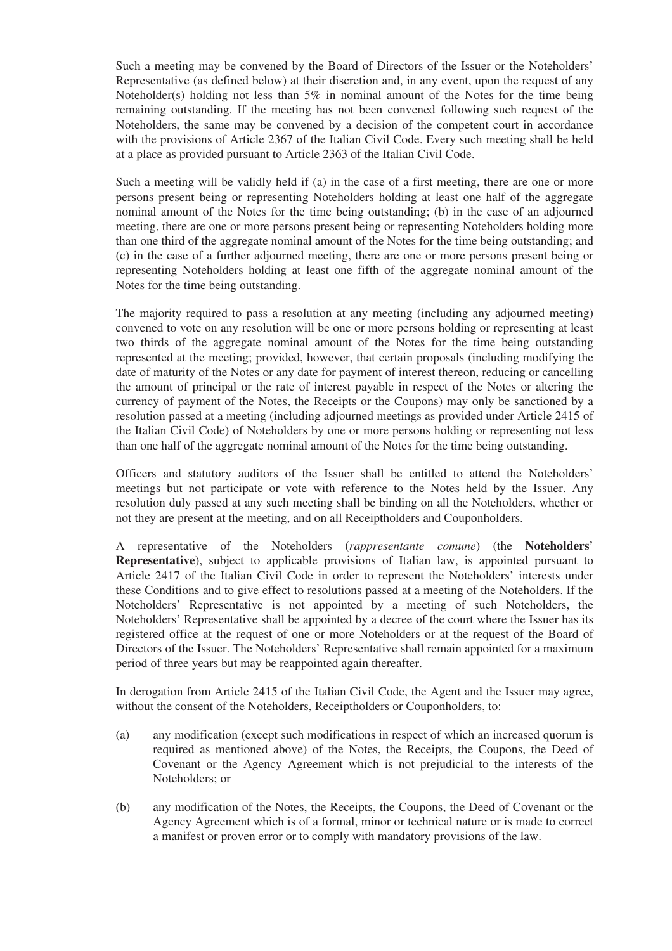Such a meeting may be convened by the Board of Directors of the Issuer or the Noteholders' Representative (as defined below) at their discretion and, in any event, upon the request of any Noteholder(s) holding not less than  $5\%$  in nominal amount of the Notes for the time being remaining outstanding. If the meeting has not been convened following such request of the Noteholders, the same may be convened by a decision of the competent court in accordance with the provisions of Article 2367 of the Italian Civil Code. Every such meeting shall be held at a place as provided pursuant to Article 2363 of the Italian Civil Code.

Such a meeting will be validly held if (a) in the case of a first meeting, there are one or more persons present being or representing Noteholders holding at least one half of the aggregate nominal amount of the Notes for the time being outstanding; (b) in the case of an adjourned meeting, there are one or more persons present being or representing Noteholders holding more than one third of the aggregate nominal amount of the Notes for the time being outstanding; and (c) in the case of a further adjourned meeting, there are one or more persons present being or representing Noteholders holding at least one fifth of the aggregate nominal amount of the Notes for the time being outstanding.

The majority required to pass a resolution at any meeting (including any adjourned meeting) convened to vote on any resolution will be one or more persons holding or representing at least two thirds of the aggregate nominal amount of the Notes for the time being outstanding represented at the meeting; provided, however, that certain proposals (including modifying the date of maturity of the Notes or any date for payment of interest thereon, reducing or cancelling the amount of principal or the rate of interest payable in respect of the Notes or altering the currency of payment of the Notes, the Receipts or the Coupons) may only be sanctioned by a resolution passed at a meeting (including adjourned meetings as provided under Article 2415 of the Italian Civil Code) of Noteholders by one or more persons holding or representing not less than one half of the aggregate nominal amount of the Notes for the time being outstanding.

Officers and statutory auditors of the Issuer shall be entitled to attend the Noteholders' meetings but not participate or vote with reference to the Notes held by the Issuer. Any resolution duly passed at any such meeting shall be binding on all the Noteholders, whether or not they are present at the meeting, and on all Receiptholders and Couponholders.

A representative of the Noteholders (*rappresentante comune*) (the **Noteholders**' **Representative**), subject to applicable provisions of Italian law, is appointed pursuant to Article 2417 of the Italian Civil Code in order to represent the Noteholders' interests under these Conditions and to give effect to resolutions passed at a meeting of the Noteholders. If the Noteholders' Representative is not appointed by a meeting of such Noteholders, the Noteholders' Representative shall be appointed by a decree of the court where the Issuer has its registered office at the request of one or more Noteholders or at the request of the Board of Directors of the Issuer. The Noteholders' Representative shall remain appointed for a maximum period of three years but may be reappointed again thereafter.

In derogation from Article 2415 of the Italian Civil Code, the Agent and the Issuer may agree, without the consent of the Noteholders, Receiptholders or Couponholders, to:

- (a) any modification (except such modifications in respect of which an increased quorum is required as mentioned above) of the Notes, the Receipts, the Coupons, the Deed of Covenant or the Agency Agreement which is not prejudicial to the interests of the Noteholders; or
- (b) any modification of the Notes, the Receipts, the Coupons, the Deed of Covenant or the Agency Agreement which is of a formal, minor or technical nature or is made to correct a manifest or proven error or to comply with mandatory provisions of the law.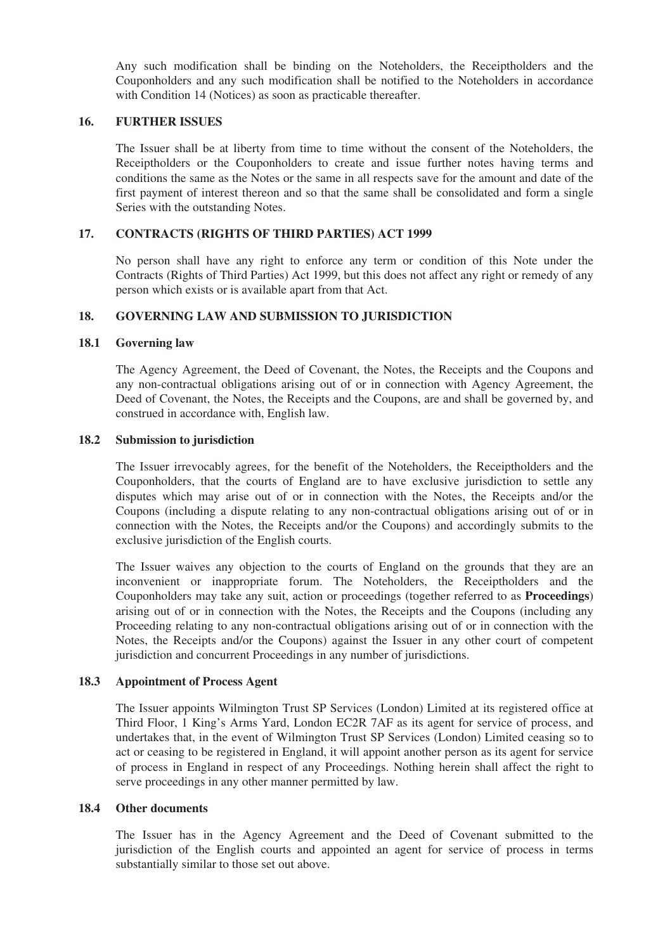Any such modification shall be binding on the Noteholders, the Receiptholders and the Couponholders and any such modification shall be notified to the Noteholders in accordance with Condition 14 (Notices) as soon as practicable thereafter.

#### **16. FURTHER ISSUES**

The Issuer shall be at liberty from time to time without the consent of the Noteholders, the Receiptholders or the Couponholders to create and issue further notes having terms and conditions the same as the Notes or the same in all respects save for the amount and date of the first payment of interest thereon and so that the same shall be consolidated and form a single Series with the outstanding Notes.

#### **17. CONTRACTS (RIGHTS OF THIRD PARTIES) ACT 1999**

No person shall have any right to enforce any term or condition of this Note under the Contracts (Rights of Third Parties) Act 1999, but this does not affect any right or remedy of any person which exists or is available apart from that Act.

# **18. GOVERNING LAW AND SUBMISSION TO JURISDICTION**

#### **18.1 Governing law**

The Agency Agreement, the Deed of Covenant, the Notes, the Receipts and the Coupons and any non-contractual obligations arising out of or in connection with Agency Agreement, the Deed of Covenant, the Notes, the Receipts and the Coupons, are and shall be governed by, and construed in accordance with, English law.

#### **18.2 Submission to jurisdiction**

The Issuer irrevocably agrees, for the benefit of the Noteholders, the Receiptholders and the Couponholders, that the courts of England are to have exclusive jurisdiction to settle any disputes which may arise out of or in connection with the Notes, the Receipts and/or the Coupons (including a dispute relating to any non-contractual obligations arising out of or in connection with the Notes, the Receipts and/or the Coupons) and accordingly submits to the exclusive jurisdiction of the English courts.

The Issuer waives any objection to the courts of England on the grounds that they are an inconvenient or inappropriate forum. The Noteholders, the Receiptholders and the Couponholders may take any suit, action or proceedings (together referred to as **Proceedings**) arising out of or in connection with the Notes, the Receipts and the Coupons (including any Proceeding relating to any non-contractual obligations arising out of or in connection with the Notes, the Receipts and/or the Coupons) against the Issuer in any other court of competent jurisdiction and concurrent Proceedings in any number of jurisdictions.

#### **18.3 Appointment of Process Agent**

The Issuer appoints Wilmington Trust SP Services (London) Limited at its registered office at Third Floor, 1 King's Arms Yard, London EC2R 7AF as its agent for service of process, and undertakes that, in the event of Wilmington Trust SP Services (London) Limited ceasing so to act or ceasing to be registered in England, it will appoint another person as its agent for service of process in England in respect of any Proceedings. Nothing herein shall affect the right to serve proceedings in any other manner permitted by law.

#### **18.4 Other documents**

The Issuer has in the Agency Agreement and the Deed of Covenant submitted to the jurisdiction of the English courts and appointed an agent for service of process in terms substantially similar to those set out above.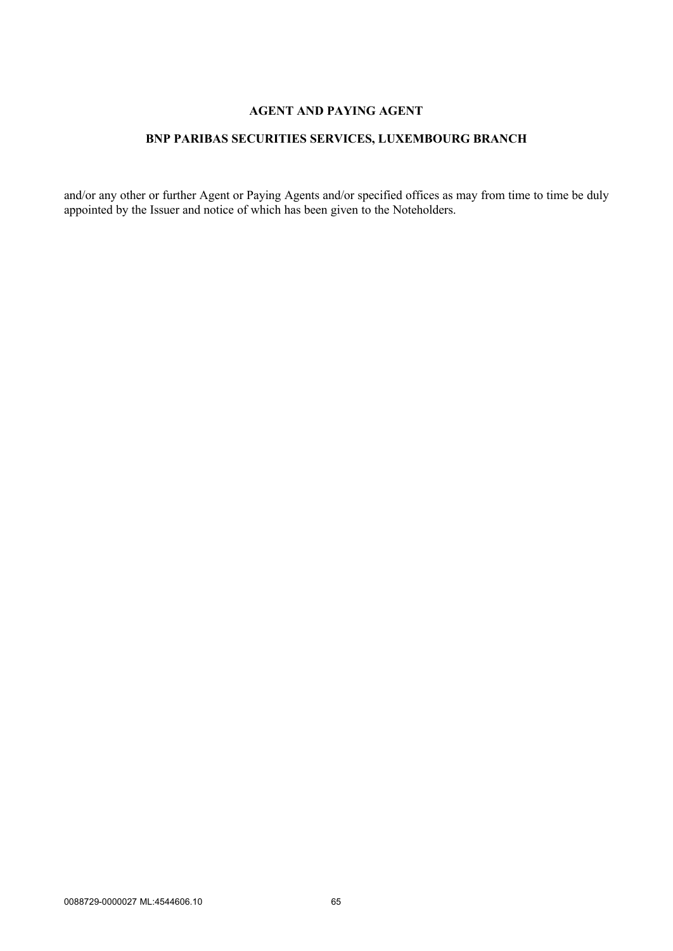# **AGENT AND PAYING AGENT**

# **BNP PARIBAS SECURITIES SERVICES, LUXEMBOURG BRANCH**

and/or any other or further Agent or Paying Agents and/or specified offices as may from time to time be duly appointed by the Issuer and notice of which has been given to the Noteholders.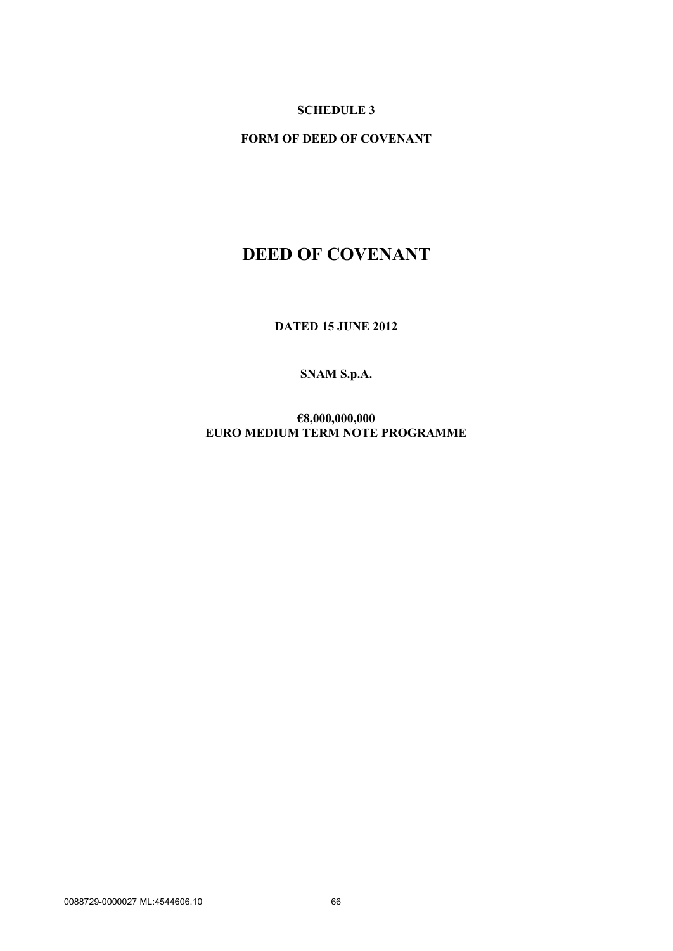# **SCHEDULE 3**

**FORM OF DEED OF COVENANT**

# **DEED OF COVENANT**

**DATED 15 JUNE 2012**

# **SNAM S.p.A.**

**€8,000,000,000 EURO MEDIUM TERM NOTE PROGRAMME**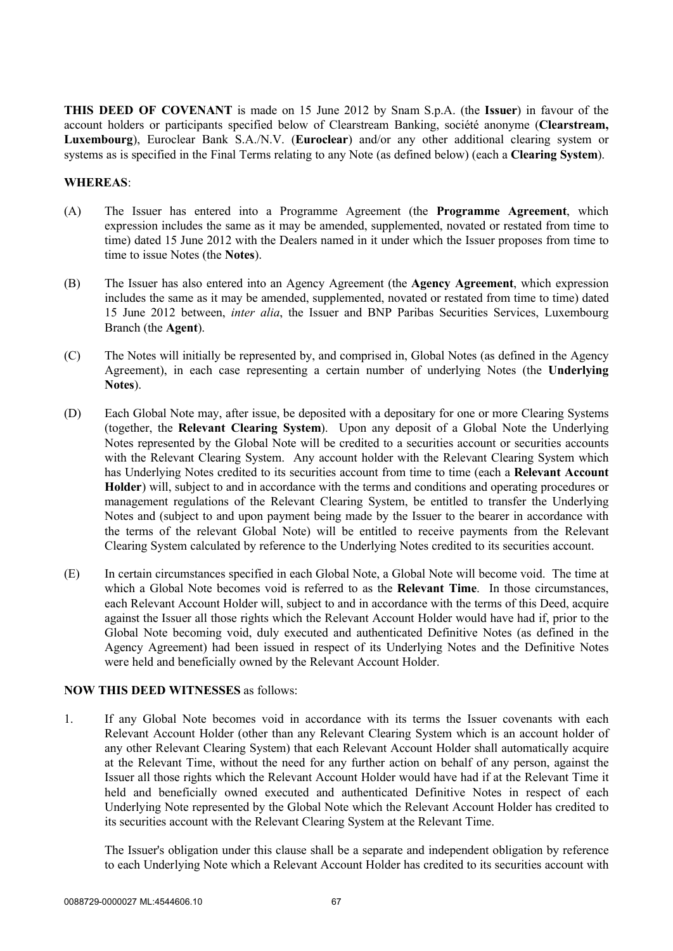**THIS DEED OF COVENANT** is made on 15 June 2012 by Snam S.p.A. (the **Issuer**) in favour of the account holders or participants specified below of Clearstream Banking, société anonyme (**Clearstream, Luxembourg**), Euroclear Bank S.A./N.V. (**Euroclear**) and/or any other additional clearing system or systems as is specified in the Final Terms relating to any Note (as defined below) (each a **Clearing System**).

## **WHEREAS**:

- (A) The Issuer has entered into a Programme Agreement (the **Programme Agreement**, which expression includes the same as it may be amended, supplemented, novated or restated from time to time) dated 15 June 2012 with the Dealers named in it under which the Issuer proposes from time to time to issue Notes (the **Notes**).
- (B) The Issuer has also entered into an Agency Agreement (the **Agency Agreement**, which expression includes the same as it may be amended, supplemented, novated or restated from time to time) dated 15 June 2012 between, *inter alia*, the Issuer and BNP Paribas Securities Services, Luxembourg Branch (the **Agent**).
- (C) The Notes will initially be represented by, and comprised in, Global Notes (as defined in the Agency Agreement), in each case representing a certain number of underlying Notes (the **Underlying Notes**).
- (D) Each Global Note may, after issue, be deposited with a depositary for one or more Clearing Systems (together, the **Relevant Clearing System**). Upon any deposit of a Global Note the Underlying Notes represented by the Global Note will be credited to a securities account or securities accounts with the Relevant Clearing System. Any account holder with the Relevant Clearing System which has Underlying Notes credited to its securities account from time to time (each a **Relevant Account Holder**) will, subject to and in accordance with the terms and conditions and operating procedures or management regulations of the Relevant Clearing System, be entitled to transfer the Underlying Notes and (subject to and upon payment being made by the Issuer to the bearer in accordance with the terms of the relevant Global Note) will be entitled to receive payments from the Relevant Clearing System calculated by reference to the Underlying Notes credited to its securities account.
- (E) In certain circumstances specified in each Global Note, a Global Note will become void. The time at which a Global Note becomes void is referred to as the **Relevant Time**. In those circumstances, each Relevant Account Holder will, subject to and in accordance with the terms of this Deed, acquire against the Issuer all those rights which the Relevant Account Holder would have had if, prior to the Global Note becoming void, duly executed and authenticated Definitive Notes (as defined in the Agency Agreement) had been issued in respect of its Underlying Notes and the Definitive Notes were held and beneficially owned by the Relevant Account Holder.

#### **NOW THIS DEED WITNESSES** as follows:

1. If any Global Note becomes void in accordance with its terms the Issuer covenants with each Relevant Account Holder (other than any Relevant Clearing System which is an account holder of any other Relevant Clearing System) that each Relevant Account Holder shall automatically acquire at the Relevant Time, without the need for any further action on behalf of any person, against the Issuer all those rights which the Relevant Account Holder would have had if at the Relevant Time it held and beneficially owned executed and authenticated Definitive Notes in respect of each Underlying Note represented by the Global Note which the Relevant Account Holder has credited to its securities account with the Relevant Clearing System at the Relevant Time.

The Issuer's obligation under this clause shall be a separate and independent obligation by reference to each Underlying Note which a Relevant Account Holder has credited to its securities account with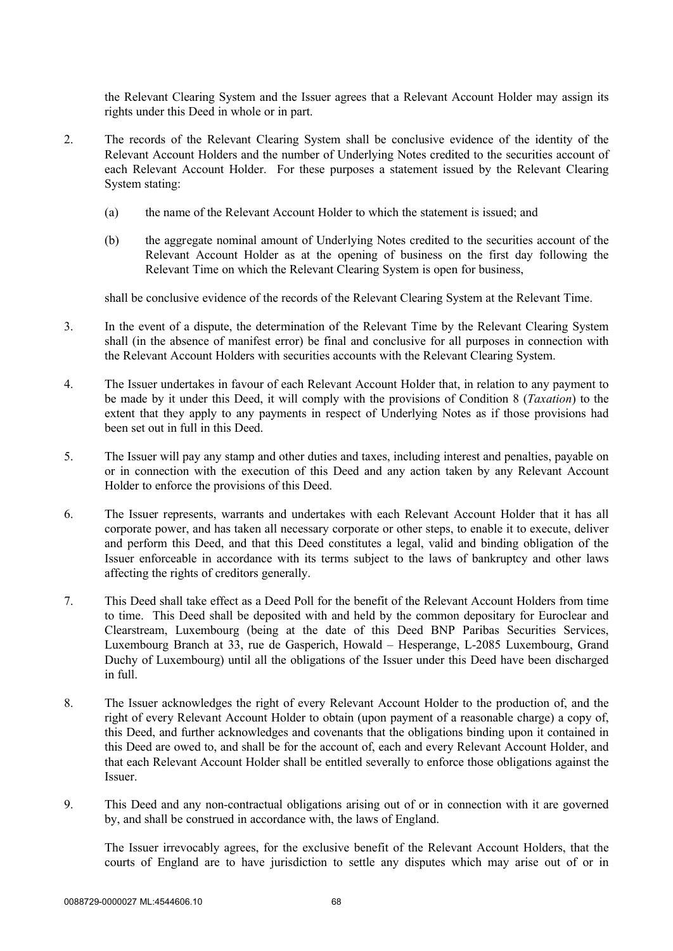the Relevant Clearing System and the Issuer agrees that a Relevant Account Holder may assign its rights under this Deed in whole or in part.

- 2. The records of the Relevant Clearing System shall be conclusive evidence of the identity of the Relevant Account Holders and the number of Underlying Notes credited to the securities account of each Relevant Account Holder. For these purposes a statement issued by the Relevant Clearing System stating:
	- (a) the name of the Relevant Account Holder to which the statement is issued; and
	- (b) the aggregate nominal amount of Underlying Notes credited to the securities account of the Relevant Account Holder as at the opening of business on the first day following the Relevant Time on which the Relevant Clearing System is open for business,

shall be conclusive evidence of the records of the Relevant Clearing System at the Relevant Time.

- 3. In the event of a dispute, the determination of the Relevant Time by the Relevant Clearing System shall (in the absence of manifest error) be final and conclusive for all purposes in connection with the Relevant Account Holders with securities accounts with the Relevant Clearing System.
- 4. The Issuer undertakes in favour of each Relevant Account Holder that, in relation to any payment to be made by it under this Deed, it will comply with the provisions of Condition 8 (*Taxation*) to the extent that they apply to any payments in respect of Underlying Notes as if those provisions had been set out in full in this Deed.
- 5. The Issuer will pay any stamp and other duties and taxes, including interest and penalties, payable on or in connection with the execution of this Deed and any action taken by any Relevant Account Holder to enforce the provisions of this Deed.
- 6. The Issuer represents, warrants and undertakes with each Relevant Account Holder that it has all corporate power, and has taken all necessary corporate or other steps, to enable it to execute, deliver and perform this Deed, and that this Deed constitutes a legal, valid and binding obligation of the Issuer enforceable in accordance with its terms subject to the laws of bankruptcy and other laws affecting the rights of creditors generally.
- 7. This Deed shall take effect as a Deed Poll for the benefit of the Relevant Account Holders from time to time. This Deed shall be deposited with and held by the common depositary for Euroclear and Clearstream, Luxembourg (being at the date of this Deed BNP Paribas Securities Services, Luxembourg Branch at 33, rue de Gasperich, Howald – Hesperange, L-2085 Luxembourg, Grand Duchy of Luxembourg) until all the obligations of the Issuer under this Deed have been discharged in full.
- 8. The Issuer acknowledges the right of every Relevant Account Holder to the production of, and the right of every Relevant Account Holder to obtain (upon payment of a reasonable charge) a copy of, this Deed, and further acknowledges and covenants that the obligations binding upon it contained in this Deed are owed to, and shall be for the account of, each and every Relevant Account Holder, and that each Relevant Account Holder shall be entitled severally to enforce those obligations against the **Issuer**
- 9. This Deed and any non-contractual obligations arising out of or in connection with it are governed by, and shall be construed in accordance with, the laws of England.

The Issuer irrevocably agrees, for the exclusive benefit of the Relevant Account Holders, that the courts of England are to have jurisdiction to settle any disputes which may arise out of or in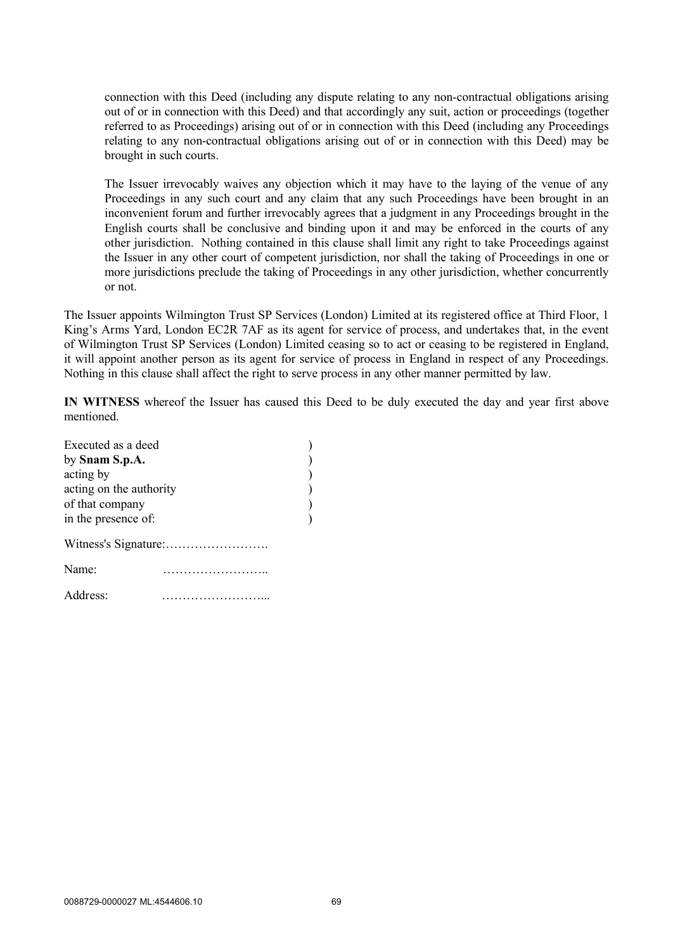connection with this Deed (including any dispute relating to any non-contractual obligations arising out of or in connection with this Deed) and that accordingly any suit, action or proceedings (together referred to as Proceedings) arising out of or in connection with this Deed (including any Proceedings relating to any non-contractual obligations arising out of or in connection with this Deed) may be brought in such courts.

The Issuer irrevocably waives any objection which it may have to the laying of the venue of any Proceedings in any such court and any claim that any such Proceedings have been brought in an inconvenient forum and further irrevocably agrees that a judgment in any Proceedings brought in the English courts shall be conclusive and binding upon it and may be enforced in the courts of any other jurisdiction. Nothing contained in this clause shall limit any right to take Proceedings against the Issuer in any other court of competent jurisdiction, nor shall the taking of Proceedings in one or more jurisdictions preclude the taking of Proceedings in any other jurisdiction, whether concurrently or not.

The Issuer appoints Wilmington Trust SP Services (London) Limited at its registered office at Third Floor, 1 King's Arms Yard, London EC2R 7AF as its agent for service of process, and undertakes that, in the event of Wilmington Trust SP Services (London) Limited ceasing so to act or ceasing to be registered in England, it will appoint another person as its agent for service of process in England in respect of any Proceedings. Nothing in this clause shall affect the right to serve process in any other manner permitted by law.

**IN WITNESS** whereof the Issuer has caused this Deed to be duly executed the day and year first above mentioned.

| Executed as a deed      |   |  |
|-------------------------|---|--|
| by Snam S.p.A.          |   |  |
| acting by               |   |  |
| acting on the authority |   |  |
| of that company         |   |  |
| in the presence of:     |   |  |
|                         |   |  |
| Name:                   | . |  |
| Address:                |   |  |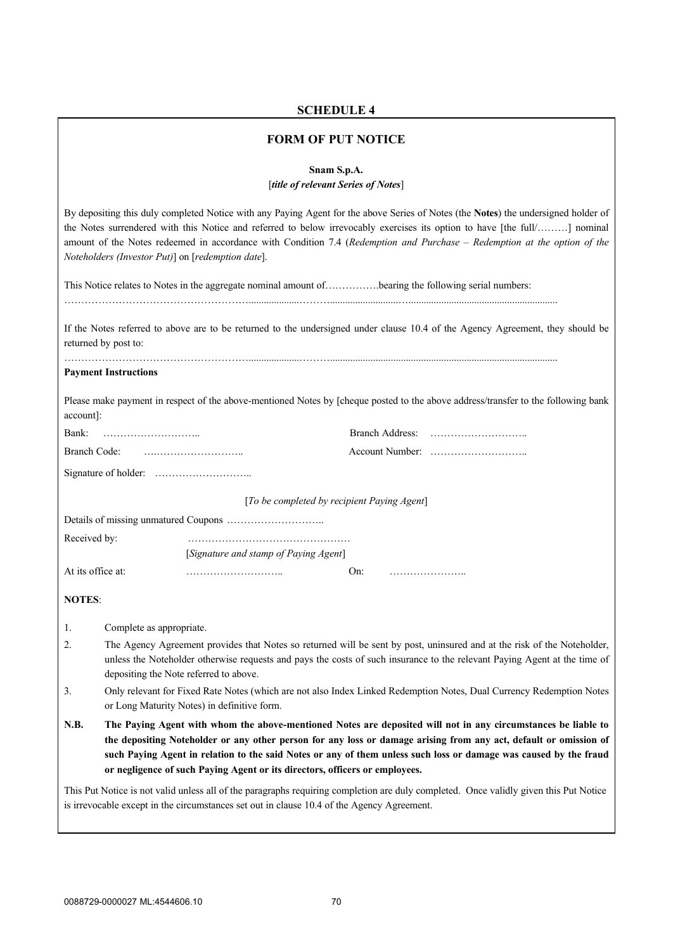# **SCHEDULE 4**

# **FORM OF PUT NOTICE**

**Snam S.p.A.** [*title of relevant Series of Notes*]

|                   | By depositing this duly completed Notice with any Paying Agent for the above Series of Notes (the Notes) the undersigned holder of<br>the Notes surrendered with this Notice and referred to below irrevocably exercises its option to have [the full/] nominal<br>amount of the Notes redeemed in accordance with Condition 7.4 (Redemption and Purchase - Redemption at the option of the<br>Noteholders (Investor Put)] on [redemption date]. |                                                                                            |                                                                                                                                       |  |  |  |
|-------------------|--------------------------------------------------------------------------------------------------------------------------------------------------------------------------------------------------------------------------------------------------------------------------------------------------------------------------------------------------------------------------------------------------------------------------------------------------|--------------------------------------------------------------------------------------------|---------------------------------------------------------------------------------------------------------------------------------------|--|--|--|
|                   |                                                                                                                                                                                                                                                                                                                                                                                                                                                  |                                                                                            | This Notice relates to Notes in the aggregate nominal amount of bearing the following serial numbers:                                 |  |  |  |
|                   | returned by post to:                                                                                                                                                                                                                                                                                                                                                                                                                             |                                                                                            | If the Notes referred to above are to be returned to the undersigned under clause 10.4 of the Agency Agreement, they should be        |  |  |  |
|                   | <b>Payment Instructions</b>                                                                                                                                                                                                                                                                                                                                                                                                                      |                                                                                            |                                                                                                                                       |  |  |  |
| account]:         |                                                                                                                                                                                                                                                                                                                                                                                                                                                  |                                                                                            | Please make payment in respect of the above-mentioned Notes by [cheque posted to the above address/transfer to the following bank     |  |  |  |
| Bank:             |                                                                                                                                                                                                                                                                                                                                                                                                                                                  |                                                                                            |                                                                                                                                       |  |  |  |
| Branch Code:      |                                                                                                                                                                                                                                                                                                                                                                                                                                                  |                                                                                            |                                                                                                                                       |  |  |  |
|                   |                                                                                                                                                                                                                                                                                                                                                                                                                                                  |                                                                                            |                                                                                                                                       |  |  |  |
|                   |                                                                                                                                                                                                                                                                                                                                                                                                                                                  | [To be completed by recipient Paying Agent]                                                |                                                                                                                                       |  |  |  |
|                   |                                                                                                                                                                                                                                                                                                                                                                                                                                                  |                                                                                            |                                                                                                                                       |  |  |  |
| Received by:      |                                                                                                                                                                                                                                                                                                                                                                                                                                                  |                                                                                            |                                                                                                                                       |  |  |  |
|                   |                                                                                                                                                                                                                                                                                                                                                                                                                                                  | [Signature and stamp of Paying Agent]                                                      |                                                                                                                                       |  |  |  |
| At its office at: |                                                                                                                                                                                                                                                                                                                                                                                                                                                  |                                                                                            | On:                                                                                                                                   |  |  |  |
| <b>NOTES:</b>     |                                                                                                                                                                                                                                                                                                                                                                                                                                                  |                                                                                            |                                                                                                                                       |  |  |  |
| 1.                | Complete as appropriate.                                                                                                                                                                                                                                                                                                                                                                                                                         |                                                                                            |                                                                                                                                       |  |  |  |
| 2.                | The Agency Agreement provides that Notes so returned will be sent by post, uninsured and at the risk of the Noteholder,<br>unless the Noteholder otherwise requests and pays the costs of such insurance to the relevant Paying Agent at the time of<br>depositing the Note referred to above.                                                                                                                                                   |                                                                                            |                                                                                                                                       |  |  |  |
| 3.                | Only relevant for Fixed Rate Notes (which are not also Index Linked Redemption Notes, Dual Currency Redemption Notes<br>or Long Maturity Notes) in definitive form.                                                                                                                                                                                                                                                                              |                                                                                            |                                                                                                                                       |  |  |  |
| N.B.              | The Paying Agent with whom the above-mentioned Notes are deposited will not in any circumstances be liable to<br>the depositing Noteholder or any other person for any loss or damage arising from any act, default or omission of<br>such Paying Agent in relation to the said Notes or any of them unless such loss or damage was caused by the fraud<br>or negligence of such Paying Agent or its directors, officers or employees.           |                                                                                            |                                                                                                                                       |  |  |  |
|                   |                                                                                                                                                                                                                                                                                                                                                                                                                                                  | is irrevocable except in the circumstances set out in clause 10.4 of the Agency Agreement. | This Put Notice is not valid unless all of the paragraphs requiring completion are duly completed. Once validly given this Put Notice |  |  |  |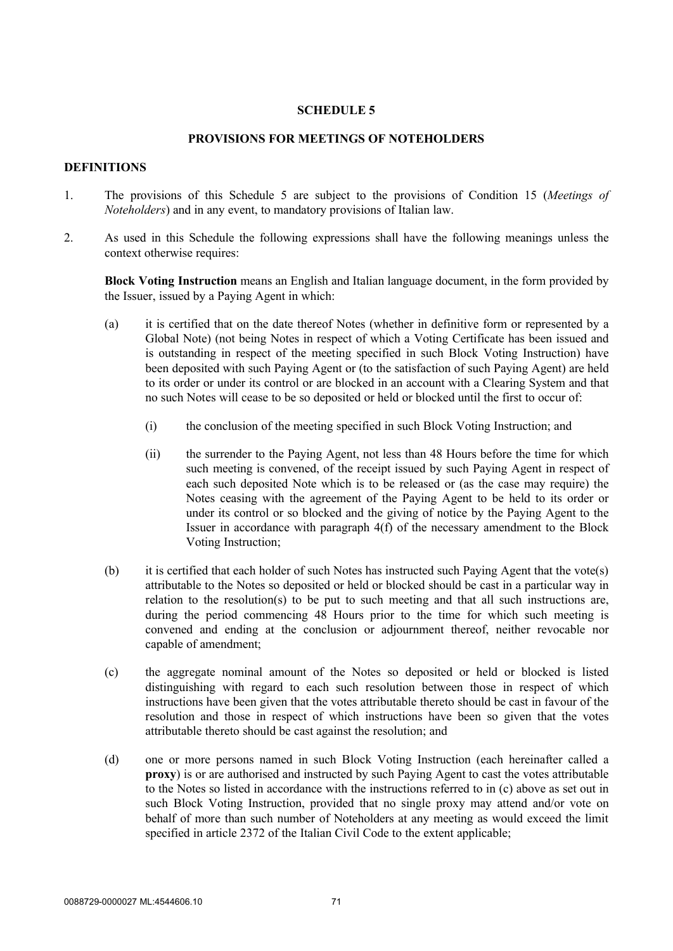## **SCHEDULE 5**

### **PROVISIONS FOR MEETINGS OF NOTEHOLDERS**

## **DEFINITIONS**

- 1. The provisions of this Schedule 5 are subject to the provisions of Condition 15 (*Meetings of Noteholders*) and in any event, to mandatory provisions of Italian law.
- 2. As used in this Schedule the following expressions shall have the following meanings unless the context otherwise requires:

**Block Voting Instruction** means an English and Italian language document, in the form provided by the Issuer, issued by a Paying Agent in which:

- (a) it is certified that on the date thereof Notes (whether in definitive form or represented by a Global Note) (not being Notes in respect of which a Voting Certificate has been issued and is outstanding in respect of the meeting specified in such Block Voting Instruction) have been deposited with such Paying Agent or (to the satisfaction of such Paying Agent) are held to its order or under its control or are blocked in an account with a Clearing System and that no such Notes will cease to be so deposited or held or blocked until the first to occur of:
	- (i) the conclusion of the meeting specified in such Block Voting Instruction; and
	- (ii) the surrender to the Paying Agent, not less than 48 Hours before the time for which such meeting is convened, of the receipt issued by such Paying Agent in respect of each such deposited Note which is to be released or (as the case may require) the Notes ceasing with the agreement of the Paying Agent to be held to its order or under its control or so blocked and the giving of notice by the Paying Agent to the Issuer in accordance with paragraph 4(f) of the necessary amendment to the Block Voting Instruction;
- (b) it is certified that each holder of such Notes has instructed such Paying Agent that the vote(s) attributable to the Notes so deposited or held or blocked should be cast in a particular way in relation to the resolution(s) to be put to such meeting and that all such instructions are, during the period commencing 48 Hours prior to the time for which such meeting is convened and ending at the conclusion or adjournment thereof, neither revocable nor capable of amendment;
- (c) the aggregate nominal amount of the Notes so deposited or held or blocked is listed distinguishing with regard to each such resolution between those in respect of which instructions have been given that the votes attributable thereto should be cast in favour of the resolution and those in respect of which instructions have been so given that the votes attributable thereto should be cast against the resolution; and
- (d) one or more persons named in such Block Voting Instruction (each hereinafter called a **proxy**) is or are authorised and instructed by such Paying Agent to cast the votes attributable to the Notes so listed in accordance with the instructions referred to in (c) above as set out in such Block Voting Instruction, provided that no single proxy may attend and/or vote on behalf of more than such number of Noteholders at any meeting as would exceed the limit specified in article 2372 of the Italian Civil Code to the extent applicable;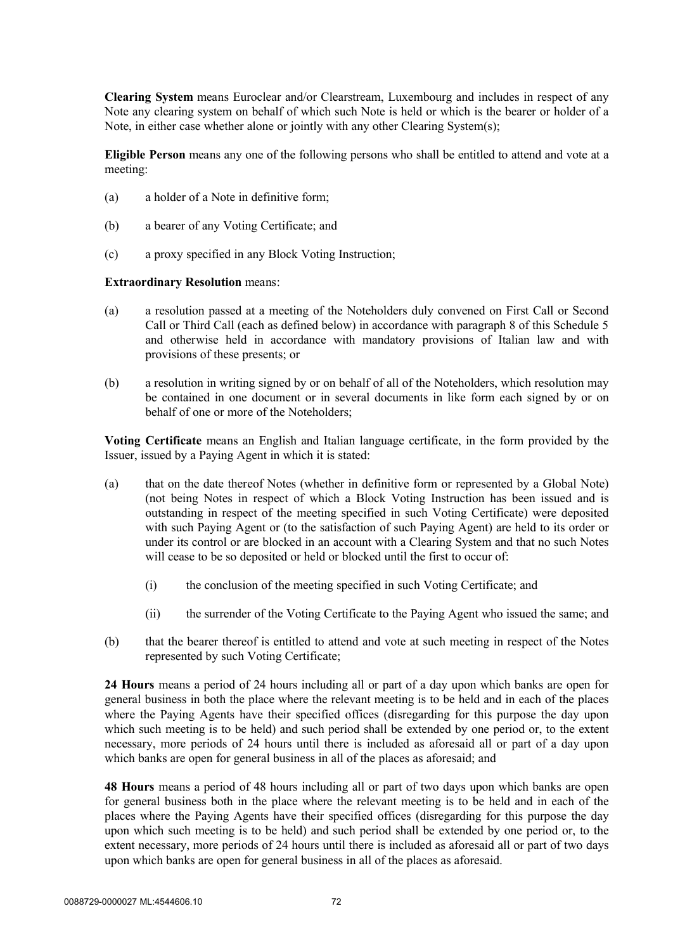**Clearing System** means Euroclear and/or Clearstream, Luxembourg and includes in respect of any Note any clearing system on behalf of which such Note is held or which is the bearer or holder of a Note, in either case whether alone or jointly with any other Clearing System(s);

**Eligible Person** means any one of the following persons who shall be entitled to attend and vote at a meeting:

- (a) a holder of a Note in definitive form;
- (b) a bearer of any Voting Certificate; and
- (c) a proxy specified in any Block Voting Instruction;

#### **Extraordinary Resolution** means:

- (a) a resolution passed at a meeting of the Noteholders duly convened on First Call or Second Call or Third Call (each as defined below) in accordance with paragraph 8 of this Schedule 5 and otherwise held in accordance with mandatory provisions of Italian law and with provisions of these presents; or
- (b) a resolution in writing signed by or on behalf of all of the Noteholders, which resolution may be contained in one document or in several documents in like form each signed by or on behalf of one or more of the Noteholders;

**Voting Certificate** means an English and Italian language certificate, in the form provided by the Issuer, issued by a Paying Agent in which it is stated:

- (a) that on the date thereof Notes (whether in definitive form or represented by a Global Note) (not being Notes in respect of which a Block Voting Instruction has been issued and is outstanding in respect of the meeting specified in such Voting Certificate) were deposited with such Paying Agent or (to the satisfaction of such Paying Agent) are held to its order or under its control or are blocked in an account with a Clearing System and that no such Notes will cease to be so deposited or held or blocked until the first to occur of:
	- (i) the conclusion of the meeting specified in such Voting Certificate; and
	- (ii) the surrender of the Voting Certificate to the Paying Agent who issued the same; and
- (b) that the bearer thereof is entitled to attend and vote at such meeting in respect of the Notes represented by such Voting Certificate;

**24 Hours** means a period of 24 hours including all or part of a day upon which banks are open for general business in both the place where the relevant meeting is to be held and in each of the places where the Paying Agents have their specified offices (disregarding for this purpose the day upon which such meeting is to be held) and such period shall be extended by one period or, to the extent necessary, more periods of 24 hours until there is included as aforesaid all or part of a day upon which banks are open for general business in all of the places as aforesaid; and

**48 Hours** means a period of 48 hours including all or part of two days upon which banks are open for general business both in the place where the relevant meeting is to be held and in each of the places where the Paying Agents have their specified offices (disregarding for this purpose the day upon which such meeting is to be held) and such period shall be extended by one period or, to the extent necessary, more periods of 24 hours until there is included as aforesaid all or part of two days upon which banks are open for general business in all of the places as aforesaid.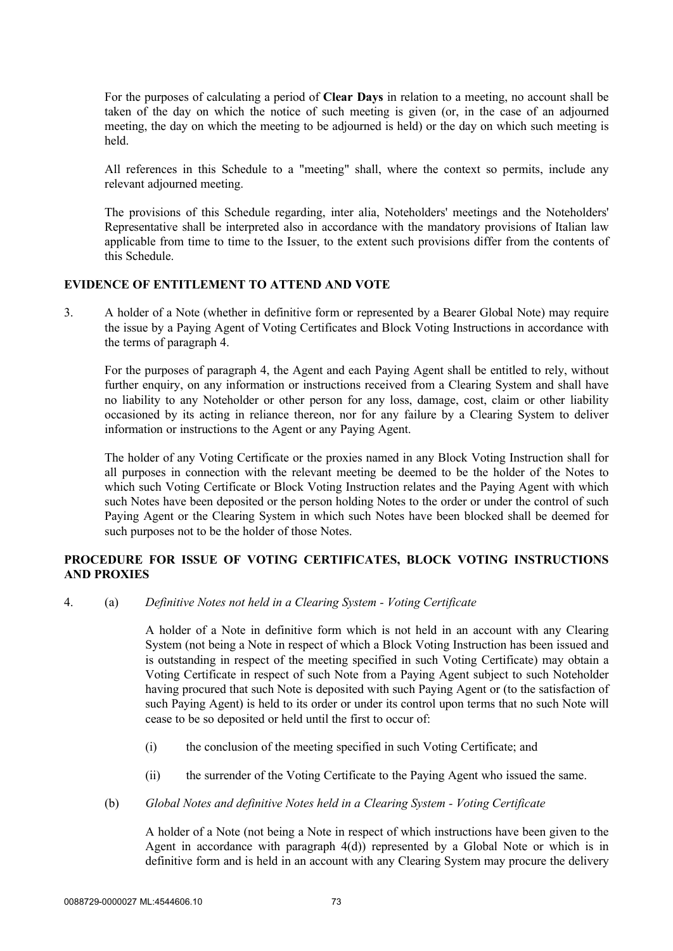For the purposes of calculating a period of **Clear Days** in relation to a meeting, no account shall be taken of the day on which the notice of such meeting is given (or, in the case of an adjourned meeting, the day on which the meeting to be adjourned is held) or the day on which such meeting is held.

All references in this Schedule to a "meeting" shall, where the context so permits, include any relevant adjourned meeting.

The provisions of this Schedule regarding, inter alia, Noteholders' meetings and the Noteholders' Representative shall be interpreted also in accordance with the mandatory provisions of Italian law applicable from time to time to the Issuer, to the extent such provisions differ from the contents of this Schedule.

### **EVIDENCE OF ENTITLEMENT TO ATTEND AND VOTE**

3. A holder of a Note (whether in definitive form or represented by a Bearer Global Note) may require the issue by a Paying Agent of Voting Certificates and Block Voting Instructions in accordance with the terms of paragraph 4.

For the purposes of paragraph 4, the Agent and each Paying Agent shall be entitled to rely, without further enquiry, on any information or instructions received from a Clearing System and shall have no liability to any Noteholder or other person for any loss, damage, cost, claim or other liability occasioned by its acting in reliance thereon, nor for any failure by a Clearing System to deliver information or instructions to the Agent or any Paying Agent.

The holder of any Voting Certificate or the proxies named in any Block Voting Instruction shall for all purposes in connection with the relevant meeting be deemed to be the holder of the Notes to which such Voting Certificate or Block Voting Instruction relates and the Paying Agent with which such Notes have been deposited or the person holding Notes to the order or under the control of such Paying Agent or the Clearing System in which such Notes have been blocked shall be deemed for such purposes not to be the holder of those Notes.

## **PROCEDURE FOR ISSUE OF VOTING CERTIFICATES, BLOCK VOTING INSTRUCTIONS AND PROXIES**

4. (a) *Definitive Notes not held in a Clearing System - Voting Certificate*

A holder of a Note in definitive form which is not held in an account with any Clearing System (not being a Note in respect of which a Block Voting Instruction has been issued and is outstanding in respect of the meeting specified in such Voting Certificate) may obtain a Voting Certificate in respect of such Note from a Paying Agent subject to such Noteholder having procured that such Note is deposited with such Paying Agent or (to the satisfaction of such Paying Agent) is held to its order or under its control upon terms that no such Note will cease to be so deposited or held until the first to occur of:

- (i) the conclusion of the meeting specified in such Voting Certificate; and
- (ii) the surrender of the Voting Certificate to the Paying Agent who issued the same.
- (b) *Global Notes and definitive Notes held in a Clearing System - Voting Certificate*

A holder of a Note (not being a Note in respect of which instructions have been given to the Agent in accordance with paragraph 4(d)) represented by a Global Note or which is in definitive form and is held in an account with any Clearing System may procure the delivery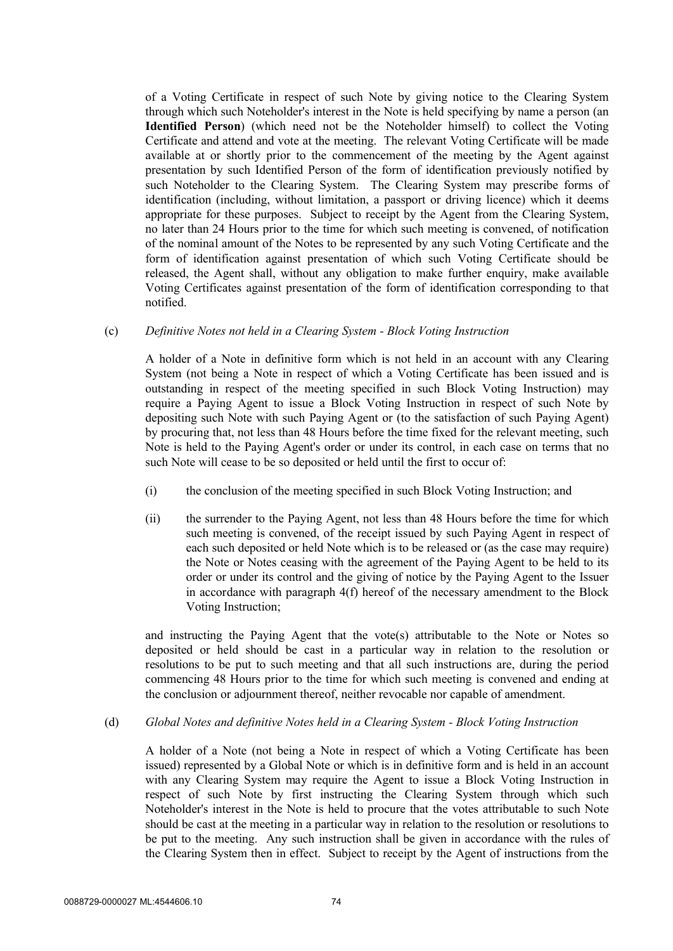of a Voting Certificate in respect of such Note by giving notice to the Clearing System through which such Noteholder's interest in the Note is held specifying by name a person (an **Identified Person**) (which need not be the Noteholder himself) to collect the Voting Certificate and attend and vote at the meeting. The relevant Voting Certificate will be made available at or shortly prior to the commencement of the meeting by the Agent against presentation by such Identified Person of the form of identification previously notified by such Noteholder to the Clearing System. The Clearing System may prescribe forms of identification (including, without limitation, a passport or driving licence) which it deems appropriate for these purposes. Subject to receipt by the Agent from the Clearing System, no later than 24 Hours prior to the time for which such meeting is convened, of notification of the nominal amount of the Notes to be represented by any such Voting Certificate and the form of identification against presentation of which such Voting Certificate should be released, the Agent shall, without any obligation to make further enquiry, make available Voting Certificates against presentation of the form of identification corresponding to that notified.

#### (c) *Definitive Notes not held in a Clearing System - Block Voting Instruction*

A holder of a Note in definitive form which is not held in an account with any Clearing System (not being a Note in respect of which a Voting Certificate has been issued and is outstanding in respect of the meeting specified in such Block Voting Instruction) may require a Paying Agent to issue a Block Voting Instruction in respect of such Note by depositing such Note with such Paying Agent or (to the satisfaction of such Paying Agent) by procuring that, not less than 48 Hours before the time fixed for the relevant meeting, such Note is held to the Paying Agent's order or under its control, in each case on terms that no such Note will cease to be so deposited or held until the first to occur of:

- (i) the conclusion of the meeting specified in such Block Voting Instruction; and
- (ii) the surrender to the Paying Agent, not less than 48 Hours before the time for which such meeting is convened, of the receipt issued by such Paying Agent in respect of each such deposited or held Note which is to be released or (as the case may require) the Note or Notes ceasing with the agreement of the Paying Agent to be held to its order or under its control and the giving of notice by the Paying Agent to the Issuer in accordance with paragraph 4(f) hereof of the necessary amendment to the Block Voting Instruction;

and instructing the Paying Agent that the vote(s) attributable to the Note or Notes so deposited or held should be cast in a particular way in relation to the resolution or resolutions to be put to such meeting and that all such instructions are, during the period commencing 48 Hours prior to the time for which such meeting is convened and ending at the conclusion or adjournment thereof, neither revocable nor capable of amendment.

(d) *Global Notes and definitive Notes held in a Clearing System - Block Voting Instruction*

A holder of a Note (not being a Note in respect of which a Voting Certificate has been issued) represented by a Global Note or which is in definitive form and is held in an account with any Clearing System may require the Agent to issue a Block Voting Instruction in respect of such Note by first instructing the Clearing System through which such Noteholder's interest in the Note is held to procure that the votes attributable to such Note should be cast at the meeting in a particular way in relation to the resolution or resolutions to be put to the meeting. Any such instruction shall be given in accordance with the rules of the Clearing System then in effect. Subject to receipt by the Agent of instructions from the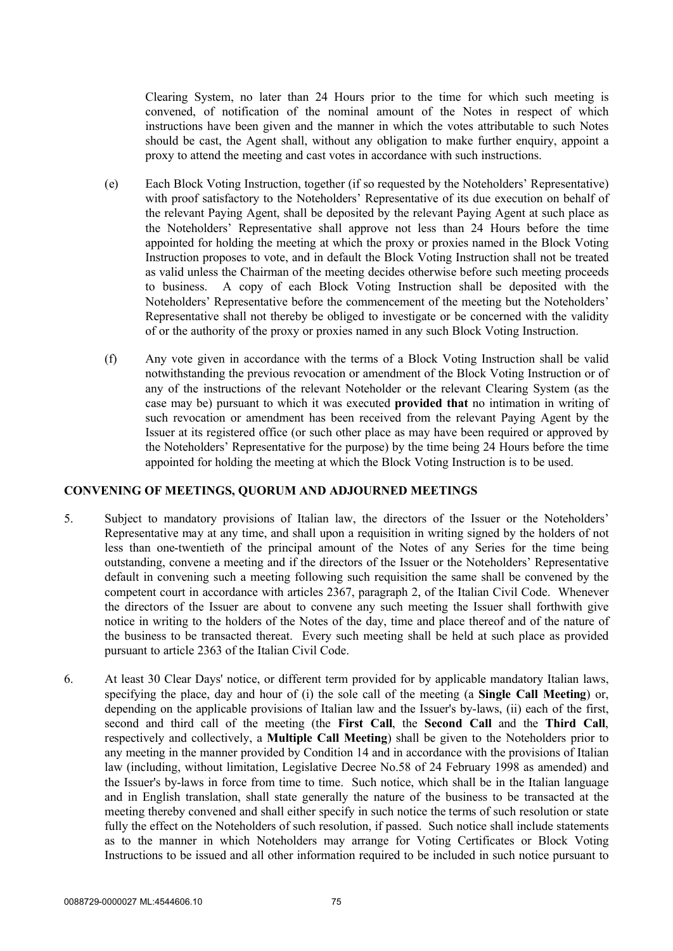Clearing System, no later than 24 Hours prior to the time for which such meeting is convened, of notification of the nominal amount of the Notes in respect of which instructions have been given and the manner in which the votes attributable to such Notes should be cast, the Agent shall, without any obligation to make further enquiry, appoint a proxy to attend the meeting and cast votes in accordance with such instructions.

- (e) Each Block Voting Instruction, together (if so requested by the Noteholders' Representative) with proof satisfactory to the Noteholders' Representative of its due execution on behalf of the relevant Paying Agent, shall be deposited by the relevant Paying Agent at such place as the Noteholders' Representative shall approve not less than 24 Hours before the time appointed for holding the meeting at which the proxy or proxies named in the Block Voting Instruction proposes to vote, and in default the Block Voting Instruction shall not be treated as valid unless the Chairman of the meeting decides otherwise before such meeting proceeds to business. A copy of each Block Voting Instruction shall be deposited with the Noteholders' Representative before the commencement of the meeting but the Noteholders' Representative shall not thereby be obliged to investigate or be concerned with the validity of or the authority of the proxy or proxies named in any such Block Voting Instruction.
- (f) Any vote given in accordance with the terms of a Block Voting Instruction shall be valid notwithstanding the previous revocation or amendment of the Block Voting Instruction or of any of the instructions of the relevant Noteholder or the relevant Clearing System (as the case may be) pursuant to which it was executed **provided that** no intimation in writing of such revocation or amendment has been received from the relevant Paying Agent by the Issuer at its registered office (or such other place as may have been required or approved by the Noteholders' Representative for the purpose) by the time being 24 Hours before the time appointed for holding the meeting at which the Block Voting Instruction is to be used.

#### **CONVENING OF MEETINGS, QUORUM AND ADJOURNED MEETINGS**

- 5. Subject to mandatory provisions of Italian law, the directors of the Issuer or the Noteholders' Representative may at any time, and shall upon a requisition in writing signed by the holders of not less than one-twentieth of the principal amount of the Notes of any Series for the time being outstanding, convene a meeting and if the directors of the Issuer or the Noteholders' Representative default in convening such a meeting following such requisition the same shall be convened by the competent court in accordance with articles 2367, paragraph 2, of the Italian Civil Code. Whenever the directors of the Issuer are about to convene any such meeting the Issuer shall forthwith give notice in writing to the holders of the Notes of the day, time and place thereof and of the nature of the business to be transacted thereat. Every such meeting shall be held at such place as provided pursuant to article 2363 of the Italian Civil Code.
- 6. At least 30 Clear Days' notice, or different term provided for by applicable mandatory Italian laws, specifying the place, day and hour of (i) the sole call of the meeting (a **Single Call Meeting**) or, depending on the applicable provisions of Italian law and the Issuer's by-laws, (ii) each of the first, second and third call of the meeting (the **First Call**, the **Second Call** and the **Third Call**, respectively and collectively, a **Multiple Call Meeting**) shall be given to the Noteholders prior to any meeting in the manner provided by Condition 14 and in accordance with the provisions of Italian law (including, without limitation, Legislative Decree No.58 of 24 February 1998 as amended) and the Issuer's by-laws in force from time to time. Such notice, which shall be in the Italian language and in English translation, shall state generally the nature of the business to be transacted at the meeting thereby convened and shall either specify in such notice the terms of such resolution or state fully the effect on the Noteholders of such resolution, if passed. Such notice shall include statements as to the manner in which Noteholders may arrange for Voting Certificates or Block Voting Instructions to be issued and all other information required to be included in such notice pursuant to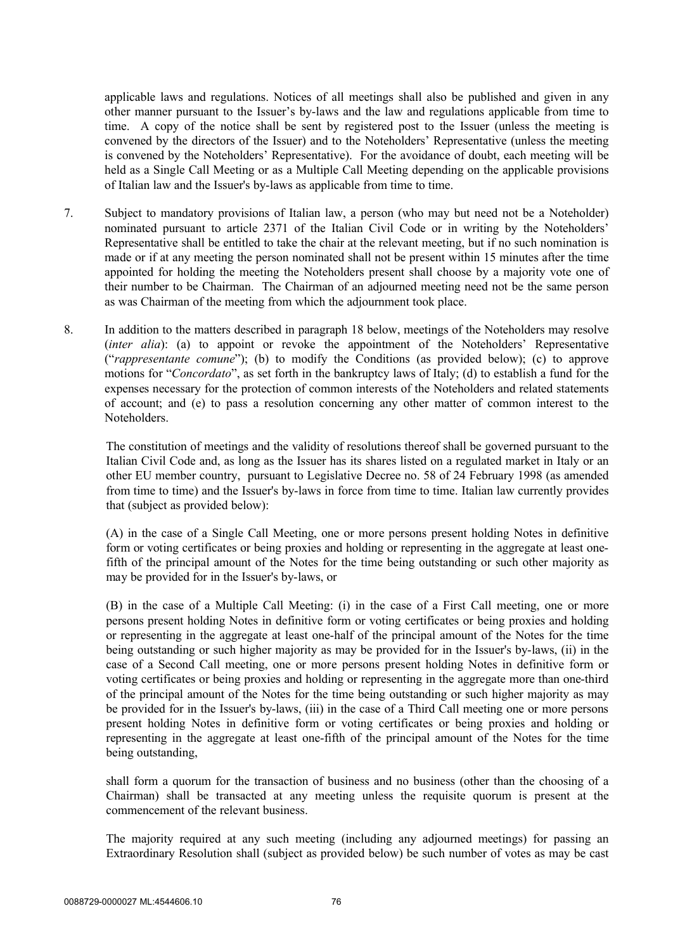applicable laws and regulations. Notices of all meetings shall also be published and given in any other manner pursuant to the Issuer's by-laws and the law and regulations applicable from time to time. A copy of the notice shall be sent by registered post to the Issuer (unless the meeting is convened by the directors of the Issuer) and to the Noteholders' Representative (unless the meeting is convened by the Noteholders' Representative). For the avoidance of doubt, each meeting will be held as a Single Call Meeting or as a Multiple Call Meeting depending on the applicable provisions of Italian law and the Issuer's by-laws as applicable from time to time.

- 7. Subject to mandatory provisions of Italian law, a person (who may but need not be a Noteholder) nominated pursuant to article 2371 of the Italian Civil Code or in writing by the Noteholders' Representative shall be entitled to take the chair at the relevant meeting, but if no such nomination is made or if at any meeting the person nominated shall not be present within 15 minutes after the time appointed for holding the meeting the Noteholders present shall choose by a majority vote one of their number to be Chairman. The Chairman of an adjourned meeting need not be the same person as was Chairman of the meeting from which the adjournment took place.
- 8. In addition to the matters described in paragraph 18 below, meetings of the Noteholders may resolve (*inter alia*): (a) to appoint or revoke the appointment of the Noteholders' Representative ("*rappresentante comune*"); (b) to modify the Conditions (as provided below); (c) to approve motions for "*Concordato*", as set forth in the bankruptcy laws of Italy; (d) to establish a fund for the expenses necessary for the protection of common interests of the Noteholders and related statements of account; and (e) to pass a resolution concerning any other matter of common interest to the Noteholders.

The constitution of meetings and the validity of resolutions thereof shall be governed pursuant to the Italian Civil Code and, as long as the Issuer has its shares listed on a regulated market in Italy or an other EU member country, pursuant to Legislative Decree no. 58 of 24 February 1998 (as amended from time to time) and the Issuer's by-laws in force from time to time. Italian law currently provides that (subject as provided below):

(A) in the case of a Single Call Meeting, one or more persons present holding Notes in definitive form or voting certificates or being proxies and holding or representing in the aggregate at least onefifth of the principal amount of the Notes for the time being outstanding or such other majority as may be provided for in the Issuer's by-laws, or

(B) in the case of a Multiple Call Meeting: (i) in the case of a First Call meeting, one or more persons present holding Notes in definitive form or voting certificates or being proxies and holding or representing in the aggregate at least one-half of the principal amount of the Notes for the time being outstanding or such higher majority as may be provided for in the Issuer's by-laws, (ii) in the case of a Second Call meeting, one or more persons present holding Notes in definitive form or voting certificates or being proxies and holding or representing in the aggregate more than one-third of the principal amount of the Notes for the time being outstanding or such higher majority as may be provided for in the Issuer's by-laws, (iii) in the case of a Third Call meeting one or more persons present holding Notes in definitive form or voting certificates or being proxies and holding or representing in the aggregate at least one-fifth of the principal amount of the Notes for the time being outstanding,

shall form a quorum for the transaction of business and no business (other than the choosing of a Chairman) shall be transacted at any meeting unless the requisite quorum is present at the commencement of the relevant business.

The majority required at any such meeting (including any adjourned meetings) for passing an Extraordinary Resolution shall (subject as provided below) be such number of votes as may be cast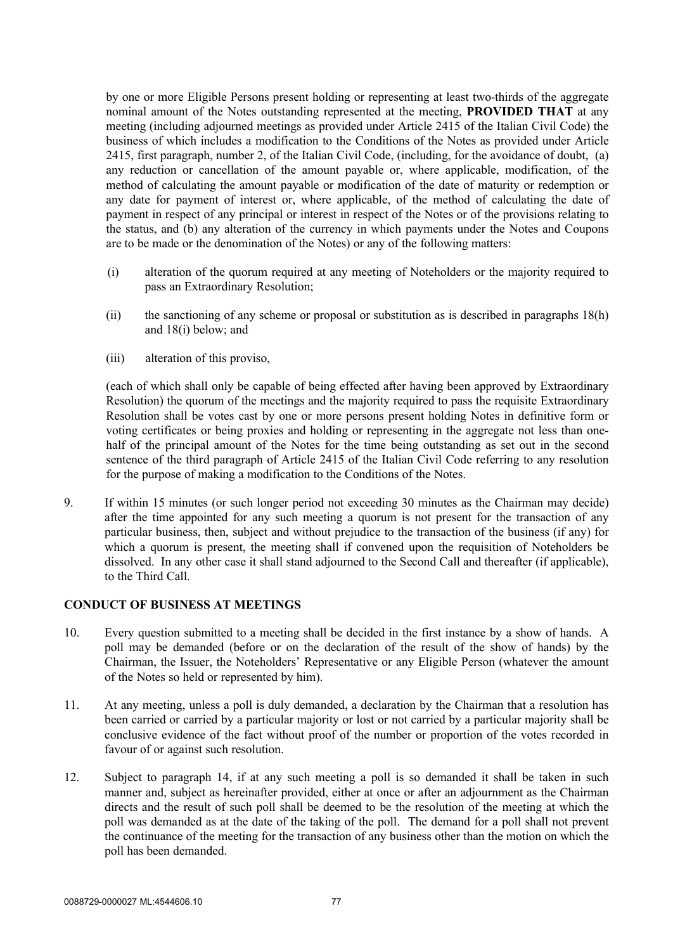by one or more Eligible Persons present holding or representing at least two-thirds of the aggregate nominal amount of the Notes outstanding represented at the meeting, **PROVIDED THAT** at any meeting (including adjourned meetings as provided under Article 2415 of the Italian Civil Code) the business of which includes a modification to the Conditions of the Notes as provided under Article 2415, first paragraph, number 2, of the Italian Civil Code, (including, for the avoidance of doubt, (a) any reduction or cancellation of the amount payable or, where applicable, modification, of the method of calculating the amount payable or modification of the date of maturity or redemption or any date for payment of interest or, where applicable, of the method of calculating the date of payment in respect of any principal or interest in respect of the Notes or of the provisions relating to the status, and (b) any alteration of the currency in which payments under the Notes and Coupons are to be made or the denomination of the Notes) or any of the following matters:

- (i) alteration of the quorum required at any meeting of Noteholders or the majority required to pass an Extraordinary Resolution;
- (ii) the sanctioning of any scheme or proposal or substitution as is described in paragraphs 18(h) and 18(i) below; and
- (iii) alteration of this proviso,

(each of which shall only be capable of being effected after having been approved by Extraordinary Resolution) the quorum of the meetings and the majority required to pass the requisite Extraordinary Resolution shall be votes cast by one or more persons present holding Notes in definitive form or voting certificates or being proxies and holding or representing in the aggregate not less than onehalf of the principal amount of the Notes for the time being outstanding as set out in the second sentence of the third paragraph of Article 2415 of the Italian Civil Code referring to any resolution for the purpose of making a modification to the Conditions of the Notes.

9. If within 15 minutes (or such longer period not exceeding 30 minutes as the Chairman may decide) after the time appointed for any such meeting a quorum is not present for the transaction of any particular business, then, subject and without prejudice to the transaction of the business (if any) for which a quorum is present, the meeting shall if convened upon the requisition of Noteholders be dissolved. In any other case it shall stand adjourned to the Second Call and thereafter (if applicable), to the Third Call.

## **CONDUCT OF BUSINESS AT MEETINGS**

- 10. Every question submitted to a meeting shall be decided in the first instance by a show of hands. A poll may be demanded (before or on the declaration of the result of the show of hands) by the Chairman, the Issuer, the Noteholders' Representative or any Eligible Person (whatever the amount of the Notes so held or represented by him).
- 11. At any meeting, unless a poll is duly demanded, a declaration by the Chairman that a resolution has been carried or carried by a particular majority or lost or not carried by a particular majority shall be conclusive evidence of the fact without proof of the number or proportion of the votes recorded in favour of or against such resolution.
- 12. Subject to paragraph 14, if at any such meeting a poll is so demanded it shall be taken in such manner and, subject as hereinafter provided, either at once or after an adjournment as the Chairman directs and the result of such poll shall be deemed to be the resolution of the meeting at which the poll was demanded as at the date of the taking of the poll. The demand for a poll shall not prevent the continuance of the meeting for the transaction of any business other than the motion on which the poll has been demanded.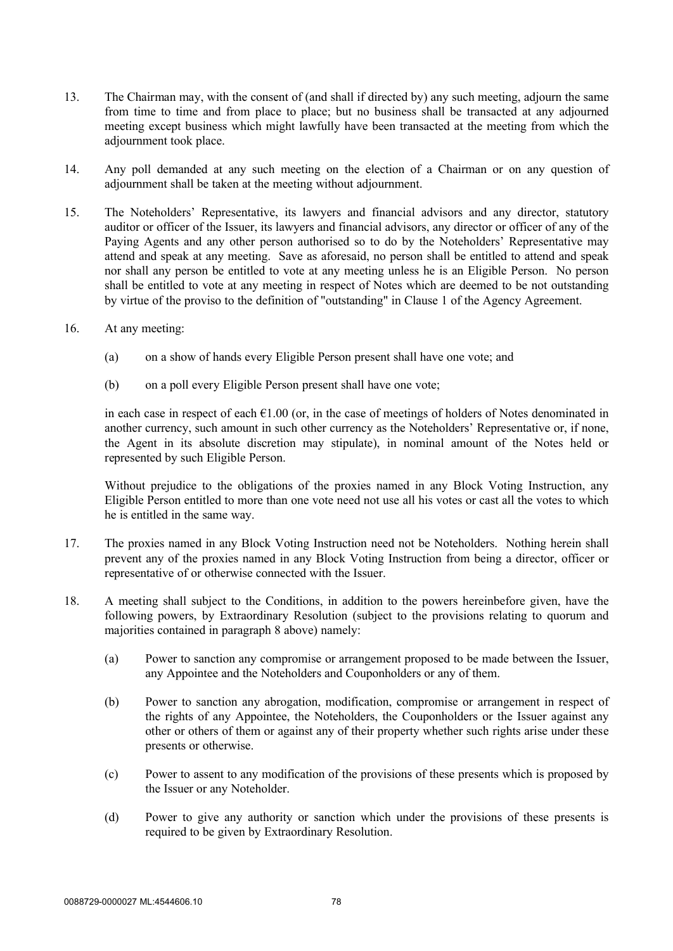- 13. The Chairman may, with the consent of (and shall if directed by) any such meeting, adjourn the same from time to time and from place to place; but no business shall be transacted at any adjourned meeting except business which might lawfully have been transacted at the meeting from which the adjournment took place.
- 14. Any poll demanded at any such meeting on the election of a Chairman or on any question of adjournment shall be taken at the meeting without adjournment.
- 15. The Noteholders' Representative, its lawyers and financial advisors and any director, statutory auditor or officer of the Issuer, its lawyers and financial advisors, any director or officer of any of the Paying Agents and any other person authorised so to do by the Noteholders' Representative may attend and speak at any meeting. Save as aforesaid, no person shall be entitled to attend and speak nor shall any person be entitled to vote at any meeting unless he is an Eligible Person. No person shall be entitled to vote at any meeting in respect of Notes which are deemed to be not outstanding by virtue of the proviso to the definition of "outstanding" in Clause 1 of the Agency Agreement.
- 16. At any meeting:
	- (a) on a show of hands every Eligible Person present shall have one vote; and
	- (b) on a poll every Eligible Person present shall have one vote;

in each case in respect of each  $\epsilon$ 1.00 (or, in the case of meetings of holders of Notes denominated in another currency, such amount in such other currency as the Noteholders' Representative or, if none, the Agent in its absolute discretion may stipulate), in nominal amount of the Notes held or represented by such Eligible Person.

Without prejudice to the obligations of the proxies named in any Block Voting Instruction, any Eligible Person entitled to more than one vote need not use all his votes or cast all the votes to which he is entitled in the same way.

- 17. The proxies named in any Block Voting Instruction need not be Noteholders. Nothing herein shall prevent any of the proxies named in any Block Voting Instruction from being a director, officer or representative of or otherwise connected with the Issuer.
- 18. A meeting shall subject to the Conditions, in addition to the powers hereinbefore given, have the following powers, by Extraordinary Resolution (subject to the provisions relating to quorum and majorities contained in paragraph 8 above) namely:
	- (a) Power to sanction any compromise or arrangement proposed to be made between the Issuer, any Appointee and the Noteholders and Couponholders or any of them.
	- (b) Power to sanction any abrogation, modification, compromise or arrangement in respect of the rights of any Appointee, the Noteholders, the Couponholders or the Issuer against any other or others of them or against any of their property whether such rights arise under these presents or otherwise.
	- (c) Power to assent to any modification of the provisions of these presents which is proposed by the Issuer or any Noteholder.
	- (d) Power to give any authority or sanction which under the provisions of these presents is required to be given by Extraordinary Resolution.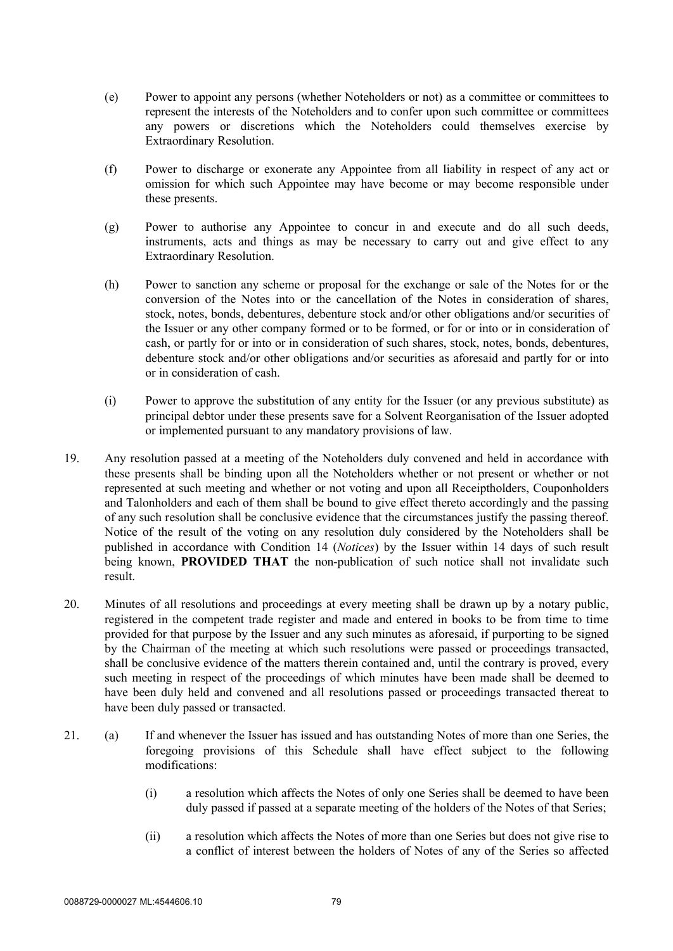- (e) Power to appoint any persons (whether Noteholders or not) as a committee or committees to represent the interests of the Noteholders and to confer upon such committee or committees any powers or discretions which the Noteholders could themselves exercise by Extraordinary Resolution.
- (f) Power to discharge or exonerate any Appointee from all liability in respect of any act or omission for which such Appointee may have become or may become responsible under these presents.
- (g) Power to authorise any Appointee to concur in and execute and do all such deeds, instruments, acts and things as may be necessary to carry out and give effect to any Extraordinary Resolution.
- (h) Power to sanction any scheme or proposal for the exchange or sale of the Notes for or the conversion of the Notes into or the cancellation of the Notes in consideration of shares, stock, notes, bonds, debentures, debenture stock and/or other obligations and/or securities of the Issuer or any other company formed or to be formed, or for or into or in consideration of cash, or partly for or into or in consideration of such shares, stock, notes, bonds, debentures, debenture stock and/or other obligations and/or securities as aforesaid and partly for or into or in consideration of cash.
- (i) Power to approve the substitution of any entity for the Issuer (or any previous substitute) as principal debtor under these presents save for a Solvent Reorganisation of the Issuer adopted or implemented pursuant to any mandatory provisions of law.
- 19. Any resolution passed at a meeting of the Noteholders duly convened and held in accordance with these presents shall be binding upon all the Noteholders whether or not present or whether or not represented at such meeting and whether or not voting and upon all Receiptholders, Couponholders and Talonholders and each of them shall be bound to give effect thereto accordingly and the passing of any such resolution shall be conclusive evidence that the circumstances justify the passing thereof. Notice of the result of the voting on any resolution duly considered by the Noteholders shall be published in accordance with Condition 14 (*Notices*) by the Issuer within 14 days of such result being known, **PROVIDED THAT** the non-publication of such notice shall not invalidate such result.
- 20. Minutes of all resolutions and proceedings at every meeting shall be drawn up by a notary public, registered in the competent trade register and made and entered in books to be from time to time provided for that purpose by the Issuer and any such minutes as aforesaid, if purporting to be signed by the Chairman of the meeting at which such resolutions were passed or proceedings transacted, shall be conclusive evidence of the matters therein contained and, until the contrary is proved, every such meeting in respect of the proceedings of which minutes have been made shall be deemed to have been duly held and convened and all resolutions passed or proceedings transacted thereat to have been duly passed or transacted.
- 21. (a) If and whenever the Issuer has issued and has outstanding Notes of more than one Series, the foregoing provisions of this Schedule shall have effect subject to the following modifications:
	- (i) a resolution which affects the Notes of only one Series shall be deemed to have been duly passed if passed at a separate meeting of the holders of the Notes of that Series;
	- (ii) a resolution which affects the Notes of more than one Series but does not give rise to a conflict of interest between the holders of Notes of any of the Series so affected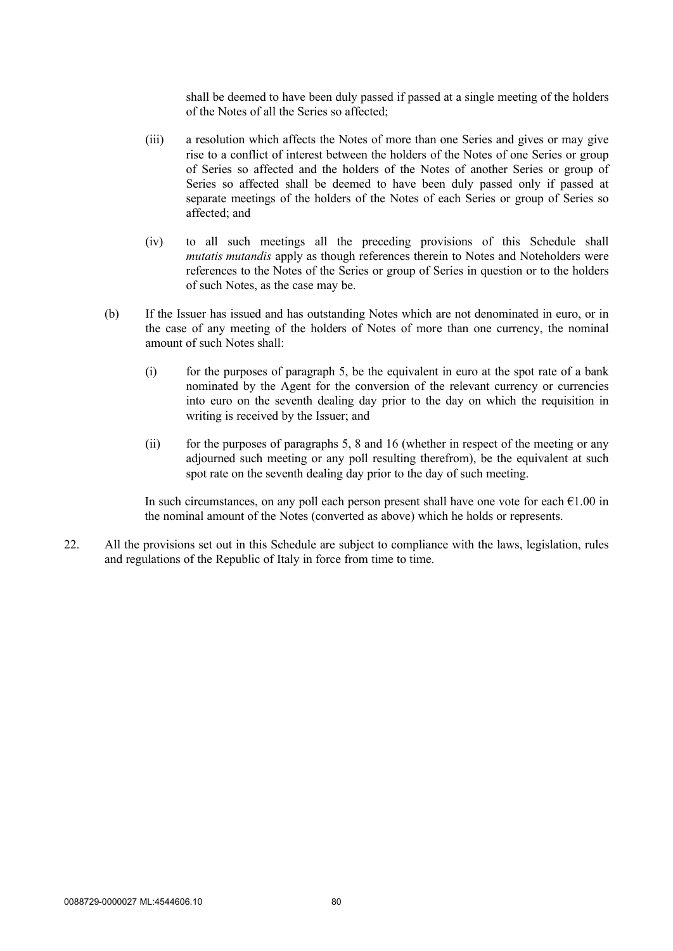shall be deemed to have been duly passed if passed at a single meeting of the holders of the Notes of all the Series so affected;

- (iii) a resolution which affects the Notes of more than one Series and gives or may give rise to a conflict of interest between the holders of the Notes of one Series or group of Series so affected and the holders of the Notes of another Series or group of Series so affected shall be deemed to have been duly passed only if passed at separate meetings of the holders of the Notes of each Series or group of Series so affected; and
- (iv) to all such meetings all the preceding provisions of this Schedule shall *mutatis mutandis* apply as though references therein to Notes and Noteholders were references to the Notes of the Series or group of Series in question or to the holders of such Notes, as the case may be.
- (b) If the Issuer has issued and has outstanding Notes which are not denominated in euro, or in the case of any meeting of the holders of Notes of more than one currency, the nominal amount of such Notes shall:
	- (i) for the purposes of paragraph 5, be the equivalent in euro at the spot rate of a bank nominated by the Agent for the conversion of the relevant currency or currencies into euro on the seventh dealing day prior to the day on which the requisition in writing is received by the Issuer; and
	- (ii) for the purposes of paragraphs 5, 8 and 16 (whether in respect of the meeting or any adjourned such meeting or any poll resulting therefrom), be the equivalent at such spot rate on the seventh dealing day prior to the day of such meeting.

In such circumstances, on any poll each person present shall have one vote for each  $\epsilon$ 1.00 in the nominal amount of the Notes (converted as above) which he holds or represents.

22. All the provisions set out in this Schedule are subject to compliance with the laws, legislation, rules and regulations of the Republic of Italy in force from time to time.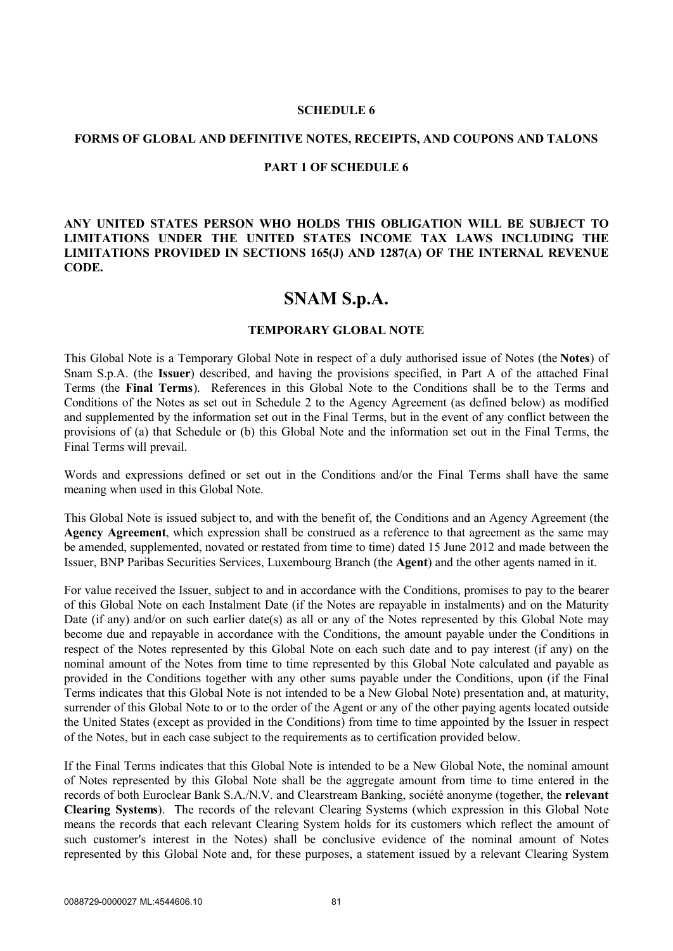#### **SCHEDULE 6**

#### **FORMS OF GLOBAL AND DEFINITIVE NOTES, RECEIPTS, AND COUPONS AND TALONS**

#### **PART 1 OF SCHEDULE 6**

**ANY UNITED STATES PERSON WHO HOLDS THIS OBLIGATION WILL BE SUBJECT TO LIMITATIONS UNDER THE UNITED STATES INCOME TAX LAWS INCLUDING THE LIMITATIONS PROVIDED IN SECTIONS 165(J) AND 1287(A) OF THE INTERNAL REVENUE CODE.**

# **SNAM S.p.A.**

#### **TEMPORARY GLOBAL NOTE**

This Global Note is a Temporary Global Note in respect of a duly authorised issue of Notes (the **Notes**) of Snam S.p.A. (the **Issuer**) described, and having the provisions specified, in Part A of the attached Final Terms (the **Final Terms**). References in this Global Note to the Conditions shall be to the Terms and Conditions of the Notes as set out in Schedule 2 to the Agency Agreement (as defined below) as modified and supplemented by the information set out in the Final Terms, but in the event of any conflict between the provisions of (a) that Schedule or (b) this Global Note and the information set out in the Final Terms, the Final Terms will prevail.

Words and expressions defined or set out in the Conditions and/or the Final Terms shall have the same meaning when used in this Global Note.

This Global Note is issued subject to, and with the benefit of, the Conditions and an Agency Agreement (the **Agency Agreement**, which expression shall be construed as a reference to that agreement as the same may be amended, supplemented, novated or restated from time to time) dated 15 June 2012 and made between the Issuer, BNP Paribas Securities Services, Luxembourg Branch (the **Agent**) and the other agents named in it.

For value received the Issuer, subject to and in accordance with the Conditions, promises to pay to the bearer of this Global Note on each Instalment Date (if the Notes are repayable in instalments) and on the Maturity Date (if any) and/or on such earlier date(s) as all or any of the Notes represented by this Global Note may become due and repayable in accordance with the Conditions, the amount payable under the Conditions in respect of the Notes represented by this Global Note on each such date and to pay interest (if any) on the nominal amount of the Notes from time to time represented by this Global Note calculated and payable as provided in the Conditions together with any other sums payable under the Conditions, upon (if the Final Terms indicates that this Global Note is not intended to be a New Global Note) presentation and, at maturity, surrender of this Global Note to or to the order of the Agent or any of the other paying agents located outside the United States (except as provided in the Conditions) from time to time appointed by the Issuer in respect of the Notes, but in each case subject to the requirements as to certification provided below.

If the Final Terms indicates that this Global Note is intended to be a New Global Note, the nominal amount of Notes represented by this Global Note shall be the aggregate amount from time to time entered in the records of both Euroclear Bank S.A./N.V. and Clearstream Banking, société anonyme (together, the **relevant Clearing Systems**). The records of the relevant Clearing Systems (which expression in this Global Note means the records that each relevant Clearing System holds for its customers which reflect the amount of such customer's interest in the Notes) shall be conclusive evidence of the nominal amount of Notes represented by this Global Note and, for these purposes, a statement issued by a relevant Clearing System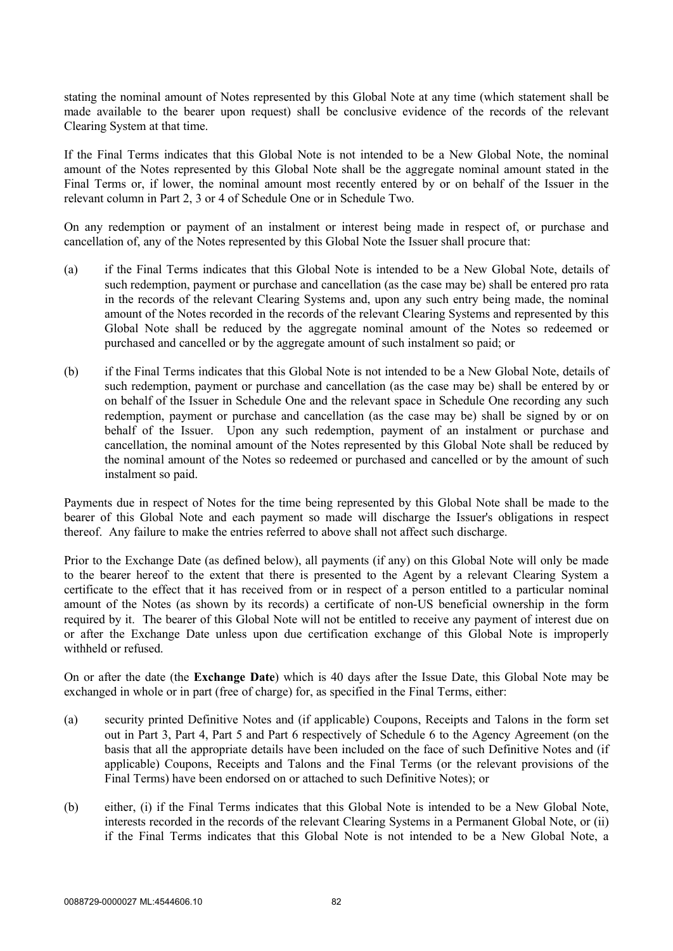stating the nominal amount of Notes represented by this Global Note at any time (which statement shall be made available to the bearer upon request) shall be conclusive evidence of the records of the relevant Clearing System at that time.

If the Final Terms indicates that this Global Note is not intended to be a New Global Note, the nominal amount of the Notes represented by this Global Note shall be the aggregate nominal amount stated in the Final Terms or, if lower, the nominal amount most recently entered by or on behalf of the Issuer in the relevant column in Part 2, 3 or 4 of Schedule One or in Schedule Two.

On any redemption or payment of an instalment or interest being made in respect of, or purchase and cancellation of, any of the Notes represented by this Global Note the Issuer shall procure that:

- (a) if the Final Terms indicates that this Global Note is intended to be a New Global Note, details of such redemption, payment or purchase and cancellation (as the case may be) shall be entered pro rata in the records of the relevant Clearing Systems and, upon any such entry being made, the nominal amount of the Notes recorded in the records of the relevant Clearing Systems and represented by this Global Note shall be reduced by the aggregate nominal amount of the Notes so redeemed or purchased and cancelled or by the aggregate amount of such instalment so paid; or
- (b) if the Final Terms indicates that this Global Note is not intended to be a New Global Note, details of such redemption, payment or purchase and cancellation (as the case may be) shall be entered by or on behalf of the Issuer in Schedule One and the relevant space in Schedule One recording any such redemption, payment or purchase and cancellation (as the case may be) shall be signed by or on behalf of the Issuer. Upon any such redemption, payment of an instalment or purchase and cancellation, the nominal amount of the Notes represented by this Global Note shall be reduced by the nominal amount of the Notes so redeemed or purchased and cancelled or by the amount of such instalment so paid.

Payments due in respect of Notes for the time being represented by this Global Note shall be made to the bearer of this Global Note and each payment so made will discharge the Issuer's obligations in respect thereof. Any failure to make the entries referred to above shall not affect such discharge.

Prior to the Exchange Date (as defined below), all payments (if any) on this Global Note will only be made to the bearer hereof to the extent that there is presented to the Agent by a relevant Clearing System a certificate to the effect that it has received from or in respect of a person entitled to a particular nominal amount of the Notes (as shown by its records) a certificate of non-US beneficial ownership in the form required by it. The bearer of this Global Note will not be entitled to receive any payment of interest due on or after the Exchange Date unless upon due certification exchange of this Global Note is improperly withheld or refused.

On or after the date (the **Exchange Date**) which is 40 days after the Issue Date, this Global Note may be exchanged in whole or in part (free of charge) for, as specified in the Final Terms, either:

- (a) security printed Definitive Notes and (if applicable) Coupons, Receipts and Talons in the form set out in Part 3, Part 4, Part 5 and Part 6 respectively of Schedule 6 to the Agency Agreement (on the basis that all the appropriate details have been included on the face of such Definitive Notes and (if applicable) Coupons, Receipts and Talons and the Final Terms (or the relevant provisions of the Final Terms) have been endorsed on or attached to such Definitive Notes); or
- (b) either, (i) if the Final Terms indicates that this Global Note is intended to be a New Global Note, interests recorded in the records of the relevant Clearing Systems in a Permanent Global Note, or (ii) if the Final Terms indicates that this Global Note is not intended to be a New Global Note, a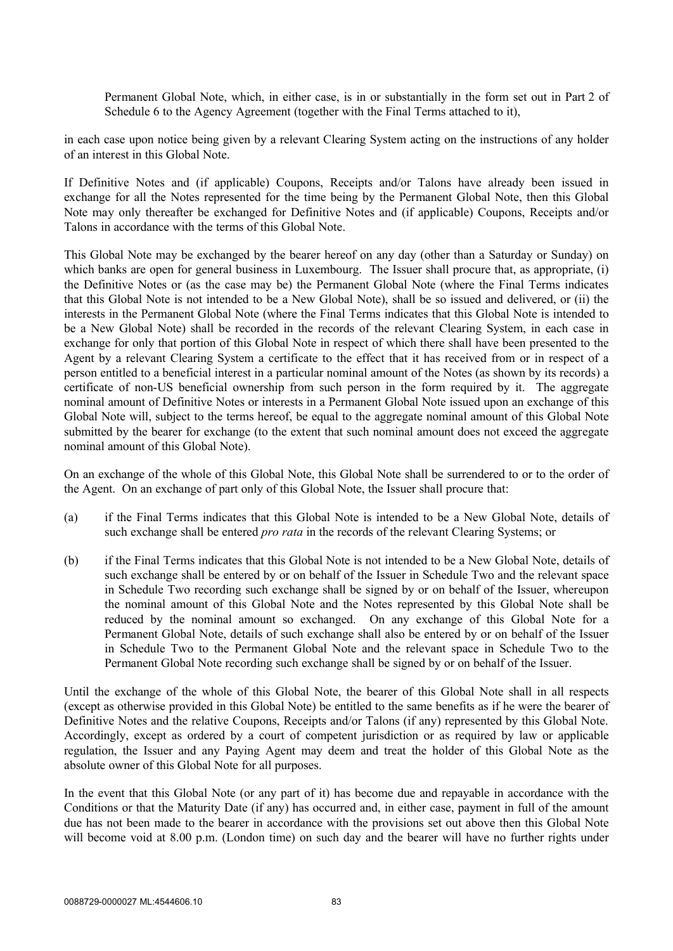Permanent Global Note, which, in either case, is in or substantially in the form set out in Part 2 of Schedule 6 to the Agency Agreement (together with the Final Terms attached to it),

in each case upon notice being given by a relevant Clearing System acting on the instructions of any holder of an interest in this Global Note.

If Definitive Notes and (if applicable) Coupons, Receipts and/or Talons have already been issued in exchange for all the Notes represented for the time being by the Permanent Global Note, then this Global Note may only thereafter be exchanged for Definitive Notes and (if applicable) Coupons, Receipts and/or Talons in accordance with the terms of this Global Note.

This Global Note may be exchanged by the bearer hereof on any day (other than a Saturday or Sunday) on which banks are open for general business in Luxembourg. The Issuer shall procure that, as appropriate, (i) the Definitive Notes or (as the case may be) the Permanent Global Note (where the Final Terms indicates that this Global Note is not intended to be a New Global Note), shall be so issued and delivered, or (ii) the interests in the Permanent Global Note (where the Final Terms indicates that this Global Note is intended to be a New Global Note) shall be recorded in the records of the relevant Clearing System, in each case in exchange for only that portion of this Global Note in respect of which there shall have been presented to the Agent by a relevant Clearing System a certificate to the effect that it has received from or in respect of a person entitled to a beneficial interest in a particular nominal amount of the Notes (as shown by its records) a certificate of non-US beneficial ownership from such person in the form required by it. The aggregate nominal amount of Definitive Notes or interests in a Permanent Global Note issued upon an exchange of this Global Note will, subject to the terms hereof, be equal to the aggregate nominal amount of this Global Note submitted by the bearer for exchange (to the extent that such nominal amount does not exceed the aggregate nominal amount of this Global Note).

On an exchange of the whole of this Global Note, this Global Note shall be surrendered to or to the order of the Agent. On an exchange of part only of this Global Note, the Issuer shall procure that:

- (a) if the Final Terms indicates that this Global Note is intended to be a New Global Note, details of such exchange shall be entered *pro rata* in the records of the relevant Clearing Systems; or
- (b) if the Final Terms indicates that this Global Note is not intended to be a New Global Note, details of such exchange shall be entered by or on behalf of the Issuer in Schedule Two and the relevant space in Schedule Two recording such exchange shall be signed by or on behalf of the Issuer, whereupon the nominal amount of this Global Note and the Notes represented by this Global Note shall be reduced by the nominal amount so exchanged. On any exchange of this Global Note for a Permanent Global Note, details of such exchange shall also be entered by or on behalf of the Issuer in Schedule Two to the Permanent Global Note and the relevant space in Schedule Two to the Permanent Global Note recording such exchange shall be signed by or on behalf of the Issuer.

Until the exchange of the whole of this Global Note, the bearer of this Global Note shall in all respects (except as otherwise provided in this Global Note) be entitled to the same benefits as if he were the bearer of Definitive Notes and the relative Coupons, Receipts and/or Talons (if any) represented by this Global Note. Accordingly, except as ordered by a court of competent jurisdiction or as required by law or applicable regulation, the Issuer and any Paying Agent may deem and treat the holder of this Global Note as the absolute owner of this Global Note for all purposes.

In the event that this Global Note (or any part of it) has become due and repayable in accordance with the Conditions or that the Maturity Date (if any) has occurred and, in either case, payment in full of the amount due has not been made to the bearer in accordance with the provisions set out above then this Global Note will become void at 8.00 p.m. (London time) on such day and the bearer will have no further rights under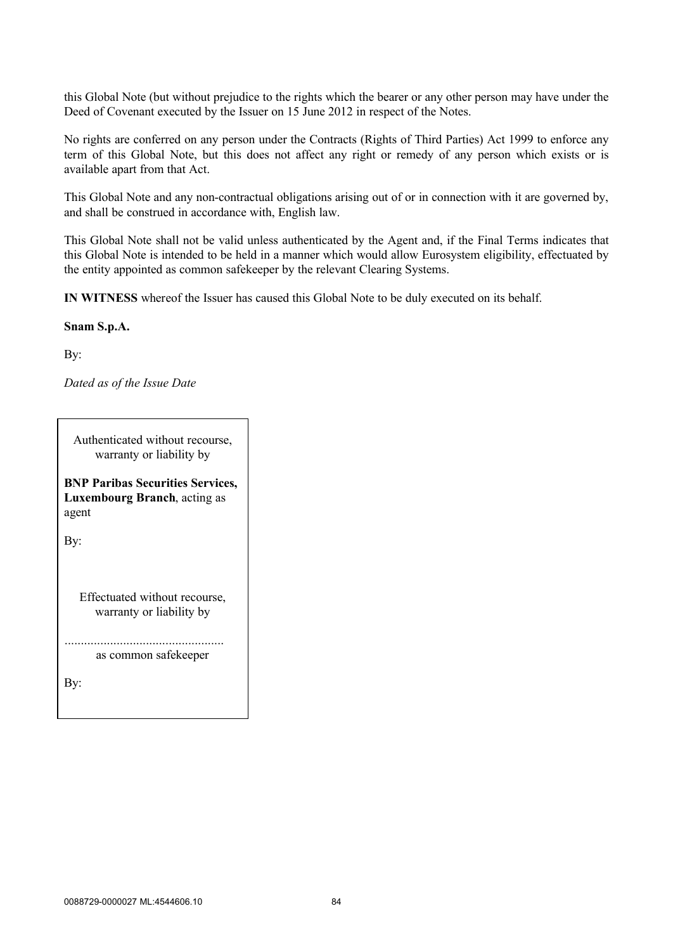this Global Note (but without prejudice to the rights which the bearer or any other person may have under the Deed of Covenant executed by the Issuer on 15 June 2012 in respect of the Notes.

No rights are conferred on any person under the Contracts (Rights of Third Parties) Act 1999 to enforce any term of this Global Note, but this does not affect any right or remedy of any person which exists or is available apart from that Act.

This Global Note and any non-contractual obligations arising out of or in connection with it are governed by, and shall be construed in accordance with, English law.

This Global Note shall not be valid unless authenticated by the Agent and, if the Final Terms indicates that this Global Note is intended to be held in a manner which would allow Eurosystem eligibility, effectuated by the entity appointed as common safekeeper by the relevant Clearing Systems.

**IN WITNESS** whereof the Issuer has caused this Global Note to be duly executed on its behalf.

#### **Snam S.p.A.**

By:

*Dated as of the Issue Date*

Authenticated without recourse, warranty or liability by

**BNP Paribas Securities Services, Luxembourg Branch**, acting as agent

By:

Effectuated without recourse, warranty or liability by

................................................. as common safekeeper

By: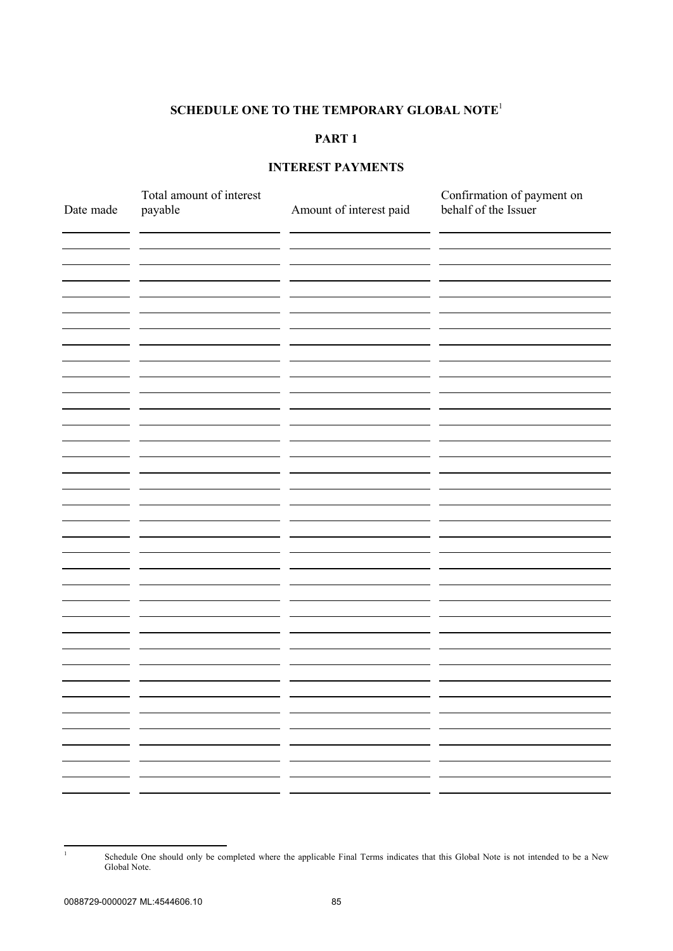## **SCHEDULE ONE TO THE TEMPORARY GLOBAL NOTE** 1

# **PART 1**

# **INTEREST PAYMENTS**

| Date made | Total amount of interest<br>payable | Amount of interest paid | Confirmation of payment on<br>behalf of the Issuer |
|-----------|-------------------------------------|-------------------------|----------------------------------------------------|
|           |                                     |                         |                                                    |
|           |                                     |                         |                                                    |
|           |                                     |                         |                                                    |
|           |                                     |                         |                                                    |
|           |                                     |                         |                                                    |
|           |                                     |                         |                                                    |
|           |                                     |                         |                                                    |
|           |                                     |                         |                                                    |
|           |                                     |                         |                                                    |
|           |                                     |                         |                                                    |
|           |                                     |                         |                                                    |
|           |                                     |                         |                                                    |
|           |                                     |                         |                                                    |
|           |                                     |                         |                                                    |
|           |                                     |                         |                                                    |
|           |                                     |                         |                                                    |
|           | - -                                 | . .                     |                                                    |
|           | - -<br>- -                          | - -<br>- -              |                                                    |
|           |                                     | - -                     |                                                    |
|           |                                     |                         |                                                    |

<sup>1</sup> Schedule One should only be completed where the applicable Final Terms indicates that this Global Note is not intended to be a New Global Note.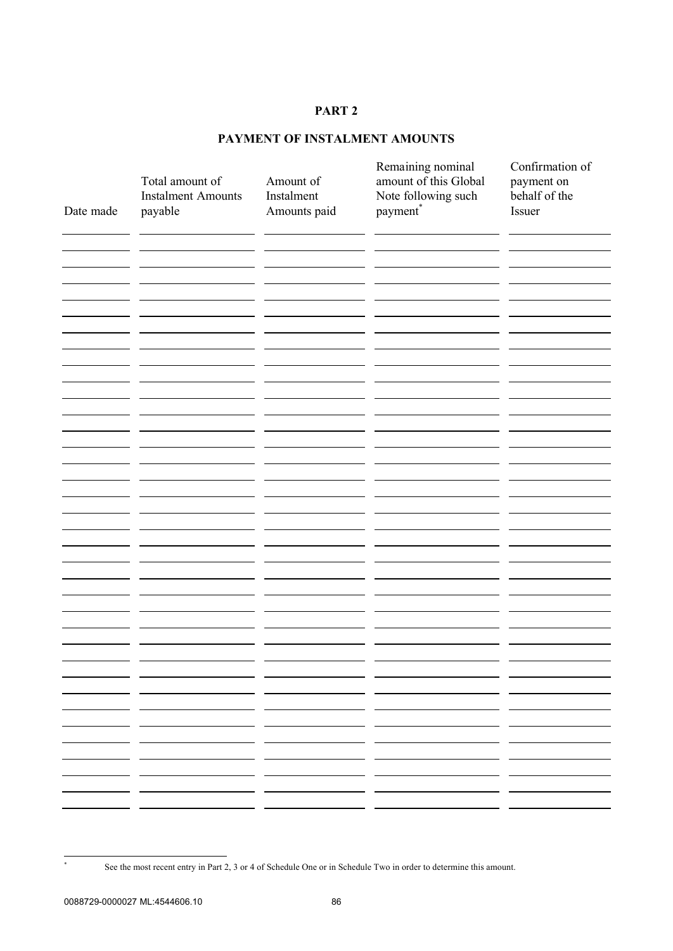# **PAYMENT OF INSTALMENT AMOUNTS**

| Date made | Total amount of<br><b>Instalment Amounts</b><br>payable | Amount of<br>Instalment<br>Amounts paid | Remaining nominal<br>amount of this Global<br>Note following such<br>payment <sup>*</sup> | Confirmation of<br>payment on<br>behalf of the<br>Issuer |
|-----------|---------------------------------------------------------|-----------------------------------------|-------------------------------------------------------------------------------------------|----------------------------------------------------------|
|           |                                                         |                                         |                                                                                           |                                                          |
|           |                                                         |                                         |                                                                                           |                                                          |
|           |                                                         |                                         |                                                                                           |                                                          |
|           |                                                         |                                         |                                                                                           |                                                          |
|           |                                                         |                                         |                                                                                           |                                                          |
|           |                                                         |                                         |                                                                                           |                                                          |
|           |                                                         |                                         |                                                                                           |                                                          |
|           |                                                         |                                         |                                                                                           |                                                          |
|           |                                                         |                                         |                                                                                           |                                                          |
|           |                                                         |                                         |                                                                                           |                                                          |
|           |                                                         |                                         |                                                                                           |                                                          |
|           |                                                         |                                         |                                                                                           |                                                          |
|           |                                                         |                                         |                                                                                           |                                                          |
|           |                                                         |                                         |                                                                                           |                                                          |
|           |                                                         |                                         |                                                                                           |                                                          |
|           |                                                         |                                         |                                                                                           |                                                          |
|           |                                                         |                                         |                                                                                           |                                                          |
|           |                                                         |                                         |                                                                                           |                                                          |
|           |                                                         |                                         |                                                                                           |                                                          |
|           |                                                         |                                         |                                                                                           |                                                          |
|           |                                                         |                                         |                                                                                           |                                                          |
|           |                                                         |                                         |                                                                                           |                                                          |
|           |                                                         |                                         |                                                                                           |                                                          |
|           |                                                         |                                         |                                                                                           |                                                          |
|           |                                                         |                                         |                                                                                           |                                                          |
|           |                                                         |                                         |                                                                                           |                                                          |
|           |                                                         |                                         |                                                                                           |                                                          |
|           |                                                         |                                         | - -                                                                                       |                                                          |
|           |                                                         |                                         | . .                                                                                       |                                                          |
|           |                                                         |                                         |                                                                                           |                                                          |
|           |                                                         |                                         |                                                                                           |                                                          |

See the most recent entry in Part 2, 3 or 4 of Schedule One or in Schedule Two in order to determine this amount.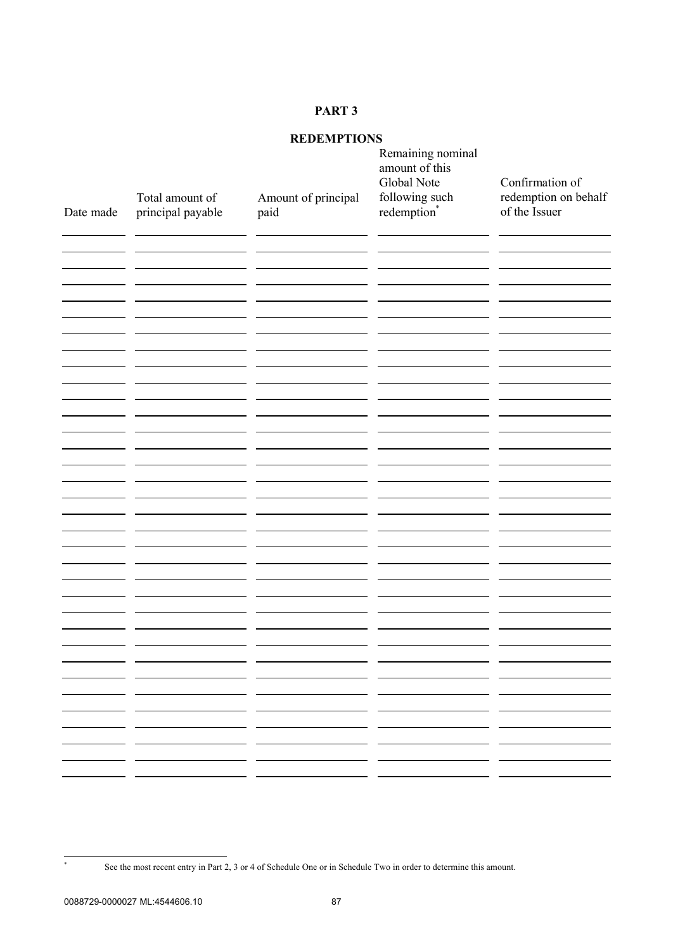# **REDEMPTIONS**

| <b>REDEMPTIONS</b> |                                      |                                                                                                    |                                                    |                                       |
|--------------------|--------------------------------------|----------------------------------------------------------------------------------------------------|----------------------------------------------------|---------------------------------------|
|                    |                                      |                                                                                                    | Remaining nominal<br>amount of this<br>Global Note | Confirmation of                       |
| Date made          | Total amount of<br>principal payable | Amount of principal<br>paid                                                                        | following such<br>redemption*                      | redemption on behalf<br>of the Issuer |
|                    |                                      |                                                                                                    |                                                    |                                       |
|                    |                                      |                                                                                                    |                                                    |                                       |
|                    |                                      |                                                                                                    |                                                    |                                       |
|                    |                                      |                                                                                                    |                                                    |                                       |
|                    |                                      |                                                                                                    |                                                    |                                       |
|                    |                                      |                                                                                                    |                                                    |                                       |
|                    |                                      |                                                                                                    |                                                    |                                       |
|                    |                                      |                                                                                                    |                                                    |                                       |
|                    |                                      |                                                                                                    |                                                    |                                       |
|                    |                                      |                                                                                                    |                                                    |                                       |
|                    |                                      |                                                                                                    |                                                    |                                       |
|                    |                                      |                                                                                                    |                                                    |                                       |
|                    |                                      |                                                                                                    |                                                    |                                       |
|                    |                                      |                                                                                                    |                                                    |                                       |
|                    |                                      |                                                                                                    |                                                    |                                       |
|                    |                                      |                                                                                                    |                                                    |                                       |
|                    | . .                                  | - -<br>- -                                                                                         | - -<br>- -                                         | . .                                   |
|                    |                                      | - -<br>- -                                                                                         | - -<br>- -                                         |                                       |
|                    | ———<br>- -                           |                                                                                                    |                                                    | . .                                   |
|                    | ———                                  | ____<br>$\overline{\phantom{a}}$ and $\overline{\phantom{a}}$<br>the company's company's company's |                                                    | — —                                   |
|                    |                                      | - -                                                                                                |                                                    |                                       |

See the most recent entry in Part 2, 3 or 4 of Schedule One or in Schedule Two in order to determine this amount.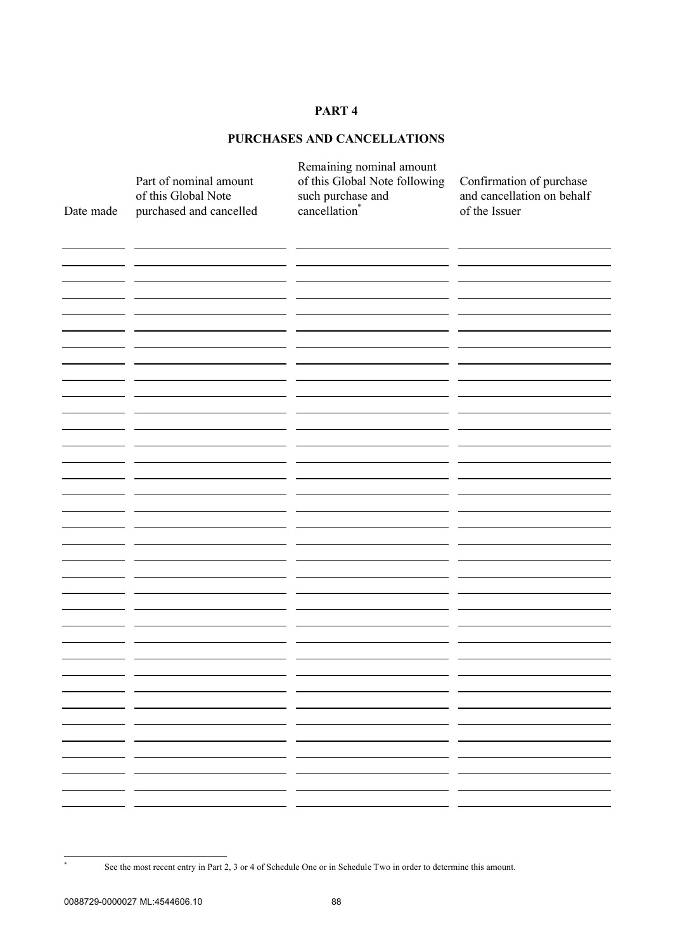# **PURCHASES AND CANCELLATIONS**

| Date made | Part of nominal amount<br>of this Global Note<br>purchased and cancelled | Remaining nominal amount<br>of this Global Note following<br>such purchase and<br>cancellation <sup>*</sup> | Confirmation of purchase<br>and cancellation on behalf<br>of the Issuer |
|-----------|--------------------------------------------------------------------------|-------------------------------------------------------------------------------------------------------------|-------------------------------------------------------------------------|
|           |                                                                          |                                                                                                             |                                                                         |
|           |                                                                          |                                                                                                             |                                                                         |
|           |                                                                          |                                                                                                             |                                                                         |
|           |                                                                          |                                                                                                             |                                                                         |
|           |                                                                          |                                                                                                             |                                                                         |
|           |                                                                          |                                                                                                             |                                                                         |
|           |                                                                          |                                                                                                             |                                                                         |
|           |                                                                          |                                                                                                             |                                                                         |
|           |                                                                          |                                                                                                             |                                                                         |
|           |                                                                          |                                                                                                             |                                                                         |
|           |                                                                          |                                                                                                             |                                                                         |
|           |                                                                          |                                                                                                             |                                                                         |

See the most recent entry in Part 2, 3 or 4 of Schedule One or in Schedule Two in order to determine this amount.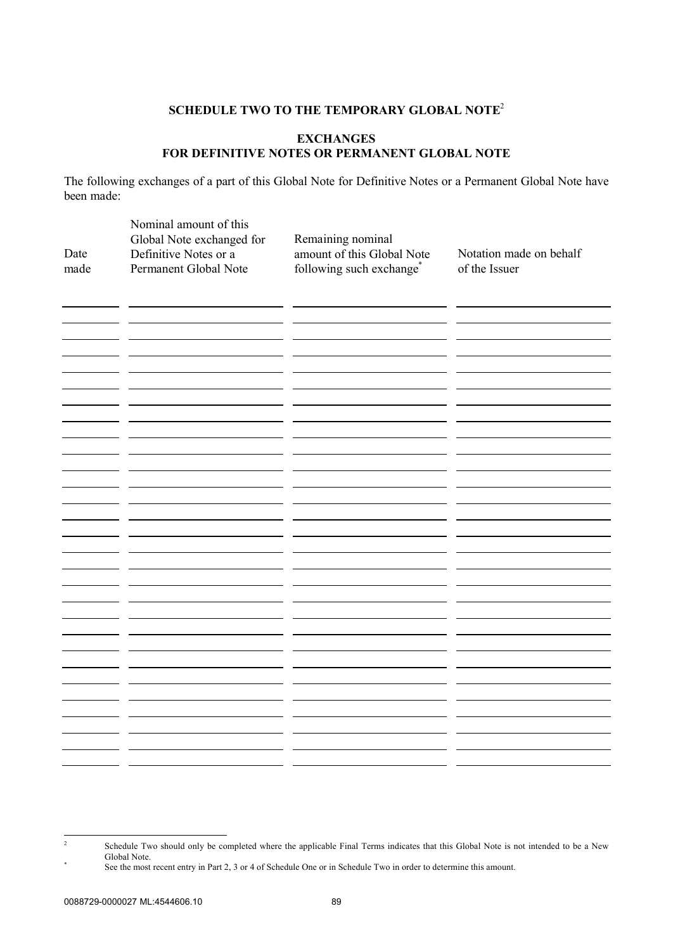## **SCHEDULE TWO TO THE TEMPORARY GLOBAL NOTE** 2

## **EXCHANGES FOR DEFINITIVE NOTES OR PERMANENT GLOBAL NOTE**

The following exchanges of a part of this Global Note for Definitive Notes or a Permanent Global Note have been made:

| Date<br>made | Nominal amount of this<br>Global Note exchanged for<br>Definitive Notes or a<br>Permanent Global Note | Remaining nominal<br>amount of this Global Note<br>following such exchange* | Notation made on behalf<br>of the Issuer |
|--------------|-------------------------------------------------------------------------------------------------------|-----------------------------------------------------------------------------|------------------------------------------|
|              |                                                                                                       |                                                                             |                                          |
|              |                                                                                                       |                                                                             |                                          |
|              |                                                                                                       |                                                                             |                                          |
|              |                                                                                                       |                                                                             |                                          |
|              |                                                                                                       |                                                                             |                                          |
|              |                                                                                                       |                                                                             |                                          |
|              |                                                                                                       |                                                                             |                                          |
|              |                                                                                                       |                                                                             |                                          |
|              |                                                                                                       |                                                                             |                                          |

<sup>2</sup> Schedule Two should only be completed where the applicable Final Terms indicates that this Global Note is not intended to be a New Global Note. \*

See the most recent entry in Part 2, 3 or 4 of Schedule One or in Schedule Two in order to determine this amount.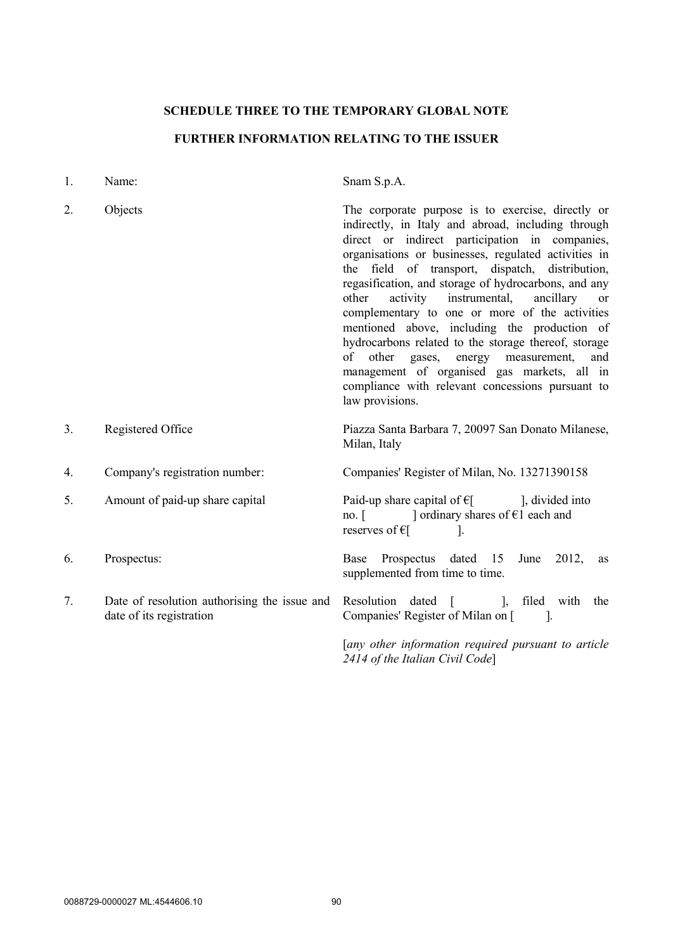## **SCHEDULE THREE TO THE TEMPORARY GLOBAL NOTE**

# **FURTHER INFORMATION RELATING TO THE ISSUER**

| 1. | Name:                                                                    | Snam S.p.A.                                                                                                                                                                                                                                                                                                                                                                                                                                                                                                                                                                                                                                                                                                |  |
|----|--------------------------------------------------------------------------|------------------------------------------------------------------------------------------------------------------------------------------------------------------------------------------------------------------------------------------------------------------------------------------------------------------------------------------------------------------------------------------------------------------------------------------------------------------------------------------------------------------------------------------------------------------------------------------------------------------------------------------------------------------------------------------------------------|--|
| 2. | Objects                                                                  | The corporate purpose is to exercise, directly or<br>indirectly, in Italy and abroad, including through<br>direct or indirect participation in companies,<br>organisations or businesses, regulated activities in<br>the field of transport, dispatch, distribution,<br>regasification, and storage of hydrocarbons, and any<br>other activity instrumental, ancillary<br>or<br>complementary to one or more of the activities<br>mentioned above, including the production of<br>hydrocarbons related to the storage thereof, storage<br>of other gases, energy measurement,<br>and<br>management of organised gas markets, all in<br>compliance with relevant concessions pursuant to<br>law provisions. |  |
| 3. | Registered Office                                                        | Piazza Santa Barbara 7, 20097 San Donato Milanese,<br>Milan, Italy                                                                                                                                                                                                                                                                                                                                                                                                                                                                                                                                                                                                                                         |  |
| 4. | Company's registration number:                                           | Companies' Register of Milan, No. 13271390158                                                                                                                                                                                                                                                                                                                                                                                                                                                                                                                                                                                                                                                              |  |
| 5. | Amount of paid-up share capital                                          | Paid-up share capital of $\epsilon$ [ ], divided into<br>no. [ $\Box$ ordinary shares of $\epsilon$ 1 each and<br>reserves of $\epsilon$ [<br>$\overline{\phantom{a}}$                                                                                                                                                                                                                                                                                                                                                                                                                                                                                                                                     |  |
| 6. | Prospectus:                                                              | Base Prospectus dated 15<br>June 2012,<br>as<br>supplemented from time to time.                                                                                                                                                                                                                                                                                                                                                                                                                                                                                                                                                                                                                            |  |
| 7. | Date of resolution authorising the issue and<br>date of its registration | Resolution dated [ ], filed with<br>the<br>Companies' Register of Milan on [<br>$\blacksquare$ 1.                                                                                                                                                                                                                                                                                                                                                                                                                                                                                                                                                                                                          |  |
|    |                                                                          | [any other information required pursuant to article<br>2414 of the Italian Civil Code]                                                                                                                                                                                                                                                                                                                                                                                                                                                                                                                                                                                                                     |  |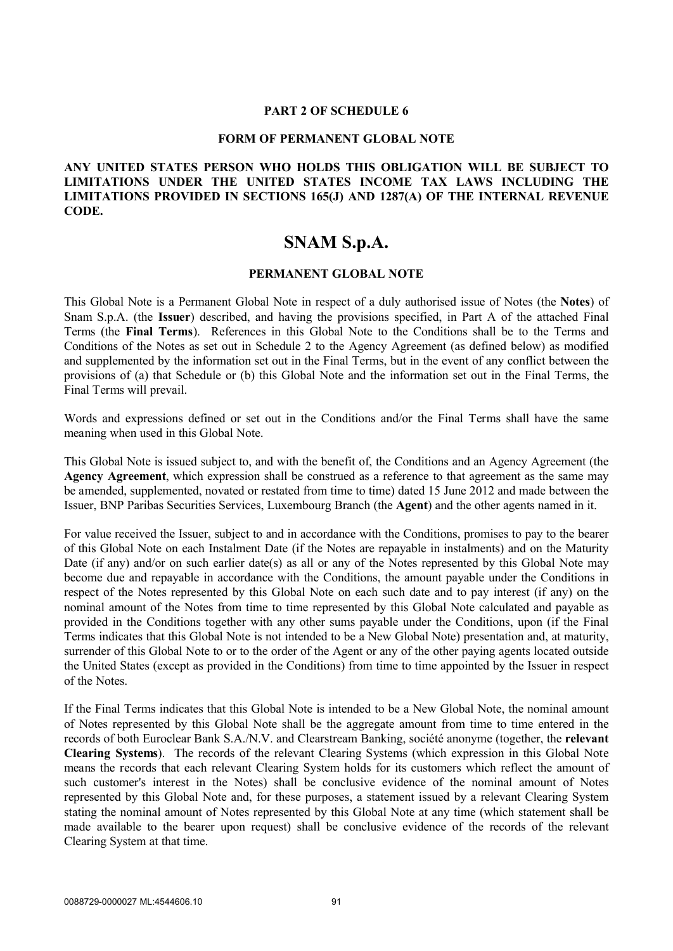#### **PART 2 OF SCHEDULE 6**

#### **FORM OF PERMANENT GLOBAL NOTE**

## **ANY UNITED STATES PERSON WHO HOLDS THIS OBLIGATION WILL BE SUBJECT TO LIMITATIONS UNDER THE UNITED STATES INCOME TAX LAWS INCLUDING THE LIMITATIONS PROVIDED IN SECTIONS 165(J) AND 1287(A) OF THE INTERNAL REVENUE CODE.**

# **SNAM S.p.A.**

### **PERMANENT GLOBAL NOTE**

This Global Note is a Permanent Global Note in respect of a duly authorised issue of Notes (the **Notes**) of Snam S.p.A. (the **Issuer**) described, and having the provisions specified, in Part A of the attached Final Terms (the **Final Terms**). References in this Global Note to the Conditions shall be to the Terms and Conditions of the Notes as set out in Schedule 2 to the Agency Agreement (as defined below) as modified and supplemented by the information set out in the Final Terms, but in the event of any conflict between the provisions of (a) that Schedule or (b) this Global Note and the information set out in the Final Terms, the Final Terms will prevail.

Words and expressions defined or set out in the Conditions and/or the Final Terms shall have the same meaning when used in this Global Note.

This Global Note is issued subject to, and with the benefit of, the Conditions and an Agency Agreement (the **Agency Agreement**, which expression shall be construed as a reference to that agreement as the same may be amended, supplemented, novated or restated from time to time) dated 15 June 2012 and made between the Issuer, BNP Paribas Securities Services, Luxembourg Branch (the **Agent**) and the other agents named in it.

For value received the Issuer, subject to and in accordance with the Conditions, promises to pay to the bearer of this Global Note on each Instalment Date (if the Notes are repayable in instalments) and on the Maturity Date (if any) and/or on such earlier date(s) as all or any of the Notes represented by this Global Note may become due and repayable in accordance with the Conditions, the amount payable under the Conditions in respect of the Notes represented by this Global Note on each such date and to pay interest (if any) on the nominal amount of the Notes from time to time represented by this Global Note calculated and payable as provided in the Conditions together with any other sums payable under the Conditions, upon (if the Final Terms indicates that this Global Note is not intended to be a New Global Note) presentation and, at maturity, surrender of this Global Note to or to the order of the Agent or any of the other paying agents located outside the United States (except as provided in the Conditions) from time to time appointed by the Issuer in respect of the Notes.

If the Final Terms indicates that this Global Note is intended to be a New Global Note, the nominal amount of Notes represented by this Global Note shall be the aggregate amount from time to time entered in the records of both Euroclear Bank S.A./N.V. and Clearstream Banking, société anonyme (together, the **relevant Clearing Systems**). The records of the relevant Clearing Systems (which expression in this Global Note means the records that each relevant Clearing System holds for its customers which reflect the amount of such customer's interest in the Notes) shall be conclusive evidence of the nominal amount of Notes represented by this Global Note and, for these purposes, a statement issued by a relevant Clearing System stating the nominal amount of Notes represented by this Global Note at any time (which statement shall be made available to the bearer upon request) shall be conclusive evidence of the records of the relevant Clearing System at that time.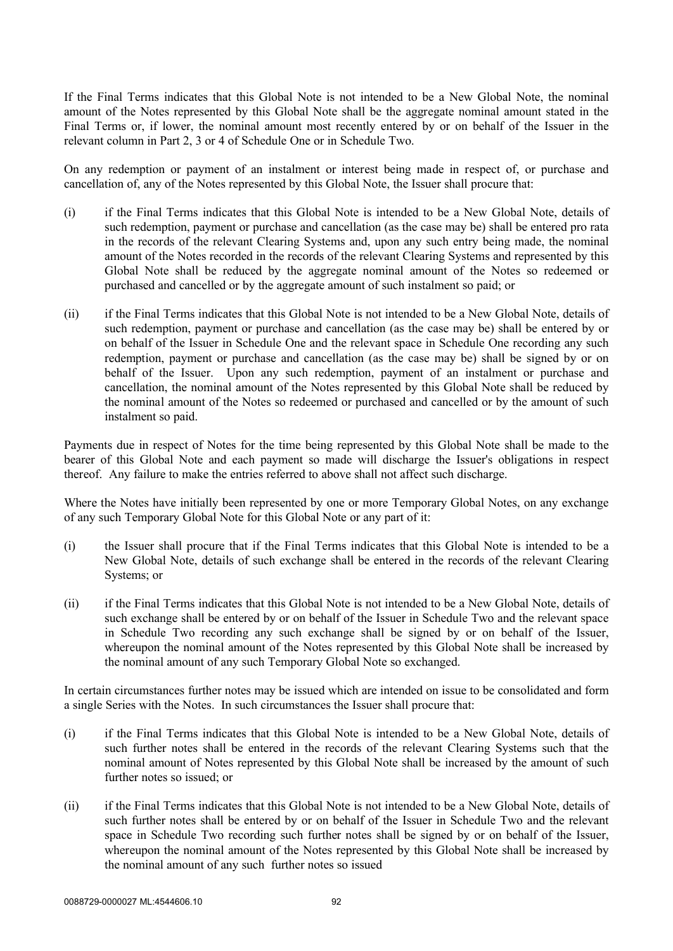If the Final Terms indicates that this Global Note is not intended to be a New Global Note, the nominal amount of the Notes represented by this Global Note shall be the aggregate nominal amount stated in the Final Terms or, if lower, the nominal amount most recently entered by or on behalf of the Issuer in the relevant column in Part 2, 3 or 4 of Schedule One or in Schedule Two.

On any redemption or payment of an instalment or interest being made in respect of, or purchase and cancellation of, any of the Notes represented by this Global Note, the Issuer shall procure that:

- (i) if the Final Terms indicates that this Global Note is intended to be a New Global Note, details of such redemption, payment or purchase and cancellation (as the case may be) shall be entered pro rata in the records of the relevant Clearing Systems and, upon any such entry being made, the nominal amount of the Notes recorded in the records of the relevant Clearing Systems and represented by this Global Note shall be reduced by the aggregate nominal amount of the Notes so redeemed or purchased and cancelled or by the aggregate amount of such instalment so paid; or
- (ii) if the Final Terms indicates that this Global Note is not intended to be a New Global Note, details of such redemption, payment or purchase and cancellation (as the case may be) shall be entered by or on behalf of the Issuer in Schedule One and the relevant space in Schedule One recording any such redemption, payment or purchase and cancellation (as the case may be) shall be signed by or on behalf of the Issuer. Upon any such redemption, payment of an instalment or purchase and cancellation, the nominal amount of the Notes represented by this Global Note shall be reduced by the nominal amount of the Notes so redeemed or purchased and cancelled or by the amount of such instalment so paid.

Payments due in respect of Notes for the time being represented by this Global Note shall be made to the bearer of this Global Note and each payment so made will discharge the Issuer's obligations in respect thereof. Any failure to make the entries referred to above shall not affect such discharge.

Where the Notes have initially been represented by one or more Temporary Global Notes, on any exchange of any such Temporary Global Note for this Global Note or any part of it:

- (i) the Issuer shall procure that if the Final Terms indicates that this Global Note is intended to be a New Global Note, details of such exchange shall be entered in the records of the relevant Clearing Systems; or
- (ii) if the Final Terms indicates that this Global Note is not intended to be a New Global Note, details of such exchange shall be entered by or on behalf of the Issuer in Schedule Two and the relevant space in Schedule Two recording any such exchange shall be signed by or on behalf of the Issuer, whereupon the nominal amount of the Notes represented by this Global Note shall be increased by the nominal amount of any such Temporary Global Note so exchanged.

In certain circumstances further notes may be issued which are intended on issue to be consolidated and form a single Series with the Notes. In such circumstances the Issuer shall procure that:

- (i) if the Final Terms indicates that this Global Note is intended to be a New Global Note, details of such further notes shall be entered in the records of the relevant Clearing Systems such that the nominal amount of Notes represented by this Global Note shall be increased by the amount of such further notes so issued; or
- (ii) if the Final Terms indicates that this Global Note is not intended to be a New Global Note, details of such further notes shall be entered by or on behalf of the Issuer in Schedule Two and the relevant space in Schedule Two recording such further notes shall be signed by or on behalf of the Issuer, whereupon the nominal amount of the Notes represented by this Global Note shall be increased by the nominal amount of any such further notes so issued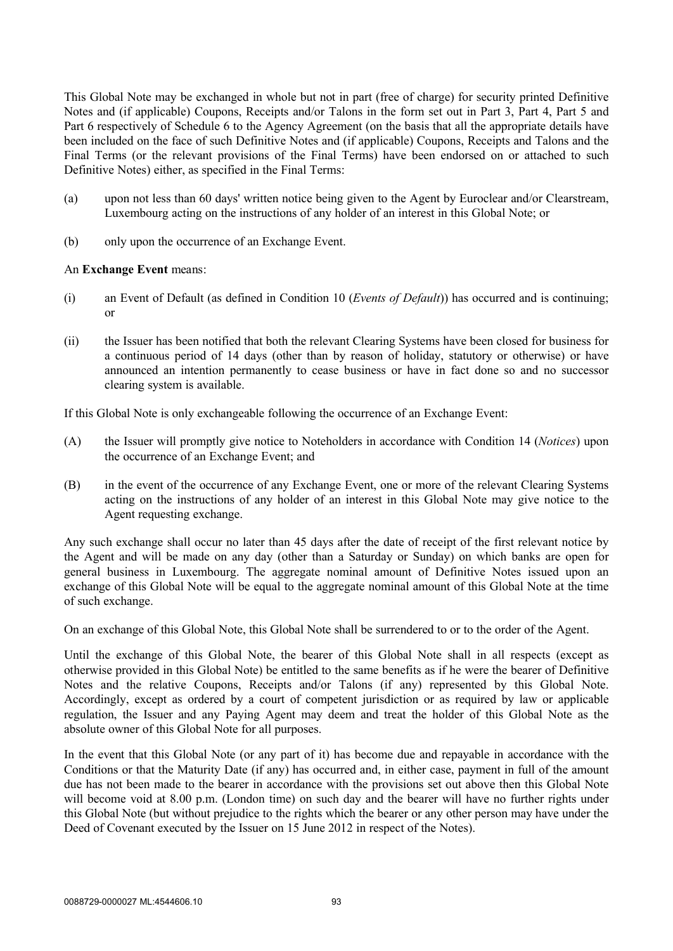This Global Note may be exchanged in whole but not in part (free of charge) for security printed Definitive Notes and (if applicable) Coupons, Receipts and/or Talons in the form set out in Part 3, Part 4, Part 5 and Part 6 respectively of Schedule 6 to the Agency Agreement (on the basis that all the appropriate details have been included on the face of such Definitive Notes and (if applicable) Coupons, Receipts and Talons and the Final Terms (or the relevant provisions of the Final Terms) have been endorsed on or attached to such Definitive Notes) either, as specified in the Final Terms:

- (a) upon not less than 60 days' written notice being given to the Agent by Euroclear and/or Clearstream, Luxembourg acting on the instructions of any holder of an interest in this Global Note; or
- (b) only upon the occurrence of an Exchange Event.

## An **Exchange Event** means:

- (i) an Event of Default (as defined in Condition 10 (*Events of Default*)) has occurred and is continuing; or
- (ii) the Issuer has been notified that both the relevant Clearing Systems have been closed for business for a continuous period of 14 days (other than by reason of holiday, statutory or otherwise) or have announced an intention permanently to cease business or have in fact done so and no successor clearing system is available.

If this Global Note is only exchangeable following the occurrence of an Exchange Event:

- (A) the Issuer will promptly give notice to Noteholders in accordance with Condition 14 (*Notices*) upon the occurrence of an Exchange Event; and
- (B) in the event of the occurrence of any Exchange Event, one or more of the relevant Clearing Systems acting on the instructions of any holder of an interest in this Global Note may give notice to the Agent requesting exchange.

Any such exchange shall occur no later than 45 days after the date of receipt of the first relevant notice by the Agent and will be made on any day (other than a Saturday or Sunday) on which banks are open for general business in Luxembourg. The aggregate nominal amount of Definitive Notes issued upon an exchange of this Global Note will be equal to the aggregate nominal amount of this Global Note at the time of such exchange.

On an exchange of this Global Note, this Global Note shall be surrendered to or to the order of the Agent.

Until the exchange of this Global Note, the bearer of this Global Note shall in all respects (except as otherwise provided in this Global Note) be entitled to the same benefits as if he were the bearer of Definitive Notes and the relative Coupons, Receipts and/or Talons (if any) represented by this Global Note. Accordingly, except as ordered by a court of competent jurisdiction or as required by law or applicable regulation, the Issuer and any Paying Agent may deem and treat the holder of this Global Note as the absolute owner of this Global Note for all purposes.

In the event that this Global Note (or any part of it) has become due and repayable in accordance with the Conditions or that the Maturity Date (if any) has occurred and, in either case, payment in full of the amount due has not been made to the bearer in accordance with the provisions set out above then this Global Note will become void at 8.00 p.m. (London time) on such day and the bearer will have no further rights under this Global Note (but without prejudice to the rights which the bearer or any other person may have under the Deed of Covenant executed by the Issuer on 15 June 2012 in respect of the Notes).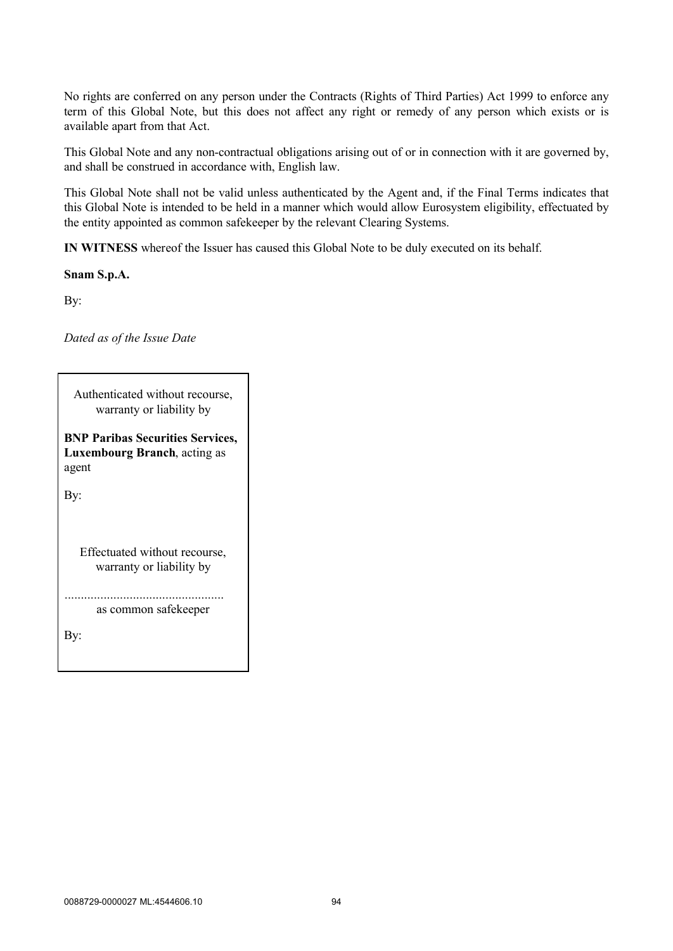No rights are conferred on any person under the Contracts (Rights of Third Parties) Act 1999 to enforce any term of this Global Note, but this does not affect any right or remedy of any person which exists or is available apart from that Act.

This Global Note and any non-contractual obligations arising out of or in connection with it are governed by, and shall be construed in accordance with, English law.

This Global Note shall not be valid unless authenticated by the Agent and, if the Final Terms indicates that this Global Note is intended to be held in a manner which would allow Eurosystem eligibility, effectuated by the entity appointed as common safekeeper by the relevant Clearing Systems.

**IN WITNESS** whereof the Issuer has caused this Global Note to be duly executed on its behalf.

## **Snam S.p.A.**

By:

*Dated as of the Issue Date*

| Authenticated without recourse,<br>warranty or liability by                             |  |  |  |  |
|-----------------------------------------------------------------------------------------|--|--|--|--|
| <b>BNP Paribas Securities Services,</b><br><b>Luxembourg Branch, acting as</b><br>agent |  |  |  |  |
| By:                                                                                     |  |  |  |  |
|                                                                                         |  |  |  |  |
| Effectuated without recourse,<br>warranty or liability by                               |  |  |  |  |
| as common safekeeper                                                                    |  |  |  |  |
| By:                                                                                     |  |  |  |  |
|                                                                                         |  |  |  |  |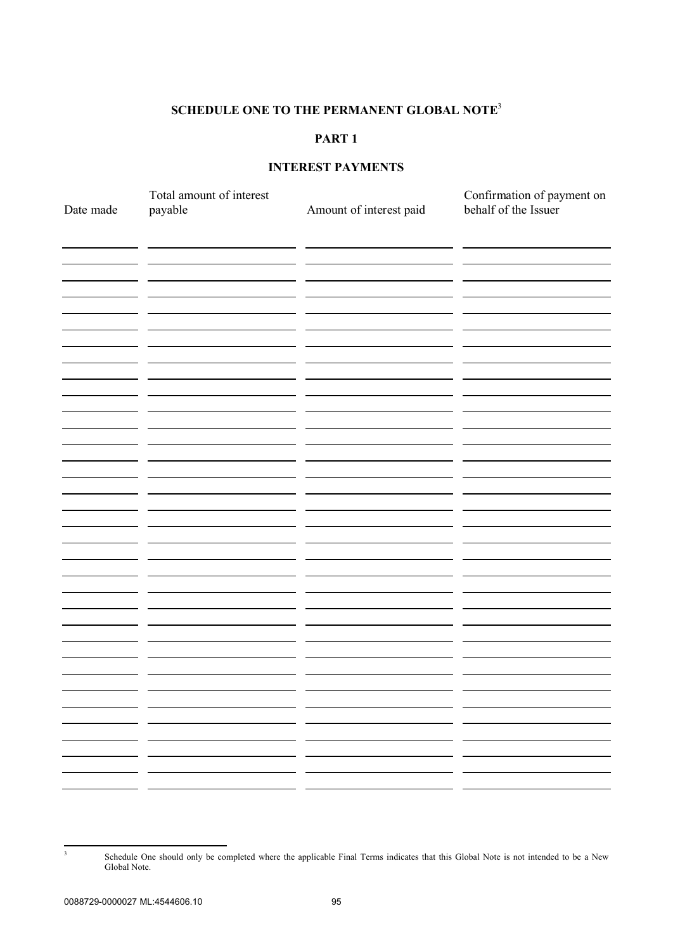## **SCHEDULE ONE TO THE PERMANENT GLOBAL NOTE** 3

# **PART 1**

## **INTEREST PAYMENTS**

| Date made     | Total amount of interest<br>payable | Amount of interest paid | Confirmation of payment on<br>behalf of the Issuer |
|---------------|-------------------------------------|-------------------------|----------------------------------------------------|
|               |                                     |                         |                                                    |
|               |                                     |                         |                                                    |
|               |                                     |                         |                                                    |
|               |                                     |                         |                                                    |
|               |                                     |                         |                                                    |
|               |                                     |                         |                                                    |
|               |                                     |                         |                                                    |
|               |                                     |                         |                                                    |
|               |                                     |                         |                                                    |
|               |                                     |                         |                                                    |
|               |                                     |                         |                                                    |
|               |                                     |                         |                                                    |
|               |                                     |                         |                                                    |
|               | . .                                 |                         | . .                                                |
| $\sim$ $\sim$ | — —<br>———                          | - -                     | - -<br>للمستحدث المستنبذ                           |
|               | - -                                 | - -                     | . .                                                |

Schedule One should only be completed where the applicable Final Terms indicates that this Global Note is not intended to be a New Global Note.

3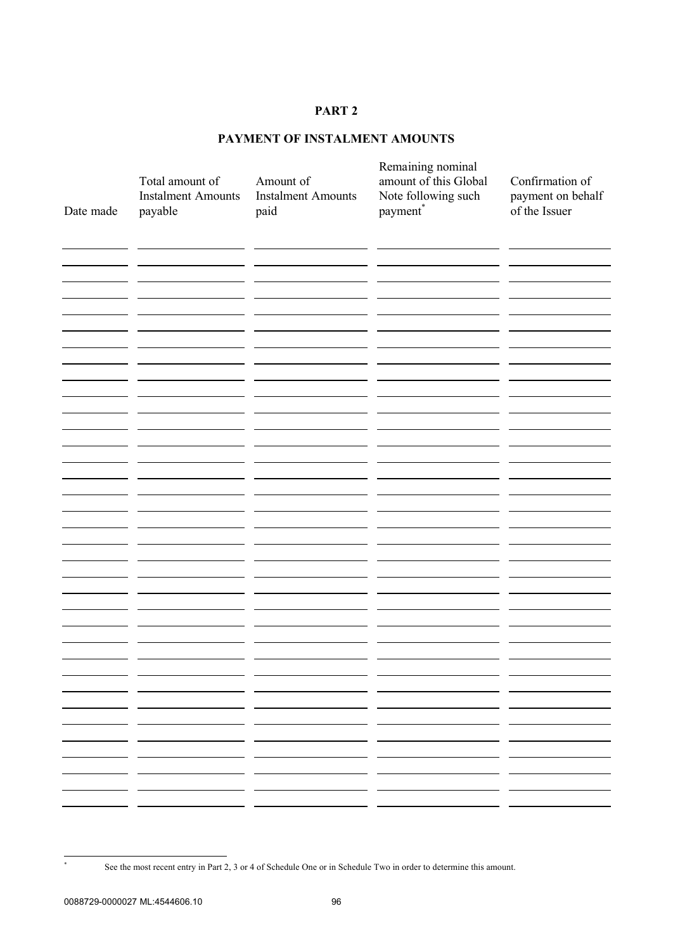# **PAYMENT OF INSTALMENT AMOUNTS**

| Date made | Total amount of<br><b>Instalment Amounts</b><br>payable | Amount of<br><b>Instalment Amounts</b><br>paid | Remaining nominal<br>amount of this Global<br>Note following such<br>$\mbox{payment}^*$ | Confirmation of<br>payment on behalf<br>of the Issuer |
|-----------|---------------------------------------------------------|------------------------------------------------|-----------------------------------------------------------------------------------------|-------------------------------------------------------|
|           |                                                         |                                                |                                                                                         |                                                       |
|           |                                                         |                                                |                                                                                         |                                                       |
|           |                                                         |                                                |                                                                                         |                                                       |
|           |                                                         |                                                |                                                                                         |                                                       |
|           |                                                         |                                                |                                                                                         |                                                       |
|           |                                                         |                                                |                                                                                         |                                                       |
|           |                                                         |                                                |                                                                                         |                                                       |
|           |                                                         |                                                |                                                                                         |                                                       |
|           |                                                         |                                                |                                                                                         |                                                       |
|           |                                                         |                                                |                                                                                         |                                                       |
|           |                                                         |                                                |                                                                                         |                                                       |
|           |                                                         |                                                |                                                                                         |                                                       |
|           |                                                         |                                                |                                                                                         |                                                       |

See the most recent entry in Part 2, 3 or 4 of Schedule One or in Schedule Two in order to determine this amount.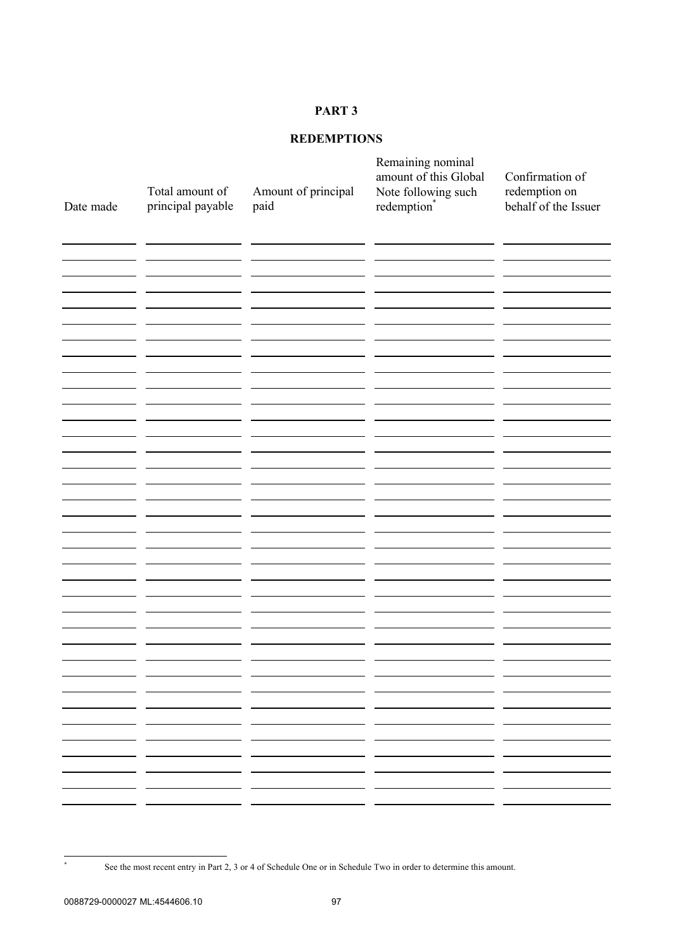# **REDEMPTIONS**

| Date made | Total amount of<br>principal payable | Amount of principal<br>paid | Remaining nominal<br>amount of this Global<br>Note following such<br>redemption* | Confirmation of<br>redemption on<br>behalf of the Issuer |
|-----------|--------------------------------------|-----------------------------|----------------------------------------------------------------------------------|----------------------------------------------------------|
|           |                                      |                             |                                                                                  |                                                          |
|           |                                      |                             |                                                                                  |                                                          |
|           |                                      |                             |                                                                                  |                                                          |
|           |                                      |                             |                                                                                  |                                                          |
|           |                                      |                             |                                                                                  |                                                          |
|           |                                      |                             |                                                                                  |                                                          |
|           |                                      |                             |                                                                                  |                                                          |
|           |                                      |                             |                                                                                  |                                                          |
|           |                                      | - -<br>- -<br>. .           | . .<br>— —<br>- -<br>. .                                                         | . .                                                      |
|           |                                      | . .<br>- -                  | - -<br>. .                                                                       |                                                          |
|           |                                      |                             |                                                                                  |                                                          |

See the most recent entry in Part 2, 3 or 4 of Schedule One or in Schedule Two in order to determine this amount.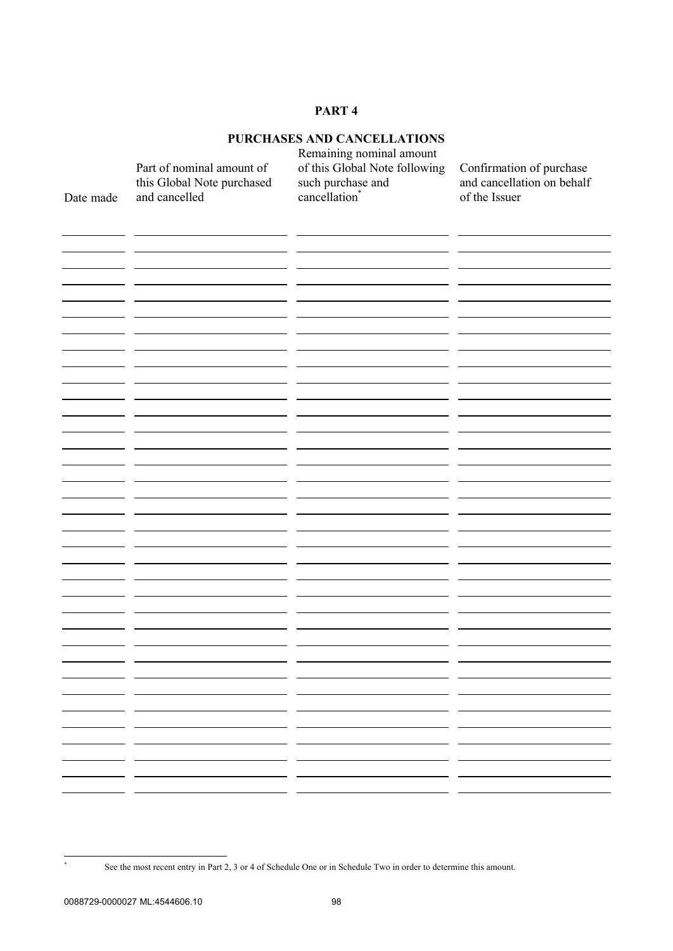# **PURCHASES AND CANCELLATIONS**

| Date made | Part of nominal amount of<br>this Global Note purchased<br>and cancelled | Remaining nominal amount<br>of this Global Note following<br>such purchase and<br>cancellation <sup>*</sup> | Confirmation of purchase<br>and cancellation on behalf<br>of the Issuer |
|-----------|--------------------------------------------------------------------------|-------------------------------------------------------------------------------------------------------------|-------------------------------------------------------------------------|
|           |                                                                          |                                                                                                             |                                                                         |
|           |                                                                          |                                                                                                             |                                                                         |
|           |                                                                          |                                                                                                             |                                                                         |
|           |                                                                          |                                                                                                             |                                                                         |
|           |                                                                          |                                                                                                             |                                                                         |
|           |                                                                          |                                                                                                             |                                                                         |
|           |                                                                          |                                                                                                             |                                                                         |
|           |                                                                          |                                                                                                             |                                                                         |
|           |                                                                          |                                                                                                             |                                                                         |
|           |                                                                          |                                                                                                             |                                                                         |
|           |                                                                          |                                                                                                             |                                                                         |
|           |                                                                          |                                                                                                             |                                                                         |
|           |                                                                          |                                                                                                             |                                                                         |
|           |                                                                          |                                                                                                             |                                                                         |
|           |                                                                          |                                                                                                             |                                                                         |
|           |                                                                          |                                                                                                             |                                                                         |
|           |                                                                          |                                                                                                             |                                                                         |
|           |                                                                          |                                                                                                             |                                                                         |
|           |                                                                          |                                                                                                             |                                                                         |
|           |                                                                          |                                                                                                             |                                                                         |
|           |                                                                          |                                                                                                             |                                                                         |
|           |                                                                          |                                                                                                             |                                                                         |
|           |                                                                          |                                                                                                             |                                                                         |
|           |                                                                          |                                                                                                             |                                                                         |
|           |                                                                          |                                                                                                             |                                                                         |
|           |                                                                          |                                                                                                             |                                                                         |
|           | . .                                                                      | - -                                                                                                         | . .                                                                     |
|           | - -                                                                      | - -                                                                                                         | - -                                                                     |
|           |                                                                          |                                                                                                             |                                                                         |
|           |                                                                          |                                                                                                             |                                                                         |

See the most recent entry in Part 2, 3 or 4 of Schedule One or in Schedule Two in order to determine this amount.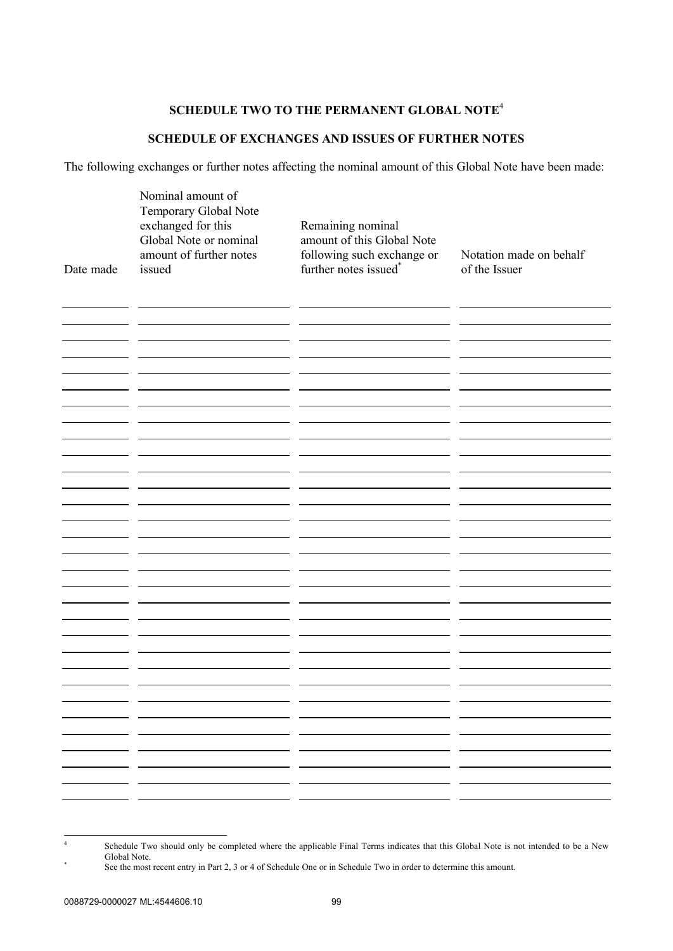## **SCHEDULE TWO TO THE PERMANENT GLOBAL NOTE** 4

# **SCHEDULE OF EXCHANGES AND ISSUES OF FURTHER NOTES**

The following exchanges or further notes affecting the nominal amount of this Global Note have been made:

| Date made | Nominal amount of<br>Temporary Global Note<br>exchanged for this<br>Global Note or nominal<br>amount of further notes<br>issued | Remaining nominal<br>amount of this Global Note<br>following such exchange or<br>further notes issued* | Notation made on behalf<br>of the Issuer |
|-----------|---------------------------------------------------------------------------------------------------------------------------------|--------------------------------------------------------------------------------------------------------|------------------------------------------|
|           |                                                                                                                                 |                                                                                                        |                                          |
|           |                                                                                                                                 |                                                                                                        |                                          |
|           |                                                                                                                                 |                                                                                                        |                                          |
|           |                                                                                                                                 |                                                                                                        |                                          |
|           |                                                                                                                                 |                                                                                                        |                                          |
|           |                                                                                                                                 |                                                                                                        |                                          |
|           |                                                                                                                                 |                                                                                                        |                                          |
|           |                                                                                                                                 |                                                                                                        |                                          |
|           |                                                                                                                                 |                                                                                                        |                                          |
|           |                                                                                                                                 |                                                                                                        |                                          |
|           |                                                                                                                                 |                                                                                                        |                                          |
|           |                                                                                                                                 |                                                                                                        |                                          |
|           |                                                                                                                                 |                                                                                                        |                                          |
|           |                                                                                                                                 |                                                                                                        |                                          |
|           |                                                                                                                                 |                                                                                                        |                                          |
|           |                                                                                                                                 |                                                                                                        |                                          |
|           |                                                                                                                                 |                                                                                                        |                                          |
|           |                                                                                                                                 |                                                                                                        |                                          |
|           |                                                                                                                                 |                                                                                                        |                                          |
|           |                                                                                                                                 |                                                                                                        |                                          |
|           |                                                                                                                                 |                                                                                                        |                                          |
| . .       |                                                                                                                                 |                                                                                                        |                                          |
|           |                                                                                                                                 |                                                                                                        |                                          |
|           |                                                                                                                                 |                                                                                                        |                                          |

<sup>4</sup> Schedule Two should only be completed where the applicable Final Terms indicates that this Global Note is not intended to be a New Global Note. \*

See the most recent entry in Part 2, 3 or 4 of Schedule One or in Schedule Two in order to determine this amount.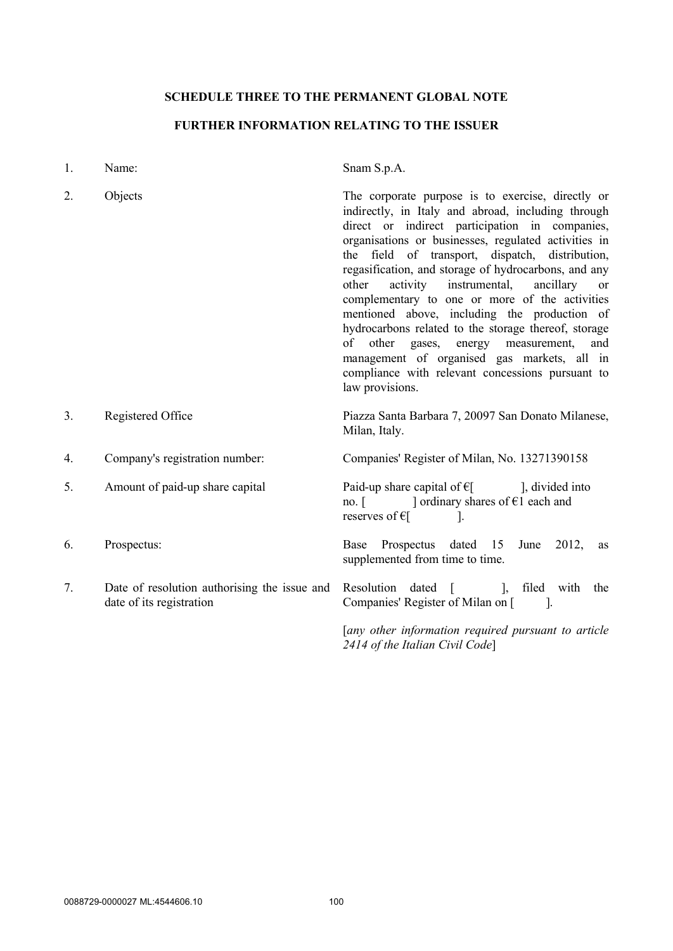# **SCHEDULE THREE TO THE PERMANENT GLOBAL NOTE**

# **FURTHER INFORMATION RELATING TO THE ISSUER**

| 1. | Name:                                                                    | Snam S.p.A.                                                                                                                                                                                                                                                                                                                                                                                                                                                                                                                                                                                                                                                                                                                       |  |
|----|--------------------------------------------------------------------------|-----------------------------------------------------------------------------------------------------------------------------------------------------------------------------------------------------------------------------------------------------------------------------------------------------------------------------------------------------------------------------------------------------------------------------------------------------------------------------------------------------------------------------------------------------------------------------------------------------------------------------------------------------------------------------------------------------------------------------------|--|
| 2. | Objects                                                                  | The corporate purpose is to exercise, directly or<br>indirectly, in Italy and abroad, including through<br>direct or indirect participation in companies,<br>organisations or businesses, regulated activities in<br>the field of transport, dispatch, distribution,<br>regasification, and storage of hydrocarbons, and any<br>other<br>activity<br>instrumental,<br>ancillary<br><sub>or</sub><br>complementary to one or more of the activities<br>mentioned above, including the production of<br>hydrocarbons related to the storage thereof, storage<br>other gases, energy measurement,<br>of<br>and<br>management of organised gas markets, all in<br>compliance with relevant concessions pursuant to<br>law provisions. |  |
| 3. | Registered Office                                                        | Piazza Santa Barbara 7, 20097 San Donato Milanese,<br>Milan, Italy.                                                                                                                                                                                                                                                                                                                                                                                                                                                                                                                                                                                                                                                               |  |
| 4. | Company's registration number:                                           | Companies' Register of Milan, No. 13271390158                                                                                                                                                                                                                                                                                                                                                                                                                                                                                                                                                                                                                                                                                     |  |
| 5. | Amount of paid-up share capital                                          | Paid-up share capital of $\epsilon$ [ ], divided into<br>no. [ $\Box$ ordinary shares of $\epsilon$ 1 each and<br>reserves of $\epsilon$<br>$\mathbf{I}$ .                                                                                                                                                                                                                                                                                                                                                                                                                                                                                                                                                                        |  |
| 6. | Prospectus:                                                              | Base Prospectus dated 15<br>2012,<br>June<br>as<br>supplemented from time to time.                                                                                                                                                                                                                                                                                                                                                                                                                                                                                                                                                                                                                                                |  |
| 7. | Date of resolution authorising the issue and<br>date of its registration | Resolution dated [<br>], filed with<br>the<br>Companies' Register of Milan on [<br>$\sim$ 1.                                                                                                                                                                                                                                                                                                                                                                                                                                                                                                                                                                                                                                      |  |
|    |                                                                          | [any other information required pursuant to article<br>2414 of the Italian Civil Code]                                                                                                                                                                                                                                                                                                                                                                                                                                                                                                                                                                                                                                            |  |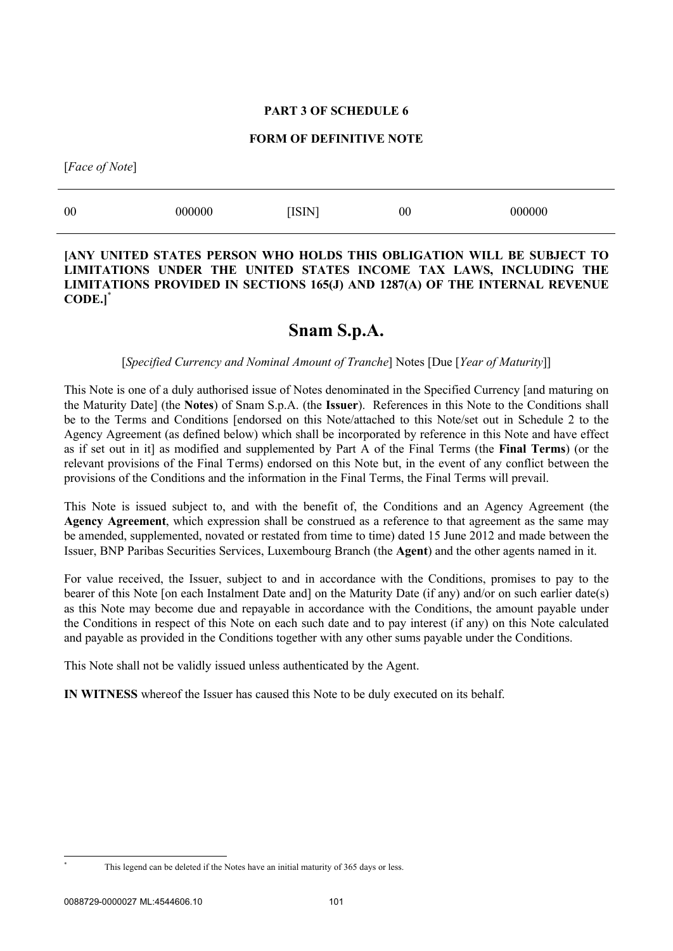## **PART 3 OF SCHEDULE 6**

#### **FORM OF DEFINITIVE NOTE**

[*Face of Note*]

| 00 | 000000 | <b>ISIN</b> | 00 | 000000 |
|----|--------|-------------|----|--------|
|    |        |             |    |        |

## **[ANY UNITED STATES PERSON WHO HOLDS THIS OBLIGATION WILL BE SUBJECT TO LIMITATIONS UNDER THE UNITED STATES INCOME TAX LAWS, INCLUDING THE LIMITATIONS PROVIDED IN SECTIONS 165(J) AND 1287(A) OF THE INTERNAL REVENUE CODE.]**\*

# **Snam S.p.A.**

### [*Specified Currency and Nominal Amount of Tranche*] Notes [Due [*Year of Maturity*]]

This Note is one of a duly authorised issue of Notes denominated in the Specified Currency [and maturing on the Maturity Date] (the **Notes**) of Snam S.p.A. (the **Issuer**). References in this Note to the Conditions shall be to the Terms and Conditions [endorsed on this Note/attached to this Note/set out in Schedule 2 to the Agency Agreement (as defined below) which shall be incorporated by reference in this Note and have effect as if set out in it] as modified and supplemented by Part A of the Final Terms (the **Final Terms**) (or the relevant provisions of the Final Terms) endorsed on this Note but, in the event of any conflict between the provisions of the Conditions and the information in the Final Terms, the Final Terms will prevail.

This Note is issued subject to, and with the benefit of, the Conditions and an Agency Agreement (the **Agency Agreement**, which expression shall be construed as a reference to that agreement as the same may be amended, supplemented, novated or restated from time to time) dated 15 June 2012 and made between the Issuer, BNP Paribas Securities Services, Luxembourg Branch (the **Agent**) and the other agents named in it.

For value received, the Issuer, subject to and in accordance with the Conditions, promises to pay to the bearer of this Note [on each Instalment Date and] on the Maturity Date (if any) and/or on such earlier date(s) as this Note may become due and repayable in accordance with the Conditions, the amount payable under the Conditions in respect of this Note on each such date and to pay interest (if any) on this Note calculated and payable as provided in the Conditions together with any other sums payable under the Conditions.

This Note shall not be validly issued unless authenticated by the Agent.

**IN WITNESS** whereof the Issuer has caused this Note to be duly executed on its behalf.

This legend can be deleted if the Notes have an initial maturity of 365 days or less.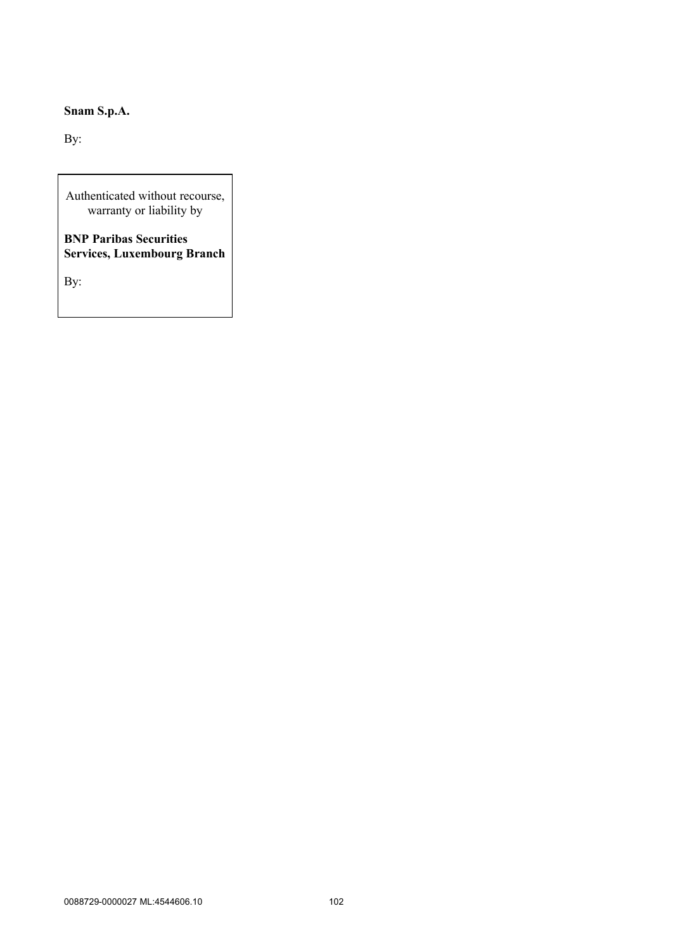# **Snam S.p.A.**

By:

Authenticated without recourse, warranty or liability by

**BNP Paribas Securities Services, Luxembourg Branch**

By: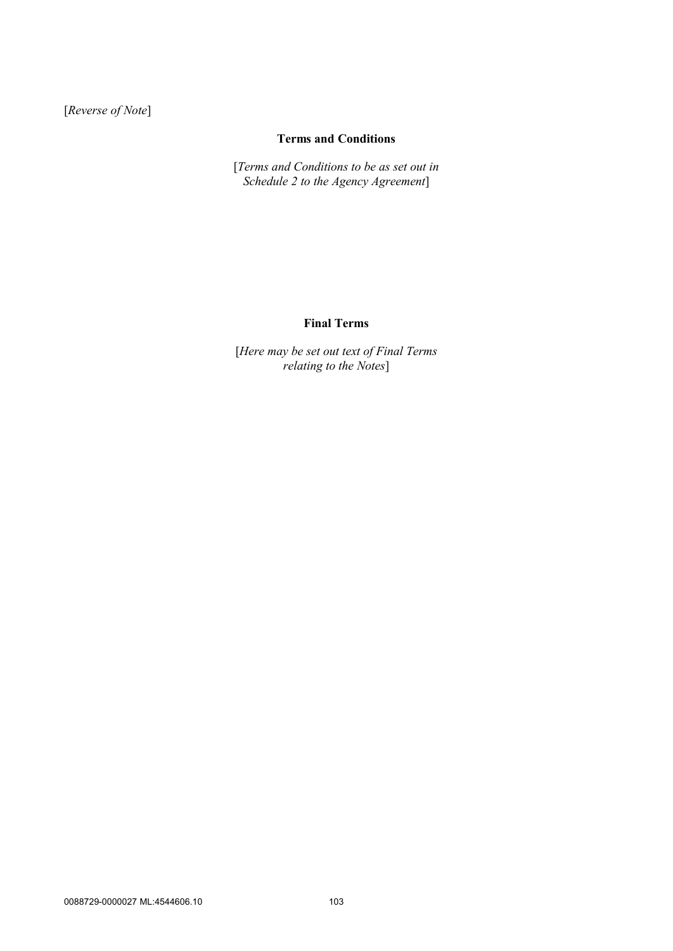[*Reverse of Note*]

# **Terms and Conditions**

[*Terms and Conditions to be as set out in Schedule 2 to the Agency Agreement*]

## **Final Terms**

[*Here may be set out text of Final Terms relating to the Notes*]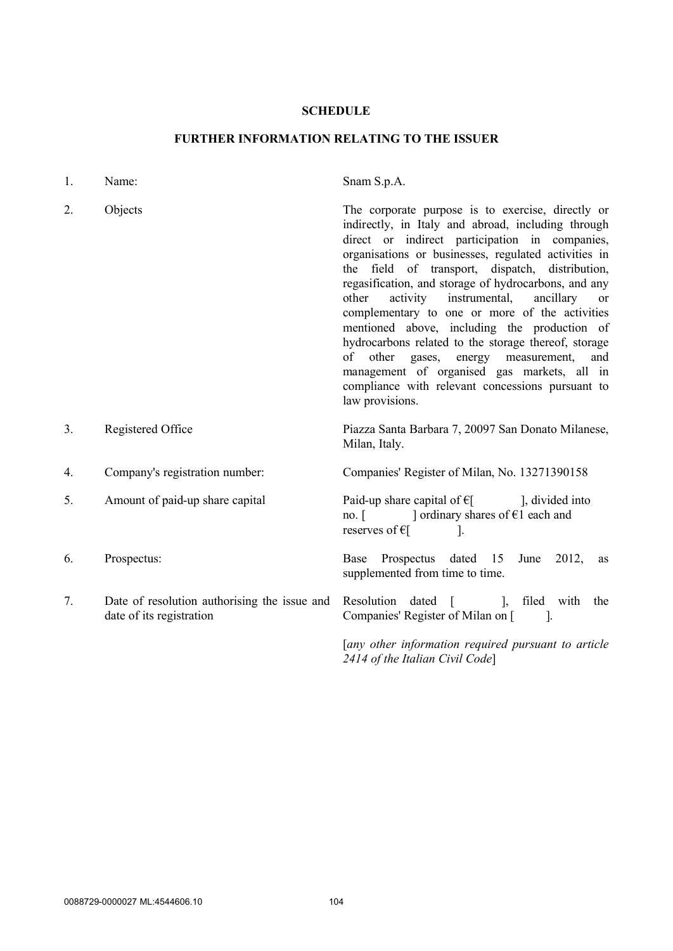## **SCHEDULE**

# **FURTHER INFORMATION RELATING TO THE ISSUER**

| 1. | Name:                                                                    | Snam S.p.A.                                                                                                                                                                                                                                                                                                                                                                                                                                                                                                                                                                                                                                                                                                      |  |
|----|--------------------------------------------------------------------------|------------------------------------------------------------------------------------------------------------------------------------------------------------------------------------------------------------------------------------------------------------------------------------------------------------------------------------------------------------------------------------------------------------------------------------------------------------------------------------------------------------------------------------------------------------------------------------------------------------------------------------------------------------------------------------------------------------------|--|
| 2. | Objects                                                                  | The corporate purpose is to exercise, directly or<br>indirectly, in Italy and abroad, including through<br>direct or indirect participation in companies,<br>organisations or businesses, regulated activities in<br>the field of transport, dispatch, distribution,<br>regasification, and storage of hydrocarbons, and any<br>activity instrumental, ancillary<br>other<br>or<br>complementary to one or more of the activities<br>mentioned above, including the production of<br>hydrocarbons related to the storage thereof, storage<br>other gases, energy measurement,<br>of<br>and<br>management of organised gas markets, all in<br>compliance with relevant concessions pursuant to<br>law provisions. |  |
| 3. | Registered Office                                                        | Piazza Santa Barbara 7, 20097 San Donato Milanese,<br>Milan, Italy.                                                                                                                                                                                                                                                                                                                                                                                                                                                                                                                                                                                                                                              |  |
| 4. | Company's registration number:                                           | Companies' Register of Milan, No. 13271390158                                                                                                                                                                                                                                                                                                                                                                                                                                                                                                                                                                                                                                                                    |  |
| 5. | Amount of paid-up share capital                                          | Paid-up share capital of $E$ [], divided into<br>no. $\lceil$ $\rceil$ ordinary shares of $\epsilon$ 1 each and<br>reserves of $\epsilon$ [<br>$\perp$                                                                                                                                                                                                                                                                                                                                                                                                                                                                                                                                                           |  |
| 6. | Prospectus:                                                              | Prospectus dated 15<br>June 2012,<br>Base<br>as<br>supplemented from time to time.                                                                                                                                                                                                                                                                                                                                                                                                                                                                                                                                                                                                                               |  |
| 7. | Date of resolution authorising the issue and<br>date of its registration | Resolution dated [ ], filed with<br>the<br>Companies' Register of Milan on [<br>$\sim$ 1.                                                                                                                                                                                                                                                                                                                                                                                                                                                                                                                                                                                                                        |  |
|    |                                                                          | [any other information required pursuant to article<br>2414 of the Italian Civil Code]                                                                                                                                                                                                                                                                                                                                                                                                                                                                                                                                                                                                                           |  |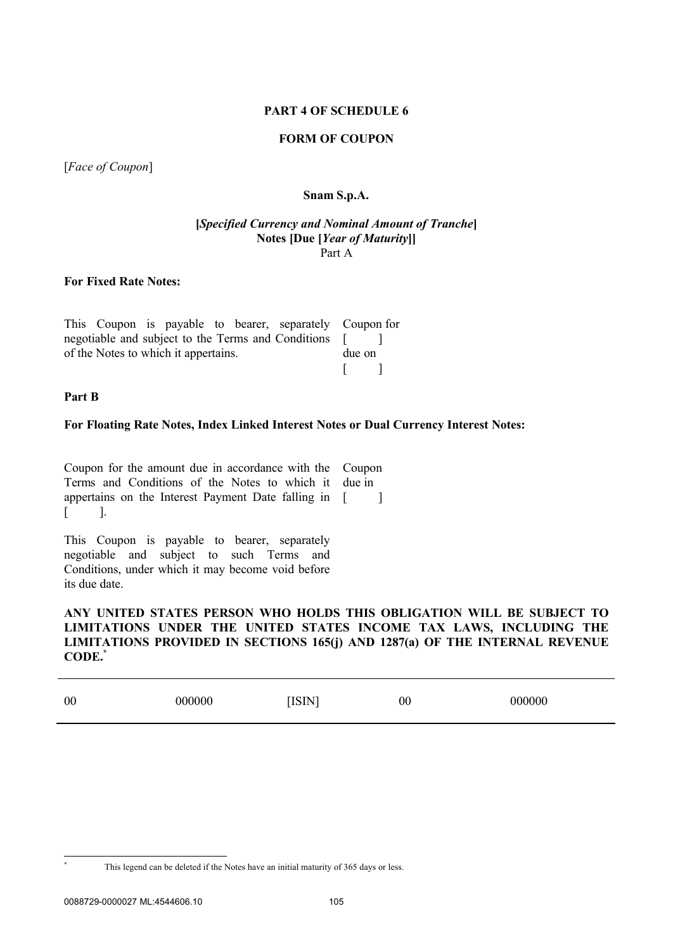### **PART 4 OF SCHEDULE 6**

### **FORM OF COUPON**

[*Face of Coupon*]

## **Snam S.p.A.**

#### **[***Specified Currency and Nominal Amount of Tranche***] Notes [Due [***Year of Maturity***]]** Part A

## **For Fixed Rate Notes:**

|                                      |  |  |  |  | This Coupon is payable to bearer, separately Coupon for |  |  |
|--------------------------------------|--|--|--|--|---------------------------------------------------------|--|--|
|                                      |  |  |  |  | negotiable and subject to the Terms and Conditions [    |  |  |
| of the Notes to which it appertains. |  |  |  |  | due on                                                  |  |  |
|                                      |  |  |  |  |                                                         |  |  |

#### **Part B**

### **For Floating Rate Notes, Index Linked Interest Notes or Dual Currency Interest Notes:**

Coupon for the amount due in accordance with the Coupon Terms and Conditions of the Notes to which it due in appertains on the Interest Payment Date falling in [ ]  $\lceil$   $\rceil$ .

This Coupon is payable to bearer, separately negotiable and subject to such Terms and Conditions, under which it may become void before its due date.

## **ANY UNITED STATES PERSON WHO HOLDS THIS OBLIGATION WILL BE SUBJECT TO LIMITATIONS UNDER THE UNITED STATES INCOME TAX LAWS, INCLUDING THE LIMITATIONS PROVIDED IN SECTIONS 165(j) AND 1287(a) OF THE INTERNAL REVENUE CODE.\***

| 00 | 000000 | ISIN | $\overline{00}$ | 000000 |
|----|--------|------|-----------------|--------|
|    |        |      |                 |        |

This legend can be deleted if the Notes have an initial maturity of 365 days or less.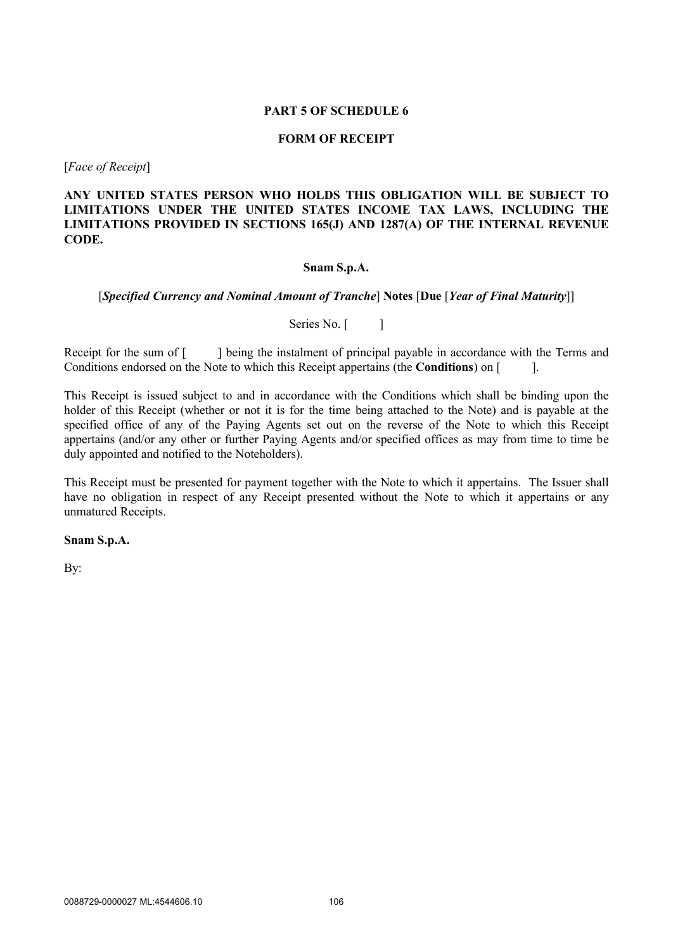### **PART 5 OF SCHEDULE 6**

#### **FORM OF RECEIPT**

[*Face of Receipt*]

## **ANY UNITED STATES PERSON WHO HOLDS THIS OBLIGATION WILL BE SUBJECT TO LIMITATIONS UNDER THE UNITED STATES INCOME TAX LAWS, INCLUDING THE LIMITATIONS PROVIDED IN SECTIONS 165(J) AND 1287(A) OF THE INTERNAL REVENUE CODE.**

### **Snam S.p.A.**

### [*Specified Currency and Nominal Amount of Tranche*] **Notes** [**Due** [*Year of Final Maturity*]]

Series No. [ ]

Receipt for the sum of [ ] being the instalment of principal payable in accordance with the Terms and Conditions endorsed on the Note to which this Receipt appertains (the **Conditions**) on [ ].

This Receipt is issued subject to and in accordance with the Conditions which shall be binding upon the holder of this Receipt (whether or not it is for the time being attached to the Note) and is payable at the specified office of any of the Paying Agents set out on the reverse of the Note to which this Receipt appertains (and/or any other or further Paying Agents and/or specified offices as may from time to time be duly appointed and notified to the Noteholders).

This Receipt must be presented for payment together with the Note to which it appertains. The Issuer shall have no obligation in respect of any Receipt presented without the Note to which it appertains or any unmatured Receipts.

**Snam S.p.A.**

By: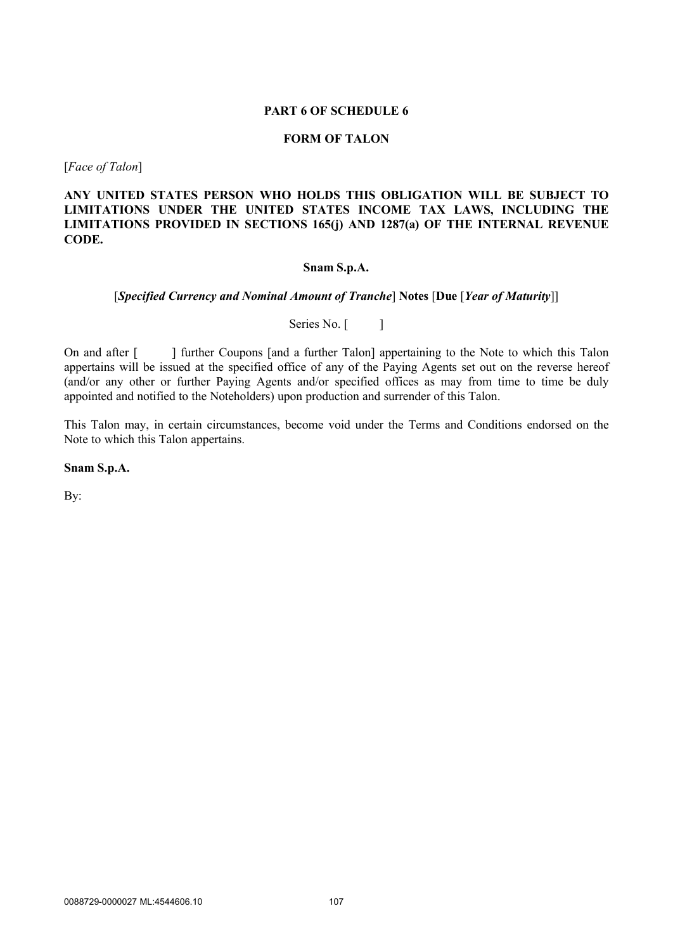#### **PART 6 OF SCHEDULE 6**

### **FORM OF TALON**

[*Face of Talon*]

**ANY UNITED STATES PERSON WHO HOLDS THIS OBLIGATION WILL BE SUBJECT TO LIMITATIONS UNDER THE UNITED STATES INCOME TAX LAWS, INCLUDING THE LIMITATIONS PROVIDED IN SECTIONS 165(j) AND 1287(a) OF THE INTERNAL REVENUE CODE.**

### **Snam S.p.A.**

### [*Specified Currency and Nominal Amount of Tranche*] **Notes** [**Due** [*Year of Maturity*]]

Series No. [ ]

On and after [ ] further Coupons [and a further Talon] appertaining to the Note to which this Talon appertains will be issued at the specified office of any of the Paying Agents set out on the reverse hereof (and/or any other or further Paying Agents and/or specified offices as may from time to time be duly appointed and notified to the Noteholders) upon production and surrender of this Talon.

This Talon may, in certain circumstances, become void under the Terms and Conditions endorsed on the Note to which this Talon appertains.

**Snam S.p.A.**

By: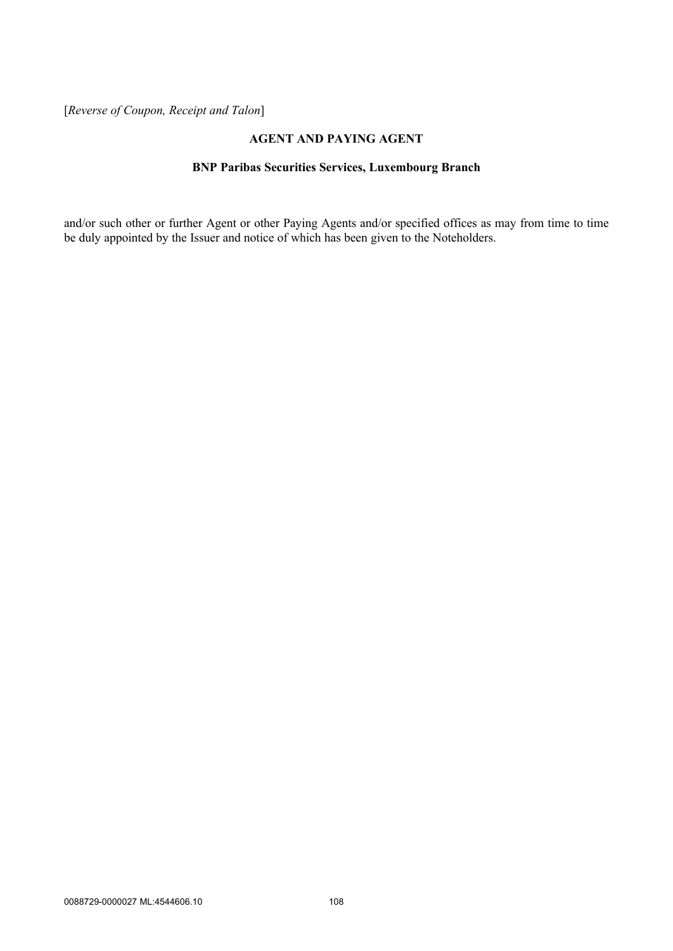[*Reverse of Coupon, Receipt and Talon*]

## **AGENT AND PAYING AGENT**

# **BNP Paribas Securities Services, Luxembourg Branch**

and/or such other or further Agent or other Paying Agents and/or specified offices as may from time to time be duly appointed by the Issuer and notice of which has been given to the Noteholders.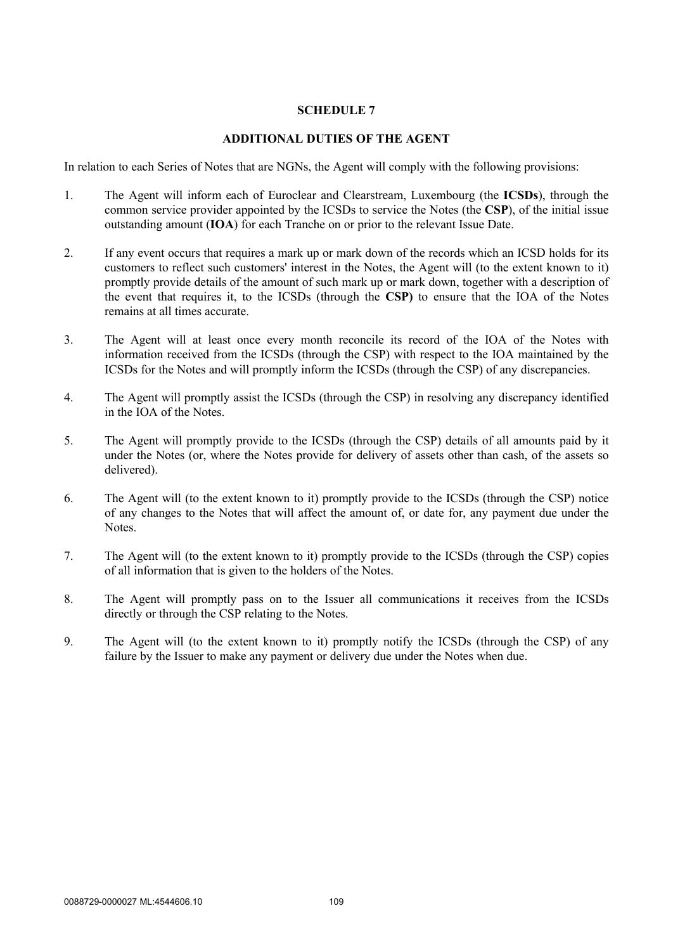# **SCHEDULE 7**

### **ADDITIONAL DUTIES OF THE AGENT**

In relation to each Series of Notes that are NGNs, the Agent will comply with the following provisions:

- 1. The Agent will inform each of Euroclear and Clearstream, Luxembourg (the **ICSDs**), through the common service provider appointed by the ICSDs to service the Notes (the **CSP**), of the initial issue outstanding amount (**IOA**) for each Tranche on or prior to the relevant Issue Date.
- 2. If any event occurs that requires a mark up or mark down of the records which an ICSD holds for its customers to reflect such customers' interest in the Notes, the Agent will (to the extent known to it) promptly provide details of the amount of such mark up or mark down, together with a description of the event that requires it, to the ICSDs (through the **CSP)** to ensure that the IOA of the Notes remains at all times accurate.
- 3. The Agent will at least once every month reconcile its record of the IOA of the Notes with information received from the ICSDs (through the CSP) with respect to the IOA maintained by the ICSDs for the Notes and will promptly inform the ICSDs (through the CSP) of any discrepancies.
- 4. The Agent will promptly assist the ICSDs (through the CSP) in resolving any discrepancy identified in the IOA of the Notes.
- 5. The Agent will promptly provide to the ICSDs (through the CSP) details of all amounts paid by it under the Notes (or, where the Notes provide for delivery of assets other than cash, of the assets so delivered).
- 6. The Agent will (to the extent known to it) promptly provide to the ICSDs (through the CSP) notice of any changes to the Notes that will affect the amount of, or date for, any payment due under the Notes.
- 7. The Agent will (to the extent known to it) promptly provide to the ICSDs (through the CSP) copies of all information that is given to the holders of the Notes.
- 8. The Agent will promptly pass on to the Issuer all communications it receives from the ICSDs directly or through the CSP relating to the Notes.
- 9. The Agent will (to the extent known to it) promptly notify the ICSDs (through the CSP) of any failure by the Issuer to make any payment or delivery due under the Notes when due.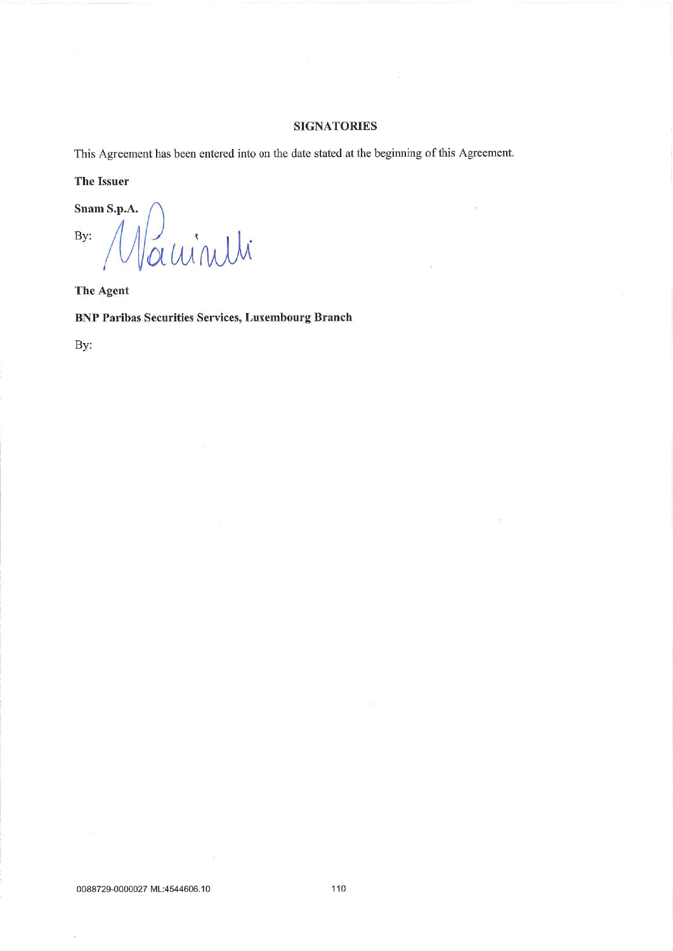### **SIGNATORIES**

This Agreement has been entered into on the date stated at the beginning of this Agreement.

# **The Issuer**

Snam S.p.A. auinili  $By:$ 

**The Agent** 

**BNP Paribas Securities Services, Luxembourg Branch** 

By: